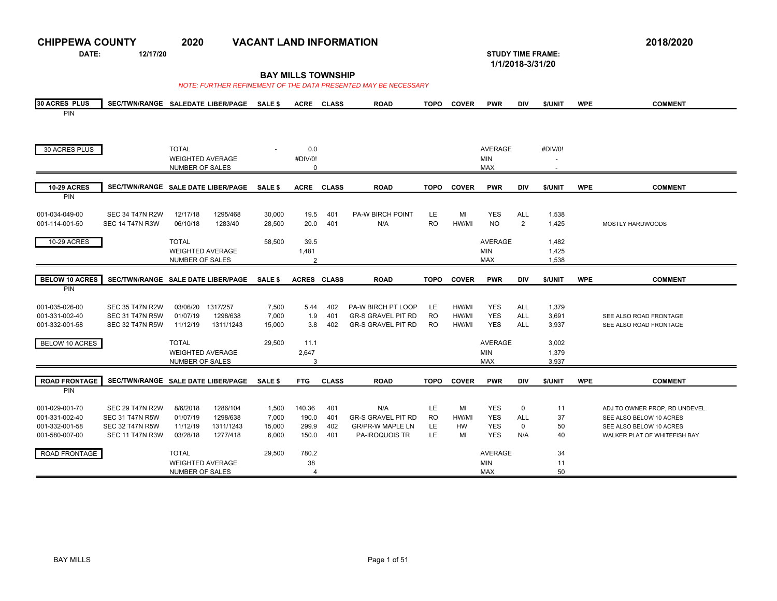| <b>CHIPPEWA COUNTY</b>      |                                    | 2020                    |           | <b>VACANT LAND INFORMATION</b> |                           |              |                                                                 |             |              |                |                                              |         |            | 2018/2020                      |
|-----------------------------|------------------------------------|-------------------------|-----------|--------------------------------|---------------------------|--------------|-----------------------------------------------------------------|-------------|--------------|----------------|----------------------------------------------|---------|------------|--------------------------------|
| DATE:                       | 12/17/20                           |                         |           |                                |                           |              |                                                                 |             |              |                | <b>STUDY TIME FRAME:</b><br>1/1/2018-3/31/20 |         |            |                                |
|                             |                                    |                         |           |                                | <b>BAY MILLS TOWNSHIP</b> |              | NOTE: FURTHER REFINEMENT OF THE DATA PRESENTED MAY BE NECESSARY |             |              |                |                                              |         |            |                                |
|                             |                                    |                         |           |                                |                           |              |                                                                 |             |              |                |                                              |         |            |                                |
| <b>30 ACRES PLUS</b><br>PIN | SEC/TWN/RANGE SALEDATE LIBER/PAGE  |                         |           | <b>SALE \$</b>                 |                           | ACRE CLASS   | <b>ROAD</b>                                                     | <b>TOPO</b> | <b>COVER</b> | <b>PWR</b>     | DIV                                          | \$/UNIT | <b>WPE</b> | <b>COMMENT</b>                 |
|                             |                                    |                         |           |                                |                           |              |                                                                 |             |              |                |                                              |         |            |                                |
|                             |                                    |                         |           |                                |                           |              |                                                                 |             |              |                |                                              |         |            |                                |
| 30 ACRES PLUS               |                                    | <b>TOTAL</b>            |           |                                | 0.0                       |              |                                                                 |             |              | <b>AVERAGE</b> |                                              | #DIV/0! |            |                                |
|                             |                                    | <b>WEIGHTED AVERAGE</b> |           |                                | #DIV/0!                   |              |                                                                 |             |              | MIN            |                                              |         |            |                                |
|                             |                                    | NUMBER OF SALES         |           |                                | 0                         |              |                                                                 |             |              | <b>MAX</b>     |                                              |         |            |                                |
| <b>10-29 ACRES</b>          | SEC/TWN/RANGE SALE DATE LIBER/PAGE |                         |           | <b>SALE \$</b>                 | <b>ACRE</b>               | <b>CLASS</b> | <b>ROAD</b>                                                     | TOPO        | <b>COVER</b> | <b>PWR</b>     | DIV                                          | \$/UNIT | <b>WPE</b> | <b>COMMENT</b>                 |
| PIN                         |                                    |                         |           |                                |                           |              |                                                                 |             |              |                |                                              |         |            |                                |
| 001-034-049-00              | <b>SEC 34 T47N R2W</b>             | 12/17/18                | 1295/468  | 30,000                         | 19.5                      | 401          | <b>PA-W BIRCH POINT</b>                                         | LE.         | MI           | <b>YES</b>     | <b>ALL</b>                                   | 1,538   |            |                                |
| 001-114-001-50              | <b>SEC 14 T47N R3W</b>             | 06/10/18                | 1283/40   | 28,500                         | 20.0                      | 401          | N/A                                                             | <b>RO</b>   | HW/MI        | <b>NO</b>      | $\overline{2}$                               | 1,425   |            | <b>MOSTLY HARDWOODS</b>        |
| 10-29 ACRES                 |                                    | <b>TOTAL</b>            |           | 58,500                         | 39.5                      |              |                                                                 |             |              | <b>AVERAGE</b> |                                              | 1,482   |            |                                |
|                             |                                    | <b>WEIGHTED AVERAGE</b> |           |                                | 1,481                     |              |                                                                 |             |              | <b>MIN</b>     |                                              | 1,425   |            |                                |
|                             |                                    | <b>NUMBER OF SALES</b>  |           |                                | $\overline{2}$            |              |                                                                 |             |              | <b>MAX</b>     |                                              | 1,538   |            |                                |
| <b>BELOW 10 ACRES</b>       | SEC/TWN/RANGE SALE DATE LIBER/PAGE |                         |           | <b>SALE \$</b>                 | ACRES CLASS               |              | <b>ROAD</b>                                                     | <b>TOPO</b> | <b>COVER</b> | <b>PWR</b>     | <b>DIV</b>                                   | \$/UNIT | <b>WPE</b> | <b>COMMENT</b>                 |
| PIN                         |                                    |                         |           |                                |                           |              |                                                                 |             |              |                |                                              |         |            |                                |
| 001-035-026-00              | <b>SEC 35 T47N R2W</b>             | 03/06/20 1317/257       |           | 7,500                          | 5.44                      | 402          | PA-W BIRCH PT LOOP                                              | LE          | HW/MI        | <b>YES</b>     | <b>ALL</b>                                   | 1,379   |            |                                |
| 001-331-002-40              | <b>SEC 31 T47N R5W</b>             | 01/07/19                | 1298/638  | 7,000                          | 1.9                       | 401          | <b>GR-S GRAVEL PIT RD</b>                                       | <b>RO</b>   | HW/MI        | <b>YES</b>     | <b>ALL</b>                                   | 3,691   |            | SEE ALSO ROAD FRONTAGE         |
| 001-332-001-58              | <b>SEC 32 T47N R5W</b>             | 11/12/19                | 1311/1243 | 15,000                         | 3.8                       | 402          | <b>GR-S GRAVEL PIT RD</b>                                       | <b>RO</b>   | HW/MI        | <b>YES</b>     | <b>ALL</b>                                   | 3,937   |            | SEE ALSO ROAD FRONTAGE         |
| <b>BELOW 10 ACRES</b>       |                                    | <b>TOTAL</b>            |           | 29,500                         | 11.1                      |              |                                                                 |             |              | <b>AVERAGE</b> |                                              | 3,002   |            |                                |
|                             |                                    | <b>WEIGHTED AVERAGE</b> |           |                                | 2,647                     |              |                                                                 |             |              | <b>MIN</b>     |                                              | 1,379   |            |                                |
|                             |                                    | <b>NUMBER OF SALES</b>  |           |                                | 3                         |              |                                                                 |             |              | <b>MAX</b>     |                                              | 3,937   |            |                                |
| <b>ROAD FRONTAGE</b>        | SEC/TWN/RANGE SALE DATE LIBER/PAGE |                         |           | SALE \$                        | <b>FTG</b>                | <b>CLASS</b> | <b>ROAD</b>                                                     | <b>TOPO</b> | <b>COVER</b> | <b>PWR</b>     | DIV                                          | \$/UNIT | <b>WPE</b> | <b>COMMENT</b>                 |
| PIN                         |                                    |                         |           |                                |                           |              |                                                                 |             |              |                |                                              |         |            |                                |
| 001-029-001-70              | <b>SEC 29 T47N R2W</b>             | 8/6/2018                | 1286/104  | 1,500                          | 140.36                    | 401          | N/A                                                             | LE.         | MI           | <b>YES</b>     | 0                                            | 11      |            | ADJ TO OWNER PROP, RD UNDEVEL. |
| 001-331-002-40              | <b>SEC 31 T47N R5W</b>             | 01/07/19                | 1298/638  | 7,000                          | 190.0                     | 401          | <b>GR-S GRAVEL PIT RD</b>                                       | <b>RO</b>   | HW/MI        | <b>YES</b>     | <b>ALL</b>                                   | 37      |            | SEE ALSO BELOW 10 ACRES        |
| 001-332-001-58              | <b>SEC 32 T47N R5W</b>             | 11/12/19                | 1311/1243 | 15,000                         | 299.9                     | 402          | <b>GR/PR-W MAPLE LN</b>                                         | LE.         | HW           | <b>YES</b>     | 0                                            | 50      |            | SEE ALSO BELOW 10 ACRES        |
| 001-580-007-00              | <b>SEC 11 T47N R3W</b>             | 03/28/18                | 1277/418  | 6,000                          | 150.0                     | 401          | <b>PA-IROQUOIS TR</b>                                           | LE.         | MI           | <b>YES</b>     | N/A                                          | 40      |            | WALKER PLAT OF WHITEFISH BAY   |
| ROAD FRONTAGE               |                                    | <b>TOTAL</b>            |           | 29,500                         | 780.2                     |              |                                                                 |             |              | <b>AVERAGE</b> |                                              | 34      |            |                                |
|                             |                                    | <b>WEIGHTED AVERAGE</b> |           |                                | 38                        |              |                                                                 |             |              | <b>MIN</b>     |                                              | 11      |            |                                |
|                             |                                    | NUMBER OF SALES         |           |                                | 4                         |              |                                                                 |             |              | <b>MAX</b>     |                                              | 50      |            |                                |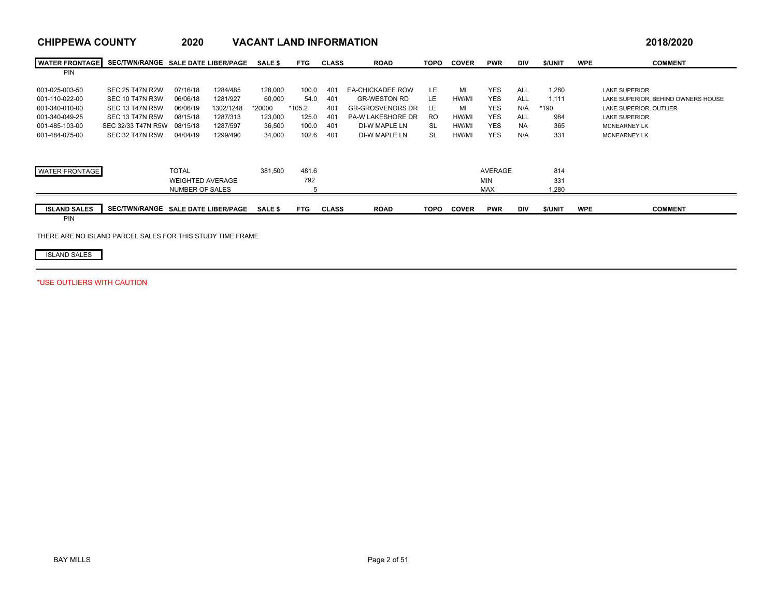| <b>CHIPPEWA COUNTY</b> |                                    | 2020                    |           | <b>VACANT LAND INFORMATION</b> |            |              |                          |             |              |                |            |         |            | 2018/2020                          |
|------------------------|------------------------------------|-------------------------|-----------|--------------------------------|------------|--------------|--------------------------|-------------|--------------|----------------|------------|---------|------------|------------------------------------|
| <b>WATER FRONTAGE</b>  | SEC/TWN/RANGE SALE DATE LIBER/PAGE |                         |           | <b>SALE \$</b>                 | <b>FTG</b> | <b>CLASS</b> | <b>ROAD</b>              | <b>TOPO</b> | <b>COVER</b> | <b>PWR</b>     | <b>DIV</b> | \$/UNIT | <b>WPE</b> | <b>COMMENT</b>                     |
| PIN                    |                                    |                         |           |                                |            |              |                          |             |              |                |            |         |            |                                    |
| 001-025-003-50         | <b>SEC 25 T47N R2W</b>             | 07/16/18                | 1284/485  | 128,000                        | 100.0      | 401          | <b>EA-CHICKADEE ROW</b>  | LE          | MI           | <b>YES</b>     | <b>ALL</b> | 1,280   |            | <b>LAKE SUPERIOR</b>               |
| 001-110-022-00         | <b>SEC 10 T47N R3W</b>             | 06/06/18                | 1281/927  | 60,000                         | 54.0       | 401          | <b>GR-WESTON RD</b>      | LE          | HW/MI        | <b>YES</b>     | <b>ALL</b> | 1.111   |            | LAKE SUPERIOR. BEHIND OWNERS HOUSE |
| 001-340-010-00         | <b>SEC 13 T47N R5W</b>             | 06/06/19                | 1302/1248 | *20000                         | $*105.2$   | 401          | <b>GR-GROSVENORS DR</b>  | LE          | MI           | <b>YES</b>     | N/A        | $*190$  |            | LAKE SUPERIOR, OUTLIER             |
| 001-340-049-25         | <b>SEC 13 T47N R5W</b>             | 08/15/18                | 1287/313  | 123,000                        | 125.0      | 401          | <b>PA-W LAKESHORE DR</b> | RO.         | HW/MI        | <b>YES</b>     | <b>ALL</b> | 984     |            | <b>LAKE SUPERIOR</b>               |
| 001-485-103-00         | SEC 32/33 T47N R5W                 | 08/15/18                | 1287/597  | 36,500                         | 100.0      | 401          | DI-W MAPLE LN            | <b>SL</b>   | HW/MI        | <b>YES</b>     | <b>NA</b>  | 365     |            | <b>MCNEARNEY LK</b>                |
| 001-484-075-00         | SEC 32 T47N R5W                    | 04/04/19                | 1299/490  | 34,000                         | 102.6      | 401          | DI-W MAPLE LN            | <b>SL</b>   | HW/MI        | <b>YES</b>     | N/A        | 331     |            | <b>MCNEARNEY LK</b>                |
|                        |                                    |                         |           |                                |            |              |                          |             |              |                |            |         |            |                                    |
| <b>WATER FRONTAGE</b>  |                                    | <b>TOTAL</b>            |           | 381,500                        | 481.6      |              |                          |             |              | <b>AVERAGE</b> |            | 814     |            |                                    |
|                        |                                    | <b>WEIGHTED AVERAGE</b> |           |                                | 792        |              |                          |             |              | <b>MIN</b>     |            | 331     |            |                                    |
|                        |                                    | <b>NUMBER OF SALES</b>  |           |                                |            |              |                          |             |              | <b>MAX</b>     |            | 1,280   |            |                                    |
|                        |                                    |                         |           |                                |            |              |                          |             |              |                |            |         |            |                                    |
| <b>ISLAND SALES</b>    | SEC/TWN/RANGE SALE DATE LIBER/PAGE |                         |           | <b>SALE \$</b>                 | <b>FTG</b> | <b>CLASS</b> | <b>ROAD</b>              | <b>TOPO</b> | <b>COVER</b> | <b>PWR</b>     | DIV        | \$/UNIT | <b>WPE</b> | <b>COMMENT</b>                     |
| PIN                    |                                    |                         |           |                                |            |              |                          |             |              |                |            |         |            |                                    |

THERE ARE NO ISLAND PARCEL SALES FOR THIS STUDY TIME FRAME

ISLAND SALES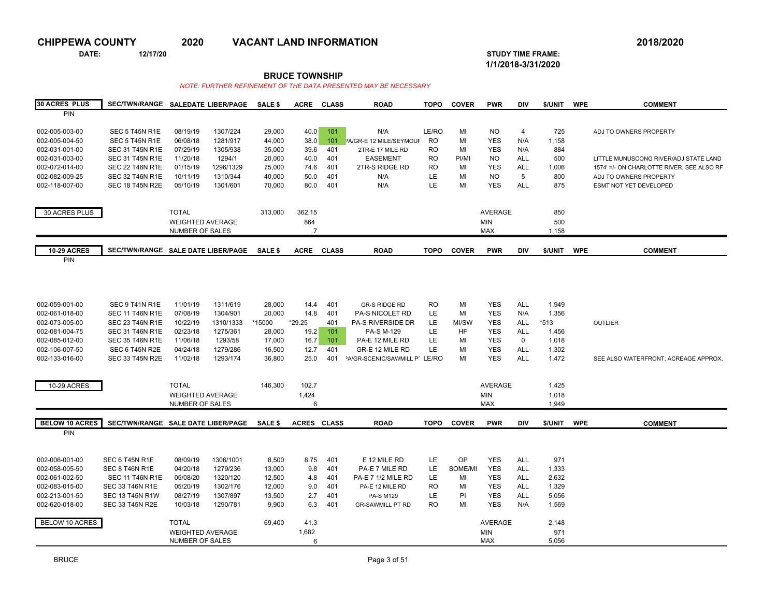**DATE: 12/17/20 STUDY TIME FRAME:**

**1/1/2018-3/31/2020** 

**BRUCE TOWNSHIP**

| <b>30 ACRES PLUS</b>  | SEC/TWN/RANGE SALEDATE LIBER/PAGE  |                         |           | SALE \$        | <b>ACRE</b>        | <b>CLASS</b> | <b>ROAD</b>                   | <b>TOPO</b> | <b>COVER</b> | <b>PWR</b>     | DIV         | \$/UNIT | <b>WPE</b> | <b>COMMENT</b>                            |
|-----------------------|------------------------------------|-------------------------|-----------|----------------|--------------------|--------------|-------------------------------|-------------|--------------|----------------|-------------|---------|------------|-------------------------------------------|
| <b>PIN</b>            |                                    |                         |           |                |                    |              |                               |             |              |                |             |         |            |                                           |
|                       |                                    |                         |           |                |                    |              |                               |             |              |                |             |         |            |                                           |
| 002-005-003-00        | SEC 5 T45N R1E                     | 08/19/19                | 1307/224  | 29,000         | 40.0               | 101          | N/A                           | LE/RO       | MI           | <b>NO</b>      | 4           | 725     |            | ADJ TO OWNERS PROPERTY                    |
| 002-005-004-50        | SEC 5 T45N R1E                     | 06/08/18                | 1281/917  | 44,000         | 38.0               | 101          | PA/GR-E 12 MILE/SEYMOUF       | <b>RO</b>   | MI           | <b>YES</b>     | N/A         | 1,158   |            |                                           |
| 002-031-001-00        | <b>SEC 31 T45N R1E</b>             | 07/29/19                | 1305/938  | 35,000         | 39.6               | 401          | 2TR-E 17 MILE RD              | <b>RO</b>   | MI           | <b>YES</b>     | N/A         | 884     |            |                                           |
| 002-031-003-00        | <b>SEC 31 T45N R1E</b>             | 11/20/18                | 1294/1    | 20,000         | 40.0               | 401          | <b>EASEMENT</b>               | <b>RO</b>   | PI/MI        | <b>NO</b>      | <b>ALL</b>  | 500     |            | LITTLE MUNUSCONG RIVER/ADJ STATE LAND     |
| 002-072-014-00        | <b>SEC 22 T46N R1E</b>             | 01/15/19                | 1296/1329 | 75,000         | 74.6               | 401          | 2TR-S RIDGE RD                | <b>RO</b>   | MI           | <b>YES</b>     | <b>ALL</b>  | 1,006   |            | 1574' =/- ON CHARLOTTE RIVER, SEE ALSO RF |
| 002-082-009-25        | <b>SEC 32 T46N R1E</b>             | 10/11/19                | 1310/344  | 40,000         | 50.0               | 401          | N/A                           | LE          | MI           | <b>NO</b>      | 5           | 800     |            | ADJ TO OWNERS PROPERTY                    |
| 002-118-007-00        | <b>SEC 18 T45N R2E</b>             | 05/10/19                | 1301/601  | 70,000         | 80.0               | 401          | N/A                           | LE          | MI           | <b>YES</b>     | <b>ALL</b>  | 875     |            | <b>ESMT NOT YET DEVELOPED</b>             |
|                       |                                    |                         |           |                |                    |              |                               |             |              |                |             |         |            |                                           |
|                       |                                    |                         |           |                |                    |              |                               |             |              |                |             |         |            |                                           |
| 30 ACRES PLUS         |                                    | <b>TOTAL</b>            |           | 313,000        | 362.15             |              |                               |             |              | <b>AVERAGE</b> |             | 850     |            |                                           |
|                       |                                    | <b>WEIGHTED AVERAGE</b> |           |                | 864                |              |                               |             |              | <b>MIN</b>     |             | 500     |            |                                           |
|                       |                                    | <b>NUMBER OF SALES</b>  |           |                | $\overline{7}$     |              |                               |             |              | <b>MAX</b>     |             | 1,158   |            |                                           |
| <b>10-29 ACRES</b>    | SEC/TWN/RANGE SALE DATE LIBER/PAGE |                         |           | <b>SALE \$</b> | <b>ACRE</b>        | <b>CLASS</b> | <b>ROAD</b>                   | <b>TOPO</b> | <b>COVER</b> | <b>PWR</b>     | <b>DIV</b>  | \$/UNIT | <b>WPE</b> | <b>COMMENT</b>                            |
| PIN                   |                                    |                         |           |                |                    |              |                               |             |              |                |             |         |            |                                           |
|                       |                                    |                         |           |                |                    |              |                               |             |              |                |             |         |            |                                           |
|                       |                                    |                         |           |                |                    |              |                               |             |              |                |             |         |            |                                           |
|                       |                                    |                         |           |                |                    |              |                               |             |              |                |             |         |            |                                           |
|                       |                                    |                         |           |                |                    |              |                               |             |              |                |             |         |            |                                           |
| 002-059-001-00        | SEC 9 T41N R1E                     | 11/01/19                | 1311/619  | 28,000         | 14.4               | 401          | <b>GR-S RIDGE RD</b>          | <b>RO</b>   | MI           | <b>YES</b>     | <b>ALL</b>  | 1,949   |            |                                           |
| 002-061-018-00        | <b>SEC 11 T46N R1E</b>             | 07/08/19                | 1304/901  | 20.000         | 14.8               | 401          | <b>PA-S NICOLET RD</b>        | LE          | MI           | <b>YES</b>     | N/A         | 1,356   |            |                                           |
| 002-073-005-00        | <b>SEC 23 T46N R1E</b>             | 10/22/19                | 1310/1333 | *15000         | $*29.25$           | 401          | PA-S RIVERSIDE DR             | LE          | MI/SW        | <b>YES</b>     | <b>ALL</b>  | $*513$  |            | <b>OUTLIER</b>                            |
| 002-081-004-75        | <b>SEC 31 T46N R1E</b>             | 02/23/18                | 1275/361  | 28,000         | 19.2               | 101          | <b>PA-S M-129</b>             | LE          | <b>HF</b>    | <b>YES</b>     | <b>ALL</b>  | 1,456   |            |                                           |
| 002-085-012-00        | <b>SEC 35 T46N R1E</b>             | 11/06/18                | 1293/58   | 17,000         | 16.7               | 101          | PA-E 12 MILE RD               | LE          | MI           | <b>YES</b>     | $\mathbf 0$ | 1,018   |            |                                           |
| 002-106-007-50        | SEC 6 T45N R2E                     | 04/24/18                | 1279/286  | 16,500         | 12.7               | 401          | GR-E 12 MILE RD               | LE          | MI           | <b>YES</b>     | <b>ALL</b>  | 1,302   |            |                                           |
| 002-133-016-00        | <b>SEC 33 T45N R2E</b>             | 11/02/18                | 1293/174  | 36,800         | 25.0               | 401          | 'A/GR-SCENIC/SAWMILL P' LE/RO |             | MI           | <b>YES</b>     | <b>ALL</b>  | 1,472   |            | SEE ALSO WATERFRONT, ACREAGE APPROX.      |
|                       |                                    |                         |           |                |                    |              |                               |             |              |                |             |         |            |                                           |
|                       |                                    |                         |           |                |                    |              |                               |             |              |                |             |         |            |                                           |
| 10-29 ACRES           |                                    | <b>TOTAL</b>            |           | 146,300        | 102.7              |              |                               |             |              | <b>AVERAGE</b> |             | 1,425   |            |                                           |
|                       |                                    | <b>WEIGHTED AVERAGE</b> |           |                | 1,424              |              |                               |             |              | <b>MIN</b>     |             | 1,018   |            |                                           |
|                       |                                    | <b>NUMBER OF SALES</b>  |           |                | 6                  |              |                               |             |              | <b>MAX</b>     |             | 1,949   |            |                                           |
| <b>BELOW 10 ACRES</b> | SEC/TWN/RANGE SALE DATE LIBER/PAGE |                         |           | <b>SALE \$</b> | <b>ACRES CLASS</b> |              | <b>ROAD</b>                   | <b>TOPO</b> | <b>COVER</b> | <b>PWR</b>     | <b>DIV</b>  | \$/UNIT | <b>WPE</b> | <b>COMMENT</b>                            |
| PIN                   |                                    |                         |           |                |                    |              |                               |             |              |                |             |         |            |                                           |
|                       |                                    |                         |           |                |                    |              |                               |             |              |                |             |         |            |                                           |
|                       |                                    |                         |           |                |                    |              |                               |             |              |                |             |         |            |                                           |
| 002-006-001-00        | SEC 6 T45N R1E                     | 08/09/19                | 1306/1001 | 8,500          | 8.75               | 401          | E 12 MILE RD                  | LE.         | OP           | <b>YES</b>     | <b>ALL</b>  | 971     |            |                                           |
| 002-058-005-50        | SEC 8 T46N R1E                     | 04/20/18                | 1279/236  | 13,000         | 9.8                | 401          | PA-E 7 MILE RD                | LE.         | SOME/MI      | <b>YES</b>     | <b>ALL</b>  | 1,333   |            |                                           |
| 002-061-002-50        | <b>SEC 11 T46N R1E</b>             | 05/08/20                | 1320/120  | 12,500         | 4.8                | 401          | <b>PA-E 7 1/2 MILE RD</b>     | LE          | MI           | <b>YES</b>     | <b>ALL</b>  | 2,632   |            |                                           |
| 002-083-015-00        | <b>SEC 33 T46N R1E</b>             | 05/20/19                | 1302/176  | 12,000         | 9.0                | 401          | PA-E 12 MILE RD               | <b>RO</b>   | MI           | <b>YES</b>     | <b>ALL</b>  | 1,329   |            |                                           |
| 002-213-001-50        | <b>SEC 13 T45N R1W</b>             | 08/27/19                | 1307/897  | 13,500         | 2.7                | 401          | <b>PA-S M129</b>              | LE          | PI           | <b>YES</b>     | <b>ALL</b>  | 5,056   |            |                                           |
| 002-620-018-00        | <b>SEC 33 T45N R2E</b>             | 10/03/18                | 1290/781  | 9,900          | 6.3                | 401          | <b>GR-SAWMILL PT RD</b>       | <b>RO</b>   | MI           | <b>YES</b>     | N/A         | 1,569   |            |                                           |
|                       |                                    |                         |           |                |                    |              |                               |             |              |                |             |         |            |                                           |
| BELOW 10 ACRES        |                                    | <b>TOTAL</b>            |           | 69,400         | 41.3               |              |                               |             |              | <b>AVERAGE</b> |             | 2,148   |            |                                           |
|                       |                                    | <b>WEIGHTED AVERAGE</b> |           |                | 1,682              |              |                               |             |              | <b>MIN</b>     |             | 971     |            |                                           |
|                       |                                    | <b>NUMBER OF SALES</b>  |           |                | 6                  |              |                               |             |              | <b>MAX</b>     |             | 5,056   |            |                                           |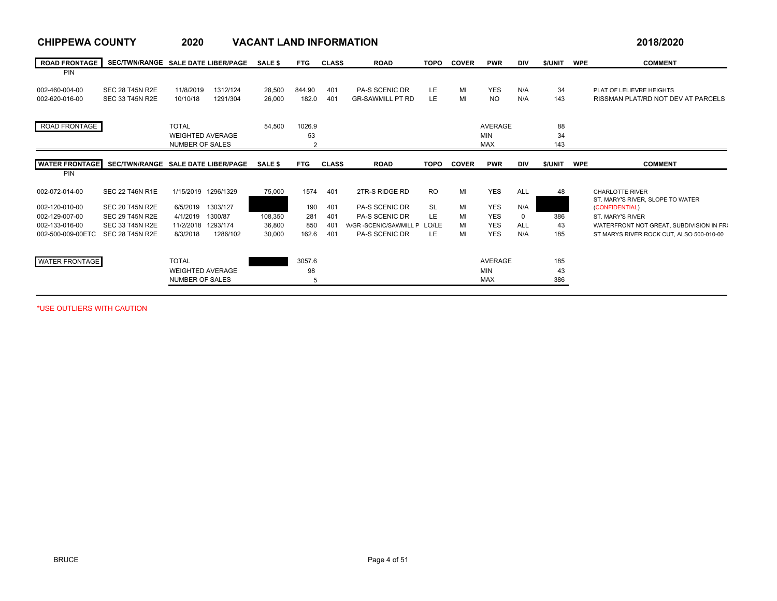| <b>CHIPPEWA COUNTY</b>              |                                    | 2020                    |          | <b>VACANT LAND INFORMATION</b> |                |              |                             |             |              |                          |                   |         |            | 2018/2020                                |
|-------------------------------------|------------------------------------|-------------------------|----------|--------------------------------|----------------|--------------|-----------------------------|-------------|--------------|--------------------------|-------------------|---------|------------|------------------------------------------|
| <b>ROAD FRONTAGE</b>                | SEC/TWN/RANGE SALE DATE LIBER/PAGE |                         |          | <b>SALE \$</b>                 | <b>FTG</b>     | <b>CLASS</b> | <b>ROAD</b>                 | <b>TOPO</b> | <b>COVER</b> | <b>PWR</b>               | <b>DIV</b>        | \$/UNIT | <b>WPE</b> | <b>COMMENT</b>                           |
| <b>PIN</b>                          |                                    |                         |          |                                |                |              |                             |             |              |                          |                   |         |            |                                          |
| 002-460-004-00                      | <b>SEC 28 T45N R2E</b>             | 11/8/2019               | 1312/124 | 28,500                         | 844.90         | 401          | <b>PA-S SCENIC DR</b>       | LE          | MI           | <b>YES</b>               | N/A               | 34      |            | PLAT OF LELIEVRE HEIGHTS                 |
| 002-620-016-00                      | <b>SEC 33 T45N R2E</b>             | 10/10/18                | 1291/304 | 26,000                         | 182.0          | 401          | <b>GR-SAWMILL PT RD</b>     | LE          | MI           | <b>NO</b>                | N/A               | 143     |            | RISSMAN PLAT/RD NOT DEV AT PARCELS       |
| ROAD FRONTAGE                       |                                    | <b>TOTAL</b>            |          | 54.500                         | 1026.9         |              |                             |             |              | <b>AVERAGE</b>           |                   | 88      |            |                                          |
|                                     |                                    | <b>WEIGHTED AVERAGE</b> |          |                                | 53             |              |                             |             |              | <b>MIN</b>               |                   | 34      |            |                                          |
|                                     |                                    | <b>NUMBER OF SALES</b>  |          |                                | $\overline{2}$ |              |                             |             |              | <b>MAX</b>               |                   | 143     |            |                                          |
|                                     |                                    |                         |          |                                |                |              |                             |             |              |                          |                   |         |            |                                          |
| <b>WATER FRONTAGE</b><br><b>PIN</b> | SEC/TWN/RANGE SALE DATE LIBER/PAGE |                         |          | <b>SALE \$</b>                 | <b>FTG</b>     | <b>CLASS</b> | <b>ROAD</b>                 | <b>TOPO</b> | <b>COVER</b> | <b>PWR</b>               | <b>DIV</b>        | \$/UNIT | <b>WPE</b> | <b>COMMENT</b>                           |
|                                     |                                    |                         |          |                                |                |              |                             |             |              |                          |                   |         |            |                                          |
| 002-072-014-00                      | <b>SEC 22 T46N R1E</b>             | 1/15/2019 1296/1329     |          | 75.000                         | 1574           | 401          | 2TR-S RIDGE RD              | <b>RO</b>   | MI           | <b>YES</b>               | <b>ALL</b>        | 48      |            | <b>CHARLOTTE RIVER</b>                   |
|                                     |                                    |                         |          |                                |                |              |                             |             |              |                          |                   |         |            | ST. MARY'S RIVER. SLOPE TO WATER         |
| 002-120-010-00                      | <b>SEC 20 T45N R2E</b>             | 6/5/2019                | 1303/127 |                                | 190            | 401          | <b>PA-S SCENIC DR</b>       | SL          | MI           | <b>YES</b>               | N/A               |         |            | (CONFIDENTIAL)                           |
| 002-129-007-00                      | <b>SEC 29 T45N R2E</b>             | 4/1/2019                | 1300/87  | 108.350                        | 281            | 401          | <b>PA-S SCENIC DR</b>       | LE.         | MI           | <b>YES</b>               | 0                 | 386     |            | ST. MARY'S RIVER                         |
| 002-133-016-00                      | <b>SEC 33 T45N R2E</b>             | 11/2/2018               | 1293/174 | 36,800                         | 850            | 401<br>401   | A/GR-SCENIC/SAWMILL P LO/LE | LE          | MI<br>MI     | <b>YES</b><br><b>YES</b> | <b>ALL</b><br>N/A | 43      |            | WATERFRONT NOT GREAT, SUBDIVISION IN FRO |
| 002-500-009-00ETC                   | <b>SEC 28 T45N R2E</b>             | 8/3/2018                | 1286/102 | 30,000                         | 162.6          |              | <b>PA-S SCENIC DR</b>       |             |              |                          |                   | 185     |            | ST MARYS RIVER ROCK CUT. ALSO 500-010-00 |
| <b>WATER FRONTAGE</b>               |                                    | <b>TOTAL</b>            |          |                                | 3057.6         |              |                             |             |              | <b>AVERAGE</b>           |                   | 185     |            |                                          |
|                                     |                                    |                         |          |                                |                |              |                             |             |              |                          |                   |         |            |                                          |
|                                     |                                    | <b>WEIGHTED AVERAGE</b> |          |                                | 98             |              |                             |             |              | <b>MIN</b>               |                   | 43      |            |                                          |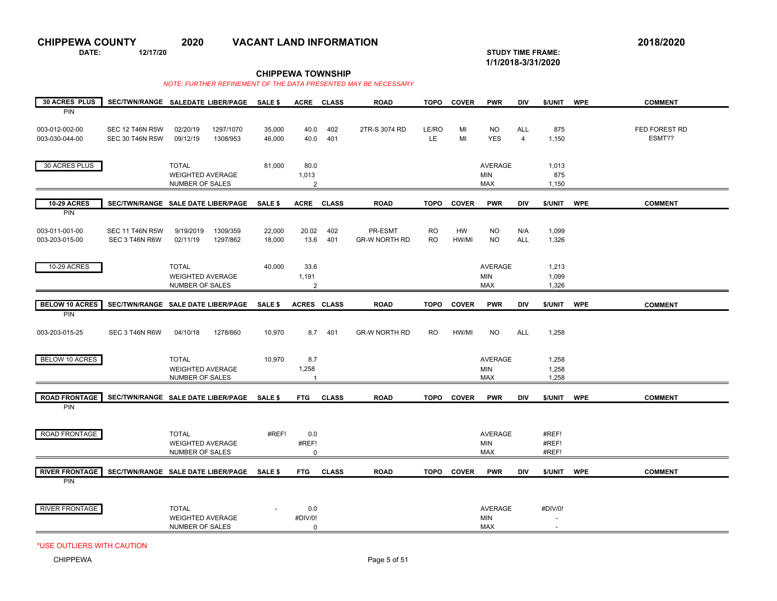**DATE: 12/17/20 STUDY TIME FRAME:**

**1/1/2018-3/31/2020** 

**CHIPPEWA TOWNSHIP**

*NOTE: FURTHER REFINEMENT OF THE DATA PRESENTED MAY BE NECESSARY* 

| <b>30 ACRES PLUS</b>                |                                          | SEC/TWN/RANGE SALEDATE LIBER/PAGE                          | SALE \$          |                    | ACRE CLASS   | <b>ROAD</b>                     | <b>TOPO</b>            | <b>COVER</b> | <b>PWR</b>                          | <b>DIV</b>        | \$/UNIT                             | <b>WPE</b> | <b>COMMENT</b> |
|-------------------------------------|------------------------------------------|------------------------------------------------------------|------------------|--------------------|--------------|---------------------------------|------------------------|--------------|-------------------------------------|-------------------|-------------------------------------|------------|----------------|
| PIN<br>003-012-002-00               | <b>SEC 12 T46N R5W</b>                   | 02/20/19<br>1297/1070                                      | 35,000           | 40.0               | 402          | 2TR-S 3074 RD                   | LE/RO                  | MI           | <b>NO</b>                           | <b>ALL</b>        | 875                                 |            | FED FOREST RD  |
| 003-030-044-00                      | <b>SEC 30 T46N R5W</b>                   | 09/12/19<br>1308/953                                       | 46,000           | 40.0               | 401          |                                 | LE.                    | MI           | <b>YES</b>                          | $\overline{4}$    | 1,150                               |            | ESMT??         |
| 30 ACRES PLUS                       |                                          | <b>TOTAL</b>                                               | 81,000           | 80.0               |              |                                 |                        |              | <b>AVERAGE</b>                      |                   | 1,013                               |            |                |
|                                     |                                          | <b>WEIGHTED AVERAGE</b><br>NUMBER OF SALES                 |                  | 1,013<br>2         |              |                                 |                        |              | <b>MIN</b><br><b>MAX</b>            |                   | 875<br>1,150                        |            |                |
| <b>10-29 ACRES</b><br><b>PIN</b>    |                                          | SEC/TWN/RANGE SALE DATE LIBER/PAGE                         | <b>SALE \$</b>   |                    | ACRE CLASS   | <b>ROAD</b>                     | <b>TOPO</b>            | <b>COVER</b> | <b>PWR</b>                          | <b>DIV</b>        | \$/UNIT                             | <b>WPE</b> | <b>COMMENT</b> |
| 003-011-001-00<br>003-203-015-00    | <b>SEC 11 T46N R5W</b><br>SEC 3 T46N R6W | 9/19/2019<br>1309/359<br>02/11/19<br>1297/862              | 22,000<br>18,000 | 20.02<br>13.6      | 402<br>401   | PR-ESMT<br><b>GR-W NORTH RD</b> | <b>RO</b><br><b>RO</b> | HW<br>HW/MI  | <b>NO</b><br><b>NO</b>              | N/A<br><b>ALL</b> | 1,099<br>1,326                      |            |                |
|                                     |                                          |                                                            |                  |                    |              |                                 |                        |              |                                     |                   |                                     |            |                |
| 10-29 ACRES                         |                                          | <b>TOTAL</b><br><b>WEIGHTED AVERAGE</b><br>NUMBER OF SALES | 40,000           | 33.6<br>1,191<br>2 |              |                                 |                        |              | AVERAGE<br><b>MIN</b><br><b>MAX</b> |                   | 1,213<br>1,099<br>1,326             |            |                |
| <b>BELOW 10 ACRES</b>               |                                          | SEC/TWN/RANGE SALE DATE LIBER/PAGE SALE \$                 |                  | ACRES CLASS        |              | <b>ROAD</b>                     | <b>TOPO</b>            | <b>COVER</b> | <b>PWR</b>                          | DIV               | \$/UNIT WPE                         |            | <b>COMMENT</b> |
| <b>PIN</b>                          |                                          |                                                            |                  |                    |              |                                 |                        |              |                                     |                   |                                     |            |                |
| 003-203-015-25                      | SEC 3 T46N R6W                           | 04/10/18<br>1278/660                                       | 10,970           |                    | 8.7 401      | <b>GR-W NORTH RD</b>            | <b>RO</b>              | HW/MI        | <b>NO</b>                           | <b>ALL</b>        | 1,258                               |            |                |
| <b>BELOW 10 ACRES</b>               |                                          | <b>TOTAL</b><br><b>WEIGHTED AVERAGE</b>                    | 10,970           | 8.7<br>1,258       |              |                                 |                        |              | AVERAGE<br><b>MIN</b>               |                   | 1,258<br>1,258                      |            |                |
|                                     |                                          | NUMBER OF SALES                                            |                  | 1                  |              |                                 |                        |              | <b>MAX</b>                          |                   | 1,258                               |            |                |
| <b>ROAD FRONTAGE</b><br><b>PIN</b>  |                                          | SEC/TWN/RANGE SALE DATE LIBER/PAGE SALE \$                 |                  | <b>FTG</b>         | <b>CLASS</b> | <b>ROAD</b>                     | <b>TOPO</b>            | <b>COVER</b> | <b>PWR</b>                          | <b>DIV</b>        | \$/UNIT                             | <b>WPE</b> | <b>COMMENT</b> |
|                                     |                                          |                                                            |                  |                    |              |                                 |                        |              |                                     |                   |                                     |            |                |
| ROAD FRONTAGE                       |                                          | <b>TOTAL</b><br><b>WEIGHTED AVERAGE</b>                    | #REF!            | 0.0<br>#REF!       |              |                                 |                        |              | AVERAGE<br><b>MIN</b>               |                   | #REF!<br>#REF!                      |            |                |
|                                     |                                          | NUMBER OF SALES                                            |                  | 0                  |              |                                 |                        |              | <b>MAX</b>                          |                   | #REF!                               |            |                |
| <b>RIVER FRONTAGE</b><br><b>PIN</b> |                                          | SEC/TWN/RANGE SALE DATE LIBER/PAGE SALE \$                 |                  | <b>FTG</b>         | <b>CLASS</b> | <b>ROAD</b>                     | <b>TOPO</b>            | <b>COVER</b> | <b>PWR</b>                          | DIV               | \$/UNIT                             | <b>WPE</b> | <b>COMMENT</b> |
|                                     |                                          |                                                            |                  |                    |              |                                 |                        |              |                                     |                   |                                     |            |                |
| <b>RIVER FRONTAGE</b>               |                                          | <b>TOTAL</b><br><b>WEIGHTED AVERAGE</b>                    |                  | 0.0<br>#DIV/0!     |              |                                 |                        |              | <b>AVERAGE</b><br>MIN               |                   | #DIV/0!<br>$\overline{\phantom{a}}$ |            |                |
|                                     |                                          | NUMBER OF SALES                                            |                  | $\mathbf 0$        |              |                                 |                        |              | <b>MAX</b>                          |                   | $\overline{\phantom{a}}$            |            |                |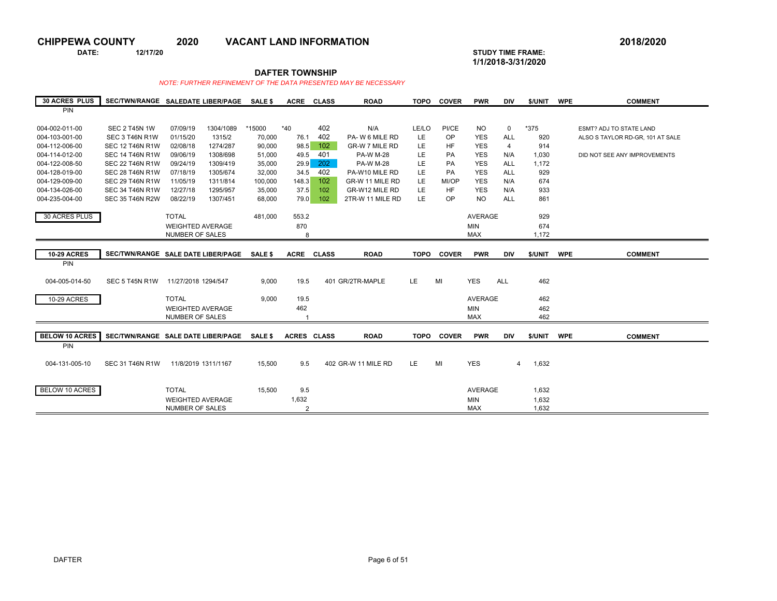**DATE: 12/17/20 STUDY TIME FRAME:**

**CHIPPEWA COUNTY 2020 VACANT LAND INFORMATION 2018/2020**

**1/1/2018-3/31/2020** 

## **DAFTER TOWNSHIP**

| <b>30 ACRES PLUS</b>  | SEC/TWN/RANGE SALEDATE LIBER/PAGE          |                         |           | <b>SALE \$</b> | <b>ACRE</b>    | <b>CLASS</b> | <b>ROAD</b>         | <b>TOPO</b> | <b>COVER</b> | <b>PWR</b>     | <b>DIV</b>     | \$/UNIT | <b>WPE</b> | <b>COMMENT</b>                   |
|-----------------------|--------------------------------------------|-------------------------|-----------|----------------|----------------|--------------|---------------------|-------------|--------------|----------------|----------------|---------|------------|----------------------------------|
| <b>PIN</b>            |                                            |                         |           |                |                |              |                     |             |              |                |                |         |            |                                  |
|                       |                                            |                         |           |                |                |              |                     |             |              |                |                |         |            |                                  |
| 004-002-011-00        | <b>SEC 2 T45N 1W</b>                       | 07/09/19                | 1304/1089 | *15000         | $*40$          | 402          | N/A                 | LE/LO       | PI/CE        | <b>NO</b>      | $\mathbf 0$    | *375    |            | <b>ESMT? ADJ TO STATE LAND</b>   |
| 004-103-001-00        | SEC 3 T46N R1W                             | 01/15/20                | 1315/2    | 70,000         | 76.1           | 402          | PA-W 6 MILE RD      | LE          | OP           | <b>YES</b>     | <b>ALL</b>     | 920     |            | ALSO S TAYLOR RD-GR. 101 AT SALE |
| 004-112-006-00        | <b>SEC 12 T46N R1W</b>                     | 02/08/18                | 1274/287  | 90,000         | 98.5           | 102          | GR-W 7 MILE RD      | LE.         | <b>HF</b>    | <b>YES</b>     | $\overline{4}$ | 914     |            |                                  |
| 004-114-012-00        | <b>SEC 14 T46N R1W</b>                     | 09/06/19                | 1308/698  | 51,000         | 49.5           | 401          | <b>PA-W M-28</b>    | LE.         | <b>PA</b>    | <b>YES</b>     | N/A            | 1,030   |            | DID NOT SEE ANY IMPROVEMENTS     |
| 004-122-008-50        | <b>SEC 22 T46N R1W</b>                     | 09/24/19                | 1309/419  | 35,000         | 29.9           | 202          | <b>PA-W M-28</b>    | LE.         | PA           | <b>YES</b>     | <b>ALL</b>     | 1,172   |            |                                  |
| 004-128-019-00        | <b>SEC 28 T46N R1W</b>                     | 07/18/19                | 1305/674  | 32,000         | 34.5           | 402          | PA-W10 MILE RD      | LE          | <b>PA</b>    | <b>YES</b>     | <b>ALL</b>     | 929     |            |                                  |
| 004-129-009-00        | <b>SEC 29 T46N R1W</b>                     | 11/05/19                | 1311/814  | 100,000        | 148.3          | 102          | GR-W 11 MILE RD     | LE          | MI/OP        | <b>YES</b>     | N/A            | 674     |            |                                  |
| 004-134-026-00        | <b>SEC 34 T46N R1W</b>                     | 12/27/18                | 1295/957  | 35,000         | 37.5           | 102          | GR-W12 MILE RD      | LE.         | <b>HF</b>    | <b>YES</b>     | N/A            | 933     |            |                                  |
| 004-235-004-00        | <b>SEC 35 T46N R2W</b>                     | 08/22/19                | 1307/451  | 68,000         | 79.0           | 102          | 2TR-W 11 MILE RD    | LE          | OP           | <b>NO</b>      | <b>ALL</b>     | 861     |            |                                  |
|                       |                                            |                         |           |                |                |              |                     |             |              |                |                |         |            |                                  |
| 30 ACRES PLUS         |                                            | <b>TOTAL</b>            |           | 481,000        | 553.2          |              |                     |             |              | <b>AVERAGE</b> |                | 929     |            |                                  |
|                       |                                            | <b>WEIGHTED AVERAGE</b> |           |                | 870            |              |                     |             |              | <b>MIN</b>     |                | 674     |            |                                  |
|                       |                                            | <b>NUMBER OF SALES</b>  |           |                | 8              |              |                     |             |              | <b>MAX</b>     |                | 1,172   |            |                                  |
|                       |                                            |                         |           |                |                |              |                     |             |              |                |                |         |            |                                  |
| <b>10-29 ACRES</b>    | SEC/TWN/RANGE SALE DATE LIBER/PAGE         |                         |           | <b>SALE \$</b> | <b>ACRE</b>    | <b>CLASS</b> | <b>ROAD</b>         | <b>TOPO</b> | <b>COVER</b> | <b>PWR</b>     | <b>DIV</b>     | \$/UNIT | <b>WPE</b> | <b>COMMENT</b>                   |
| <b>PIN</b>            |                                            |                         |           |                |                |              |                     |             |              |                |                |         |            |                                  |
|                       |                                            |                         |           |                |                |              |                     |             |              |                |                |         |            |                                  |
| 004-005-014-50        | SEC 5 T45N R1W                             | 11/27/2018 1294/547     |           | 9,000          | 19.5           |              | 401 GR/2TR-MAPLE    | LE.         | MI           | <b>YES</b>     | <b>ALL</b>     | 462     |            |                                  |
|                       |                                            |                         |           |                |                |              |                     |             |              |                |                |         |            |                                  |
| 10-29 ACRES           |                                            | <b>TOTAL</b>            |           | 9,000          | 19.5           |              |                     |             |              | <b>AVERAGE</b> |                | 462     |            |                                  |
|                       |                                            | <b>WEIGHTED AVERAGE</b> |           |                | 462            |              |                     |             |              | <b>MIN</b>     |                | 462     |            |                                  |
|                       |                                            | NUMBER OF SALES         |           |                |                |              |                     |             |              | <b>MAX</b>     |                | 462     |            |                                  |
|                       |                                            |                         |           |                |                |              |                     |             |              |                |                |         |            |                                  |
| <b>BELOW 10 ACRES</b> | SEC/TWN/RANGE SALE DATE LIBER/PAGE SALE \$ |                         |           |                | ACRES CLASS    |              | <b>ROAD</b>         |             | TOPO COVER   | <b>PWR</b>     | <b>DIV</b>     | \$/UNIT | <b>WPE</b> | <b>COMMENT</b>                   |
| <b>PIN</b>            |                                            |                         |           |                |                |              |                     |             |              |                |                |         |            |                                  |
|                       |                                            |                         |           |                |                |              |                     |             |              |                |                |         |            |                                  |
| 004-131-005-10        | <b>SEC 31 T46N R1W</b>                     | 11/8/2019 1311/1167     |           | 15,500         | 9.5            |              | 402 GR-W 11 MILE RD | LE.         | MI           | <b>YES</b>     | 4              | 1,632   |            |                                  |
|                       |                                            |                         |           |                |                |              |                     |             |              |                |                |         |            |                                  |
|                       |                                            |                         |           |                |                |              |                     |             |              |                |                |         |            |                                  |
| BELOW 10 ACRES        |                                            | <b>TOTAL</b>            |           | 15.500         | 9.5            |              |                     |             |              | <b>AVERAGE</b> |                | 1,632   |            |                                  |
|                       |                                            | <b>WEIGHTED AVERAGE</b> |           |                | 1,632          |              |                     |             |              | <b>MIN</b>     |                | 1,632   |            |                                  |
|                       |                                            | <b>NUMBER OF SALES</b>  |           |                | $\overline{2}$ |              |                     |             |              | <b>MAX</b>     |                | 1,632   |            |                                  |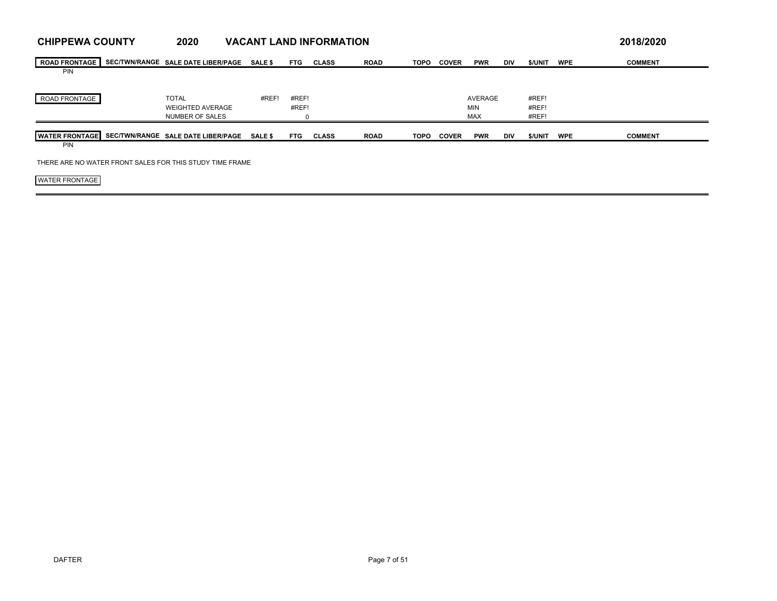| <b>CHIPPEWA COUNTY</b>                                   | 2020                                       |                |            | <b>VACANT LAND INFORMATION</b> |             |             |              |                   |            |                |            | 2018/2020      |
|----------------------------------------------------------|--------------------------------------------|----------------|------------|--------------------------------|-------------|-------------|--------------|-------------------|------------|----------------|------------|----------------|
| <b>ROAD FRONTAGE</b>                                     | SEC/TWN/RANGE SALE DATE LIBER/PAGE         | <b>SALE \$</b> | <b>FTG</b> | <b>CLASS</b>                   | <b>ROAD</b> | <b>TOPO</b> | <b>COVER</b> | <b>PWR</b>        | DIV        | \$/UNIT        | <b>WPE</b> | <b>COMMENT</b> |
| <b>PIN</b>                                               |                                            |                |            |                                |             |             |              |                   |            |                |            |                |
| ROAD FRONTAGE                                            | <b>TOTAL</b>                               | #REF!          | #REF!      |                                |             |             |              | AVERAGE           |            | #REF!          |            |                |
|                                                          | <b>WEIGHTED AVERAGE</b><br>NUMBER OF SALES |                | #REF!      |                                |             |             |              | MIN<br><b>MAX</b> |            | #REF!<br>#REF! |            |                |
| <b>WATER FRONTAGE</b>                                    | SEC/TWN/RANGE SALE DATE LIBER/PAGE SALE \$ |                | <b>FTG</b> | <b>CLASS</b>                   | <b>ROAD</b> | <b>TOPO</b> | <b>COVER</b> | <b>PWR</b>        | <b>DIV</b> | \$/UNIT        | <b>WPE</b> | <b>COMMENT</b> |
| <b>PIN</b>                                               |                                            |                |            |                                |             |             |              |                   |            |                |            |                |
| THERE ARE NO WATER FRONT SALES FOR THIS STUDY TIME FRAME |                                            |                |            |                                |             |             |              |                   |            |                |            |                |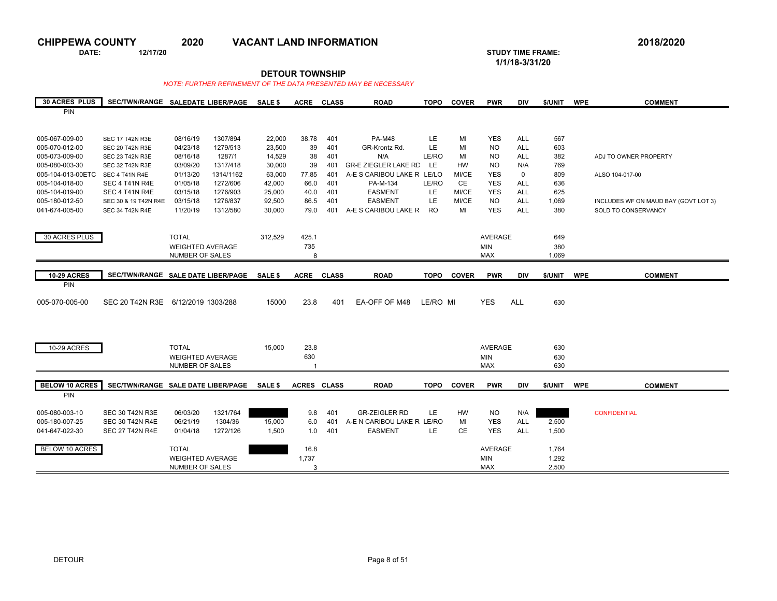**DATE: 12/17/20 STUDY TIME FRAME:**

**1/1/18-3/31/20** 

## **DETOUR TOWNSHIP**

| <b>30 ACRES PLUS</b>  | SEC/TWN/RANGE SALEDATE LIBER/PAGE  |                                            |           | SALE \$        | <b>ACRE</b>        | <b>CLASS</b> | <b>ROAD</b>                 | <b>TOPO</b> | <b>COVER</b> | <b>PWR</b>               | <b>DIV</b>  | \$/UNIT      | <b>WPE</b> | <b>COMMENT</b>                       |
|-----------------------|------------------------------------|--------------------------------------------|-----------|----------------|--------------------|--------------|-----------------------------|-------------|--------------|--------------------------|-------------|--------------|------------|--------------------------------------|
| <b>PIN</b>            |                                    |                                            |           |                |                    |              |                             |             |              |                          |             |              |            |                                      |
|                       |                                    |                                            |           |                |                    |              |                             |             |              |                          |             |              |            |                                      |
|                       |                                    |                                            |           |                |                    |              |                             |             |              |                          |             |              |            |                                      |
| 005-067-009-00        | <b>SEC 17 T42N R3E</b>             | 08/16/19                                   | 1307/894  | 22,000         | 38.78              | 401          | <b>PA-M48</b>               | LE          | MI           | <b>YES</b>               | ALL         | 567          |            |                                      |
| 005-070-012-00        | SEC 20 T42N R3E                    | 04/23/18                                   | 1279/513  | 23,500         | 39                 | 401          | GR-Krontz Rd.               | LE          | MI           | <b>NO</b>                | <b>ALL</b>  | 603          |            |                                      |
| 005-073-009-00        | SEC 23 T42N R3E                    | 08/16/18                                   | 1287/1    | 14,529         | 38                 | 401          | N/A                         | LE/RO       | MI           | <b>NO</b>                | ALL         | 382          |            | ADJ TO OWNER PROPERTY                |
| 005-080-003-30        | SEC 32 T42N R3E                    | 03/09/20                                   | 1317/418  | 30,000         | 39                 | 401          | <b>GR-E ZIEGLER LAKE RD</b> | LE.         | <b>HW</b>    | <b>NO</b>                | N/A         | 769          |            |                                      |
| 005-104-013-00ETC     | SEC 4 T41N R4E                     | 01/13/20                                   | 1314/1162 | 63,000         | 77.85              | 401          | A-E S CARIBOU LAKE R LE/LO  |             | MI/CE        | <b>YES</b>               | $\mathbf 0$ | 809          |            | ALSO 104-017-00                      |
| 005-104-018-00        | SEC 4 T41N R4E                     | 01/05/18                                   | 1272/606  | 42,000         | 66.0               | 401          | PA-M-134                    | LE/RO       | <b>CE</b>    | <b>YES</b>               | <b>ALL</b>  | 636          |            |                                      |
| 005-104-019-00        | SEC 4 T41N R4E                     | 03/15/18                                   | 1276/903  | 25,000         | 40.0               | 401          | <b>EASMENT</b>              | LE          | MI/CE        | <b>YES</b>               | <b>ALL</b>  | 625          |            |                                      |
| 005-180-012-50        | SEC 30 & 19 T42N R4E               | 03/15/18                                   | 1276/837  | 92,500         | 86.5               | 401          | <b>EASMENT</b>              | LE          | MI/CE        | <b>NO</b>                | <b>ALL</b>  | 1,069        |            | INCLUDES WF ON MAUD BAY (GOVT LOT 3) |
| 041-674-005-00        | SEC 34 T42N R4E                    | 11/20/19                                   | 1312/580  | 30,000         | 79.0               | 401          | A-E S CARIBOU LAKE R        | RO.         | MI           | <b>YES</b>               | <b>ALL</b>  | 380          |            | SOLD TO CONSERVANCY                  |
|                       |                                    |                                            |           |                |                    |              |                             |             |              |                          |             |              |            |                                      |
| 30 ACRES PLUS         |                                    | <b>TOTAL</b>                               |           |                |                    |              |                             |             |              | <b>AVERAGE</b>           |             |              |            |                                      |
|                       |                                    |                                            |           | 312,529        | 425.1              |              |                             |             |              |                          |             | 649          |            |                                      |
|                       |                                    | <b>WEIGHTED AVERAGE</b><br>NUMBER OF SALES |           |                | 735<br>8           |              |                             |             |              | <b>MIN</b><br><b>MAX</b> |             | 380<br>1,069 |            |                                      |
|                       |                                    |                                            |           |                |                    |              |                             |             |              |                          |             |              |            |                                      |
| <b>10-29 ACRES</b>    |                                    |                                            |           |                |                    |              |                             |             |              |                          |             |              |            | <b>COMMENT</b>                       |
| PIN                   | SEC/TWN/RANGE SALE DATE LIBER/PAGE |                                            |           | SALE \$        | <b>ACRE</b>        | <b>CLASS</b> | <b>ROAD</b>                 | <b>TOPO</b> | <b>COVER</b> | <b>PWR</b>               | <b>DIV</b>  | \$/UNIT      | <b>WPE</b> |                                      |
|                       |                                    |                                            |           |                |                    |              |                             |             |              |                          |             |              |            |                                      |
| 005-070-005-00        | SEC 20 T42N R3E 6/12/2019 1303/288 |                                            |           | 15000          | 23.8               | 401          | EA-OFF OF M48               | LE/RO MI    |              | <b>YES</b>               | <b>ALL</b>  | 630          |            |                                      |
|                       |                                    |                                            |           |                |                    |              |                             |             |              |                          |             |              |            |                                      |
|                       |                                    |                                            |           |                |                    |              |                             |             |              |                          |             |              |            |                                      |
|                       |                                    |                                            |           |                |                    |              |                             |             |              |                          |             |              |            |                                      |
|                       |                                    |                                            |           |                |                    |              |                             |             |              |                          |             |              |            |                                      |
| <b>10-29 ACRES</b>    |                                    | <b>TOTAL</b>                               |           | 15,000         | 23.8               |              |                             |             |              | <b>AVERAGE</b>           |             | 630          |            |                                      |
|                       |                                    | <b>WEIGHTED AVERAGE</b>                    |           |                | 630                |              |                             |             |              | <b>MIN</b>               |             | 630          |            |                                      |
|                       |                                    | NUMBER OF SALES                            |           |                | 1                  |              |                             |             |              | <b>MAX</b>               |             | 630          |            |                                      |
|                       |                                    |                                            |           |                |                    |              |                             |             |              |                          |             |              |            |                                      |
| <b>BELOW 10 ACRES</b> | SEC/TWN/RANGE SALE DATE LIBER/PAGE |                                            |           | <b>SALE \$</b> | <b>ACRES CLASS</b> |              | <b>ROAD</b>                 | <b>TOPO</b> | <b>COVER</b> | <b>PWR</b>               | <b>DIV</b>  | \$/UNIT      | <b>WPE</b> | <b>COMMENT</b>                       |
| PIN                   |                                    |                                            |           |                |                    |              |                             |             |              |                          |             |              |            |                                      |
|                       |                                    |                                            |           |                |                    |              |                             |             |              |                          |             |              |            |                                      |
| 005-080-003-10        | <b>SEC 30 T42N R3E</b>             | 06/03/20                                   | 1321/764  |                | 9.8                | 401          | <b>GR-ZEIGLER RD</b>        | LE.         | HW           | <b>NO</b>                | N/A         |              |            | <b>CONFIDENTIAL</b>                  |
| 005-180-007-25        | <b>SEC 30 T42N R4E</b>             | 06/21/19                                   | 1304/36   | 15,000         | 6.0                | 401          | A-E N CARIBOU LAKE R LE/RO  |             | MI           | <b>YES</b>               | <b>ALL</b>  | 2,500        |            |                                      |
| 041-647-022-30        | <b>SEC 27 T42N R4E</b>             | 01/04/18                                   | 1272/126  | 1,500          | 1.0                | 401          | <b>EASMENT</b>              | LE.         | CE           | <b>YES</b>               | <b>ALL</b>  | 1,500        |            |                                      |
|                       |                                    |                                            |           |                |                    |              |                             |             |              |                          |             |              |            |                                      |
| <b>BELOW 10 ACRES</b> |                                    | <b>TOTAL</b>                               |           |                | 16.8               |              |                             |             |              | <b>AVERAGE</b>           |             | 1,764        |            |                                      |
|                       |                                    | <b>WEIGHTED AVERAGE</b>                    |           |                | 1,737              |              |                             |             |              | <b>MIN</b>               |             | 1,292        |            |                                      |
|                       |                                    | NUMBER OF SALES                            |           |                | 3                  |              |                             |             |              | <b>MAX</b>               |             | 2,500        |            |                                      |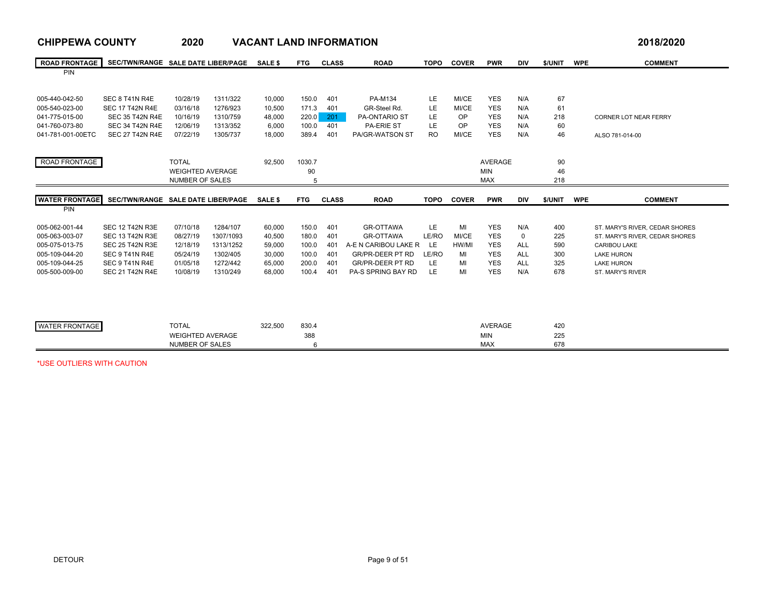| <b>CHIPPEWA COUNTY</b> |                                    | 2020                                              |           | <b>VACANT LAND INFORMATION</b> |            |              |                           |             |              |                   |            |            | 2018/2020                                                        |
|------------------------|------------------------------------|---------------------------------------------------|-----------|--------------------------------|------------|--------------|---------------------------|-------------|--------------|-------------------|------------|------------|------------------------------------------------------------------|
| <b>ROAD FRONTAGE</b>   | SEC/TWN/RANGE SALE DATE LIBER/PAGE |                                                   |           | <b>SALE \$</b>                 | <b>FTG</b> | <b>CLASS</b> | <b>ROAD</b>               | <b>TOPO</b> | <b>COVER</b> | <b>PWR</b>        | <b>DIV</b> | \$/UNIT    | <b>WPE</b><br><b>COMMENT</b>                                     |
| <b>PIN</b>             |                                    |                                                   |           |                                |            |              |                           |             |              |                   |            |            |                                                                  |
| 005-440-042-50         | SEC 8 T41N R4E                     | 10/28/19                                          | 1311/322  | 10,000                         | 150.0      | 401          | PA-M134                   | LE          | MI/CE        | <b>YES</b>        | N/A        | 67         |                                                                  |
| 005-540-023-00         | <b>SEC 17 T42N R4E</b>             | 03/16/18                                          | 1276/923  | 10.500                         | 171.3      | 401          | GR-Steel Rd.              | LE          | MI/CE        | <b>YES</b>        | N/A        | 61         |                                                                  |
| 041-775-015-00         | <b>SEC 35 T42N R4E</b>             | 10/16/19                                          | 1310/759  | 48,000                         | 220.0      | 201          | PA-ONTARIO ST             | LE          | OP           | <b>YES</b>        | N/A        | 218        | CORNER LOT NEAR FERRY                                            |
| 041-760-073-80         | <b>SEC 34 T42N R4E</b>             | 12/06/19                                          | 1313/352  | 6,000                          | 100.0      | 401          | <b>PA-ERIE ST</b>         | LE          | OP           | <b>YES</b>        | N/A        | 60         |                                                                  |
| 041-781-001-00ETC      | <b>SEC 27 T42N R4E</b>             | 07/22/19                                          | 1305/737  | 18,000                         | 389.4      | 401          | PA/GR-WATSON ST           | <b>RO</b>   | MI/CE        | <b>YES</b>        | N/A        | 46         | ALSO 781-014-00                                                  |
|                        |                                    |                                                   |           |                                |            |              |                           |             |              |                   |            |            |                                                                  |
| ROAD FRONTAGE          |                                    | <b>TOTAL</b>                                      |           | 92.500                         | 1030.7     |              |                           |             |              | <b>AVERAGE</b>    |            | 90         |                                                                  |
|                        |                                    | <b>WEIGHTED AVERAGE</b>                           |           |                                | 90         |              |                           |             |              | <b>MIN</b>        |            | 46         |                                                                  |
|                        |                                    | <b>NUMBER OF SALES</b>                            |           |                                | 5          |              |                           |             |              | <b>MAX</b>        |            | 218        |                                                                  |
| <b>WATER FRONTAGE</b>  | SEC/TWN/RANGE SALE DATE LIBER/PAGE |                                                   |           | <b>SALE \$</b>                 | <b>FTG</b> | <b>CLASS</b> | <b>ROAD</b>               | <b>TOPO</b> | <b>COVER</b> | <b>PWR</b>        | <b>DIV</b> | \$/UNIT    | <b>WPE</b><br><b>COMMENT</b>                                     |
| PIN                    |                                    |                                                   |           |                                |            |              |                           |             |              |                   |            |            |                                                                  |
| 005-062-001-44         | <b>SEC 12 T42N R3E</b>             | 07/10/18                                          | 1284/107  | 60,000                         | 150.0      | 401          | <b>GR-OTTAWA</b>          | LE.         | MI           | <b>YES</b>        | N/A        | 400        |                                                                  |
| 005-063-003-07         | <b>SEC 13 T42N R3E</b>             | 08/27/19                                          | 1307/1093 | 40,500                         | 180.0      | 401          | <b>GR-OTTAWA</b>          | LE/RO       | MI/CE        | <b>YES</b>        | 0          | 225        | ST. MARY'S RIVER, CEDAR SHORES<br>ST. MARY'S RIVER, CEDAR SHORES |
| 005-075-013-75         | <b>SEC 25 T42N R3E</b>             | 12/18/19                                          | 1313/1252 | 59,000                         | 100.0      | 401          | A-E N CARIBOU LAKE R      | <b>LE</b>   | HW/MI        | <b>YES</b>        | <b>ALL</b> | 590        | <b>CARIBOU LAKE</b>                                              |
| 005-109-044-20         |                                    |                                                   |           |                                |            |              |                           |             |              |                   |            |            |                                                                  |
|                        |                                    |                                                   |           |                                |            |              |                           |             |              |                   |            |            |                                                                  |
|                        | SEC 9 T41N R4E                     | 05/24/19                                          | 1302/405  | 30,000                         | 100.0      | 401          | <b>GR/PR-DEER PT RD</b>   | LE/RO       | MI           | <b>YES</b>        | <b>ALL</b> | 300        | <b>LAKE HURON</b>                                                |
| 005-109-044-25         | SEC 9 T41N R4E                     | 01/05/18                                          | 1272/442  | 65,000                         | 200.0      | 401          | <b>GR/PR-DEER PT RD</b>   | LE          | MI           | <b>YES</b>        | <b>ALL</b> | 325        | <b>LAKE HURON</b>                                                |
| 005-500-009-00         | <b>SEC 21 T42N R4E</b>             | 10/08/19                                          | 1310/249  | 68,000                         | 100.4      | 401          | <b>PA-S SPRING BAY RD</b> | LE          | MI           | <b>YES</b>        | N/A        | 678        | ST. MARY'S RIVER                                                 |
|                        |                                    |                                                   |           |                                |            |              |                           |             |              |                   |            |            |                                                                  |
|                        |                                    |                                                   |           |                                |            |              |                           |             |              |                   |            |            |                                                                  |
|                        |                                    |                                                   |           |                                |            |              |                           |             |              |                   |            |            |                                                                  |
| <b>WATER FRONTAGE</b>  |                                    | <b>TOTAL</b>                                      |           | 322,500                        | 830.4      |              |                           |             |              | <b>AVERAGE</b>    |            | 420        |                                                                  |
|                        |                                    | <b>WEIGHTED AVERAGE</b><br><b>NUMBER OF SALES</b> |           |                                | 388<br>6   |              |                           |             |              | MIN<br><b>MAX</b> |            | 225<br>678 |                                                                  |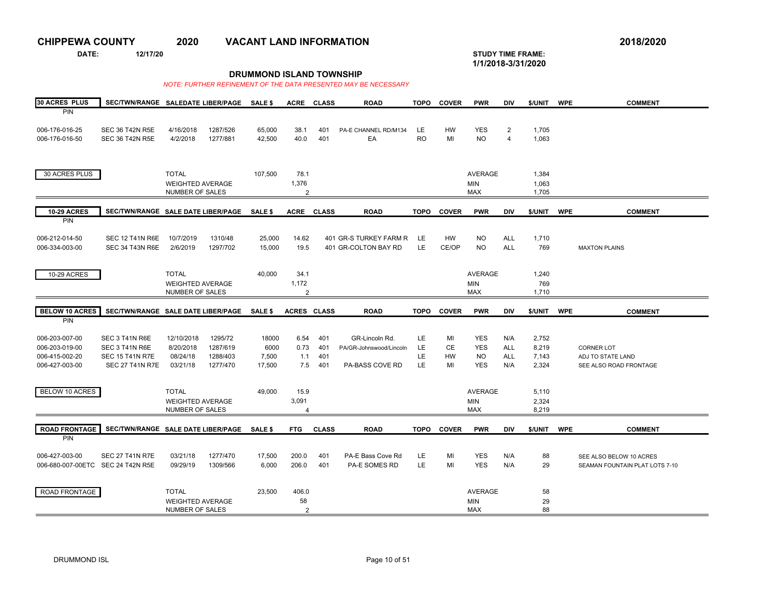**DATE: 12/17/20 STUDY TIME FRAME:**

 $\sim$ 

**1/1/2018-3/31/2020** 

## **DRUMMOND ISLAND TOWNSHIP**

| 30 ACRES PLUS                     | SEC/TWN/RANGE SALEDATE LIBER/PAGE          |                         |          | SALE \$        | <b>ACRE</b>        | <b>CLASS</b> | <b>ROAD</b>             | <b>TOPO</b> | <b>COVER</b> | <b>PWR</b>     | <b>DIV</b>              | \$/UNIT | <b>WPE</b> | <b>COMMENT</b>                 |
|-----------------------------------|--------------------------------------------|-------------------------|----------|----------------|--------------------|--------------|-------------------------|-------------|--------------|----------------|-------------------------|---------|------------|--------------------------------|
| PIN                               |                                            |                         |          |                |                    |              |                         |             |              |                |                         |         |            |                                |
|                                   |                                            |                         |          |                |                    |              |                         |             |              |                |                         |         |            |                                |
| 006-176-016-25                    | <b>SEC 36 T42N R5E</b>                     | 4/16/2018               | 1287/526 | 65,000         | 38.1               | 401          | PA-E CHANNEL RD/M134    | LE.         | <b>HW</b>    | <b>YES</b>     | $\overline{2}$          | 1,705   |            |                                |
| 006-176-016-50                    | <b>SEC 36 T42N R5E</b>                     | 4/2/2018                | 1277/881 | 42,500         | 40.0               | 401          | EA                      | <b>RO</b>   | MI           | <b>NO</b>      | $\overline{\mathbf{A}}$ | 1,063   |            |                                |
|                                   |                                            |                         |          |                |                    |              |                         |             |              |                |                         |         |            |                                |
|                                   |                                            |                         |          |                |                    |              |                         |             |              |                |                         |         |            |                                |
|                                   |                                            |                         |          |                |                    |              |                         |             |              |                |                         |         |            |                                |
| 30 ACRES PLUS                     |                                            | <b>TOTAL</b>            |          | 107,500        | 78.1               |              |                         |             |              | <b>AVERAGE</b> |                         | 1,384   |            |                                |
|                                   |                                            | <b>WEIGHTED AVERAGE</b> |          |                | 1,376              |              |                         |             |              | MIN            |                         | 1,063   |            |                                |
|                                   |                                            | NUMBER OF SALES         |          |                | $\mathfrak{p}$     |              |                         |             |              | <b>MAX</b>     |                         | 1,705   |            |                                |
|                                   |                                            |                         |          |                |                    |              |                         |             |              |                |                         |         |            |                                |
| <b>10-29 ACRES</b>                | SEC/TWN/RANGE SALE DATE LIBER/PAGE SALE \$ |                         |          |                | <b>ACRE</b>        | <b>CLASS</b> | <b>ROAD</b>             | <b>TOPO</b> | <b>COVER</b> | <b>PWR</b>     | <b>DIV</b>              | \$/UNIT | <b>WPE</b> | <b>COMMENT</b>                 |
| PIN                               |                                            |                         |          |                |                    |              |                         |             |              |                |                         |         |            |                                |
|                                   |                                            |                         |          |                |                    |              |                         |             |              |                |                         |         |            |                                |
| 006-212-014-50                    | <b>SEC 12 T41N R6E</b>                     | 10/7/2019               | 1310/48  | 25,000         | 14.62              |              | 401 GR-S TURKEY FARM R  | LE          | <b>HW</b>    | <b>NO</b>      | <b>ALL</b>              | 1,710   |            |                                |
| 006-334-003-00                    | <b>SEC 34 T43N R6E</b>                     | 2/6/2019                | 1297/702 | 15,000         | 19.5               |              | 401 GR-COLTON BAY RD    | LE.         | CE/OP        | <b>NO</b>      | <b>ALL</b>              | 769     |            | <b>MAXTON PLAINS</b>           |
|                                   |                                            |                         |          |                |                    |              |                         |             |              |                |                         |         |            |                                |
|                                   |                                            |                         |          |                |                    |              |                         |             |              |                |                         |         |            |                                |
| 10-29 ACRES                       |                                            | <b>TOTAL</b>            |          | 40,000         | 34.1               |              |                         |             |              | <b>AVERAGE</b> |                         | 1,240   |            |                                |
|                                   |                                            | <b>WEIGHTED AVERAGE</b> |          |                | 1,172              |              |                         |             |              | MIN            |                         | 769     |            |                                |
|                                   |                                            | NUMBER OF SALES         |          |                | 2                  |              |                         |             |              | <b>MAX</b>     |                         | 1,710   |            |                                |
|                                   |                                            |                         |          |                |                    |              |                         |             |              |                |                         |         |            |                                |
| <b>BELOW 10 ACRES</b>             | SEC/TWN/RANGE SALE DATE LIBER/PAGE         |                         |          | <b>SALE \$</b> | <b>ACRES CLASS</b> |              | <b>ROAD</b>             | <b>TOPO</b> | <b>COVER</b> | <b>PWR</b>     | <b>DIV</b>              | \$/UNIT | <b>WPE</b> | <b>COMMENT</b>                 |
| PIN                               |                                            |                         |          |                |                    |              |                         |             |              |                |                         |         |            |                                |
|                                   |                                            |                         |          |                |                    |              |                         |             |              |                |                         |         |            |                                |
| 006-203-007-00                    | SEC 3 T41N R6E                             | 12/10/2018              | 1295/72  | 18000          | 6.54               | 401          | GR-Lincoln Rd.          | LE.         | MI           | YES            | N/A                     | 2,752   |            |                                |
| 006-203-019-00                    | SEC 3 T41N R6E                             | 8/20/2018               | 1287/619 | 6000           | 0.73               | 401          | PA/GR-Johnswood/Lincoln | LE          | <b>CE</b>    | <b>YES</b>     | <b>ALL</b>              | 8,219   |            | <b>CORNER LOT</b>              |
| 006-415-002-20                    | <b>SEC 15 T41N R7E</b>                     | 08/24/18                | 1288/403 | 7,500          | 1.1                | 401          |                         | LE          | HW           | NO.            | <b>ALL</b>              | 7,143   |            | ADJ TO STATE LAND              |
| 006-427-003-00                    | <b>SEC 27 T41N R7E</b>                     | 03/21/18                | 1277/470 | 17,500         | 7.5                | 401          | PA-BASS COVE RD         | LE          | MI           | <b>YES</b>     | N/A                     | 2,324   |            | SEE ALSO ROAD FRONTAGE         |
|                                   |                                            |                         |          |                |                    |              |                         |             |              |                |                         |         |            |                                |
|                                   |                                            |                         |          |                |                    |              |                         |             |              |                |                         |         |            |                                |
| <b>BELOW 10 ACRES</b>             |                                            | <b>TOTAL</b>            |          | 49.000         | 15.9               |              |                         |             |              | <b>AVERAGE</b> |                         | 5,110   |            |                                |
|                                   |                                            | <b>WEIGHTED AVERAGE</b> |          |                | 3,091              |              |                         |             |              | <b>MIN</b>     |                         | 2,324   |            |                                |
|                                   |                                            | NUMBER OF SALES         |          |                | $\overline{4}$     |              |                         |             |              | <b>MAX</b>     |                         | 8,219   |            |                                |
|                                   |                                            |                         |          |                |                    |              |                         |             |              |                |                         |         |            |                                |
| <b>ROAD FRONTAGE</b>              | SEC/TWN/RANGE SALE DATE LIBER/PAGE         |                         |          | SALE \$        | <b>FTG</b>         | <b>CLASS</b> | <b>ROAD</b>             | <b>TOPO</b> | <b>COVER</b> | <b>PWR</b>     | <b>DIV</b>              | \$/UNIT | <b>WPE</b> | <b>COMMENT</b>                 |
| PIN                               |                                            |                         |          |                |                    |              |                         |             |              |                |                         |         |            |                                |
|                                   |                                            |                         |          |                |                    |              |                         |             |              |                |                         |         |            |                                |
| 006-427-003-00                    | <b>SEC 27 T41N R7E</b>                     | 03/21/18                | 1277/470 | 17,500         | 200.0              | 401          | PA-E Bass Cove Rd       | LE.         | MI           | <b>YES</b>     | N/A                     | 88      |            | SEE ALSO BELOW 10 ACRES        |
| 006-680-007-00ETC SEC 24 T42N R5E |                                            | 09/29/19                | 1309/566 | 6,000          | 206.0              | 401          | PA-E SOMES RD           | LE.         | MI           | <b>YES</b>     | N/A                     | 29      |            | SEAMAN FOUNTAIN PLAT LOTS 7-10 |
|                                   |                                            |                         |          |                |                    |              |                         |             |              |                |                         |         |            |                                |
|                                   |                                            |                         |          |                |                    |              |                         |             |              |                |                         |         |            |                                |
| ROAD FRONTAGE                     |                                            | <b>TOTAL</b>            |          | 23,500         | 406.0              |              |                         |             |              | <b>AVERAGE</b> |                         | 58      |            |                                |
|                                   |                                            |                         |          |                |                    |              |                         |             |              |                |                         |         |            |                                |
|                                   |                                            | <b>WEIGHTED AVERAGE</b> |          |                | 58                 |              |                         |             |              | MIN            |                         | 29      |            |                                |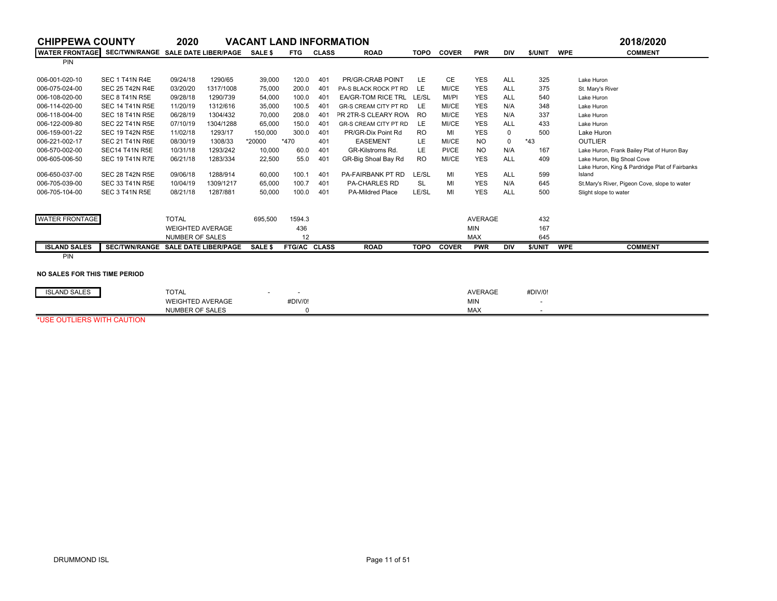| <b>CHIPPEWA COUNTY</b>                                    |                        | 2020                    |                             | VACANT LAND INFORMATION |              |              |                          |             |              |                |             |                          |            | 2018/2020                                      |
|-----------------------------------------------------------|------------------------|-------------------------|-----------------------------|-------------------------|--------------|--------------|--------------------------|-------------|--------------|----------------|-------------|--------------------------|------------|------------------------------------------------|
| WATER FRONTAGE SEC/TWN/RANGE SALE DATE LIBER/PAGE SALE \$ |                        |                         |                             |                         | <b>FTG</b>   | <b>CLASS</b> | <b>ROAD</b>              | <b>TOPO</b> | <b>COVER</b> | <b>PWR</b>     | <b>DIV</b>  | \$/UNIT                  | <b>WPE</b> | <b>COMMENT</b>                                 |
| PIN                                                       |                        |                         |                             |                         |              |              |                          |             |              |                |             |                          |            |                                                |
| 006-001-020-10                                            | <b>SEC 1 T41N R4E</b>  | 09/24/18                | 1290/65                     | 39,000                  | 120.0        | 401          | PR/GR-CRAB POINT         | LE.         | <b>CE</b>    | <b>YES</b>     | <b>ALL</b>  | 325                      |            | Lake Huron                                     |
| 006-075-024-00                                            | <b>SEC 25 T42N R4E</b> | 03/20/20                | 1317/1008                   | 75,000                  | 200.0        | 401          | PA-S BLACK ROCK PT RD    | LE          | MI/CE        | <b>YES</b>     | <b>ALL</b>  | 375                      |            | St. Mary's River                               |
| 006-108-020-00                                            | SEC 8 T41N R5E         | 09/28/18                | 1290/739                    | 54,000                  | 100.0        | 401          | EA/GR-TOM RICE TRL LE/SL |             | MI/PI        | <b>YES</b>     | <b>ALL</b>  | 540                      |            | Lake Huron                                     |
| 006-114-020-00                                            | <b>SEC 14 T41N R5E</b> | 11/20/19                | 1312/616                    | 35,000                  | 100.5        | 401          | GR-S CREAM CITY PT RD    | LE.         | MI/CE        | <b>YES</b>     | N/A         | 348                      |            | Lake Huron                                     |
| 006-118-004-00                                            | <b>SEC 18 T41N R5E</b> | 06/28/19                | 1304/432                    | 70,000                  | 208.0        | 401          | PR 2TR-S CLEARY ROW      | <b>RO</b>   | MI/CE        | <b>YES</b>     | N/A         | 337                      |            | Lake Huron                                     |
| 006-122-009-80                                            | <b>SEC 22 T41N R5E</b> | 07/10/19                | 1304/1288                   | 65,000                  | 150.0        | 401          | GR-S CREAM CITY PT RD    | LE.         | MI/CE        | <b>YES</b>     | <b>ALL</b>  | 433                      |            | Lake Huron                                     |
| 006-159-001-22                                            | <b>SEC 19 T42N R5E</b> | 11/02/18                | 1293/17                     | 150,000                 | 300.0        | 401          | PR/GR-Dix Point Rd       | <b>RO</b>   | MI           | <b>YES</b>     | $\mathbf 0$ | 500                      |            | Lake Huron                                     |
| 006-221-002-17                                            | <b>SEC 21 T41N R6E</b> | 08/30/19                | 1308/33                     | *20000                  | *470         | 401          | <b>EASEMENT</b>          | LE.         | MI/CE        | <b>NO</b>      | $\mathbf 0$ | $*43$                    |            | <b>OUTLIER</b>                                 |
| 006-570-002-00                                            | <b>SEC14 T41N R5E</b>  | 10/31/18                | 1293/242                    | 10,000                  | 60.0         | 401          | GR-Kilstroms Rd.         | LE.         | PI/CE        | <b>NO</b>      | N/A         | 167                      |            | Lake Huron, Frank Bailey Plat of Huron Bay     |
| 006-605-006-50                                            | <b>SEC 19 T41N R7E</b> | 06/21/18                | 1283/334                    | 22,500                  | 55.0         | 401          | GR-Big Shoal Bay Rd      | <b>RO</b>   | MI/CE        | <b>YES</b>     | <b>ALL</b>  | 409                      |            | Lake Huron, Big Shoal Cove                     |
|                                                           |                        |                         |                             |                         |              |              |                          |             |              |                |             |                          |            | Lake Huron, King & Pardridge Plat of Fairbanks |
| 006-650-037-00                                            | <b>SEC 28 T42N R5E</b> | 09/06/18                | 1288/914                    | 60,000                  | 100.1        | 401          | PA-FAIRBANK PT RD        | LE/SL       | MI           | <b>YES</b>     | <b>ALL</b>  | 599                      |            | Island                                         |
| 006-705-039-00                                            | <b>SEC 33 T41N R5E</b> | 10/04/19                | 1309/1217                   | 65,000                  | 100.7        | 401          | <b>PA-CHARLES RD</b>     | SL          | МI           | <b>YES</b>     | N/A         | 645                      |            | St.Mary's River, Pigeon Cove, slope to water   |
| 006-705-104-00                                            | SEC 3 T41N R5E         | 08/21/18                | 1287/881                    | 50,000                  | 100.0        | 401          | PA-Mildred Place         | LE/SL       | MI           | <b>YES</b>     | <b>ALL</b>  | 500                      |            | Slight slope to water                          |
|                                                           |                        |                         |                             |                         |              |              |                          |             |              |                |             |                          |            |                                                |
| <b>WATER FRONTAGE</b>                                     |                        | <b>TOTAL</b>            |                             | 695,500                 | 1594.3       |              |                          |             |              | <b>AVERAGE</b> |             | 432                      |            |                                                |
|                                                           |                        | <b>WEIGHTED AVERAGE</b> |                             |                         | 436          |              |                          |             |              | <b>MIN</b>     |             | 167                      |            |                                                |
|                                                           |                        | NUMBER OF SALES         |                             |                         | 12           |              |                          |             |              | <b>MAX</b>     |             | 645                      |            |                                                |
| <b>ISLAND SALES</b>                                       | <b>SEC/TWN/RANGE</b>   |                         | <b>SALE DATE LIBER/PAGE</b> | SALE \$                 | FTG/AC CLASS |              | <b>ROAD</b>              | <b>TOPO</b> | <b>COVER</b> | <b>PWR</b>     | <b>DIV</b>  | \$/UNIT                  | <b>WPE</b> | <b>COMMENT</b>                                 |
| PIN                                                       |                        |                         |                             |                         |              |              |                          |             |              |                |             |                          |            |                                                |
| NO SALES FOR THIS TIME PERIOD                             |                        |                         |                             |                         |              |              |                          |             |              |                |             |                          |            |                                                |
| <b>ISLAND SALES</b>                                       |                        | <b>TOTAL</b>            |                             |                         |              |              |                          |             |              | <b>AVERAGE</b> |             | #DIV/0!                  |            |                                                |
|                                                           |                        | <b>WEIGHTED AVERAGE</b> |                             |                         | #DIV/0!      |              |                          |             |              | <b>MIN</b>     |             | $\overline{\phantom{a}}$ |            |                                                |

 $\mathsf{MAX}$  . The contract of  $\mathsf{MAX}$  and  $\mathsf{MAX}$  . The contract of  $\mathsf{MAX}$  and  $\mathsf{MAX}$  and  $\mathsf{MAX}$  and  $\mathsf{MAX}$  and  $\mathsf{MAX}$  and  $\mathsf{MAX}$  and  $\mathsf{MAX}$  and  $\mathsf{MAX}$  and  $\mathsf{MAX}$  and  $\mathsf{MAX}$  and  $\mathsf{MAX}$  and  $\mathsf{MAX}$  an

\*USE OUTLIERS WITH CAUTION

NUMBER OF SALES

s 0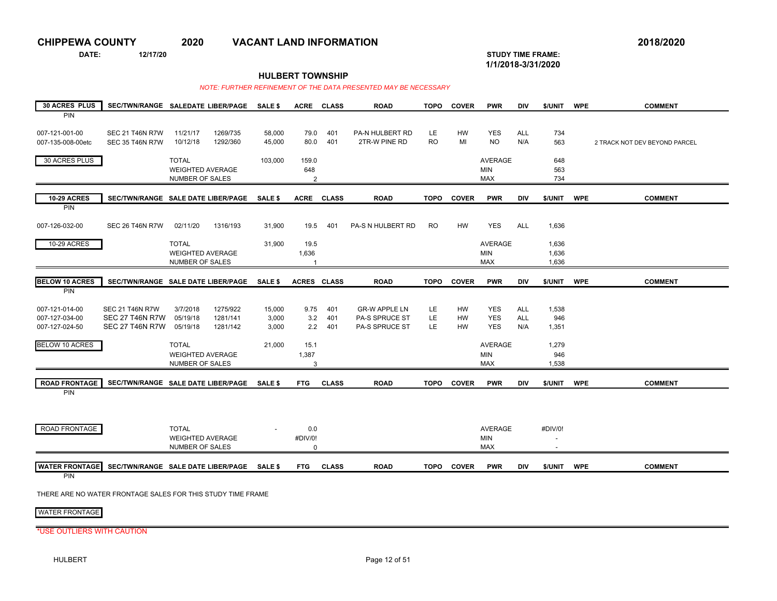**DATE: 12/17/20 STUDY TIME FRAME:**

**1/1/2018-3/31/2020** 

### **HULBERT TOWNSHIP**

#### *NOTE: FURTHER REFINEMENT OF THE DATA PRESENTED MAY BE NECESSARY*

| <b>30 ACRES PLUS</b>                               | SEC/TWN/RANGE SALEDATE LIBER/PAGE                                          |                                                                   |                                  | <b>SALE \$</b>           |                                 | ACRE CLASS        | <b>ROAD</b>                                              | <b>TOPO</b>     | <b>COVER</b>          | <b>PWR</b>                                 | DIV                      | \$/UNIT                             | <b>WPE</b> | <b>COMMENT</b>                |
|----------------------------------------------------|----------------------------------------------------------------------------|-------------------------------------------------------------------|----------------------------------|--------------------------|---------------------------------|-------------------|----------------------------------------------------------|-----------------|-----------------------|--------------------------------------------|--------------------------|-------------------------------------|------------|-------------------------------|
| <b>PIN</b>                                         |                                                                            |                                                                   |                                  |                          |                                 |                   |                                                          |                 |                       |                                            |                          |                                     |            |                               |
| 007-121-001-00<br>007-135-008-00etc                | <b>SEC 21 T46N R7W</b><br><b>SEC 35 T46N R7W</b>                           | 11/21/17<br>10/12/18                                              | 1269/735<br>1292/360             | 58,000<br>45,000         | 79.0<br>80.0                    | 401<br>401        | <b>PA-N HULBERT RD</b><br>2TR-W PINE RD                  | LE.<br>RO.      | <b>HW</b><br>MI       | <b>YES</b><br><b>NO</b>                    | <b>ALL</b><br>N/A        | 734<br>563                          |            | 2 TRACK NOT DEV BEYOND PARCEL |
| 30 ACRES PLUS                                      |                                                                            | <b>TOTAL</b><br><b>WEIGHTED AVERAGE</b><br>NUMBER OF SALES        |                                  | 103,000                  | 159.0<br>648<br>2               |                   |                                                          |                 |                       | <b>AVERAGE</b><br><b>MIN</b><br><b>MAX</b> |                          | 648<br>563<br>734                   |            |                               |
| <b>10-29 ACRES</b>                                 | SEC/TWN/RANGE SALE DATE LIBER/PAGE                                         |                                                                   |                                  | <b>SALE \$</b>           | <b>ACRE</b>                     | <b>CLASS</b>      | <b>ROAD</b>                                              | <b>TOPO</b>     | <b>COVER</b>          | <b>PWR</b>                                 | <b>DIV</b>               | \$/UNIT                             | <b>WPE</b> | <b>COMMENT</b>                |
| <b>PIN</b><br>007-126-032-00                       | <b>SEC 26 T46N R7W</b>                                                     | 02/11/20                                                          | 1316/193                         | 31,900                   | 19.5                            | 401               | PA-S N HULBERT RD                                        | <b>RO</b>       | <b>HW</b>             | <b>YES</b>                                 | <b>ALL</b>               | 1,636                               |            |                               |
| 10-29 ACRES                                        |                                                                            | <b>TOTAL</b><br><b>WEIGHTED AVERAGE</b><br><b>NUMBER OF SALES</b> |                                  | 31,900                   | 19.5<br>1,636<br>$\overline{1}$ |                   |                                                          |                 |                       | <b>AVERAGE</b><br><b>MIN</b><br><b>MAX</b> |                          | 1,636<br>1,636<br>1,636             |            |                               |
| <b>BELOW 10 ACRES</b>                              | SEC/TWN/RANGE SALE DATE LIBER/PAGE                                         |                                                                   |                                  | <b>SALE \$</b>           | <b>ACRES CLASS</b>              |                   | <b>ROAD</b>                                              | <b>TOPO</b>     | <b>COVER</b>          | <b>PWR</b>                                 | <b>DIV</b>               | \$/UNIT                             | <b>WPE</b> | <b>COMMENT</b>                |
| PIN                                                |                                                                            |                                                                   |                                  |                          |                                 |                   |                                                          |                 |                       |                                            |                          |                                     |            |                               |
| 007-121-014-00<br>007-127-034-00<br>007-127-024-50 | <b>SEC 21 T46N R7W</b><br><b>SEC 27 T46N R7W</b><br><b>SEC 27 T46N R7W</b> | 3/7/2018<br>05/19/18<br>05/19/18                                  | 1275/922<br>1281/141<br>1281/142 | 15,000<br>3,000<br>3,000 | 9.75<br>3.2<br>2.2              | 401<br>401<br>401 | <b>GR-W APPLE LN</b><br>PA-S SPRUCE ST<br>PA-S SPRUCE ST | LE<br>LE<br>LE. | HW<br>HW<br><b>HW</b> | <b>YES</b><br><b>YES</b><br><b>YES</b>     | ALL<br><b>ALL</b><br>N/A | 1,538<br>946<br>1,351               |            |                               |
| <b>BELOW 10 ACRES</b>                              |                                                                            | <b>TOTAL</b><br><b>WEIGHTED AVERAGE</b><br><b>NUMBER OF SALES</b> |                                  | 21,000                   | 15.1<br>1,387<br>3              |                   |                                                          |                 |                       | AVERAGE<br><b>MIN</b><br><b>MAX</b>        |                          | 1,279<br>946<br>1,538               |            |                               |
| <b>ROAD FRONTAGE</b>                               | SEC/TWN/RANGE SALE DATE LIBER/PAGE SALE \$                                 |                                                                   |                                  |                          | <b>FTG</b>                      | <b>CLASS</b>      | <b>ROAD</b>                                              | <b>TOPO</b>     | <b>COVER</b>          | <b>PWR</b>                                 | <b>DIV</b>               | \$/UNIT                             | <b>WPE</b> | <b>COMMENT</b>                |
| <b>PIN</b><br>ROAD FRONTAGE                        |                                                                            | <b>TOTAL</b><br><b>WEIGHTED AVERAGE</b><br>NUMBER OF SALES        |                                  |                          | 0.0<br>#DIV/0!<br>$\Omega$      |                   |                                                          |                 |                       | <b>AVERAGE</b><br>MIN<br><b>MAX</b>        |                          | #DIV/0!<br>$\overline{\phantom{a}}$ |            |                               |
| <b>WATER FRONTAGE</b>                              | SEC/TWN/RANGE SALE DATE LIBER/PAGE                                         |                                                                   |                                  | <b>SALE \$</b>           | <b>FTG</b>                      | <b>CLASS</b>      | <b>ROAD</b>                                              | TOPO            | <b>COVER</b>          | <b>PWR</b>                                 | <b>DIV</b>               | \$/UNIT                             | <b>WPE</b> | <b>COMMENT</b>                |
| PIN                                                |                                                                            |                                                                   |                                  |                          |                                 |                   |                                                          |                 |                       |                                            |                          |                                     |            |                               |

THERE ARE NO WATER FRONTAGE SALES FOR THIS STUDY TIME FRAME

WATER FRONTAGE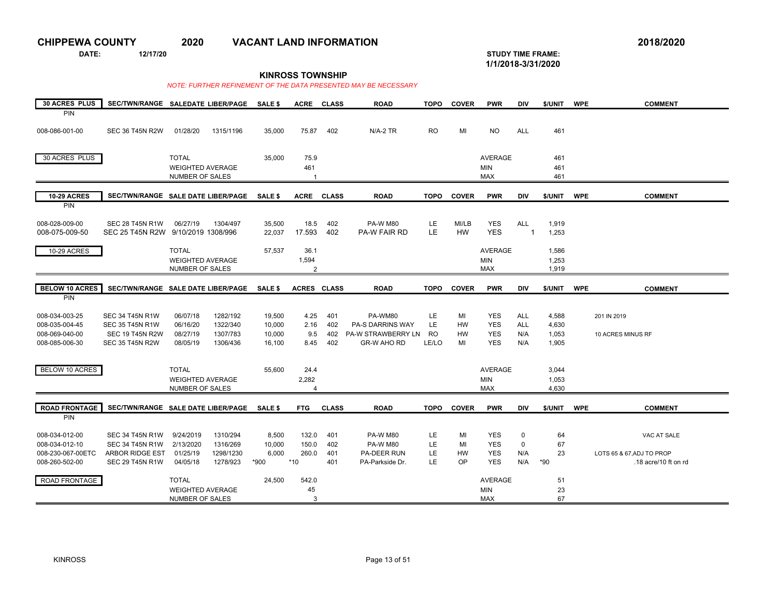**DATE: 12/17/20 STUDY TIME FRAME:**

**1/1/2018-3/31/2020** 

**KINROSS TOWNSHIP**

| 30 ACRES PLUS                    | SEC/TWN/RANGE SALEDATE LIBER/PAGE  |                         |           | <b>SALE \$</b>   | <b>ACRE</b>             | <b>CLASS</b> | <b>ROAD</b>             | <b>TOPO</b> | <b>COVER</b> | <b>PWR</b>               | DIV            | \$/UNIT        | <b>WPE</b> | <b>COMMENT</b>            |
|----------------------------------|------------------------------------|-------------------------|-----------|------------------|-------------------------|--------------|-------------------------|-------------|--------------|--------------------------|----------------|----------------|------------|---------------------------|
| PIN                              |                                    |                         |           |                  |                         |              |                         |             |              |                          |                |                |            |                           |
|                                  |                                    |                         |           |                  |                         |              |                         |             |              |                          |                |                |            |                           |
| 008-086-001-00                   | <b>SEC 36 T45N R2W</b>             | 01/28/20                | 1315/1196 | 35,000           | 75.87                   | 402          | $N/A-2$ TR              | <b>RO</b>   | MI           | <b>NO</b>                | <b>ALL</b>     | 461            |            |                           |
|                                  |                                    |                         |           |                  |                         |              |                         |             |              |                          |                |                |            |                           |
|                                  |                                    |                         |           |                  |                         |              |                         |             |              |                          |                |                |            |                           |
| 30 ACRES PLUS                    |                                    | <b>TOTAL</b>            |           | 35,000           | 75.9                    |              |                         |             |              | <b>AVERAGE</b>           |                | 461            |            |                           |
|                                  |                                    | <b>WEIGHTED AVERAGE</b> |           |                  | 461                     |              |                         |             |              | <b>MIN</b>               |                | 461            |            |                           |
|                                  |                                    | NUMBER OF SALES         |           |                  |                         |              |                         |             |              | <b>MAX</b>               |                | 461            |            |                           |
|                                  |                                    |                         |           |                  |                         |              |                         |             |              |                          |                |                |            |                           |
| <b>10-29 ACRES</b>               | SEC/TWN/RANGE SALE DATE LIBER/PAGE |                         |           | <b>SALE \$</b>   | <b>ACRE</b>             | <b>CLASS</b> | <b>ROAD</b>             | <b>TOPO</b> | <b>COVER</b> | <b>PWR</b>               | <b>DIV</b>     | \$/UNIT        | <b>WPE</b> | <b>COMMENT</b>            |
| <b>PIN</b>                       |                                    |                         |           |                  |                         |              |                         |             |              |                          |                |                |            |                           |
|                                  | <b>SEC 28 T45N R1W</b>             | 06/27/19                | 1304/497  |                  |                         | 402          | <b>PA-W M80</b>         |             | MI/LB        |                          | ALL            |                |            |                           |
| 008-028-009-00<br>008-075-009-50 | SEC 25 T45N R2W 9/10/2019 1308/996 |                         |           | 35,500<br>22.037 | 18.5<br>17.593          | 402          | <b>PA-W FAIR RD</b>     | LE.<br>LE   | <b>HW</b>    | <b>YES</b><br><b>YES</b> | $\overline{1}$ | 1,919<br>1,253 |            |                           |
|                                  |                                    |                         |           |                  |                         |              |                         |             |              |                          |                |                |            |                           |
| 10-29 ACRES                      |                                    | <b>TOTAL</b>            |           | 57,537           | 36.1                    |              |                         |             |              | <b>AVERAGE</b>           |                | 1,586          |            |                           |
|                                  |                                    |                         |           |                  |                         |              |                         |             |              |                          |                |                |            |                           |
|                                  |                                    | <b>WEIGHTED AVERAGE</b> |           |                  | 1,594                   |              |                         |             |              | <b>MIN</b>               |                | 1,253          |            |                           |
|                                  |                                    | NUMBER OF SALES         |           |                  | $\overline{2}$          |              |                         |             |              | <b>MAX</b>               |                | 1,919          |            |                           |
| <b>BELOW 10 ACRES</b>            | SEC/TWN/RANGE SALE DATE LIBER/PAGE |                         |           | <b>SALE \$</b>   | ACRES CLASS             |              | <b>ROAD</b>             | <b>TOPO</b> | <b>COVER</b> | <b>PWR</b>               | <b>DIV</b>     | \$/UNIT        | <b>WPE</b> |                           |
|                                  |                                    |                         |           |                  |                         |              |                         |             |              |                          |                |                |            | <b>COMMENT</b>            |
| PIN                              |                                    |                         |           |                  |                         |              |                         |             |              |                          |                |                |            |                           |
| 008-034-003-25                   | <b>SEC 34 T45N R1W</b>             | 06/07/18                | 1282/192  | 19,500           | 4.25                    | 401          | PA-WM80                 | LE.         | MI           | <b>YES</b>               | ALL            | 4,588          |            | 201 IN 2019               |
| 008-035-004-45                   | <b>SEC 35 T45N R1W</b>             | 06/16/20                | 1322/340  | 10,000           | 2.16                    | 402          | <b>PA-S DARRINS WAY</b> | LE.         | <b>HW</b>    | <b>YES</b>               | <b>ALL</b>     | 4,630          |            |                           |
| 008-069-040-00                   | <b>SEC 19 T45N R2W</b>             | 08/27/19                | 1307/783  | 10,000           | 9.5                     | 402          | PA-W STRAWBERRY LN      | RO.         | <b>HW</b>    | <b>YES</b>               | N/A            | 1,053          |            | 10 ACRES MINUS RF         |
| 008-085-006-30                   | <b>SEC 35 T45N R2W</b>             | 08/05/19                | 1306/436  | 16,100           | 8.45                    | 402          | <b>GR-W AHO RD</b>      | LE/LO       | MI           | <b>YES</b>               | N/A            | 1,905          |            |                           |
|                                  |                                    |                         |           |                  |                         |              |                         |             |              |                          |                |                |            |                           |
|                                  |                                    |                         |           |                  |                         |              |                         |             |              |                          |                |                |            |                           |
| <b>BELOW 10 ACRES</b>            |                                    | <b>TOTAL</b>            |           | 55,600           | 24.4                    |              |                         |             |              | <b>AVERAGE</b>           |                | 3,044          |            |                           |
|                                  |                                    | <b>WEIGHTED AVERAGE</b> |           |                  | 2,282                   |              |                         |             |              | <b>MIN</b>               |                | 1.053          |            |                           |
|                                  |                                    | <b>NUMBER OF SALES</b>  |           |                  | $\overline{\mathbf{A}}$ |              |                         |             |              | <b>MAX</b>               |                | 4,630          |            |                           |
|                                  |                                    |                         |           |                  |                         |              |                         |             |              |                          |                |                |            |                           |
| <b>ROAD FRONTAGE</b>             | SEC/TWN/RANGE SALE DATE LIBER/PAGE |                         |           | <b>SALE \$</b>   | <b>FTG</b>              | <b>CLASS</b> | <b>ROAD</b>             | <b>TOPO</b> | <b>COVER</b> | <b>PWR</b>               | <b>DIV</b>     | \$/UNIT        | <b>WPE</b> | <b>COMMENT</b>            |
| <b>PIN</b>                       |                                    |                         |           |                  |                         |              |                         |             |              |                          |                |                |            |                           |
|                                  |                                    |                         |           |                  |                         |              |                         |             |              |                          |                |                |            |                           |
| 008-034-012-00                   | <b>SEC 34 T45N R1W</b>             | 9/24/2019               | 1310/294  | 8,500            | 132.0                   | 401          | <b>PA-W M80</b>         | LE.         | MI           | <b>YES</b>               | $\mathbf 0$    | 64             |            | VAC AT SALE               |
| 008-034-012-10                   | <b>SEC 34 T45N R1W</b>             | 2/13/2020               | 1316/269  | 10,000           | 150.0                   | 402          | <b>PA-W M80</b>         | <b>LE</b>   | MI           | <b>YES</b>               | $\mathbf 0$    | 67             |            |                           |
| 008-230-067-00ETC                | <b>ARBOR RIDGE EST</b>             | 01/25/19                | 1298/1230 | 6,000            | 260.0                   | 401          | <b>PA-DEER RUN</b>      | <b>LE</b>   | HW           | <b>YES</b>               | N/A            | 23             |            | LOTS 65 & 67, ADJ TO PROP |
| 008-260-502-00                   | <b>SEC 29 T45N R1W</b>             | 04/05/18                | 1278/923  | *900             | $*10$                   | 401          | PA-Parkside Dr.         | <b>LE</b>   | OP           | <b>YES</b>               | N/A            | $*90$          |            | .18 acre/10 ft on rd      |
|                                  |                                    |                         |           |                  |                         |              |                         |             |              |                          |                |                |            |                           |
| ROAD FRONTAGE                    |                                    | <b>TOTAL</b>            |           | 24,500           | 542.0                   |              |                         |             |              | <b>AVERAGE</b>           |                | 51             |            |                           |
|                                  |                                    | <b>WEIGHTED AVERAGE</b> |           |                  | 45                      |              |                         |             |              | <b>MIN</b>               |                | 23             |            |                           |
|                                  |                                    | <b>NUMBER OF SALES</b>  |           |                  | 3                       |              |                         |             |              | <b>MAX</b>               |                | 67             |            |                           |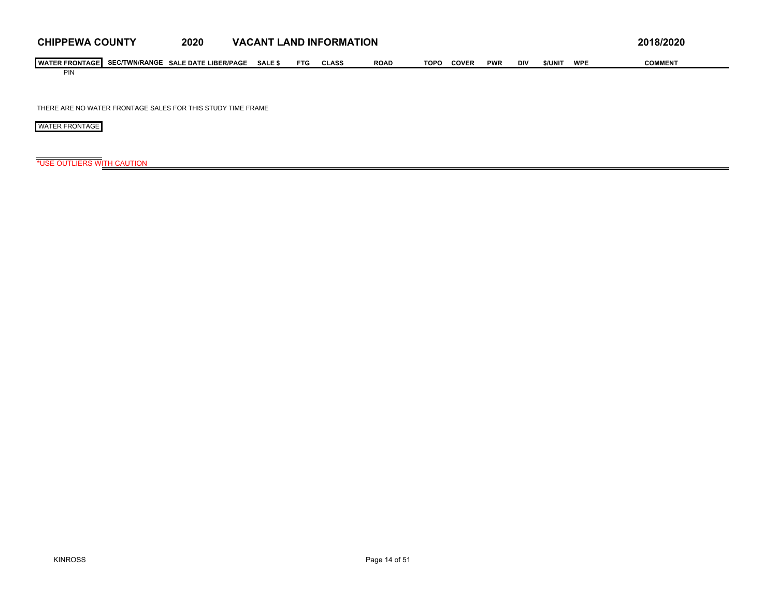| <b>CHIPPEWA COUNTY</b>                | 2020                        | <b>VACANT L</b> |            | LAND INFORMATION |             |      |              |            |            |         |            | 2018/2020      |
|---------------------------------------|-----------------------------|-----------------|------------|------------------|-------------|------|--------------|------------|------------|---------|------------|----------------|
| <b>I WATER FRONTAGE SEC/TWN/RANGE</b> | <b>SALE DATE LIBER/PAGE</b> | <b>SALE \$</b>  | <b>FTG</b> | CLASS            | <b>ROAD</b> | TOPC | <b>COVER</b> | <b>PWR</b> | <b>DIV</b> | \$/UNIT | <b>WPE</b> | <b>COMMENT</b> |
| PIN                                   |                             |                 |            |                  |             |      |              |            |            |         |            |                |

THERE ARE NO WATER FRONTAGE SALES FOR THIS STUDY TIME FRAME

WATER FRONTAGE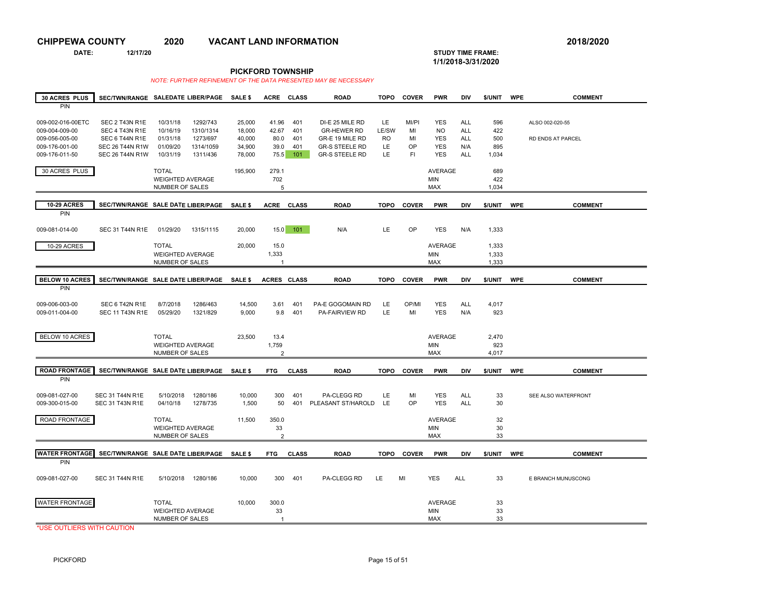**DATE: 12/17/20 STUDY TIME FRAME:**

## **1/1/2018-3/31/2020**

**PICKFORD TOWNSHIP**

 *NOTE: FURTHER REFINEMENT OF THE DATA PRESENTED MAY BE NECESSARY* 

| 30 ACRES PLUS                                                                             | SEC/TWN/RANGE SALEDATE LIBER/PAGE                                                                      |                                                            |                                                            | SALE \$                                        | <b>ACRE</b>                            | <b>CLASS</b>                    | <b>ROAD</b>                                                                                                | <b>TOPO</b>                                 | <b>COVER</b>                   | <b>PWR</b>                                                        | DIV                                                         | \$/UNIT                           | <b>WPE</b> | <b>COMMENT</b>                       |
|-------------------------------------------------------------------------------------------|--------------------------------------------------------------------------------------------------------|------------------------------------------------------------|------------------------------------------------------------|------------------------------------------------|----------------------------------------|---------------------------------|------------------------------------------------------------------------------------------------------------|---------------------------------------------|--------------------------------|-------------------------------------------------------------------|-------------------------------------------------------------|-----------------------------------|------------|--------------------------------------|
| PIN                                                                                       |                                                                                                        |                                                            |                                                            |                                                |                                        |                                 |                                                                                                            |                                             |                                |                                                                   |                                                             |                                   |            |                                      |
| 009-002-016-00ETC<br>009-004-009-00<br>009-056-005-00<br>009-176-001-00<br>009-176-011-50 | SEC 2 T43N R1E<br>SEC 4 T43N R1E<br>SEC 6 T44N R1E<br><b>SEC 26 T44N R1W</b><br><b>SEC 26 T44N R1W</b> | 10/31/18<br>10/16/19<br>01/31/18<br>01/09/20<br>10/31/19   | 1292/743<br>1310/1314<br>1273/697<br>1314/1059<br>1311/436 | 25,000<br>18,000<br>40,000<br>34,900<br>78,000 | 41.96<br>42.67<br>80.0<br>39.0<br>75.5 | 401<br>401<br>401<br>401<br>101 | DI-E 25 MILE RD<br><b>GR-HEWER RD</b><br>GR-E 19 MILE RD<br><b>GR-S STEELE RD</b><br><b>GR-S STEELE RD</b> | <b>LE</b><br>LE/SW<br><b>RO</b><br>LE<br>LE | MI/PI<br>MI<br>MI<br>OP<br>FI. | <b>YES</b><br><b>NO</b><br><b>YES</b><br><b>YES</b><br><b>YES</b> | <b>ALL</b><br><b>ALL</b><br><b>ALL</b><br>N/A<br><b>ALL</b> | 596<br>422<br>500<br>895<br>1,034 |            | ALSO 002-020-55<br>RD ENDS AT PARCEL |
| 30 ACRES PLUS                                                                             |                                                                                                        | <b>TOTAL</b><br><b>WEIGHTED AVERAGE</b><br>NUMBER OF SALES |                                                            | 195,900                                        | 279.1<br>702<br>5                      |                                 |                                                                                                            |                                             |                                | AVERAGE<br><b>MIN</b><br><b>MAX</b>                               |                                                             | 689<br>422<br>1,034               |            |                                      |
| <b>10-29 ACRES</b><br>PIN                                                                 | SEC/TWN/RANGE SALE DATE LIBER/PAGE                                                                     |                                                            |                                                            | SALE \$                                        | <b>ACRE</b>                            | <b>CLASS</b>                    | <b>ROAD</b>                                                                                                | <b>TOPO</b>                                 | <b>COVER</b>                   | <b>PWR</b>                                                        | DIV                                                         | \$/UNIT                           | <b>WPE</b> | <b>COMMENT</b>                       |
| 009-081-014-00                                                                            | SEC 31 T44N R1E                                                                                        | 01/29/20                                                   | 1315/1115                                                  | 20,000                                         | 15.0                                   | 101                             | N/A                                                                                                        | LE                                          | OP                             | <b>YES</b>                                                        | N/A                                                         | 1,333                             |            |                                      |
| 10-29 ACRES                                                                               |                                                                                                        | <b>TOTAL</b><br><b>WEIGHTED AVERAGE</b><br>NUMBER OF SALES |                                                            | 20,000                                         | 15.0<br>1,333<br>$\overline{1}$        |                                 |                                                                                                            |                                             |                                | AVERAGE<br><b>MIN</b><br>MAX                                      |                                                             | 1,333<br>1,333<br>1,333           |            |                                      |
| <b>BELOW 10 ACRES</b>                                                                     | SEC/TWN/RANGE SALE DATE LIBER/PAGE                                                                     |                                                            |                                                            | SALE \$                                        | ACRES CLASS                            |                                 | <b>ROAD</b>                                                                                                | <b>TOPO</b>                                 | <b>COVER</b>                   | <b>PWR</b>                                                        | <b>DIV</b>                                                  | \$/UNIT                           | <b>WPE</b> | <b>COMMENT</b>                       |
| PIN                                                                                       |                                                                                                        |                                                            |                                                            |                                                |                                        |                                 |                                                                                                            |                                             |                                |                                                                   |                                                             |                                   |            |                                      |
| 009-006-003-00<br>009-011-004-00                                                          | SEC 6 T42N R1E<br><b>SEC 11 T43N R1E</b>                                                               | 8/7/2018<br>05/29/20                                       | 1286/463<br>1321/829                                       | 14,500<br>9,000                                | 3.61<br>9.8                            | 401<br>401                      | PA-E GOGOMAIN RD<br>PA-FAIRVIEW RD                                                                         | LE<br>LE                                    | OP/MI<br>MI                    | <b>YES</b><br><b>YES</b>                                          | <b>ALL</b><br>N/A                                           | 4,017<br>923                      |            |                                      |
| BELOW 10 ACRES                                                                            |                                                                                                        | <b>TOTAL</b><br><b>WEIGHTED AVERAGE</b><br>NUMBER OF SALES |                                                            | 23,500                                         | 13.4<br>1,759<br>$\overline{2}$        |                                 |                                                                                                            |                                             |                                | AVERAGE<br><b>MIN</b><br><b>MAX</b>                               |                                                             | 2,470<br>923<br>4,017             |            |                                      |
| <b>ROAD FRONTAGE</b>                                                                      | SEC/TWN/RANGE SALE DATE LIBER/PAGE                                                                     |                                                            |                                                            | SALE \$                                        | <b>FTG</b>                             | <b>CLASS</b>                    | <b>ROAD</b>                                                                                                | <b>TOPO</b>                                 | <b>COVER</b>                   | <b>PWR</b>                                                        | DIV                                                         | \$/UNIT                           | <b>WPE</b> | <b>COMMENT</b>                       |
| PIN                                                                                       |                                                                                                        |                                                            |                                                            |                                                |                                        |                                 |                                                                                                            |                                             |                                |                                                                   |                                                             |                                   |            |                                      |
| 009-081-027-00<br>009-300-015-00                                                          | <b>SEC 31 T44N R1E</b><br>SEC 31 T43N R1E                                                              | 5/10/2018<br>04/10/18                                      | 1280/186<br>1278/735                                       | 10,000<br>1,500                                | 300<br>50                              | 401<br>401                      | PA-CLEGG RD<br>PLEASANT ST/HAROLD                                                                          | LE<br><b>LE</b>                             | MI<br>OP                       | <b>YES</b><br><b>YES</b>                                          | ALL<br>ALL                                                  | 33<br>30                          |            | SEE ALSO WATERFRONT                  |
| ROAD FRONTAGE                                                                             |                                                                                                        | <b>TOTAL</b><br><b>WEIGHTED AVERAGE</b><br>NUMBER OF SALES |                                                            | 11,500                                         | 350.0<br>33<br>$\overline{2}$          |                                 |                                                                                                            |                                             |                                | AVERAGE<br><b>MIN</b><br><b>MAX</b>                               |                                                             | 32<br>30<br>33                    |            |                                      |
| <b>WATER FRONTAGE</b>                                                                     | SEC/TWN/RANGE SALE DATE LIBER/PAGE                                                                     |                                                            |                                                            | SALE \$                                        | <b>FTG</b>                             | <b>CLASS</b>                    | <b>ROAD</b>                                                                                                | <b>TOPO</b>                                 | <b>COVER</b>                   | <b>PWR</b>                                                        | DIV                                                         | \$/UNIT                           | <b>WPE</b> | <b>COMMENT</b>                       |
| PIN                                                                                       |                                                                                                        |                                                            |                                                            |                                                |                                        |                                 |                                                                                                            |                                             |                                |                                                                   |                                                             |                                   |            |                                      |
| 009-081-027-00                                                                            | <b>SEC 31 T44N R1E</b>                                                                                 | 5/10/2018                                                  | 1280/186                                                   | 10,000                                         | 300                                    | 401                             | PA-CLEGG RD                                                                                                | LE                                          | MI                             | <b>YES</b>                                                        | <b>ALL</b>                                                  | 33                                |            | E BRANCH MUNUSCONG                   |
| <b>WATER FRONTAGE</b>                                                                     |                                                                                                        | <b>TOTAL</b><br><b>WEIGHTED AVERAGE</b><br>NUMBER OF SALES |                                                            | 10,000                                         | 300.0<br>33<br>$\overline{1}$          |                                 |                                                                                                            |                                             |                                | <b>AVERAGE</b><br><b>MIN</b><br><b>MAX</b>                        |                                                             | 33<br>33<br>33                    |            |                                      |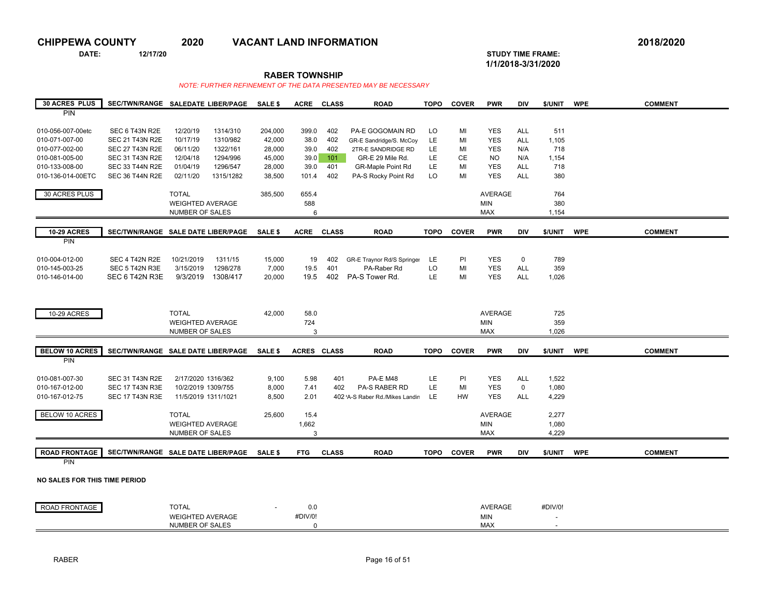**DATE: 12/17/20 STUDY TIME FRAME: 1/1/2018-3/31/2020** 

**RABER TOWNSHIP**

| <b>30 ACRES PLUS</b>                 | SEC/TWN/RANGE SALEDATE LIBER/PAGE                |                         |                      | SALE \$          | <b>ACRE</b>  | <b>CLASS</b> | <b>ROAD</b>                            | <b>TOPO</b> | <b>COVER</b>    | <b>PWR</b>               | <b>DIV</b>        | \$/UNIT      | <b>WPE</b> | <b>COMMENT</b> |
|--------------------------------------|--------------------------------------------------|-------------------------|----------------------|------------------|--------------|--------------|----------------------------------------|-------------|-----------------|--------------------------|-------------------|--------------|------------|----------------|
| PIN                                  |                                                  |                         |                      |                  |              |              |                                        |             |                 |                          |                   |              |            |                |
|                                      |                                                  |                         |                      |                  |              |              |                                        |             |                 |                          |                   |              |            |                |
| 010-056-007-00etc                    | SEC 6 T43N R2E                                   | 12/20/19                | 1314/310             | 204,000          | 399.0        | 402          | <b>PA-E GOGOMAIN RD</b>                | LO          | MI              | <b>YES</b>               | <b>ALL</b>        | 511          |            |                |
| 010-071-007-00                       | <b>SEC 21 T43N R2E</b>                           | 10/17/19                | 1310/982             | 42,000           | 38.0         | 402          | GR-E Sandridge/S. McCoy                | LE.         | MI              | <b>YES</b>               | ALL               | 1,105        |            |                |
| 010-077-002-00<br>010-081-005-00     | <b>SEC 27 T43N R2E</b><br><b>SEC 31 T43N R2E</b> | 06/11/20<br>12/04/18    | 1322/161<br>1294/996 | 28,000<br>45,000 | 39.0<br>39.0 | 402<br>101   | 2TR-E SANDRIDGE RD<br>GR-E 29 Mile Rd. | LE.<br>LE.  | MI<br><b>CE</b> | <b>YES</b><br><b>NO</b>  | N/A<br>N/A        | 718<br>1,154 |            |                |
| 010-133-008-00                       | <b>SEC 33 T44N R2E</b>                           | 01/04/19                | 1296/547             | 28,000           | 39.0         | 401          | <b>GR-Maple Point Rd</b>               | LE.         | MI              | <b>YES</b>               | <b>ALL</b>        | 718          |            |                |
| 010-136-014-00ETC                    | <b>SEC 36 T44N R2E</b>                           | 02/11/20                | 1315/1282            | 38,500           | 101.4        | 402          | PA-S Rocky Point Rd                    | LO          | MI              | <b>YES</b>               | <b>ALL</b>        | 380          |            |                |
|                                      |                                                  |                         |                      |                  |              |              |                                        |             |                 |                          |                   |              |            |                |
| 30 ACRES PLUS                        |                                                  | <b>TOTAL</b>            |                      | 385,500          | 655.4        |              |                                        |             |                 | <b>AVERAGE</b>           |                   | 764          |            |                |
|                                      |                                                  | <b>WEIGHTED AVERAGE</b> |                      |                  | 588          |              |                                        |             |                 | <b>MIN</b>               |                   | 380          |            |                |
|                                      |                                                  | NUMBER OF SALES         |                      |                  | 6            |              |                                        |             |                 | <b>MAX</b>               |                   | 1,154        |            |                |
|                                      |                                                  |                         |                      |                  |              |              |                                        |             |                 |                          |                   |              |            |                |
| <b>10-29 ACRES</b>                   | SEC/TWN/RANGE SALE DATE LIBER/PAGE               |                         |                      | <b>SALE \$</b>   | <b>ACRE</b>  | <b>CLASS</b> | <b>ROAD</b>                            | <b>TOPO</b> | <b>COVER</b>    | <b>PWR</b>               | <b>DIV</b>        | \$/UNIT      | <b>WPE</b> | <b>COMMENT</b> |
| PIN                                  |                                                  |                         |                      |                  |              |              |                                        |             |                 |                          |                   |              |            |                |
|                                      |                                                  |                         |                      |                  |              |              |                                        |             |                 |                          |                   |              |            |                |
| 010-004-012-00                       | SEC 4 T42N R2E                                   | 10/21/2019              | 1311/15              | 15,000           | 19           | 402          | GR-E Traynor Rd/S Springer             | LE.         | PI              | <b>YES</b>               | $\mathbf 0$       | 789          |            |                |
| 010-145-003-25<br>010-146-014-00     | SEC 5 T42N R3E<br>SEC 6 T42N R3E                 | 3/15/2019<br>9/3/2019   | 1298/278<br>1308/417 | 7,000<br>20,000  | 19.5<br>19.5 | 401<br>402   | PA-Raber Rd<br>PA-S Tower Rd.          | LO<br>LE.   | MI<br>MI        | <b>YES</b><br><b>YES</b> | <b>ALL</b><br>ALL | 359<br>1,026 |            |                |
|                                      |                                                  |                         |                      |                  |              |              |                                        |             |                 |                          |                   |              |            |                |
|                                      |                                                  |                         |                      |                  |              |              |                                        |             |                 |                          |                   |              |            |                |
|                                      |                                                  |                         |                      |                  |              |              |                                        |             |                 |                          |                   |              |            |                |
| 10-29 ACRES                          |                                                  | <b>TOTAL</b>            |                      | 42,000           | 58.0         |              |                                        |             |                 | <b>AVERAGE</b>           |                   | 725          |            |                |
|                                      |                                                  | <b>WEIGHTED AVERAGE</b> |                      |                  | 724          |              |                                        |             |                 | <b>MIN</b>               |                   | 359          |            |                |
|                                      |                                                  | NUMBER OF SALES         |                      |                  | 3            |              |                                        |             |                 | <b>MAX</b>               |                   | 1,026        |            |                |
|                                      |                                                  |                         |                      |                  |              |              |                                        |             |                 |                          |                   |              |            |                |
| <b>BELOW 10 ACRES</b>                | SEC/TWN/RANGE SALE DATE LIBER/PAGE               |                         |                      | <b>SALE \$</b>   | ACRES CLASS  |              | <b>ROAD</b>                            | <b>TOPO</b> | <b>COVER</b>    | <b>PWR</b>               | <b>DIV</b>        | \$/UNIT      | <b>WPE</b> | <b>COMMENT</b> |
| PIN                                  |                                                  |                         |                      |                  |              |              |                                        |             |                 |                          |                   |              |            |                |
| 010-081-007-30                       | <b>SEC 31 T43N R2E</b>                           | 2/17/2020 1316/362      |                      | 9,100            | 5.98         | 401          | <b>PA-E M48</b>                        | LE.         | PI              | <b>YES</b>               | ALL               | 1,522        |            |                |
| 010-167-012-00                       | <b>SEC 17 T43N R3E</b>                           | 10/2/2019 1309/755      |                      | 8,000            | 7.41         | 402          | <b>PA-S RABER RD</b>                   | <b>LE</b>   | MI              | <b>YES</b>               | $\mathbf 0$       | 1,080        |            |                |
| 010-167-012-75                       | <b>SEC 17 T43N R3E</b>                           | 11/5/2019 1311/1021     |                      | 8,500            | 2.01         |              | 402 'A-S Raber Rd./Mikes Landin        | LE.         | <b>HW</b>       | <b>YES</b>               | <b>ALL</b>        | 4,229        |            |                |
|                                      |                                                  |                         |                      |                  |              |              |                                        |             |                 |                          |                   |              |            |                |
| <b>BELOW 10 ACRES</b>                |                                                  | <b>TOTAL</b>            |                      | 25,600           | 15.4         |              |                                        |             |                 | <b>AVERAGE</b>           |                   | 2,277        |            |                |
|                                      |                                                  | <b>WEIGHTED AVERAGE</b> |                      |                  | 1,662        |              |                                        |             |                 | <b>MIN</b>               |                   | 1,080        |            |                |
|                                      |                                                  | NUMBER OF SALES         |                      |                  | 3            |              |                                        |             |                 | <b>MAX</b>               |                   | 4,229        |            |                |
|                                      |                                                  |                         |                      |                  |              |              |                                        |             |                 |                          |                   |              |            |                |
| <b>ROAD FRONTAGE</b>                 | SEC/TWN/RANGE SALE DATE LIBER/PAGE SALE \$       |                         |                      |                  | <b>FTG</b>   | <b>CLASS</b> | <b>ROAD</b>                            | <b>TOPO</b> | <b>COVER</b>    | <b>PWR</b>               | DIV               | \$/UNIT      | <b>WPE</b> | <b>COMMENT</b> |
| PIN                                  |                                                  |                         |                      |                  |              |              |                                        |             |                 |                          |                   |              |            |                |
|                                      |                                                  |                         |                      |                  |              |              |                                        |             |                 |                          |                   |              |            |                |
| <b>NO SALES FOR THIS TIME PERIOD</b> |                                                  |                         |                      |                  |              |              |                                        |             |                 |                          |                   |              |            |                |
|                                      |                                                  |                         |                      |                  |              |              |                                        |             |                 |                          |                   |              |            |                |
| ROAD FRONTAGE                        |                                                  | <b>TOTAL</b>            |                      |                  | 0.0          |              |                                        |             |                 | <b>AVERAGE</b>           |                   | #DIV/0!      |            |                |
|                                      |                                                  | <b>WEIGHTED AVERAGE</b> |                      |                  | #DIV/0!      |              |                                        |             |                 | <b>MIN</b>               |                   |              |            |                |
|                                      |                                                  | NUMBER OF SALES         |                      |                  | $\mathbf 0$  |              |                                        |             |                 | <b>MAX</b>               |                   |              |            |                |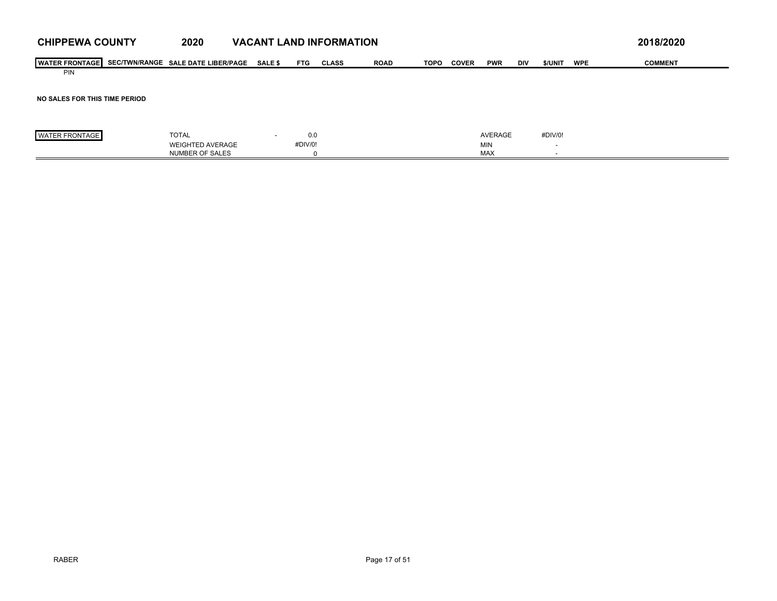| <b>I WATER</b><br>R FRONTAGE | :/TWN/RANGE<br>SEC/1 | <b>LIBER/PAGE</b><br><b>SALE DATE</b> | SALE | <b>FTG</b> | <b>CLASS</b> | <b>ROAD</b> | <b>TOPO</b> | COVER | <b>PWR</b> | <b>DIV</b> | \$/UNIT | WPI | COMMENT<br>COMMEN |
|------------------------------|----------------------|---------------------------------------|------|------------|--------------|-------------|-------------|-------|------------|------------|---------|-----|-------------------|
| <b>PIN</b>                   |                      |                                       |      |            |              |             |             |       |            |            |         |     |                   |

### **NO SALES FOR THIS TIME PERIOD**

| <b>FRONTAGE</b><br><b>WATE</b><br>1 A G<br>·RUN I AGI | TOTAL<br>the contract of the contract of the | 0.0    | <b>AVERAGE</b> | #DIV/0! |
|-------------------------------------------------------|----------------------------------------------|--------|----------------|---------|
|                                                       | <b>AVERAGE</b><br>FIGHTED                    | #DIV/0 | <b>MIN</b>     |         |
|                                                       | R OF SALES<br><b>NUMBEI</b>                  |        | MA)            |         |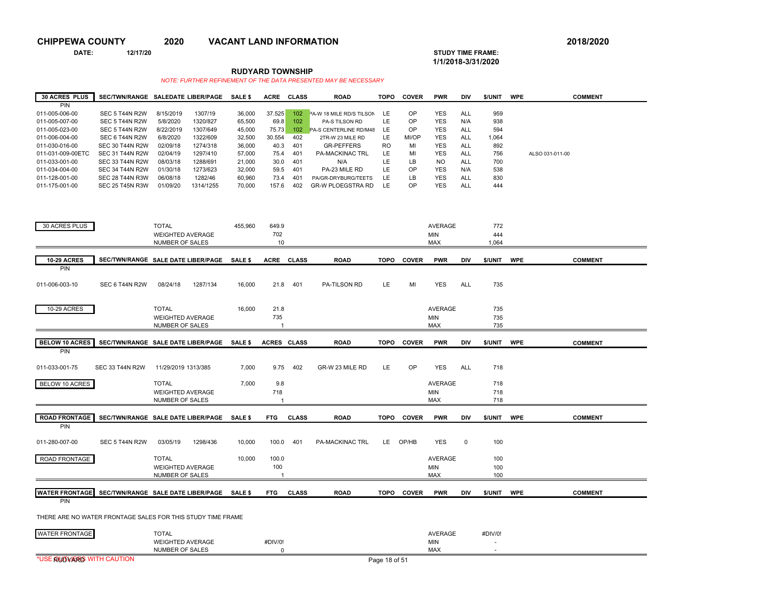**DATE: 12/17/20 STUDY TIME FRAME:**

## **1/1/2018-3/31/2020**

**RUDYARD TOWNSHIP**

| <b>30 ACRES PLUS</b> | <b>SEC/TWN/RANGE</b>   |           | <b>SALEDATE LIBER/PAGE</b> | <b>SALE \$</b> | <b>ACRE</b> | CLASS | <b>ROAD</b>                   | TOPO      | <b>COVER</b> | <b>PWR</b>     | <b>DIV</b> | <b>S/UNIT</b> | <b>WPE</b> | <b>COMMENT</b>  |
|----------------------|------------------------|-----------|----------------------------|----------------|-------------|-------|-------------------------------|-----------|--------------|----------------|------------|---------------|------------|-----------------|
| PIN                  |                        |           |                            |                |             |       |                               |           |              |                |            |               |            |                 |
| 011-005-006-00       | SEC 5 T44N R2W         | 8/15/2019 | 1307/19                    | 36,000         | 37.525      | 102   | PA-W 18 MILE RD/S TILSON      | LE.       | OP           | <b>YES</b>     | ALL        | 959           |            |                 |
| 011-005-007-00       | SEC 5 T44N R2W         | 5/8/2020  | 1320/827                   | 65,500         | 69.8        | 102   | PA-S TILSON RD                | LE.       | OP           | <b>YES</b>     | N/A        | 938           |            |                 |
| 011-005-023-00       | SEC 5 T44N R2W         | 8/22/2019 | 1307/649                   | 45,000         | 75.73       | 102   | <b>PA-S CENTERLINE RD/M48</b> | LE.       | OP           | <b>YES</b>     | ALL        | 594           |            |                 |
| 011-006-004-00       | SEC 6 T44N R2W         | 6/8/2020  | 1322/609                   | 32.500         | 30.554      | 402   | 2TR-W 23 MILE RD              | LE.       | MI/OP        | <b>YES</b>     | <b>ALL</b> | 1,064         |            |                 |
| 011-030-016-00       | <b>SEC 30 T44N R2W</b> | 02/09/18  | 1274/318                   | 36,000         | 40.3        | 401   | <b>GR-PEFFERS</b>             | <b>RO</b> | MI           | <b>YES</b>     | ALL        | 892           |            |                 |
| 011-031-009-00ETC    | <b>SEC 31 T44N R2W</b> | 02/04/19  | 1297/410                   | 57,000         | 75.4        | 401   | <b>PA-MACKINAC TRL</b>        | LE        | MI           | <b>YES</b>     | ALL        | 756           |            | ALSO 031-011-00 |
| 011-033-001-00       | SEC 33 T44N R2W        | 08/03/18  | 1288/691                   | 21.000         | 30.0        | 401   | N/A                           | LE        | LB           | N <sub>O</sub> | ALL        | 700           |            |                 |
| 011-034-004-00       | SEC 34 T44N R2W        | 01/30/18  | 1273/623                   | 32,000         | 59.5        | 401   | PA-23 MILE RD                 | LE        | OP           | <b>YES</b>     | N/A        | 538           |            |                 |
| 011-128-001-00       | <b>SEC 28 T44N R3W</b> | 06/08/18  | 1282/46                    | 60.960         | 73.4        | 401   | PA/GR-DRYBURG/TEETS           | LE        | LB           | <b>YES</b>     | <b>ALL</b> | 830           |            |                 |
| 011-175-001-00       | <b>SEC 25 T45N R3W</b> | 01/09/20  | 1314/1255                  | 70,000         | 157.6       | 402   | <b>GR-W PLOEGSTRA RD</b>      | LE        | OP           | <b>YES</b>     | ALL        | 444           |            |                 |

| 30 ACRES PLUS         |                        | <b>TOTAL</b>                                                | 455,960        | 649.9       |              |                        |             |              | AVERAGE        |             | 772     |            |                |
|-----------------------|------------------------|-------------------------------------------------------------|----------------|-------------|--------------|------------------------|-------------|--------------|----------------|-------------|---------|------------|----------------|
|                       |                        | <b>WEIGHTED AVERAGE</b>                                     |                | 702         |              |                        |             |              | <b>MIN</b>     |             | 444     |            |                |
|                       |                        | NUMBER OF SALES                                             |                | 10          |              |                        |             |              | MAX            |             | 1,064   |            |                |
|                       |                        |                                                             |                |             |              |                        |             |              |                |             |         |            |                |
| <b>10-29 ACRES</b>    |                        | SEC/TWN/RANGE SALE DATE LIBER/PAGE                          | <b>SALE \$</b> |             | ACRE CLASS   | <b>ROAD</b>            | <b>TOPO</b> | <b>COVER</b> | <b>PWR</b>     | DIV         | \$/UNIT | <b>WPE</b> | <b>COMMENT</b> |
| PIN                   |                        |                                                             |                |             |              |                        |             |              |                |             |         |            |                |
|                       |                        |                                                             |                |             |              |                        |             |              |                |             |         |            |                |
| 011-006-003-10        | SEC 6 T44N R2W         | 08/24/18<br>1287/134                                        | 16,000         | 21.8        | 401          | PA-TILSON RD           | LE          | MI           | <b>YES</b>     | ALL         | 735     |            |                |
|                       |                        |                                                             |                |             |              |                        |             |              |                |             |         |            |                |
|                       |                        |                                                             |                |             |              |                        |             |              |                |             |         |            |                |
| 10-29 ACRES           |                        | <b>TOTAL</b>                                                | 16.000         | 21.8        |              |                        |             |              | AVERAGE        |             | 735     |            |                |
|                       |                        | <b>WEIGHTED AVERAGE</b>                                     |                | 735         |              |                        |             |              | <b>MIN</b>     |             | 735     |            |                |
|                       |                        | <b>NUMBER OF SALES</b>                                      |                |             |              |                        |             |              | <b>MAX</b>     |             | 735     |            |                |
| <b>BELOW 10 ACRES</b> |                        |                                                             |                |             |              |                        |             |              |                |             |         |            |                |
| PIN                   |                        | SEC/TWN/RANGE SALE DATE LIBER/PAGE                          | <b>SALE \$</b> | ACRES CLASS |              | <b>ROAD</b>            | <b>TOPO</b> | <b>COVER</b> | <b>PWR</b>     | <b>DIV</b>  | \$/UNIT | <b>WPE</b> | <b>COMMENT</b> |
|                       |                        |                                                             |                |             |              |                        |             |              |                |             |         |            |                |
| 011-033-001-75        | <b>SEC 33 T44N R2W</b> | 11/29/2019 1313/385                                         | 7,000          | 9.75        | 402          | GR-W 23 MILE RD        | LE          | OP           | <b>YES</b>     | <b>ALL</b>  | 718     |            |                |
|                       |                        |                                                             |                |             |              |                        |             |              |                |             |         |            |                |
| BELOW 10 ACRES        |                        | <b>TOTAL</b>                                                | 7,000          | 9.8         |              |                        |             |              | AVERAGE        |             | 718     |            |                |
|                       |                        | <b>WEIGHTED AVERAGE</b>                                     |                | 718         |              |                        |             |              | <b>MIN</b>     |             | 718     |            |                |
|                       |                        | NUMBER OF SALES                                             |                |             |              |                        |             |              | <b>MAX</b>     |             | 718     |            |                |
|                       |                        |                                                             |                |             |              |                        |             |              |                |             |         |            |                |
| <b>ROAD FRONTAGE</b>  |                        | SEC/TWN/RANGE SALE DATE LIBER/PAGE                          | SALE \$        | <b>FTG</b>  | <b>CLASS</b> | <b>ROAD</b>            | TOPO        | <b>COVER</b> | <b>PWR</b>     | DIV         | \$/UNIT | <b>WPE</b> | <b>COMMENT</b> |
| <b>PIN</b>            |                        |                                                             |                |             |              |                        |             |              |                |             |         |            |                |
|                       |                        |                                                             |                |             |              |                        |             |              |                |             |         |            |                |
| 011-280-007-00        | SEC 5 T44N R2W         | 03/05/19<br>1298/436                                        | 10,000         | 100.0       | 401          | <b>PA-MACKINAC TRL</b> | LE -        | OP/HB        | <b>YES</b>     | $\mathbf 0$ | 100     |            |                |
|                       |                        |                                                             |                |             |              |                        |             |              |                |             |         |            |                |
| ROAD FRONTAGE         |                        | <b>TOTAL</b>                                                | 10,000         | 100.0       |              |                        |             |              | AVERAGE        |             | 100     |            |                |
|                       |                        | <b>WEIGHTED AVERAGE</b>                                     |                | 100         |              |                        |             |              | <b>MIN</b>     |             | 100     |            |                |
|                       |                        | NUMBER OF SALES                                             |                |             |              |                        |             |              | <b>MAX</b>     |             | 100     |            |                |
|                       |                        |                                                             |                |             |              |                        |             |              |                |             |         |            |                |
| <b>WATER FRONTAGE</b> |                        | SEC/TWN/RANGE SALE DATE LIBER/PAGE SALE \$                  |                | <b>FTG</b>  | <b>CLASS</b> | <b>ROAD</b>            | <b>TOPO</b> | <b>COVER</b> | <b>PWR</b>     | <b>DIV</b>  | \$/UNIT | <b>WPE</b> | <b>COMMENT</b> |
| PIN                   |                        |                                                             |                |             |              |                        |             |              |                |             |         |            |                |
|                       |                        |                                                             |                |             |              |                        |             |              |                |             |         |            |                |
|                       |                        | THERE ARE NO WATER FRONTAGE SALES FOR THIS STUDY TIME FRAME |                |             |              |                        |             |              |                |             |         |            |                |
|                       |                        |                                                             |                |             |              |                        |             |              |                |             |         |            |                |
| <b>WATER FRONTAGE</b> |                        | <b>TOTAL</b>                                                |                |             |              |                        |             |              | <b>AVERAGE</b> |             | #DIV/0! |            |                |
|                       |                        | <b>WEIGHTED AVERAGE</b>                                     |                | #DIV/0!     |              |                        |             |              | <b>MIN</b>     |             |         |            |                |
|                       |                        | NUMBER OF SALES                                             |                | $\Omega$    |              |                        |             |              | <b>MAX</b>     |             |         |            |                |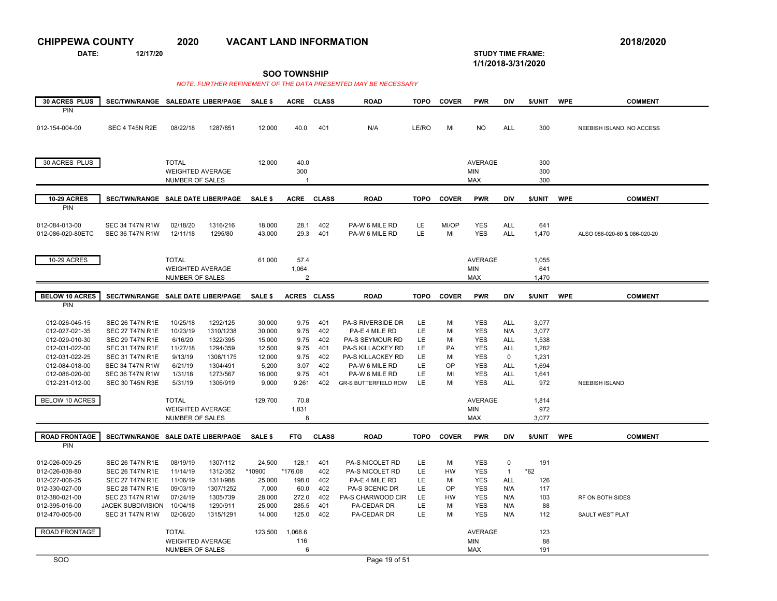**DATE: 12/17/20 STUDY TIME FRAME:**

**1/1/2018-3/31/2020** 

| 30 ACRES PLUS                    | SEC/TWN/RANGE SALEDATE LIBER/PAGE                |                                                   |                       | SALE \$          | <b>ACRE</b>             | <b>CLASS</b> | <b>ROAD</b>                                 | <b>TOPO</b> | <b>COVER</b> | <b>PWR</b>               | DIV                      | \$/UNIT        | <b>WPE</b> | <b>COMMENT</b>               |
|----------------------------------|--------------------------------------------------|---------------------------------------------------|-----------------------|------------------|-------------------------|--------------|---------------------------------------------|-------------|--------------|--------------------------|--------------------------|----------------|------------|------------------------------|
| <b>PIN</b>                       |                                                  |                                                   |                       |                  |                         |              |                                             |             |              |                          |                          |                |            |                              |
|                                  |                                                  |                                                   |                       |                  |                         |              |                                             |             |              |                          |                          |                |            |                              |
| 012-154-004-00                   | SEC 4 T45N R2E                                   | 08/22/18                                          | 1287/851              | 12,000           | 40.0                    | 401          | N/A                                         | LE/RO       | MI           | <b>NO</b>                | <b>ALL</b>               | 300            |            | NEEBISH ISLAND, NO ACCESS    |
|                                  |                                                  |                                                   |                       |                  |                         |              |                                             |             |              |                          |                          |                |            |                              |
|                                  |                                                  |                                                   |                       |                  |                         |              |                                             |             |              |                          |                          |                |            |                              |
| 30 ACRES PLUS                    |                                                  | <b>TOTAL</b>                                      |                       | 12,000           | 40.0                    |              |                                             |             |              | <b>AVERAGE</b>           |                          | 300            |            |                              |
|                                  |                                                  | <b>WEIGHTED AVERAGE</b>                           |                       |                  | 300                     |              |                                             |             |              | MIN                      |                          | 300            |            |                              |
|                                  |                                                  | NUMBER OF SALES                                   |                       |                  | $\mathbf{1}$            |              |                                             |             |              | <b>MAX</b>               |                          | 300            |            |                              |
|                                  |                                                  |                                                   |                       |                  |                         |              |                                             |             |              |                          |                          |                |            |                              |
| <b>10-29 ACRES</b><br><b>PIN</b> | SEC/TWN/RANGE SALE DATE LIBER/PAGE               |                                                   |                       | SALE \$          | <b>ACRE</b>             | <b>CLASS</b> | <b>ROAD</b>                                 | <b>TOPO</b> | <b>COVER</b> | <b>PWR</b>               | <b>DIV</b>               | \$/UNIT        | <b>WPE</b> | <b>COMMENT</b>               |
|                                  |                                                  |                                                   |                       |                  |                         |              |                                             |             |              |                          |                          |                |            |                              |
| 012-084-013-00                   | SEC 34 T47N R1W                                  | 02/18/20                                          | 1316/216              | 18,000           | 28.1                    | 402          | PA-W 6 MILE RD                              | LE          | MI/OP        | <b>YES</b>               | <b>ALL</b>               | 641            |            |                              |
| 012-086-020-80ETC                | <b>SEC 36 T47N R1W</b>                           | 12/11/18                                          | 1295/80               | 43,000           | 29.3                    | 401          | PA-W 6 MILE RD                              | LE.         | MI           | <b>YES</b>               | <b>ALL</b>               | 1,470          |            | ALSO 086-020-60 & 086-020-20 |
|                                  |                                                  |                                                   |                       |                  |                         |              |                                             |             |              |                          |                          |                |            |                              |
|                                  |                                                  |                                                   |                       |                  |                         |              |                                             |             |              |                          |                          |                |            |                              |
| 10-29 ACRES                      |                                                  | <b>TOTAL</b>                                      |                       | 61,000           | 57.4                    |              |                                             |             |              | <b>AVERAGE</b>           |                          | 1,055          |            |                              |
|                                  |                                                  | <b>WEIGHTED AVERAGE</b><br><b>NUMBER OF SALES</b> |                       |                  | 1,064<br>$\overline{2}$ |              |                                             |             |              | <b>MIN</b><br><b>MAX</b> |                          | 641<br>1,470   |            |                              |
|                                  |                                                  |                                                   |                       |                  |                         |              |                                             |             |              |                          |                          |                |            |                              |
| <b>BELOW 10 ACRES</b>            | SEC/TWN/RANGE SALE DATE LIBER/PAGE               |                                                   |                       | SALE \$          | <b>ACRES</b>            | <b>CLASS</b> | <b>ROAD</b>                                 | <b>TOPO</b> | <b>COVER</b> | <b>PWR</b>               | DIV                      | \$/UNIT        | <b>WPE</b> | <b>COMMENT</b>               |
| <b>PIN</b>                       |                                                  |                                                   |                       |                  |                         |              |                                             |             |              |                          |                          |                |            |                              |
|                                  |                                                  |                                                   |                       |                  |                         |              |                                             |             |              |                          |                          |                |            |                              |
| 012-026-045-15                   | <b>SEC 26 T47N R1E</b>                           | 10/25/18                                          | 1292/125              | 30,000           | 9.75                    | 401          | PA-S RIVERSIDE DR                           | LE          | MI           | <b>YES</b>               | <b>ALL</b>               | 3,077          |            |                              |
| 012-027-021-35                   | <b>SEC 27 T47N R1E</b>                           | 10/23/19                                          | 1310/1238             | 30,000           | 9.75                    | 402          | PA-E 4 MILE RD                              | LE          | MI           | <b>YES</b>               | N/A                      | 3,077          |            |                              |
| 012-029-010-30                   | <b>SEC 29 T47N R1E</b>                           | 6/16/20<br>11/27/18                               | 1322/395              | 15,000           | 9.75<br>9.75            | 402<br>401   | PA-S SEYMOUR RD<br><b>PA-S KILLACKEY RD</b> | LE<br>LE    | MI<br>PA     | <b>YES</b><br><b>YES</b> | <b>ALL</b><br><b>ALL</b> | 1,538<br>1.282 |            |                              |
| 012-031-022-00<br>012-031-022-25 | <b>SEC 31 T47N R1E</b><br><b>SEC 31 T47N R1E</b> | 9/13/19                                           | 1294/359<br>1308/1175 | 12,500<br>12,000 | 9.75                    | 402          | PA-S KILLACKEY RD                           | LE          | MI           | <b>YES</b>               | $\mathbf{0}$             | 1,231          |            |                              |
| 012-084-018-00                   | <b>SEC 34 T47N R1W</b>                           | 6/21/19                                           | 1304/491              | 5,200            | 3.07                    | 402          | PA-W 6 MILE RD                              | LE          | OP           | <b>YES</b>               | <b>ALL</b>               | 1,694          |            |                              |
| 012-086-020-00                   | <b>SEC 36 T47N R1W</b>                           | 1/31/18                                           | 1273/567              | 16,000           | 9.75                    | 401          | PA-W 6 MILE RD                              | LE          | MI           | <b>YES</b>               | ALL                      | 1,641          |            |                              |
| 012-231-012-00                   | <b>SEC 30 T45N R3E</b>                           | 5/31/19                                           | 1306/919              | 9,000            | 9.261                   | 402          | <b>GR-S BUTTERFIELD ROW</b>                 | LE          | MI           | <b>YES</b>               | <b>ALL</b>               | 972            |            | <b>NEEBISH ISLAND</b>        |
|                                  |                                                  |                                                   |                       |                  |                         |              |                                             |             |              |                          |                          |                |            |                              |
| BELOW 10 ACRES                   |                                                  | <b>TOTAL</b>                                      |                       | 129,700          | 70.8                    |              |                                             |             |              | <b>AVERAGE</b>           |                          | 1,814          |            |                              |
|                                  |                                                  | <b>WEIGHTED AVERAGE</b>                           |                       |                  | 1,831                   |              |                                             |             |              | <b>MIN</b>               |                          | 972            |            |                              |
|                                  |                                                  | NUMBER OF SALES                                   |                       |                  | 8                       |              |                                             |             |              | <b>MAX</b>               |                          | 3,077          |            |                              |
| <b>ROAD FRONTAGE</b>             | SEC/TWN/RANGE SALE DATE LIBER/PAGE               |                                                   |                       | SALE \$          | <b>FTG</b>              | <b>CLASS</b> | <b>ROAD</b>                                 | <b>TOPO</b> | <b>COVER</b> | <b>PWR</b>               | <b>DIV</b>               | \$/UNIT        | <b>WPE</b> | <b>COMMENT</b>               |
| PIN                              |                                                  |                                                   |                       |                  |                         |              |                                             |             |              |                          |                          |                |            |                              |
|                                  |                                                  |                                                   |                       |                  |                         |              |                                             |             |              |                          |                          |                |            |                              |
| 012-026-009-25                   | <b>SEC 26 T47N R1E</b>                           | 08/19/19                                          | 1307/112              | 24,500           | 128.1                   | 401          | PA-S NICOLET RD                             | LE          | MI           | <b>YES</b>               | 0                        | 191            |            |                              |
| 012-026-038-80                   | <b>SEC 26 T47N R1E</b>                           | 11/14/19                                          | 1312/352              | *10900           | *176.08                 | 402          | PA-S NICOLET RD                             | LE          | HW           | <b>YES</b>               | $\mathbf{1}$             | $*62$          |            |                              |
| 012-027-006-25                   | <b>SEC 27 T47N R1E</b>                           | 11/06/19                                          | 1311/988              | 25,000           | 198.0                   | 402          | PA-E 4 MILE RD                              | LE          | MI           | <b>YES</b>               | ALL                      | 126            |            |                              |
| 012-330-027-00                   | <b>SEC 28 T47N R1E</b>                           | 09/03/19                                          | 1307/1252             | 7,000            | 60.0                    | 402          | PA-S SCENIC DR                              | LE          | OP           | <b>YES</b>               | N/A                      | 117            |            |                              |
| 012-380-021-00<br>012-395-016-00 | <b>SEC 23 T47N R1W</b><br>JACEK SUBDIVISION      | 07/24/19<br>10/04/18                              | 1305/739<br>1290/911  | 28,000<br>25,000 | 272.0<br>285.5          | 402<br>401   | PA-S CHARWOOD CIR<br>PA-CEDAR DR            | LE<br>LE    | HW<br>MI     | <b>YES</b><br><b>YES</b> | N/A<br>N/A               | 103<br>88      |            | RF ON BOTH SIDES             |
| 012-470-005-00                   | <b>SEC 31 T47N R1W</b>                           | 02/06/20                                          | 1315/1291             | 14,000           | 125.0                   | 402          | PA-CEDAR DR                                 | LE          | MI           | <b>YES</b>               | N/A                      | 112            |            | SAULT WEST PLAT              |
|                                  |                                                  |                                                   |                       |                  |                         |              |                                             |             |              |                          |                          |                |            |                              |
| ROAD FRONTAGE                    |                                                  | <b>TOTAL</b>                                      |                       | 123,500          | 1,068.6                 |              |                                             |             |              | AVERAGE                  |                          | 123            |            |                              |
|                                  |                                                  | <b>WEIGHTED AVERAGE</b>                           |                       |                  | 116                     |              |                                             |             |              | <b>MIN</b>               |                          | 88             |            |                              |
|                                  |                                                  | NUMBER OF SALES                                   |                       |                  | 6                       |              |                                             |             |              | <b>MAX</b>               |                          | 191            |            |                              |
| <b>SOO</b>                       |                                                  |                                                   |                       |                  |                         |              | Page 19 of 51                               |             |              |                          |                          |                |            |                              |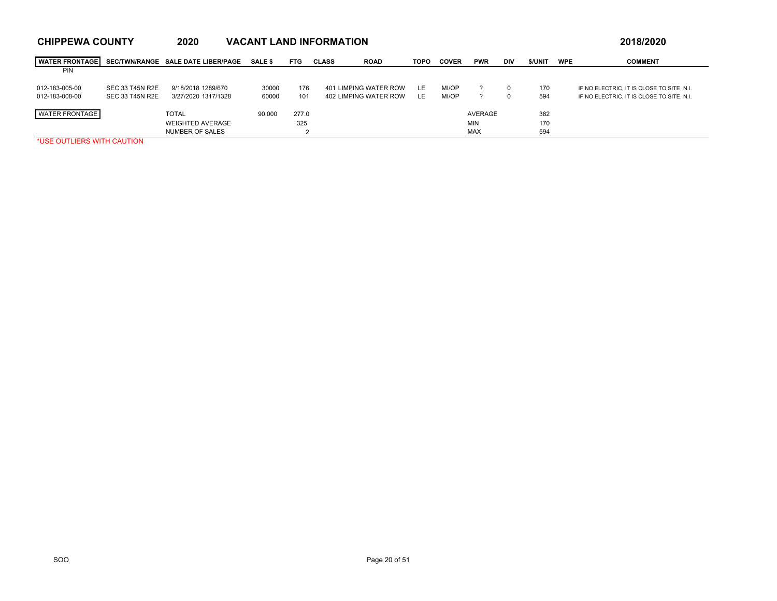| <b>WATER FRONTAGE</b> |                 | SEC/TWN/RANGE SALE DATE LIBER/PAGE | <b>SALE \$</b> | <b>FTG</b> | <b>CLASS</b> | <b>ROAD</b>           | <b>TOPO</b> | <b>COVER</b> | <b>PWR</b> | DIV | <b>S/UNIT</b> | <b>WPE</b> | <b>COMMENT</b>                            |
|-----------------------|-----------------|------------------------------------|----------------|------------|--------------|-----------------------|-------------|--------------|------------|-----|---------------|------------|-------------------------------------------|
| <b>PIN</b>            |                 |                                    |                |            |              |                       |             |              |            |     |               |            |                                           |
| 012-183-005-00        | SEC 33 T45N R2E | 9/18/2018 1289/670                 | 30000          | 176        |              | 401 LIMPING WATER ROW | LE.         | MI/OP        |            | 0   | 170           |            | IF NO ELECTRIC. IT IS CLOSE TO SITE. N.I. |
| 012-183-008-00        | SEC 33 T45N R2E | 3/27/2020 1317/1328                | 60000          | 101        |              | 402 LIMPING WATER ROW | LE          | MI/OP        |            | 0   | 594           |            | IF NO ELECTRIC. IT IS CLOSE TO SITE. N.I. |
|                       |                 |                                    |                |            |              |                       |             |              |            |     |               |            |                                           |
| <b>WATER FRONTAGE</b> |                 | <b>TOTAL</b>                       | 90,000         | 277.0      |              |                       |             |              | AVERAGE    |     | 382           |            |                                           |
|                       |                 | <b>WEIGHTED AVERAGE</b>            |                | 325        |              |                       |             |              | <b>MIN</b> |     | 170           |            |                                           |
|                       |                 | NUMBER OF SALES                    |                |            |              |                       |             |              | <b>MAX</b> |     | 594           |            |                                           |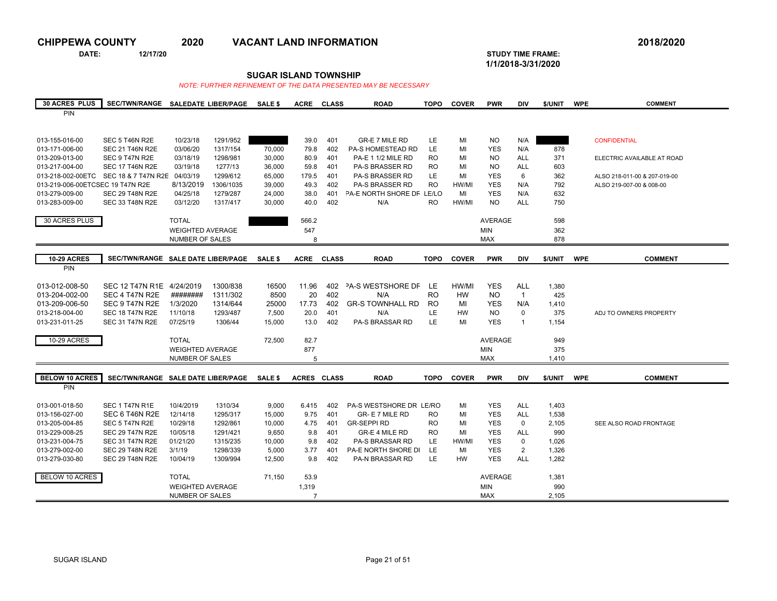**DATE: 12/17/20 STUDY TIME FRAME:**

**1/1/2018-3/31/2020** 

### **SUGAR ISLAND TOWNSHIP**

| <b>30 ACRES PLUS</b>             | SEC/TWN/RANGE SALEDATE LIBER/PAGE SALE \$ |                         |           |                 | <b>ACRE</b>    | <b>CLASS</b> | <b>ROAD</b>               | <b>TOPO</b> | <b>COVER</b> | <b>PWR</b>     | <b>DIV</b>     | \$/UNIT        | <b>WPE</b> | <b>COMMENT</b>               |
|----------------------------------|-------------------------------------------|-------------------------|-----------|-----------------|----------------|--------------|---------------------------|-------------|--------------|----------------|----------------|----------------|------------|------------------------------|
| PIN                              |                                           |                         |           |                 |                |              |                           |             |              |                |                |                |            |                              |
|                                  |                                           |                         |           |                 |                |              |                           |             |              |                |                |                |            |                              |
|                                  |                                           |                         |           |                 |                |              |                           |             |              |                |                |                |            |                              |
| 013-155-016-00                   | SEC 5 T46N R2E                            | 10/23/18                | 1291/952  |                 | 39.0           | 401          | <b>GR-E 7 MILE RD</b>     | LE          | MI           | <b>NO</b>      | N/A            |                |            | <b>CONFIDENTIAL</b>          |
| 013-171-006-00                   | <b>SEC 21 T46N R2E</b>                    | 03/06/20                | 1317/154  | 70,000          | 79.8           | 402          | PA-S HOMESTEAD RD         | LE          | MI           | <b>YES</b>     | N/A            | 878            |            |                              |
| 013-209-013-00                   | SEC 9 T47N R2E                            | 03/18/19                | 1298/981  | 30,000          | 80.9           | 401          | PA-E 1 1/2 MILE RD        | RO.         | MI           | <b>NO</b>      | <b>ALL</b>     | 371            |            | ELECTRIC AVAILABLE AT ROAD   |
| 013-217-004-00                   | <b>SEC 17 T46N R2E</b>                    | 03/19/18                | 1277/13   | 36,000          | 59.8           | 401          | PA-S BRASSER RD           | <b>RO</b>   | MI           | <b>NO</b>      | <b>ALL</b>     | 603            |            |                              |
| 013-218-002-00ETC                | SEC 18 & 7 T47N R2E 04/03/19              |                         | 1299/612  | 65,000          | 179.5          | 401          | PA-S BRASSER RD           | LE          | MI           | <b>YES</b>     | 6              | 362            |            | ALSO 218-011-00 & 207-019-00 |
| 013-219-006-00ETCSEC 19 T47N R2E |                                           | 8/13/2019               | 1306/1035 | 39,000          | 49.3           | 402          | PA-S BRASSER RD           | <b>RO</b>   | HW/MI        | <b>YES</b>     | N/A            | 792            |            | ALSO 219-007-00 & 008-00     |
| 013-279-009-00                   | <b>SEC 29 T48N R2E</b>                    | 04/25/18                | 1279/287  | 24,000          | 38.0           | 401          | PA-E NORTH SHORE DF LE/LO |             | MI           | <b>YES</b>     | N/A            | 632            |            |                              |
| 013-283-009-00                   | <b>SEC 33 T48N R2E</b>                    | 03/12/20                | 1317/417  | 30,000          | 40.0           | 402          | N/A                       | <b>RO</b>   | HW/MI        | <b>NO</b>      | <b>ALL</b>     | 750            |            |                              |
|                                  |                                           |                         |           |                 |                |              |                           |             |              |                |                |                |            |                              |
| 30 ACRES PLUS                    |                                           | <b>TOTAL</b>            |           |                 | 566.2          |              |                           |             |              | <b>AVERAGE</b> |                | 598            |            |                              |
|                                  |                                           | <b>WEIGHTED AVERAGE</b> |           |                 | 547            |              |                           |             |              | <b>MIN</b>     |                | 362            |            |                              |
|                                  |                                           | NUMBER OF SALES         |           |                 | 8              |              |                           |             |              | <b>MAX</b>     |                | 878            |            |                              |
|                                  |                                           |                         |           |                 |                |              |                           |             |              |                |                |                |            |                              |
| <b>10-29 ACRES</b>               | SEC/TWN/RANGE SALE DATE LIBER/PAGE        |                         |           | SALE \$         | ACRE           | <b>CLASS</b> | <b>ROAD</b>               | <b>TOPO</b> | <b>COVER</b> | <b>PWR</b>     | <b>DIV</b>     | \$/UNIT        | <b>WPE</b> | <b>COMMENT</b>               |
| PIN                              |                                           |                         |           |                 |                |              |                           |             |              |                |                |                |            |                              |
|                                  |                                           |                         |           |                 |                |              |                           |             |              |                |                |                |            |                              |
| 013-012-008-50                   | SEC 12 T47N R1E 4/24/2019                 |                         | 1300/838  | 16500           | 11.96          | 402          | <b>PA-S WESTSHORE DF</b>  | LE          | HW/MI        | <b>YES</b>     | <b>ALL</b>     | 1,380          |            |                              |
| 013-204-002-00                   | SEC 4 T47N R2E                            | ########                | 1311/302  | 8500            | 20             | 402          | N/A                       | <b>RO</b>   | <b>HW</b>    | N <sub>O</sub> | $\overline{1}$ | 425            |            |                              |
| 013-209-006-50                   | SEC 9 T47N R2E                            | 1/3/2020                | 1314/644  | 25000           | 17.73          | 402          | <b>GR-S TOWNHALL RD</b>   | <b>RO</b>   | MI           | <b>YES</b>     | N/A            | 1,410          |            |                              |
| 013-218-004-00                   | <b>SEC 18 T47N R2E</b>                    | 11/10/18                | 1293/487  | 7,500           | 20.0           | 401          | N/A                       | LE          | <b>HW</b>    | <b>NO</b>      | $\Omega$       | 375            |            | ADJ TO OWNERS PROPERTY       |
| 013-231-011-25                   | <b>SEC 31 T47N R2E</b>                    | 07/25/19                | 1306/44   | 15,000          | 13.0           | 402          | PA-S BRASSAR RD           | LE          | MI           | <b>YES</b>     | $\mathbf{1}$   | 1,154          |            |                              |
|                                  |                                           |                         |           |                 |                |              |                           |             |              |                |                |                |            |                              |
| 10-29 ACRES                      |                                           | <b>TOTAL</b>            |           | 72,500          | 82.7           |              |                           |             |              | <b>AVERAGE</b> |                | 949            |            |                              |
|                                  |                                           | <b>WEIGHTED AVERAGE</b> |           |                 | 877            |              |                           |             |              | MIN            |                | 375            |            |                              |
|                                  |                                           | <b>NUMBER OF SALES</b>  |           |                 | 5              |              |                           |             |              | <b>MAX</b>     |                | 1,410          |            |                              |
|                                  |                                           |                         |           |                 |                |              |                           |             |              |                |                |                |            |                              |
| <b>BELOW 10 ACRES</b>            | SEC/TWN/RANGE SALE DATE LIBER/PAGE        |                         |           | SALE \$         | ACRES CLASS    |              | <b>ROAD</b>               | <b>TOPO</b> | <b>COVER</b> | <b>PWR</b>     | <b>DIV</b>     | \$/UNIT        | <b>WPE</b> | <b>COMMENT</b>               |
| <b>PIN</b>                       |                                           |                         |           |                 |                |              |                           |             |              |                |                |                |            |                              |
|                                  |                                           |                         |           |                 |                |              |                           |             |              |                |                |                |            |                              |
| 013-001-018-50                   | SEC 1 T47N R1E                            | 10/4/2019               | 1310/34   | 9,000           | 6.415          | 402          | PA-S WESTSHORE DR LE/RO   |             | MI           | <b>YES</b>     | <b>ALL</b>     | 1,403          |            |                              |
| 013-156-027-00                   | SEC 6 T46N R2E                            | 12/14/18                | 1295/317  | 15,000          | 9.75           | 401          | GR- E 7 MILE RD           | RO.         | MI           | <b>YES</b>     | <b>ALL</b>     | 1,538          |            |                              |
| 013-205-004-85                   | SEC 5 T47N R2E                            | 10/29/18                | 1292/861  | 10,000          | 4.75           | 401          | <b>GR-SEPPI RD</b>        | <b>RO</b>   | MI           | <b>YES</b>     | $\mathbf 0$    | 2,105          |            | SEE ALSO ROAD FRONTAGE       |
| 013-229-008-25                   | <b>SEC 29 T47N R2E</b>                    | 10/05/18                | 1291/421  | 9,650           | 9.8            | 401          | GR-E 4 MILE RD            | RO.         | MI           | <b>YES</b>     | <b>ALL</b>     | 990            |            |                              |
| 013-231-004-75                   | <b>SEC 31 T47N R2E</b>                    | 01/21/20                | 1315/235  |                 |                | 402          | <b>PA-S BRASSAR RD</b>    | LE          | HW/MI        | <b>YES</b>     | $\mathbf 0$    |                |            |                              |
| 013-279-002-00                   | <b>SEC 29 T48N R2E</b>                    |                         | 1298/339  | 10,000          | 9.8            | 401          | PA-E NORTH SHORE DI       | LE          | MI           | <b>YES</b>     | $\overline{2}$ | 1,026<br>1,326 |            |                              |
| 013-279-030-80                   | <b>SEC 29 T48N R2E</b>                    | 3/1/19<br>10/04/19      | 1309/994  | 5,000<br>12,500 | 3.77<br>9.8    | 402          | PA-N BRASSAR RD           | LE          | <b>HW</b>    | <b>YES</b>     | ALL            | 1,282          |            |                              |
|                                  |                                           |                         |           |                 |                |              |                           |             |              |                |                |                |            |                              |
|                                  |                                           |                         |           |                 |                |              |                           |             |              |                |                |                |            |                              |
| <b>BELOW 10 ACRES</b>            |                                           | <b>TOTAL</b>            |           | 71,150          | 53.9           |              |                           |             |              | <b>AVERAGE</b> |                | 1,381          |            |                              |
|                                  |                                           | <b>WEIGHTED AVERAGE</b> |           |                 | 1,319          |              |                           |             |              | <b>MIN</b>     |                | 990            |            |                              |
|                                  |                                           | NUMBER OF SALES         |           |                 | $\overline{7}$ |              |                           |             |              | <b>MAX</b>     |                | 2,105          |            |                              |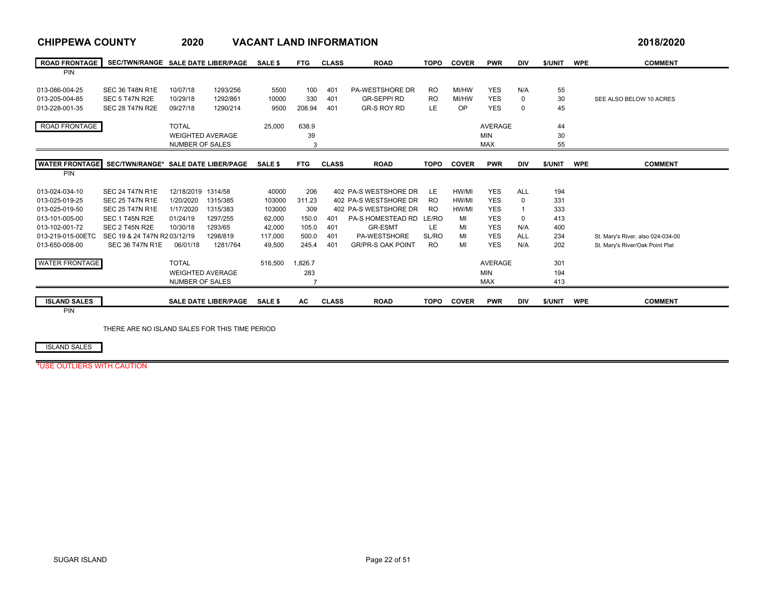### **CHIPPEWA COUNTY 2020 VACANT LAND INFORMATION 2018/2020** ROAD FRONTAGE | SEC/TWN/RANGE SALEDATE LIBER/PAGE SALE\$PTG CLASS ROAD TOPO COVER PWR DIV \$/UNIT WPE COMMENT PIN013-086-004-25 SEC 36 T48N R1E 10/07/18 1293/256 5500 100 401 PA-WESTSHORE DR RO MI/HW YES N/A 55 013-205-004-85 SEC 5 T47N R2E 10/29/18 1292/861 10000 330 401 GR-SEPPI RD RO MI/HW YES 0 30 SEE ALSO BELOW 10 ACRES 013-228-001-35 SEC 28 T47N R2E 09/27/18 1290/214 9500 208.94 401 GR-S ROY RD LE OP YES 0 45 ROAD FRONTAGE TOTAL 25,000 638.9 AVERAGE 44 WEIGHTED AVERAGE 39 MIN 30 NUMBER OF SALES 3 $3$  MAX 55 **WATER FRONTAGE**E SEC/TWN/RANGE\* SALE DATE LIBER/PAGE SALE \$FTG CLASS ROAD TOPO COVER PWR DIV \$/UNIT WPE COMMENT PIN013-024-034-10 SEC 24 T47N R1E 12/18/2019 1314/58 40000 206 402 PA-S WESTSHORE DR LE HW/MI YES ALL 194 013-025-019-25 SEC 25 T47N R1E 1/20/2020 1315/385 103000 311.23 402 PA-S WESTSHORE DR RO HW/MI YES 0 331 013-025-019-50 SEC 25 T47N R1E 1/17/2020 1315/383 103000 309 402 PA-S WESTSHORE DR RO HW/MI YES 1 333 013-101-005-00 SEC 1 T45N R2E 01/24/19 1297/255 62,000 150.0 401 PA-S HOMESTEAD RD LE/RO MI YES 0 413 013-102-001-72 SEC 2 T45N R2E 10/30/18 1293/65 42,000 105.0 401 GR-ESMT LE MI YES N/A 400 013-219-015-00ETC SEC 19 & 24 T47N R2 03/12/19 1298/819 117,000 500.0 401 PA-WESTSHORE SL/RO MI YES ALL 234 St. Mary's River, also 024-034-00 013-650-008-00 SEC 36 T47N R1E 06/01/18 1281/764 49,500 245.4 401 GR/PR-S OAK POINT RO MI YES N/A 202 St. Mary's River/Oak Point Plat WATER FRONTAGE TOTAL 516,500 1,826.7 AVERAGE 301 WEIGHTED AVERAGEE 283 MIN 194 NUMBER OF SALES 7 $7$  and  $413$ ISLAND SALES SALE DATE LIBER/PAGE SALE \$ AC CLASS ROAD TOPO COVER PWR DIV \$/UNIT WPE COMMENT PIN

THERE ARE NO ISLAND SALES FOR THIS TIME PERIOD

ISLAND SALES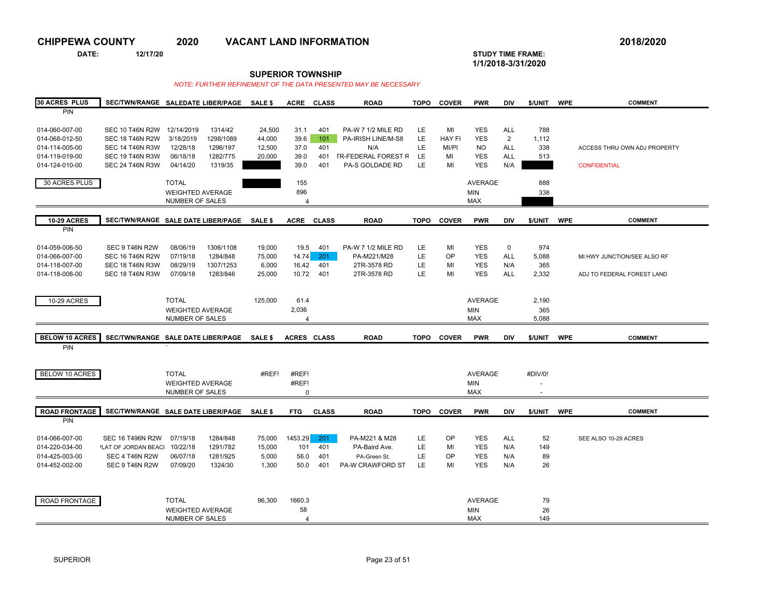**DATE: 12/17/20 STUDY TIME FRAME:**

# **1/1/2018-3/31/2020**

**SUPERIOR TOWNSHIP**

| <b>30 ACRES PLUS</b>  | SEC/TWN/RANGE SALEDATE LIBER/PAGE SALE \$  |                         |           |                | <b>ACRE</b>        | <b>CLASS</b> | <b>ROAD</b>                | <b>TOPO</b> | <b>COVER</b>  | <b>PWR</b>     | <b>DIV</b>     | \$/UNIT                  | <b>WPE</b> | <b>COMMENT</b>               |
|-----------------------|--------------------------------------------|-------------------------|-----------|----------------|--------------------|--------------|----------------------------|-------------|---------------|----------------|----------------|--------------------------|------------|------------------------------|
| PIN                   |                                            |                         |           |                |                    |              |                            |             |               |                |                |                          |            |                              |
|                       |                                            |                         |           |                |                    |              |                            |             |               |                |                |                          |            |                              |
| 014-060-007-00        | SEC 10 T46N R2W 12/14/2019                 |                         | 1314/42   | 24,500         | 31.1               | 401          | PA-W 7 1/2 MILE RD         | LE          | MI            | <b>YES</b>     | <b>ALL</b>     | 788                      |            |                              |
| 014-068-012-50        | <b>SEC 18 T46N R2W</b>                     | 3/18/2019               | 1298/1089 | 44,000         | 39.6               | 101          | PA-IRISH LINE/M-S8         | LE          | <b>HAY FI</b> | <b>YES</b>     | $\overline{2}$ | 1,112                    |            |                              |
| 014-114-005-00        | <b>SEC 14 T46N R3W</b>                     | 12/28/18                | 1296/197  | 12,500         | 37.0               | 401          | N/A                        | LE          | MI/PI         | <b>NO</b>      | <b>ALL</b>     | 338                      |            | ACCESS THRU OWN ADJ PROPERTY |
| 014-119-019-00        | <b>SEC 19 T46N R3W</b>                     | 06/18/18                | 1282/775  | 20,000         | 39.0               | 401          | <b>IR-FEDERAL FOREST R</b> | LE          | MI            | <b>YES</b>     | <b>ALL</b>     | 513                      |            |                              |
| 014-124-010-00        | <b>SEC 24 T46N R3W</b>                     | 04/14/20                | 1319/35   |                | 39.0               | 401          | PA-S GOLDADE RD            | LE          | MI            | <b>YES</b>     | N/A            |                          |            | <b>CONFIDENTIAL</b>          |
|                       |                                            |                         |           |                |                    |              |                            |             |               |                |                |                          |            |                              |
| 30 ACRES PLUS         |                                            | <b>TOTAL</b>            |           |                | 155                |              |                            |             |               | <b>AVERAGE</b> |                | 888                      |            |                              |
|                       |                                            | <b>WEIGHTED AVERAGE</b> |           |                | 896                |              |                            |             |               | MIN            |                | 338                      |            |                              |
|                       |                                            | NUMBER OF SALES         |           |                | $\overline{4}$     |              |                            |             |               | <b>MAX</b>     |                |                          |            |                              |
|                       |                                            |                         |           |                |                    |              |                            |             |               |                |                |                          |            |                              |
| <b>10-29 ACRES</b>    | SEC/TWN/RANGE SALE DATE LIBER/PAGE SALE \$ |                         |           |                | ACRE CLASS         |              | <b>ROAD</b>                | <b>TOPO</b> | <b>COVER</b>  | <b>PWR</b>     | <b>DIV</b>     | \$/UNIT                  | <b>WPE</b> | <b>COMMENT</b>               |
| <b>PIN</b>            |                                            |                         |           |                |                    |              |                            |             |               |                |                |                          |            |                              |
|                       |                                            |                         |           |                |                    |              |                            |             |               |                |                |                          |            |                              |
| 014-059-006-50        | SEC 9 T46N R2W                             | 08/06/19                | 1306/1108 | 19,000         | 19.5               | 401          | PA-W 7 1/2 MILE RD         | LE          | MI            | <b>YES</b>     | $\mathbf 0$    | 974                      |            |                              |
| 014-066-007-00        | <b>SEC 16 T46N R2W</b>                     | 07/19/18                | 1284/848  | 75,000         | 14.74              | 201          | PA-M221/M28                | LE          | OP            | <b>YES</b>     | <b>ALL</b>     | 5,088                    |            | MI HWY JUNCTION/SEE ALSO RF  |
| 014-118-007-00        | <b>SEC 18 T46N R3W</b>                     | 08/29/19                | 1307/1253 | 6,000          | 16.42              | 401          | 2TR-3578 RD                | LE          | MI            | <b>YES</b>     | N/A            | 365                      |            |                              |
| 014-118-008-00        | <b>SEC 18 T46N R3W</b>                     | 07/09/18                | 1283/846  | 25,000         | 10.72              | 401          | 2TR-3578 RD                | LE          | MI            | <b>YES</b>     | <b>ALL</b>     | 2,332                    |            | ADJ TO FEDERAL FOREST LAND   |
|                       |                                            |                         |           |                |                    |              |                            |             |               |                |                |                          |            |                              |
|                       |                                            |                         |           |                |                    |              |                            |             |               |                |                |                          |            |                              |
| <b>10-29 ACRES</b>    |                                            | <b>TOTAL</b>            |           | 125,000        | 61.4               |              |                            |             |               | <b>AVERAGE</b> |                | 2,190                    |            |                              |
|                       |                                            | <b>WEIGHTED AVERAGE</b> |           |                | 2,036              |              |                            |             |               | <b>MIN</b>     |                | 365                      |            |                              |
|                       |                                            | NUMBER OF SALES         |           |                | 4                  |              |                            |             |               | <b>MAX</b>     |                | 5,088                    |            |                              |
|                       |                                            |                         |           |                |                    |              |                            |             |               |                |                |                          |            |                              |
| <b>BELOW 10 ACRES</b> | SEC/TWN/RANGE SALE DATE LIBER/PAGE SALE \$ |                         |           |                | <b>ACRES CLASS</b> |              | <b>ROAD</b>                |             | TOPO COVER    | <b>PWR</b>     | <b>DIV</b>     | \$/UNIT                  | <b>WPE</b> | <b>COMMENT</b>               |
| PIN                   |                                            |                         |           |                |                    |              |                            |             |               |                |                |                          |            |                              |
|                       |                                            |                         |           |                |                    |              |                            |             |               |                |                |                          |            |                              |
|                       |                                            |                         |           |                |                    |              |                            |             |               |                |                |                          |            |                              |
| <b>BELOW 10 ACRES</b> |                                            | <b>TOTAL</b>            |           | #REF!          | #REF!              |              |                            |             |               | <b>AVERAGE</b> |                | #DIV/0!                  |            |                              |
|                       |                                            | <b>WEIGHTED AVERAGE</b> |           |                | #REF!              |              |                            |             |               | MIN            |                | $\overline{\phantom{a}}$ |            |                              |
|                       |                                            | NUMBER OF SALES         |           |                | $\mathbf 0$        |              |                            |             |               | <b>MAX</b>     |                | $\sim$                   |            |                              |
|                       |                                            |                         |           |                |                    |              |                            |             |               |                |                |                          |            |                              |
| <b>ROAD FRONTAGE</b>  | SEC/TWN/RANGE SALE DATE LIBER/PAGE         |                         |           | <b>SALE \$</b> | <b>FTG</b>         | <b>CLASS</b> | <b>ROAD</b>                | <b>TOPO</b> | <b>COVER</b>  | <b>PWR</b>     | <b>DIV</b>     | \$/UNIT                  | <b>WPE</b> | <b>COMMENT</b>               |
| PIN                   |                                            |                         |           |                |                    |              |                            |             |               |                |                |                          |            |                              |
|                       |                                            |                         |           |                |                    |              |                            |             |               |                |                |                          |            |                              |
| 014-066-007-00        | <b>SEC 16 T496N R2W</b>                    | 07/19/18                | 1284/848  | 75,000         | 1453.29            | 201          | PA-M221 & M28              | LE.         | OP            | <b>YES</b>     | ALL            | 52                       |            | SEE ALSO 10-29 ACRES         |
| 014-220-034-00        | <sup>2</sup> LAT OF JORDAN BEACH           | 10/22/18                | 1291/782  | 15,000         | 101                | 401          | PA-Baird Ave.              | LE          | MI            | <b>YES</b>     | N/A            | 149                      |            |                              |
| 014-425-003-00        | SEC 4 T46N R2W                             | 06/07/18                | 1281/925  | 5,000          | 56.0               | 401          | PA-Green St.               | LE          | OP            | <b>YES</b>     | N/A            | 89                       |            |                              |
| 014-452-002-00        | SEC 9 T46N R2W                             | 07/09/20                | 1324/30   | 1,300          | 50.0               | 401          | <b>PA-W CRAWFORD ST</b>    | LE          | MI            | <b>YES</b>     | N/A            | 26                       |            |                              |
|                       |                                            |                         |           |                |                    |              |                            |             |               |                |                |                          |            |                              |
|                       |                                            |                         |           |                |                    |              |                            |             |               |                |                |                          |            |                              |
|                       |                                            |                         |           |                |                    |              |                            |             |               |                |                |                          |            |                              |
| ROAD FRONTAGE         |                                            | <b>TOTAL</b>            |           | 96,300         | 1660.3             |              |                            |             |               | <b>AVERAGE</b> |                | 79                       |            |                              |
|                       |                                            | <b>WEIGHTED AVERAGE</b> |           |                | 58                 |              |                            |             |               | MIN            |                | 26                       |            |                              |
|                       |                                            | NUMBER OF SALES         |           |                | 4                  |              |                            |             |               | <b>MAX</b>     |                | 149                      |            |                              |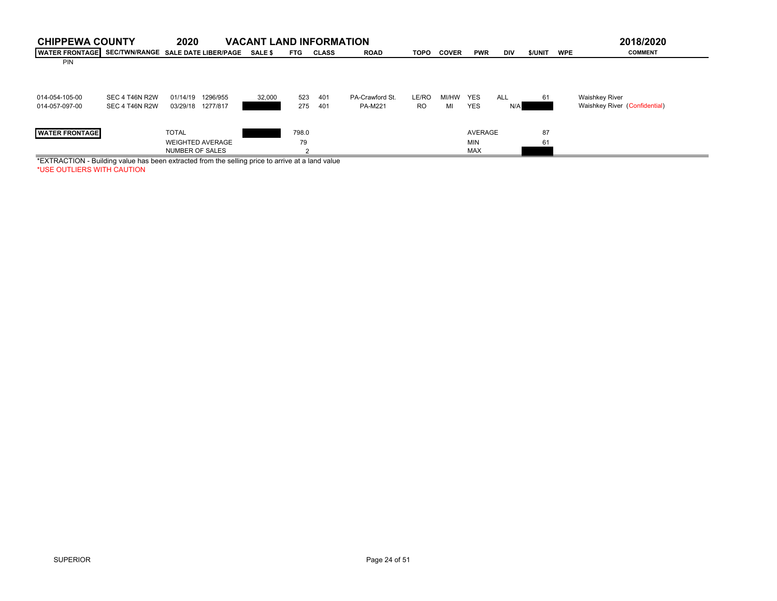| <b>CHIPPEWA COUNTY</b> |                | 2020                               | <b>VACANT LAND INFORMATION</b> |            |              |                 |             |              |            |            |         |            | 2018/2020                     |
|------------------------|----------------|------------------------------------|--------------------------------|------------|--------------|-----------------|-------------|--------------|------------|------------|---------|------------|-------------------------------|
| <b>WATER FRONTAGE</b>  |                | SEC/TWN/RANGE SALE DATE LIBER/PAGE | <b>SALE \$</b>                 | <b>FTG</b> | <b>CLASS</b> | <b>ROAD</b>     | <b>TOPO</b> | <b>COVER</b> | <b>PWR</b> | <b>DIV</b> | \$/UNIT | <b>WPE</b> | <b>COMMENT</b>                |
| <b>PIN</b>             |                |                                    |                                |            |              |                 |             |              |            |            |         |            |                               |
|                        |                |                                    |                                |            |              |                 |             |              |            |            |         |            |                               |
|                        |                |                                    |                                |            |              |                 |             |              |            |            |         |            |                               |
|                        |                |                                    |                                |            |              |                 |             |              |            |            |         |            |                               |
| 014-054-105-00         | SEC 4 T46N R2W | 1296/955<br>01/14/19               | 32,000                         | 523        | 401          | PA-Crawford St. | LE/RO       | MI/HW        | <b>YES</b> | <b>ALL</b> | 61      |            | <b>Waishkey River</b>         |
| 014-057-097-00         | SEC 4 T46N R2W | 03/29/18 1277/817                  |                                | 275        | 401          | PA-M221         | RO.         | МΙ           | <b>YES</b> | N/A        |         |            | Waishkey River (Confidential) |
|                        |                |                                    |                                |            |              |                 |             |              |            |            |         |            |                               |
| <b>WATER FRONTAGE</b>  |                | <b>TOTAL</b>                       |                                | 798.0      |              |                 |             |              | AVERAGE    |            | 87      |            |                               |
|                        |                | <b>WEIGHTED AVERAGE</b>            |                                |            |              |                 |             |              | <b>MIN</b> |            |         |            |                               |
|                        |                |                                    |                                | 79         |              |                 |             |              |            |            | 61      |            |                               |
|                        |                | <b>NUMBER OF SALES</b>             |                                |            |              |                 |             |              | <b>MAX</b> |            |         |            |                               |

\*EXTRACTION - Building value has been extracted from the selling price to arrive at a land value \*USE OUTLIERS WITH CAUTION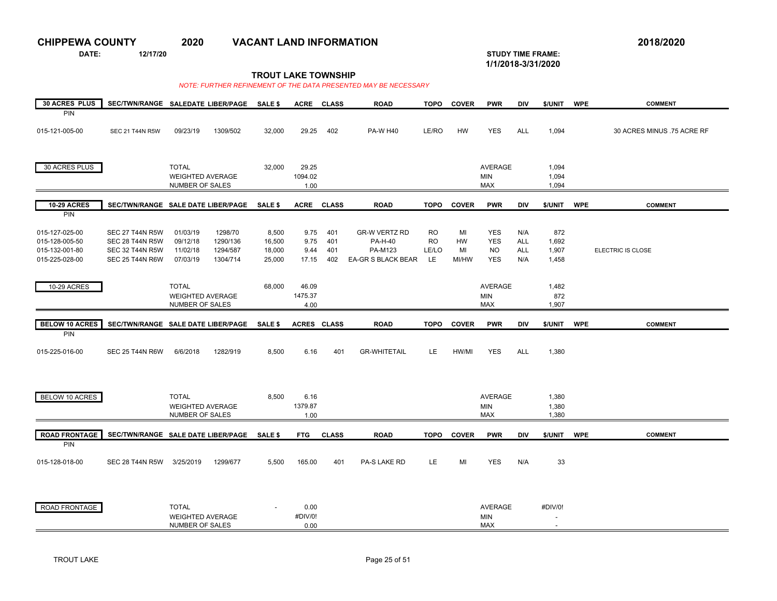**DATE: 12/17/20 STUDY TIME FRAME:**

**1/1/2018-3/31/2020** 

**TROUT LAKE TOWNSHIP**

| <b>30 ACRES PLUS</b>         | SEC/TWN/RANGE SALEDATE LIBER/PAGE          |                                            |          | <b>SALE \$</b> | <b>ACRE</b>        | <b>CLASS</b> | <b>ROAD</b>          | <b>TOPO</b> | <b>COVER</b> | <b>PWR</b>        | <b>DIV</b> | \$/UNIT                  | <b>WPE</b> | <b>COMMENT</b>             |
|------------------------------|--------------------------------------------|--------------------------------------------|----------|----------------|--------------------|--------------|----------------------|-------------|--------------|-------------------|------------|--------------------------|------------|----------------------------|
| PIN                          |                                            |                                            |          |                |                    |              |                      |             |              |                   |            |                          |            |                            |
| 015-121-005-00               | <b>SEC 21 T44N R5W</b>                     | 09/23/19                                   | 1309/502 | 32,000         | 29.25              | 402          | <b>PA-W H40</b>      | LE/RO       | <b>HW</b>    | <b>YES</b>        | <b>ALL</b> | 1,094                    |            | 30 ACRES MINUS .75 ACRE RF |
|                              |                                            |                                            |          |                |                    |              |                      |             |              |                   |            |                          |            |                            |
|                              |                                            |                                            |          |                |                    |              |                      |             |              |                   |            |                          |            |                            |
| 30 ACRES PLUS                |                                            | <b>TOTAL</b>                               |          | 32,000         | 29.25              |              |                      |             |              | AVERAGE           |            | 1,094                    |            |                            |
|                              |                                            | <b>WEIGHTED AVERAGE</b>                    |          |                | 1094.02            |              |                      |             |              | <b>MIN</b>        |            | 1,094                    |            |                            |
|                              |                                            | NUMBER OF SALES                            |          |                | 1.00               |              |                      |             |              | <b>MAX</b>        |            | 1,094                    |            |                            |
| <b>10-29 ACRES</b>           | SEC/TWN/RANGE SALE DATE LIBER/PAGE         |                                            |          | <b>SALE \$</b> |                    | ACRE CLASS   | <b>ROAD</b>          | <b>TOPO</b> | <b>COVER</b> | <b>PWR</b>        | <b>DIV</b> | \$/UNIT                  | <b>WPE</b> | <b>COMMENT</b>             |
| PIN                          |                                            |                                            |          |                |                    |              |                      |             |              |                   |            |                          |            |                            |
| 015-127-025-00               | <b>SEC 27 T44N R5W</b>                     | 01/03/19                                   | 1298/70  | 8,500          | 9.75               | 401          | <b>GR-W VERTZ RD</b> | <b>RO</b>   | MI           | <b>YES</b>        | N/A        | 872                      |            |                            |
| 015-128-005-50               | <b>SEC 28 T44N R5W</b>                     | 09/12/18                                   | 1290/136 | 16,500         | 9.75               | 401          | <b>PA-H-40</b>       | <b>RO</b>   | HW           | <b>YES</b>        | <b>ALL</b> | 1,692                    |            |                            |
| 015-132-001-80               | <b>SEC 32 T44N R5W</b>                     | 11/02/18                                   | 1294/587 | 18,000         | 9.44               | 401          | PA-M123              | LE/LO       | MI           | <b>NO</b>         | <b>ALL</b> | 1,907                    |            | ELECTRIC IS CLOSE          |
| 015-225-028-00               | SEC 25 T44N R6W                            | 07/03/19                                   | 1304/714 | 25,000         | 17.15              | 402          | EA-GR S BLACK BEAR   | LE          | MI/HW        | <b>YES</b>        | N/A        | 1,458                    |            |                            |
|                              |                                            |                                            |          |                |                    |              |                      |             |              |                   |            |                          |            |                            |
| <b>10-29 ACRES</b>           |                                            | <b>TOTAL</b>                               |          | 68,000         | 46.09              |              |                      |             |              | <b>AVERAGE</b>    |            | 1,482                    |            |                            |
|                              |                                            | <b>WEIGHTED AVERAGE</b>                    |          |                | 1475.37            |              |                      |             |              | <b>MIN</b>        |            | 872                      |            |                            |
|                              |                                            | NUMBER OF SALES                            |          |                | 4.00               |              |                      |             |              | MAX               |            | 1,907                    |            |                            |
|                              |                                            |                                            |          |                |                    |              |                      |             |              |                   |            |                          |            |                            |
| <b>BELOW 10 ACRES</b><br>PIN | SEC/TWN/RANGE SALE DATE LIBER/PAGE         |                                            |          | <b>SALE \$</b> | <b>ACRES CLASS</b> |              | <b>ROAD</b>          | <b>TOPO</b> | <b>COVER</b> | <b>PWR</b>        | <b>DIV</b> | \$/UNIT                  | <b>WPE</b> | <b>COMMENT</b>             |
|                              |                                            |                                            |          |                |                    |              |                      |             |              |                   |            |                          |            |                            |
| 015-225-016-00               | <b>SEC 25 T44N R6W</b>                     | 6/6/2018                                   | 1282/919 | 8,500          | 6.16               | 401          | <b>GR-WHITETAIL</b>  | <b>LE</b>   | HW/MI        | <b>YES</b>        | <b>ALL</b> | 1,380                    |            |                            |
|                              |                                            |                                            |          |                |                    |              |                      |             |              |                   |            |                          |            |                            |
|                              |                                            |                                            |          |                |                    |              |                      |             |              |                   |            |                          |            |                            |
|                              |                                            |                                            |          |                |                    |              |                      |             |              |                   |            |                          |            |                            |
| BELOW 10 ACRES               |                                            | <b>TOTAL</b>                               |          | 8,500          | 6.16               |              |                      |             |              | <b>AVERAGE</b>    |            | 1,380                    |            |                            |
|                              |                                            | <b>WEIGHTED AVERAGE</b><br>NUMBER OF SALES |          |                | 1379.87<br>1.00    |              |                      |             |              | <b>MIN</b><br>MAX |            | 1,380<br>1,380           |            |                            |
|                              |                                            |                                            |          |                |                    |              |                      |             |              |                   |            |                          |            |                            |
| <b>ROAD FRONTAGE</b>         | SEC/TWN/RANGE SALE DATE LIBER/PAGE SALE \$ |                                            |          |                | <b>FTG</b>         | <b>CLASS</b> | <b>ROAD</b>          | <b>TOPO</b> | <b>COVER</b> | <b>PWR</b>        | DIV        | \$/UNIT                  | <b>WPE</b> | <b>COMMENT</b>             |
| PIN                          |                                            |                                            |          |                |                    |              |                      |             |              |                   |            |                          |            |                            |
| 015-128-018-00               | <b>SEC 28 T44N R5W</b>                     | 3/25/2019                                  | 1299/677 | 5,500          | 165.00             | 401          | PA-S LAKE RD         | LE.         | MI           | <b>YES</b>        | N/A        | 33                       |            |                            |
|                              |                                            |                                            |          |                |                    |              |                      |             |              |                   |            |                          |            |                            |
|                              |                                            |                                            |          |                |                    |              |                      |             |              |                   |            |                          |            |                            |
|                              |                                            |                                            |          |                |                    |              |                      |             |              |                   |            |                          |            |                            |
| ROAD FRONTAGE                |                                            | <b>TOTAL</b>                               |          |                | 0.00               |              |                      |             |              | AVERAGE           |            | #DIV/0!                  |            |                            |
|                              |                                            | <b>WEIGHTED AVERAGE</b>                    |          |                | #DIV/0!            |              |                      |             |              | MIN               |            | $\overline{\phantom{a}}$ |            |                            |
|                              |                                            | NUMBER OF SALES                            |          |                | 0.00               |              |                      |             |              | MAX               |            |                          |            |                            |
|                              |                                            |                                            |          |                |                    |              |                      |             |              |                   |            |                          |            |                            |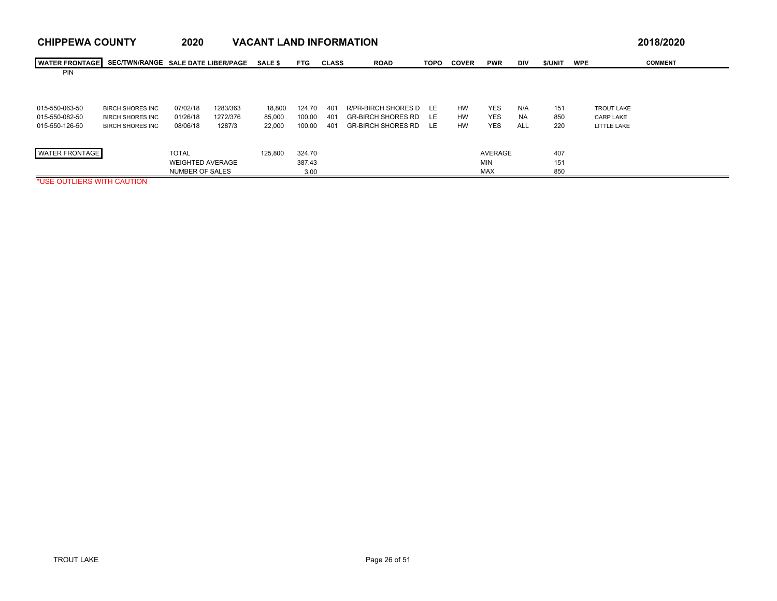| <b>CHIPPEWA COUNTY</b> |                                    | 2020                    |          | <b>VACANT LAND INFORMATION</b> |            |              |                              |             |              |            |            |         |                   | 2018/2020      |
|------------------------|------------------------------------|-------------------------|----------|--------------------------------|------------|--------------|------------------------------|-------------|--------------|------------|------------|---------|-------------------|----------------|
| <b>WATER FRONTAGE</b>  | SEC/TWN/RANGE SALE DATE LIBER/PAGE |                         |          | <b>SALE \$</b>                 | <b>FTG</b> | <b>CLASS</b> | <b>ROAD</b>                  | <b>TOPO</b> | <b>COVER</b> | <b>PWR</b> | <b>DIV</b> | \$/UNIT | <b>WPE</b>        | <b>COMMENT</b> |
| <b>PIN</b>             |                                    |                         |          |                                |            |              |                              |             |              |            |            |         |                   |                |
|                        |                                    |                         |          |                                |            |              |                              |             |              |            |            |         |                   |                |
| 015-550-063-50         | <b>BIRCH SHORES INC</b>            | 07/02/18                | 1283/363 | 18.800                         | 124.70     | 401          | R/PR-BIRCH SHORES D LE       |             | <b>HW</b>    | <b>YES</b> | N/A        | 151     | <b>TROUT LAKE</b> |                |
| 015-550-082-50         | <b>BIRCH SHORES INC</b>            | 01/26/18                | 1272/376 | 85.000                         | 100.00     | 401          | <b>GR-BIRCH SHORES RD LE</b> |             | <b>HW</b>    | <b>YES</b> | <b>NA</b>  | 850     | <b>CARP LAKE</b>  |                |
| 015-550-126-50         | <b>BIRCH SHORES INC</b>            | 08/06/18                | 1287/3   | 22,000                         | 100.00     | 401          | GR-BIRCH SHORES RD           | LE.         | <b>HW</b>    | <b>YES</b> | <b>ALL</b> | 220     | LITTLE LAKE       |                |
|                        |                                    |                         |          |                                |            |              |                              |             |              |            |            |         |                   |                |
| <b>WATER FRONTAGE</b>  |                                    | <b>TOTAL</b>            |          | 125,800                        | 324.70     |              |                              |             |              | AVERAGE    |            | 407     |                   |                |
|                        |                                    | <b>WEIGHTED AVERAGE</b> |          |                                | 387.43     |              |                              |             |              | <b>MIN</b> |            | 151     |                   |                |
|                        |                                    | <b>NUMBER OF SALES</b>  |          |                                | 3.00       |              |                              |             |              | <b>MAX</b> |            | 850     |                   |                |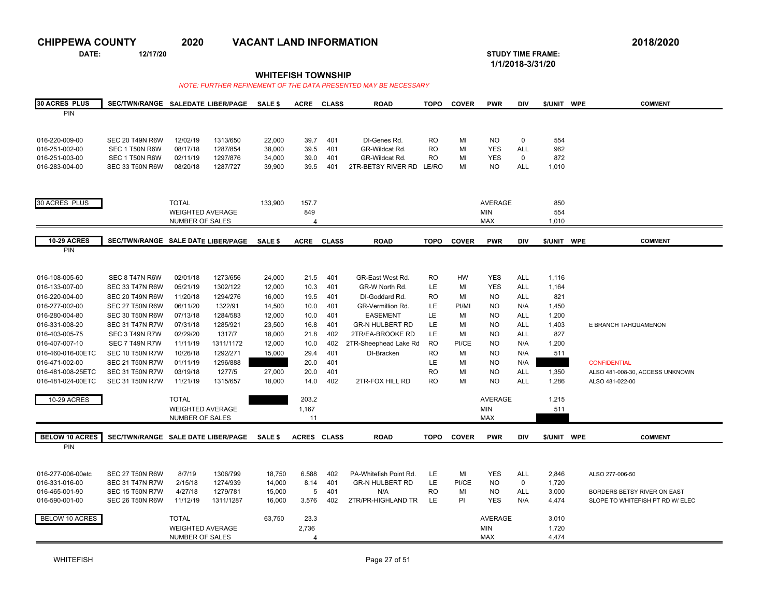**DATE: 12/17/20 STUDY TIME FRAME:**

**1/1/2018-3/31/20** 

### **WHITEFISH TOWNSHIP**

| <b>30 ACRES PLUS</b>  | SEC/TWN/RANGE SALEDATE LIBER/PAGE  |                                                   |           | SALE \$ | <b>ACRE</b>        | <b>CLASS</b> | <b>ROAD</b>            | <b>TOPO</b> | <b>COVER</b> | <b>PWR</b>               | DIV         | \$/UNIT WPE    | <b>COMMENT</b>                   |
|-----------------------|------------------------------------|---------------------------------------------------|-----------|---------|--------------------|--------------|------------------------|-------------|--------------|--------------------------|-------------|----------------|----------------------------------|
| PIN                   |                                    |                                                   |           |         |                    |              |                        |             |              |                          |             |                |                                  |
|                       |                                    |                                                   |           |         |                    |              |                        |             |              |                          |             |                |                                  |
|                       |                                    |                                                   |           |         |                    |              |                        |             |              |                          |             |                |                                  |
| 016-220-009-00        | <b>SEC 20 T49N R6W</b>             | 12/02/19                                          | 1313/650  | 22,000  | 39.7               | 401          | DI-Genes Rd.           | <b>RO</b>   | MI           | NO.                      | 0           | 554            |                                  |
| 016-251-002-00        | SEC 1 T50N R6W                     | 08/17/18                                          | 1287/854  | 38,000  | 39.5               | 401          | GR-Wildcat Rd.         | <b>RO</b>   | MI           | <b>YES</b>               | <b>ALL</b>  | 962            |                                  |
| 016-251-003-00        | SEC 1 T50N R6W                     | 02/11/19                                          | 1297/876  | 34,000  | 39.0               | 401          | GR-Wildcat Rd.         | <b>RO</b>   | MI           | <b>YES</b>               | $\mathbf 0$ | 872            |                                  |
| 016-283-004-00        | SEC 33 T50N R6W                    | 08/20/18                                          | 1287/727  | 39,900  | 39.5               | 401          | 2TR-BETSY RIVER RD     | LE/RO       | MI           | NO.                      | ALL         | 1,010          |                                  |
|                       |                                    |                                                   |           |         |                    |              |                        |             |              |                          |             |                |                                  |
|                       |                                    |                                                   |           |         |                    |              |                        |             |              |                          |             |                |                                  |
| 30 ACRES PLUS         |                                    | <b>TOTAL</b>                                      |           | 133,900 | 157.7              |              |                        |             |              | <b>AVERAGE</b>           |             | 850            |                                  |
|                       |                                    | <b>WEIGHTED AVERAGE</b>                           |           |         | 849                |              |                        |             |              | <b>MIN</b>               |             | 554            |                                  |
|                       |                                    | NUMBER OF SALES                                   |           |         | Δ                  |              |                        |             |              | <b>MAX</b>               |             | 1,010          |                                  |
|                       |                                    |                                                   |           |         |                    |              |                        |             |              |                          |             |                |                                  |
| <b>10-29 ACRES</b>    | SEC/TWN/RANGE SALE DATE LIBER/PAGE |                                                   |           | SALE \$ | <b>ACRE</b>        | <b>CLASS</b> | <b>ROAD</b>            | <b>TOPO</b> | <b>COVER</b> | <b>PWR</b>               | DIV         | \$/UNIT        | <b>WPE</b><br><b>COMMENT</b>     |
| PIN                   |                                    |                                                   |           |         |                    |              |                        |             |              |                          |             |                |                                  |
|                       |                                    |                                                   |           |         |                    |              |                        |             |              |                          |             |                |                                  |
|                       |                                    |                                                   |           |         |                    |              |                        |             |              |                          |             |                |                                  |
| 016-108-005-60        | SEC 8 T47N R6W                     | 02/01/18                                          | 1273/656  | 24,000  | 21.5               | 401          | GR-East West Rd        | <b>RO</b>   | HW           | <b>YES</b>               | <b>ALL</b>  | 1,116          |                                  |
| 016-133-007-00        | <b>SEC 33 T47N R6W</b>             | 05/21/19                                          | 1302/122  | 12,000  | 10.3               | 401          | GR-W North Rd.         | LE          | MI           | <b>YES</b>               | <b>ALL</b>  | 1,164          |                                  |
| 016-220-004-00        | <b>SEC 20 T49N R6W</b>             | 11/20/18                                          | 1294/276  | 16,000  | 19.5               | 401          | DI-Goddard Rd.         | <b>RO</b>   | MI           | NO.                      | <b>ALL</b>  | 821            |                                  |
| 016-277-002-00        | SEC 27 T50N R6W                    | 06/11/20                                          | 1322/91   | 14,500  | 10.0               | 401          | GR-Vermillion Rd.      | LE          | PI/MI        | NO.                      | N/A         | 1,450          |                                  |
| 016-280-004-80        | SEC 30 T50N R6W                    | 07/13/18                                          | 1284/583  | 12,000  | 10.0               | 401          | <b>EASEMENT</b>        | LE.         | MI           | NO.                      | ALL         | 1,200          |                                  |
| 016-331-008-20        | <b>SEC 31 T47N R7W</b>             | 07/31/18                                          | 1285/921  | 23,500  | 16.8               | 401          | <b>GR-N HULBERT RD</b> | LE          | MI           | <b>NO</b>                | <b>ALL</b>  | 1,403          | E BRANCH TAHQUAMENON             |
| 016-403-005-75        | SEC 3 T49N R7W                     | 02/29/20                                          | 1317/7    | 18,000  | 21.8               | 402          | 2TR/EA-BROOKE RD       | LE          | MI           | NO.                      | ALL         | 827            |                                  |
| 016-407-007-10        | SEC 7 T49N R7W                     | 11/11/19                                          | 1311/1172 | 12,000  | 10.0               | 402          | 2TR-Sheephead Lake Rd  | <b>RO</b>   | PI/CE        | NO.                      | N/A         | 1,200          |                                  |
| 016-460-016-00ETC     | SEC 10 T50N R7W                    | 10/26/18                                          | 1292/271  | 15,000  | 29.4               | 401          | DI-Bracken             | <b>RO</b>   | MI           | <b>NO</b>                | N/A         | 511            |                                  |
| 016-471-002-00        | <b>SEC 21 T50N R7W</b>             | 01/11/19                                          | 1296/888  |         | 20.0               | 401          |                        | <b>LE</b>   | MI           | <b>NO</b>                | N/A         |                | <b>CONFIDENTIAL</b>              |
| 016-481-008-25ETC     | <b>SEC 31 T50N R7W</b>             | 03/19/18                                          | 1277/5    | 27,000  | 20.0               | 401          |                        | <b>RO</b>   | MI           | <b>NO</b>                | <b>ALL</b>  | 1,350          | ALSO 481-008-30, ACCESS UNKNOWN  |
| 016-481-024-00ETC     | <b>SEC 31 T50N R7W</b>             | 11/21/19                                          | 1315/657  | 18,000  | 14.0               | 402          | 2TR-FOX HILL RD        | <b>RO</b>   | MI           | <b>NO</b>                | <b>ALL</b>  | 1,286          | ALSO 481-022-00                  |
|                       |                                    | <b>TOTAL</b>                                      |           |         |                    |              |                        |             |              | <b>AVERAGE</b>           |             |                |                                  |
| 10-29 ACRES           |                                    |                                                   |           |         | 203.2              |              |                        |             |              |                          |             | 1,215          |                                  |
|                       |                                    | <b>WEIGHTED AVERAGE</b><br>NUMBER OF SALES        |           |         | 1,167<br>11        |              |                        |             |              | <b>MIN</b><br><b>MAX</b> |             | 511            |                                  |
|                       |                                    |                                                   |           |         |                    |              |                        |             |              |                          |             |                |                                  |
| <b>BELOW 10 ACRES</b> | SEC/TWN/RANGE SALE DATE LIBER/PAGE |                                                   |           | SALE \$ | <b>ACRES CLASS</b> |              | <b>ROAD</b>            | <b>TOPO</b> | <b>COVER</b> | <b>PWR</b>               | <b>DIV</b>  | \$/UNIT WPE    | <b>COMMENT</b>                   |
| PIN                   |                                    |                                                   |           |         |                    |              |                        |             |              |                          |             |                |                                  |
|                       |                                    |                                                   |           |         |                    |              |                        |             |              |                          |             |                |                                  |
|                       |                                    |                                                   |           |         |                    |              |                        |             |              |                          |             |                |                                  |
| 016-277-006-00etc     | SEC 27 T50N R6W                    | 8/7/19                                            | 1306/799  | 18,750  | 6.588              | 402          | PA-Whitefish Point Rd. | LE          | MI           | <b>YES</b>               | <b>ALL</b>  | 2,846          | ALSO 277-006-50                  |
| 016-331-016-00        | <b>SEC 31 T47N R7W</b>             | 2/15/18                                           | 1274/939  | 14,000  | 8.14               | 401          | <b>GR-N HULBERT RD</b> | <b>LE</b>   | PI/CE        | NO.                      | $\mathbf 0$ | 1,720          |                                  |
| 016-465-001-90        | <b>SEC 15 T50N R7W</b>             | 4/27/18                                           | 1279/781  | 15,000  | 5                  | 401          | N/A                    | <b>RO</b>   | MI           | <b>NO</b>                | ALL         | 3,000          | BORDERS BETSY RIVER ON EAST      |
| 016-590-001-00        | SEC 26 T50N R6W                    | 11/12/19                                          | 1311/1287 | 16,000  | 3.576              | 402          | 2TR/PR-HIGHLAND TR     | LE          | PI           | <b>YES</b>               | N/A         | 4,474          | SLOPE TO WHITEFISH PT RD W/ ELEC |
|                       |                                    | <b>TOTAL</b>                                      |           |         |                    |              |                        |             |              |                          |             |                |                                  |
| BELOW 10 ACRES        |                                    |                                                   |           | 63,750  | 23.3<br>2,736      |              |                        |             |              | AVERAGE                  |             | 3,010          |                                  |
|                       |                                    | <b>WEIGHTED AVERAGE</b><br><b>NUMBER OF SALES</b> |           |         | Δ                  |              |                        |             |              | <b>MIN</b><br><b>MAX</b> |             | 1,720<br>4,474 |                                  |
|                       |                                    |                                                   |           |         |                    |              |                        |             |              |                          |             |                |                                  |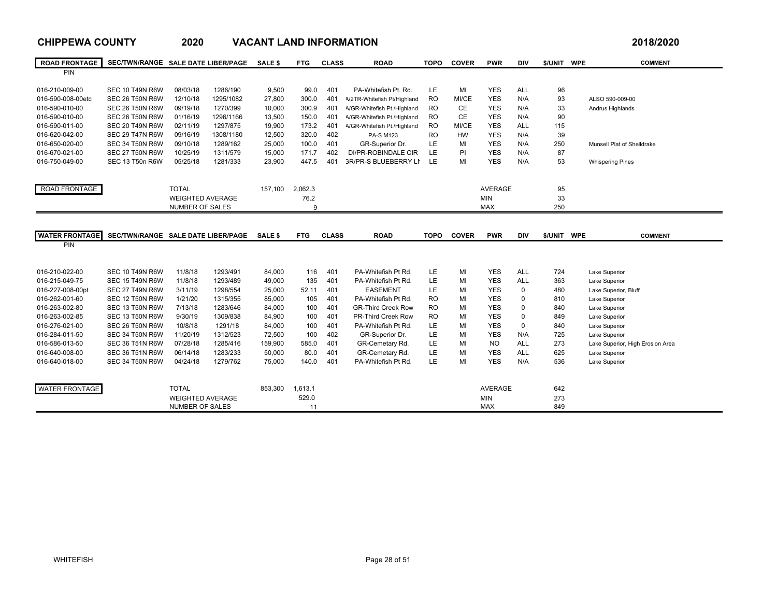| <b>ROAD FRONTAGE</b><br>SEC/TWN/RANGE SALE DATE LIBER/PAGE<br><b>SALE \$</b><br><b>FTG</b><br><b>ROAD</b><br><b>TOPO</b><br><b>COVER</b><br><b>PWR</b><br><b>DIV</b><br>\$/UNIT WPE<br><b>COMMENT</b><br><b>CLASS</b><br><b>PIN</b><br>016-210-009-00<br><b>SEC 10 T49N R6W</b><br>08/03/18<br>1286/190<br>9.500<br>99.0<br>401<br>PA-Whitefish Pt. Rd.<br>LE<br>MI<br><b>YES</b><br><b>ALL</b><br>96<br>016-590-008-00etc<br><b>SEC 26 T50N R6W</b><br>12/10/18<br>1295/1082<br>27,800<br>300.0<br>401<br><b>RO</b><br>MI/CE<br><b>YES</b><br>N/A<br>93<br><b>V2TR-Whitefish Pt/Highland</b><br>ALSO 590-009-00<br>09/19/18<br>1270/399<br>300.9<br><b>CE</b><br><b>YES</b><br>N/A<br>33<br>016-590-010-00<br>SEC 26 T50N R6W<br>10,000<br>401<br>4/GR-Whitefish Pt./Highland<br><b>RO</b><br>Andrus Highlands<br>CE<br>016-590-010-00<br>401<br><b>RO</b><br><b>YES</b><br>N/A<br>90<br>SEC 26 T50N R6W<br>01/16/19<br>1296/1166<br>13,500<br>150.0<br>4/GR-Whitefish Pt./Highland<br>016-590-011-00<br><b>SEC 20 T49N R6W</b><br>02/11/19<br>1297/875<br>19,900<br>173.2<br>401<br>4/GR-Whitefish Pt./Highland<br><b>RO</b><br>MI/CE<br><b>YES</b><br><b>ALL</b><br>115<br>016-620-042-00<br>402<br><b>HW</b><br>39<br><b>SEC 29 T47N R6W</b><br>09/16/19<br>1308/1180<br>12,500<br>320.0<br><b>PA-S M123</b><br><b>RO</b><br><b>YES</b><br>N/A<br>LE<br><b>YES</b><br>016-650-020-00<br>SEC 34 T50N R6W<br>09/10/18<br>1289/162<br>25,000<br>100.0<br>401<br>GR-Superior Dr.<br>MI<br>N/A<br>250<br>Munsell Plat of Shelldrake<br>016-670-021-00<br><b>LE</b><br>PI<br><b>YES</b><br>87<br><b>SEC 27 T50N R6W</b><br>10/25/19<br>1311/579<br>15,000<br>171.7<br>402<br>DI/PR-ROBINDALE CIR<br>N/A<br>LE<br><b>YES</b><br>016-750-049-00<br>SEC 13 T50n R6W<br>05/25/18<br>1281/333<br>23,900<br>447.5<br>401<br><b>GR/PR-S BLUEBERRY LN</b><br>MI<br>53<br>N/A<br><b>Whispering Pines</b><br>ROAD FRONTAGE<br><b>TOTAL</b><br>157,100<br>2,062.3<br><b>AVERAGE</b><br>95<br><b>WEIGHTED AVERAGE</b><br>76.2<br><b>MIN</b><br>33<br><b>MAX</b><br>250<br>NUMBER OF SALES<br>9<br><b>WATER FRONTAGE</b><br>SEC/TWN/RANGE SALE DATE LIBER/PAGE SALE \$<br><b>ROAD</b><br><b>COVER</b><br><b>FTG</b><br><b>CLASS</b><br><b>TOPO</b><br><b>PWR</b><br><b>DIV</b><br>\$/UNIT WPE<br><b>COMMENT</b><br>PIN<br>LE<br>MI<br>016-210-022-00<br><b>SEC 10 T49N R6W</b><br>11/8/18<br>1293/491<br>84,000<br>116<br>401<br>PA-Whitefish Pt Rd.<br><b>YES</b><br><b>ALL</b><br>724<br>Lake Superior<br><b>LE</b><br>MI<br>401<br><b>YES</b><br><b>ALL</b><br>363<br>016-215-049-75<br><b>SEC 15 T49N R6W</b><br>11/8/18<br>1293/489<br>49.000<br>135<br>PA-Whitefish Pt Rd.<br>Lake Superior<br>LE<br>016-227-008-00pt<br>SEC 27 T49N R6W<br>1298/554<br>25,000<br>401<br><b>EASEMENT</b><br>MI<br><b>YES</b><br>$\mathbf 0$<br>480<br>Lake Superior, Bluff<br>3/11/19<br>52.11<br>016-262-001-60<br>PA-Whitefish Pt Rd.<br>MI<br><b>YES</b><br><b>SEC 12 T50N R6W</b><br>1/21/20<br>1315/355<br>85,000<br>105<br>401<br><b>RO</b><br>$\Omega$<br>810<br>Lake Superior<br>016-263-002-80<br>SEC 13 T50N R6W<br>1283/646<br>84,000<br>401<br><b>RO</b><br>MI<br><b>YES</b><br>$\Omega$<br>840<br>Lake Superior<br>7/13/18<br>100<br><b>GR-Third Creek Row</b><br>401<br><b>RO</b><br>MI<br><b>YES</b><br>$\mathbf 0$<br>016-263-002-85<br>SEC 13 T50N R6W<br>9/30/19<br>1309/838<br>84,900<br>100<br><b>PR-Third Creek Row</b><br>849<br>Lake Superior<br>LE<br>016-276-021-00<br><b>SEC 26 T50N R6W</b><br>1291/18<br>401<br>PA-Whitefish Pt Rd.<br>MI<br><b>YES</b><br>$\mathbf 0$<br>10/8/18<br>84.000<br>100<br>840<br>Lake Superior<br>LE<br>402<br>MI<br>016-284-011-50<br>SEC 34 T50N R6W<br>11/20/19<br>1312/523<br>72,500<br>100<br>GR-Superior Dr.<br><b>YES</b><br>N/A<br>725<br>Lake Superior<br><b>LE</b><br>07/28/18<br>585.0<br>401<br>MI<br><b>NO</b><br><b>ALL</b><br>273<br>016-586-013-50<br><b>SEC 36 T51N R6W</b><br>1285/416<br>159,900<br>GR-Cemetary Rd.<br>Lake Superior, High Erosion Area<br>401<br>LE<br>MI<br><b>YES</b><br>625<br>016-640-008-00<br><b>SEC 36 T51N R6W</b><br>06/14/18<br>1283/233<br>50,000<br>80.0<br>GR-Cemetary Rd.<br><b>ALL</b><br>Lake Superior<br>LE<br>401<br>MI<br><b>YES</b><br>016-640-018-00<br>SEC 34 T50N R6W<br>04/24/18<br>1279/762<br>75,000<br>140.0<br>PA-Whitefish Pt Rd.<br>N/A<br>536<br>Lake Superior<br><b>TOTAL</b><br><b>AVERAGE</b><br><b>WATER FRONTAGE</b><br>642<br>853,300<br>1,613.1<br>529.0<br><b>WEIGHTED AVERAGE</b><br><b>MIN</b><br>273<br><b>MAX</b><br>849<br><b>NUMBER OF SALES</b><br>11 | <b>CHIPPEWA COUNTY</b> | 2020 | <b>VACANT LAND INFORMATION</b> |  |  |  |  | 2018/2020 |
|------------------------------------------------------------------------------------------------------------------------------------------------------------------------------------------------------------------------------------------------------------------------------------------------------------------------------------------------------------------------------------------------------------------------------------------------------------------------------------------------------------------------------------------------------------------------------------------------------------------------------------------------------------------------------------------------------------------------------------------------------------------------------------------------------------------------------------------------------------------------------------------------------------------------------------------------------------------------------------------------------------------------------------------------------------------------------------------------------------------------------------------------------------------------------------------------------------------------------------------------------------------------------------------------------------------------------------------------------------------------------------------------------------------------------------------------------------------------------------------------------------------------------------------------------------------------------------------------------------------------------------------------------------------------------------------------------------------------------------------------------------------------------------------------------------------------------------------------------------------------------------------------------------------------------------------------------------------------------------------------------------------------------------------------------------------------------------------------------------------------------------------------------------------------------------------------------------------------------------------------------------------------------------------------------------------------------------------------------------------------------------------------------------------------------------------------------------------------------------------------------------------------------------------------------------------------------------------------------------------------------------------------------------------------------------------------------------------------------------------------------------------------------------------------------------------------------------------------------------------------------------------------------------------------------------------------------------------------------------------------------------------------------------------------------------------------------------------------------------------------------------------------------------------------------------------------------------------------------------------------------------------------------------------------------------------------------------------------------------------------------------------------------------------------------------------------------------------------------------------------------------------------------------------------------------------------------------------------------------------------------------------------------------------------------------------------------------------------------------------------------------------------------------------------------------------------------------------------------------------------------------------------------------------------------------------------------------------------------------------------------------------------------------------------------------------------------------------------------------------------------------------------------------------------------------------------------------------------------------------------------------------------------------------------------------------------------------------------------------------------------------------------------------------------------------------------------------------------------------------------------------------------------------------------------------------------|------------------------|------|--------------------------------|--|--|--|--|-----------|
|                                                                                                                                                                                                                                                                                                                                                                                                                                                                                                                                                                                                                                                                                                                                                                                                                                                                                                                                                                                                                                                                                                                                                                                                                                                                                                                                                                                                                                                                                                                                                                                                                                                                                                                                                                                                                                                                                                                                                                                                                                                                                                                                                                                                                                                                                                                                                                                                                                                                                                                                                                                                                                                                                                                                                                                                                                                                                                                                                                                                                                                                                                                                                                                                                                                                                                                                                                                                                                                                                                                                                                                                                                                                                                                                                                                                                                                                                                                                                                                                                                                                                                                                                                                                                                                                                                                                                                                                                                                                                                                                                                        |                        |      |                                |  |  |  |  |           |
|                                                                                                                                                                                                                                                                                                                                                                                                                                                                                                                                                                                                                                                                                                                                                                                                                                                                                                                                                                                                                                                                                                                                                                                                                                                                                                                                                                                                                                                                                                                                                                                                                                                                                                                                                                                                                                                                                                                                                                                                                                                                                                                                                                                                                                                                                                                                                                                                                                                                                                                                                                                                                                                                                                                                                                                                                                                                                                                                                                                                                                                                                                                                                                                                                                                                                                                                                                                                                                                                                                                                                                                                                                                                                                                                                                                                                                                                                                                                                                                                                                                                                                                                                                                                                                                                                                                                                                                                                                                                                                                                                                        |                        |      |                                |  |  |  |  |           |
|                                                                                                                                                                                                                                                                                                                                                                                                                                                                                                                                                                                                                                                                                                                                                                                                                                                                                                                                                                                                                                                                                                                                                                                                                                                                                                                                                                                                                                                                                                                                                                                                                                                                                                                                                                                                                                                                                                                                                                                                                                                                                                                                                                                                                                                                                                                                                                                                                                                                                                                                                                                                                                                                                                                                                                                                                                                                                                                                                                                                                                                                                                                                                                                                                                                                                                                                                                                                                                                                                                                                                                                                                                                                                                                                                                                                                                                                                                                                                                                                                                                                                                                                                                                                                                                                                                                                                                                                                                                                                                                                                                        |                        |      |                                |  |  |  |  |           |
|                                                                                                                                                                                                                                                                                                                                                                                                                                                                                                                                                                                                                                                                                                                                                                                                                                                                                                                                                                                                                                                                                                                                                                                                                                                                                                                                                                                                                                                                                                                                                                                                                                                                                                                                                                                                                                                                                                                                                                                                                                                                                                                                                                                                                                                                                                                                                                                                                                                                                                                                                                                                                                                                                                                                                                                                                                                                                                                                                                                                                                                                                                                                                                                                                                                                                                                                                                                                                                                                                                                                                                                                                                                                                                                                                                                                                                                                                                                                                                                                                                                                                                                                                                                                                                                                                                                                                                                                                                                                                                                                                                        |                        |      |                                |  |  |  |  |           |
|                                                                                                                                                                                                                                                                                                                                                                                                                                                                                                                                                                                                                                                                                                                                                                                                                                                                                                                                                                                                                                                                                                                                                                                                                                                                                                                                                                                                                                                                                                                                                                                                                                                                                                                                                                                                                                                                                                                                                                                                                                                                                                                                                                                                                                                                                                                                                                                                                                                                                                                                                                                                                                                                                                                                                                                                                                                                                                                                                                                                                                                                                                                                                                                                                                                                                                                                                                                                                                                                                                                                                                                                                                                                                                                                                                                                                                                                                                                                                                                                                                                                                                                                                                                                                                                                                                                                                                                                                                                                                                                                                                        |                        |      |                                |  |  |  |  |           |
|                                                                                                                                                                                                                                                                                                                                                                                                                                                                                                                                                                                                                                                                                                                                                                                                                                                                                                                                                                                                                                                                                                                                                                                                                                                                                                                                                                                                                                                                                                                                                                                                                                                                                                                                                                                                                                                                                                                                                                                                                                                                                                                                                                                                                                                                                                                                                                                                                                                                                                                                                                                                                                                                                                                                                                                                                                                                                                                                                                                                                                                                                                                                                                                                                                                                                                                                                                                                                                                                                                                                                                                                                                                                                                                                                                                                                                                                                                                                                                                                                                                                                                                                                                                                                                                                                                                                                                                                                                                                                                                                                                        |                        |      |                                |  |  |  |  |           |
|                                                                                                                                                                                                                                                                                                                                                                                                                                                                                                                                                                                                                                                                                                                                                                                                                                                                                                                                                                                                                                                                                                                                                                                                                                                                                                                                                                                                                                                                                                                                                                                                                                                                                                                                                                                                                                                                                                                                                                                                                                                                                                                                                                                                                                                                                                                                                                                                                                                                                                                                                                                                                                                                                                                                                                                                                                                                                                                                                                                                                                                                                                                                                                                                                                                                                                                                                                                                                                                                                                                                                                                                                                                                                                                                                                                                                                                                                                                                                                                                                                                                                                                                                                                                                                                                                                                                                                                                                                                                                                                                                                        |                        |      |                                |  |  |  |  |           |
|                                                                                                                                                                                                                                                                                                                                                                                                                                                                                                                                                                                                                                                                                                                                                                                                                                                                                                                                                                                                                                                                                                                                                                                                                                                                                                                                                                                                                                                                                                                                                                                                                                                                                                                                                                                                                                                                                                                                                                                                                                                                                                                                                                                                                                                                                                                                                                                                                                                                                                                                                                                                                                                                                                                                                                                                                                                                                                                                                                                                                                                                                                                                                                                                                                                                                                                                                                                                                                                                                                                                                                                                                                                                                                                                                                                                                                                                                                                                                                                                                                                                                                                                                                                                                                                                                                                                                                                                                                                                                                                                                                        |                        |      |                                |  |  |  |  |           |
|                                                                                                                                                                                                                                                                                                                                                                                                                                                                                                                                                                                                                                                                                                                                                                                                                                                                                                                                                                                                                                                                                                                                                                                                                                                                                                                                                                                                                                                                                                                                                                                                                                                                                                                                                                                                                                                                                                                                                                                                                                                                                                                                                                                                                                                                                                                                                                                                                                                                                                                                                                                                                                                                                                                                                                                                                                                                                                                                                                                                                                                                                                                                                                                                                                                                                                                                                                                                                                                                                                                                                                                                                                                                                                                                                                                                                                                                                                                                                                                                                                                                                                                                                                                                                                                                                                                                                                                                                                                                                                                                                                        |                        |      |                                |  |  |  |  |           |
|                                                                                                                                                                                                                                                                                                                                                                                                                                                                                                                                                                                                                                                                                                                                                                                                                                                                                                                                                                                                                                                                                                                                                                                                                                                                                                                                                                                                                                                                                                                                                                                                                                                                                                                                                                                                                                                                                                                                                                                                                                                                                                                                                                                                                                                                                                                                                                                                                                                                                                                                                                                                                                                                                                                                                                                                                                                                                                                                                                                                                                                                                                                                                                                                                                                                                                                                                                                                                                                                                                                                                                                                                                                                                                                                                                                                                                                                                                                                                                                                                                                                                                                                                                                                                                                                                                                                                                                                                                                                                                                                                                        |                        |      |                                |  |  |  |  |           |
|                                                                                                                                                                                                                                                                                                                                                                                                                                                                                                                                                                                                                                                                                                                                                                                                                                                                                                                                                                                                                                                                                                                                                                                                                                                                                                                                                                                                                                                                                                                                                                                                                                                                                                                                                                                                                                                                                                                                                                                                                                                                                                                                                                                                                                                                                                                                                                                                                                                                                                                                                                                                                                                                                                                                                                                                                                                                                                                                                                                                                                                                                                                                                                                                                                                                                                                                                                                                                                                                                                                                                                                                                                                                                                                                                                                                                                                                                                                                                                                                                                                                                                                                                                                                                                                                                                                                                                                                                                                                                                                                                                        |                        |      |                                |  |  |  |  |           |
|                                                                                                                                                                                                                                                                                                                                                                                                                                                                                                                                                                                                                                                                                                                                                                                                                                                                                                                                                                                                                                                                                                                                                                                                                                                                                                                                                                                                                                                                                                                                                                                                                                                                                                                                                                                                                                                                                                                                                                                                                                                                                                                                                                                                                                                                                                                                                                                                                                                                                                                                                                                                                                                                                                                                                                                                                                                                                                                                                                                                                                                                                                                                                                                                                                                                                                                                                                                                                                                                                                                                                                                                                                                                                                                                                                                                                                                                                                                                                                                                                                                                                                                                                                                                                                                                                                                                                                                                                                                                                                                                                                        |                        |      |                                |  |  |  |  |           |
|                                                                                                                                                                                                                                                                                                                                                                                                                                                                                                                                                                                                                                                                                                                                                                                                                                                                                                                                                                                                                                                                                                                                                                                                                                                                                                                                                                                                                                                                                                                                                                                                                                                                                                                                                                                                                                                                                                                                                                                                                                                                                                                                                                                                                                                                                                                                                                                                                                                                                                                                                                                                                                                                                                                                                                                                                                                                                                                                                                                                                                                                                                                                                                                                                                                                                                                                                                                                                                                                                                                                                                                                                                                                                                                                                                                                                                                                                                                                                                                                                                                                                                                                                                                                                                                                                                                                                                                                                                                                                                                                                                        |                        |      |                                |  |  |  |  |           |
|                                                                                                                                                                                                                                                                                                                                                                                                                                                                                                                                                                                                                                                                                                                                                                                                                                                                                                                                                                                                                                                                                                                                                                                                                                                                                                                                                                                                                                                                                                                                                                                                                                                                                                                                                                                                                                                                                                                                                                                                                                                                                                                                                                                                                                                                                                                                                                                                                                                                                                                                                                                                                                                                                                                                                                                                                                                                                                                                                                                                                                                                                                                                                                                                                                                                                                                                                                                                                                                                                                                                                                                                                                                                                                                                                                                                                                                                                                                                                                                                                                                                                                                                                                                                                                                                                                                                                                                                                                                                                                                                                                        |                        |      |                                |  |  |  |  |           |
|                                                                                                                                                                                                                                                                                                                                                                                                                                                                                                                                                                                                                                                                                                                                                                                                                                                                                                                                                                                                                                                                                                                                                                                                                                                                                                                                                                                                                                                                                                                                                                                                                                                                                                                                                                                                                                                                                                                                                                                                                                                                                                                                                                                                                                                                                                                                                                                                                                                                                                                                                                                                                                                                                                                                                                                                                                                                                                                                                                                                                                                                                                                                                                                                                                                                                                                                                                                                                                                                                                                                                                                                                                                                                                                                                                                                                                                                                                                                                                                                                                                                                                                                                                                                                                                                                                                                                                                                                                                                                                                                                                        |                        |      |                                |  |  |  |  |           |
|                                                                                                                                                                                                                                                                                                                                                                                                                                                                                                                                                                                                                                                                                                                                                                                                                                                                                                                                                                                                                                                                                                                                                                                                                                                                                                                                                                                                                                                                                                                                                                                                                                                                                                                                                                                                                                                                                                                                                                                                                                                                                                                                                                                                                                                                                                                                                                                                                                                                                                                                                                                                                                                                                                                                                                                                                                                                                                                                                                                                                                                                                                                                                                                                                                                                                                                                                                                                                                                                                                                                                                                                                                                                                                                                                                                                                                                                                                                                                                                                                                                                                                                                                                                                                                                                                                                                                                                                                                                                                                                                                                        |                        |      |                                |  |  |  |  |           |
|                                                                                                                                                                                                                                                                                                                                                                                                                                                                                                                                                                                                                                                                                                                                                                                                                                                                                                                                                                                                                                                                                                                                                                                                                                                                                                                                                                                                                                                                                                                                                                                                                                                                                                                                                                                                                                                                                                                                                                                                                                                                                                                                                                                                                                                                                                                                                                                                                                                                                                                                                                                                                                                                                                                                                                                                                                                                                                                                                                                                                                                                                                                                                                                                                                                                                                                                                                                                                                                                                                                                                                                                                                                                                                                                                                                                                                                                                                                                                                                                                                                                                                                                                                                                                                                                                                                                                                                                                                                                                                                                                                        |                        |      |                                |  |  |  |  |           |
|                                                                                                                                                                                                                                                                                                                                                                                                                                                                                                                                                                                                                                                                                                                                                                                                                                                                                                                                                                                                                                                                                                                                                                                                                                                                                                                                                                                                                                                                                                                                                                                                                                                                                                                                                                                                                                                                                                                                                                                                                                                                                                                                                                                                                                                                                                                                                                                                                                                                                                                                                                                                                                                                                                                                                                                                                                                                                                                                                                                                                                                                                                                                                                                                                                                                                                                                                                                                                                                                                                                                                                                                                                                                                                                                                                                                                                                                                                                                                                                                                                                                                                                                                                                                                                                                                                                                                                                                                                                                                                                                                                        |                        |      |                                |  |  |  |  |           |
|                                                                                                                                                                                                                                                                                                                                                                                                                                                                                                                                                                                                                                                                                                                                                                                                                                                                                                                                                                                                                                                                                                                                                                                                                                                                                                                                                                                                                                                                                                                                                                                                                                                                                                                                                                                                                                                                                                                                                                                                                                                                                                                                                                                                                                                                                                                                                                                                                                                                                                                                                                                                                                                                                                                                                                                                                                                                                                                                                                                                                                                                                                                                                                                                                                                                                                                                                                                                                                                                                                                                                                                                                                                                                                                                                                                                                                                                                                                                                                                                                                                                                                                                                                                                                                                                                                                                                                                                                                                                                                                                                                        |                        |      |                                |  |  |  |  |           |
|                                                                                                                                                                                                                                                                                                                                                                                                                                                                                                                                                                                                                                                                                                                                                                                                                                                                                                                                                                                                                                                                                                                                                                                                                                                                                                                                                                                                                                                                                                                                                                                                                                                                                                                                                                                                                                                                                                                                                                                                                                                                                                                                                                                                                                                                                                                                                                                                                                                                                                                                                                                                                                                                                                                                                                                                                                                                                                                                                                                                                                                                                                                                                                                                                                                                                                                                                                                                                                                                                                                                                                                                                                                                                                                                                                                                                                                                                                                                                                                                                                                                                                                                                                                                                                                                                                                                                                                                                                                                                                                                                                        |                        |      |                                |  |  |  |  |           |
|                                                                                                                                                                                                                                                                                                                                                                                                                                                                                                                                                                                                                                                                                                                                                                                                                                                                                                                                                                                                                                                                                                                                                                                                                                                                                                                                                                                                                                                                                                                                                                                                                                                                                                                                                                                                                                                                                                                                                                                                                                                                                                                                                                                                                                                                                                                                                                                                                                                                                                                                                                                                                                                                                                                                                                                                                                                                                                                                                                                                                                                                                                                                                                                                                                                                                                                                                                                                                                                                                                                                                                                                                                                                                                                                                                                                                                                                                                                                                                                                                                                                                                                                                                                                                                                                                                                                                                                                                                                                                                                                                                        |                        |      |                                |  |  |  |  |           |
|                                                                                                                                                                                                                                                                                                                                                                                                                                                                                                                                                                                                                                                                                                                                                                                                                                                                                                                                                                                                                                                                                                                                                                                                                                                                                                                                                                                                                                                                                                                                                                                                                                                                                                                                                                                                                                                                                                                                                                                                                                                                                                                                                                                                                                                                                                                                                                                                                                                                                                                                                                                                                                                                                                                                                                                                                                                                                                                                                                                                                                                                                                                                                                                                                                                                                                                                                                                                                                                                                                                                                                                                                                                                                                                                                                                                                                                                                                                                                                                                                                                                                                                                                                                                                                                                                                                                                                                                                                                                                                                                                                        |                        |      |                                |  |  |  |  |           |
|                                                                                                                                                                                                                                                                                                                                                                                                                                                                                                                                                                                                                                                                                                                                                                                                                                                                                                                                                                                                                                                                                                                                                                                                                                                                                                                                                                                                                                                                                                                                                                                                                                                                                                                                                                                                                                                                                                                                                                                                                                                                                                                                                                                                                                                                                                                                                                                                                                                                                                                                                                                                                                                                                                                                                                                                                                                                                                                                                                                                                                                                                                                                                                                                                                                                                                                                                                                                                                                                                                                                                                                                                                                                                                                                                                                                                                                                                                                                                                                                                                                                                                                                                                                                                                                                                                                                                                                                                                                                                                                                                                        |                        |      |                                |  |  |  |  |           |
|                                                                                                                                                                                                                                                                                                                                                                                                                                                                                                                                                                                                                                                                                                                                                                                                                                                                                                                                                                                                                                                                                                                                                                                                                                                                                                                                                                                                                                                                                                                                                                                                                                                                                                                                                                                                                                                                                                                                                                                                                                                                                                                                                                                                                                                                                                                                                                                                                                                                                                                                                                                                                                                                                                                                                                                                                                                                                                                                                                                                                                                                                                                                                                                                                                                                                                                                                                                                                                                                                                                                                                                                                                                                                                                                                                                                                                                                                                                                                                                                                                                                                                                                                                                                                                                                                                                                                                                                                                                                                                                                                                        |                        |      |                                |  |  |  |  |           |
|                                                                                                                                                                                                                                                                                                                                                                                                                                                                                                                                                                                                                                                                                                                                                                                                                                                                                                                                                                                                                                                                                                                                                                                                                                                                                                                                                                                                                                                                                                                                                                                                                                                                                                                                                                                                                                                                                                                                                                                                                                                                                                                                                                                                                                                                                                                                                                                                                                                                                                                                                                                                                                                                                                                                                                                                                                                                                                                                                                                                                                                                                                                                                                                                                                                                                                                                                                                                                                                                                                                                                                                                                                                                                                                                                                                                                                                                                                                                                                                                                                                                                                                                                                                                                                                                                                                                                                                                                                                                                                                                                                        |                        |      |                                |  |  |  |  |           |
|                                                                                                                                                                                                                                                                                                                                                                                                                                                                                                                                                                                                                                                                                                                                                                                                                                                                                                                                                                                                                                                                                                                                                                                                                                                                                                                                                                                                                                                                                                                                                                                                                                                                                                                                                                                                                                                                                                                                                                                                                                                                                                                                                                                                                                                                                                                                                                                                                                                                                                                                                                                                                                                                                                                                                                                                                                                                                                                                                                                                                                                                                                                                                                                                                                                                                                                                                                                                                                                                                                                                                                                                                                                                                                                                                                                                                                                                                                                                                                                                                                                                                                                                                                                                                                                                                                                                                                                                                                                                                                                                                                        |                        |      |                                |  |  |  |  |           |
|                                                                                                                                                                                                                                                                                                                                                                                                                                                                                                                                                                                                                                                                                                                                                                                                                                                                                                                                                                                                                                                                                                                                                                                                                                                                                                                                                                                                                                                                                                                                                                                                                                                                                                                                                                                                                                                                                                                                                                                                                                                                                                                                                                                                                                                                                                                                                                                                                                                                                                                                                                                                                                                                                                                                                                                                                                                                                                                                                                                                                                                                                                                                                                                                                                                                                                                                                                                                                                                                                                                                                                                                                                                                                                                                                                                                                                                                                                                                                                                                                                                                                                                                                                                                                                                                                                                                                                                                                                                                                                                                                                        |                        |      |                                |  |  |  |  |           |
|                                                                                                                                                                                                                                                                                                                                                                                                                                                                                                                                                                                                                                                                                                                                                                                                                                                                                                                                                                                                                                                                                                                                                                                                                                                                                                                                                                                                                                                                                                                                                                                                                                                                                                                                                                                                                                                                                                                                                                                                                                                                                                                                                                                                                                                                                                                                                                                                                                                                                                                                                                                                                                                                                                                                                                                                                                                                                                                                                                                                                                                                                                                                                                                                                                                                                                                                                                                                                                                                                                                                                                                                                                                                                                                                                                                                                                                                                                                                                                                                                                                                                                                                                                                                                                                                                                                                                                                                                                                                                                                                                                        |                        |      |                                |  |  |  |  |           |
|                                                                                                                                                                                                                                                                                                                                                                                                                                                                                                                                                                                                                                                                                                                                                                                                                                                                                                                                                                                                                                                                                                                                                                                                                                                                                                                                                                                                                                                                                                                                                                                                                                                                                                                                                                                                                                                                                                                                                                                                                                                                                                                                                                                                                                                                                                                                                                                                                                                                                                                                                                                                                                                                                                                                                                                                                                                                                                                                                                                                                                                                                                                                                                                                                                                                                                                                                                                                                                                                                                                                                                                                                                                                                                                                                                                                                                                                                                                                                                                                                                                                                                                                                                                                                                                                                                                                                                                                                                                                                                                                                                        |                        |      |                                |  |  |  |  |           |
|                                                                                                                                                                                                                                                                                                                                                                                                                                                                                                                                                                                                                                                                                                                                                                                                                                                                                                                                                                                                                                                                                                                                                                                                                                                                                                                                                                                                                                                                                                                                                                                                                                                                                                                                                                                                                                                                                                                                                                                                                                                                                                                                                                                                                                                                                                                                                                                                                                                                                                                                                                                                                                                                                                                                                                                                                                                                                                                                                                                                                                                                                                                                                                                                                                                                                                                                                                                                                                                                                                                                                                                                                                                                                                                                                                                                                                                                                                                                                                                                                                                                                                                                                                                                                                                                                                                                                                                                                                                                                                                                                                        |                        |      |                                |  |  |  |  |           |
|                                                                                                                                                                                                                                                                                                                                                                                                                                                                                                                                                                                                                                                                                                                                                                                                                                                                                                                                                                                                                                                                                                                                                                                                                                                                                                                                                                                                                                                                                                                                                                                                                                                                                                                                                                                                                                                                                                                                                                                                                                                                                                                                                                                                                                                                                                                                                                                                                                                                                                                                                                                                                                                                                                                                                                                                                                                                                                                                                                                                                                                                                                                                                                                                                                                                                                                                                                                                                                                                                                                                                                                                                                                                                                                                                                                                                                                                                                                                                                                                                                                                                                                                                                                                                                                                                                                                                                                                                                                                                                                                                                        |                        |      |                                |  |  |  |  |           |
|                                                                                                                                                                                                                                                                                                                                                                                                                                                                                                                                                                                                                                                                                                                                                                                                                                                                                                                                                                                                                                                                                                                                                                                                                                                                                                                                                                                                                                                                                                                                                                                                                                                                                                                                                                                                                                                                                                                                                                                                                                                                                                                                                                                                                                                                                                                                                                                                                                                                                                                                                                                                                                                                                                                                                                                                                                                                                                                                                                                                                                                                                                                                                                                                                                                                                                                                                                                                                                                                                                                                                                                                                                                                                                                                                                                                                                                                                                                                                                                                                                                                                                                                                                                                                                                                                                                                                                                                                                                                                                                                                                        |                        |      |                                |  |  |  |  |           |
|                                                                                                                                                                                                                                                                                                                                                                                                                                                                                                                                                                                                                                                                                                                                                                                                                                                                                                                                                                                                                                                                                                                                                                                                                                                                                                                                                                                                                                                                                                                                                                                                                                                                                                                                                                                                                                                                                                                                                                                                                                                                                                                                                                                                                                                                                                                                                                                                                                                                                                                                                                                                                                                                                                                                                                                                                                                                                                                                                                                                                                                                                                                                                                                                                                                                                                                                                                                                                                                                                                                                                                                                                                                                                                                                                                                                                                                                                                                                                                                                                                                                                                                                                                                                                                                                                                                                                                                                                                                                                                                                                                        |                        |      |                                |  |  |  |  |           |
|                                                                                                                                                                                                                                                                                                                                                                                                                                                                                                                                                                                                                                                                                                                                                                                                                                                                                                                                                                                                                                                                                                                                                                                                                                                                                                                                                                                                                                                                                                                                                                                                                                                                                                                                                                                                                                                                                                                                                                                                                                                                                                                                                                                                                                                                                                                                                                                                                                                                                                                                                                                                                                                                                                                                                                                                                                                                                                                                                                                                                                                                                                                                                                                                                                                                                                                                                                                                                                                                                                                                                                                                                                                                                                                                                                                                                                                                                                                                                                                                                                                                                                                                                                                                                                                                                                                                                                                                                                                                                                                                                                        |                        |      |                                |  |  |  |  |           |
|                                                                                                                                                                                                                                                                                                                                                                                                                                                                                                                                                                                                                                                                                                                                                                                                                                                                                                                                                                                                                                                                                                                                                                                                                                                                                                                                                                                                                                                                                                                                                                                                                                                                                                                                                                                                                                                                                                                                                                                                                                                                                                                                                                                                                                                                                                                                                                                                                                                                                                                                                                                                                                                                                                                                                                                                                                                                                                                                                                                                                                                                                                                                                                                                                                                                                                                                                                                                                                                                                                                                                                                                                                                                                                                                                                                                                                                                                                                                                                                                                                                                                                                                                                                                                                                                                                                                                                                                                                                                                                                                                                        |                        |      |                                |  |  |  |  |           |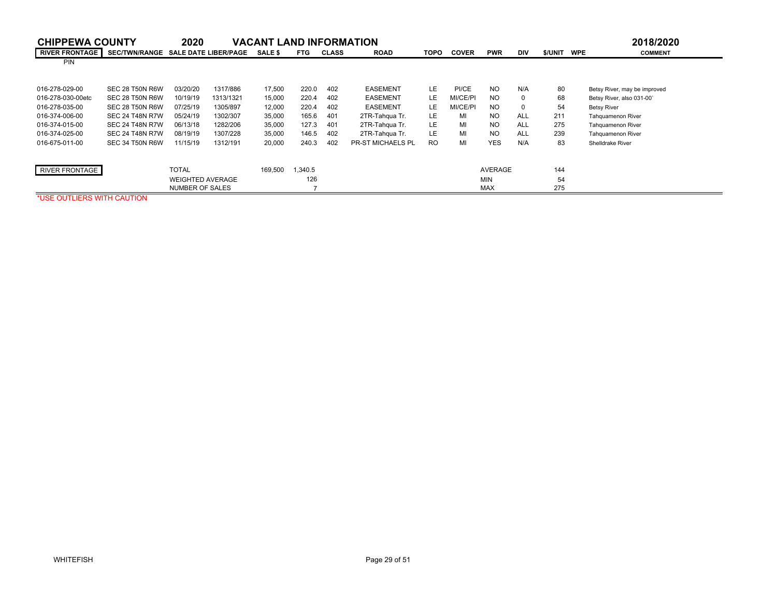| <b>CHIPPEWA COUNTY</b> |                                    | 2020                    |           | <b>VACANT LAND INFORMATION</b> |            |              |                          |             |              |                |            |         | 2018/2020                    |
|------------------------|------------------------------------|-------------------------|-----------|--------------------------------|------------|--------------|--------------------------|-------------|--------------|----------------|------------|---------|------------------------------|
| <b>RIVER FRONTAGE</b>  | SEC/TWN/RANGE SALE DATE LIBER/PAGE |                         |           | <b>SALE \$</b>                 | <b>FTG</b> | <b>CLASS</b> | <b>ROAD</b>              | <b>TOPO</b> | <b>COVER</b> | <b>PWR</b>     | DIV        | \$/UNIT | <b>COMMENT</b><br><b>WPE</b> |
| <b>PIN</b>             |                                    |                         |           |                                |            |              |                          |             |              |                |            |         |                              |
|                        |                                    |                         |           |                                |            |              |                          |             |              |                |            |         |                              |
| 016-278-029-00         | SEC 28 T50N R6W                    | 03/20/20                | 1317/886  | 17,500                         | 220.0      | 402          | <b>EASEMENT</b>          | LE.         | PI/CE        | <b>NO</b>      | N/A        | 80      | Betsy River, may be improved |
| 016-278-030-00etc      | SEC 28 T50N R6W                    | 10/19/19                | 1313/1321 | 15,000                         | 220.4      | 402          | <b>EASEMENT</b>          | LE          | MI/CE/PI     | NO.            | $\Omega$   | 68      | Betsy River, also 031-00'    |
| 016-278-035-00         | SEC 28 T50N R6W                    | 07/25/19                | 1305/897  | 12,000                         | 220.4      | 402          | <b>EASEMENT</b>          | LE.         | MI/CE/PI     | NO.            | $\Omega$   | 54      | <b>Betsy River</b>           |
| 016-374-006-00         | <b>SEC 24 T48N R7W</b>             | 05/24/19                | 1302/307  | 35,000                         | 165.6      | 401          | 2TR-Tahqua Tr.           | LE.         | MI           | NO.            | ALL        | 211     | Tahquamenon River            |
| 016-374-015-00         | <b>SEC 24 T48N R7W</b>             | 06/13/18                | 1282/206  | 35,000                         | 127.3      | 401          | 2TR-Tahqua Tr.           | LE.         | MI           | NO.            | ALL        | 275     | <b>Tahquamenon River</b>     |
| 016-374-025-00         | <b>SEC 24 T48N R7W</b>             | 08/19/19                | 1307/228  | 35,000                         | 146.5      | 402          | 2TR-Tahqua Tr.           | LE.         | MI           | <b>NO</b>      | <b>ALL</b> | 239     | <b>Tahquamenon River</b>     |
| 016-675-011-00         | SEC 34 T50N R6W                    | 11/15/19                | 1312/191  | 20,000                         | 240.3      | 402          | <b>PR-ST MICHAELS PL</b> | <b>RO</b>   | MI           | <b>YES</b>     | N/A        | 83      | Shelldrake River             |
|                        |                                    |                         |           |                                |            |              |                          |             |              |                |            |         |                              |
| <b>RIVER FRONTAGE</b>  |                                    | <b>TOTAL</b>            |           | 169,500                        | 1,340.5    |              |                          |             |              | <b>AVERAGE</b> |            | 144     |                              |
|                        |                                    | <b>WEIGHTED AVERAGE</b> |           |                                | 126        |              |                          |             |              | <b>MIN</b>     |            | 54      |                              |
|                        |                                    | <b>NUMBER OF SALES</b>  |           |                                |            |              |                          |             |              | <b>MAX</b>     |            | 275     |                              |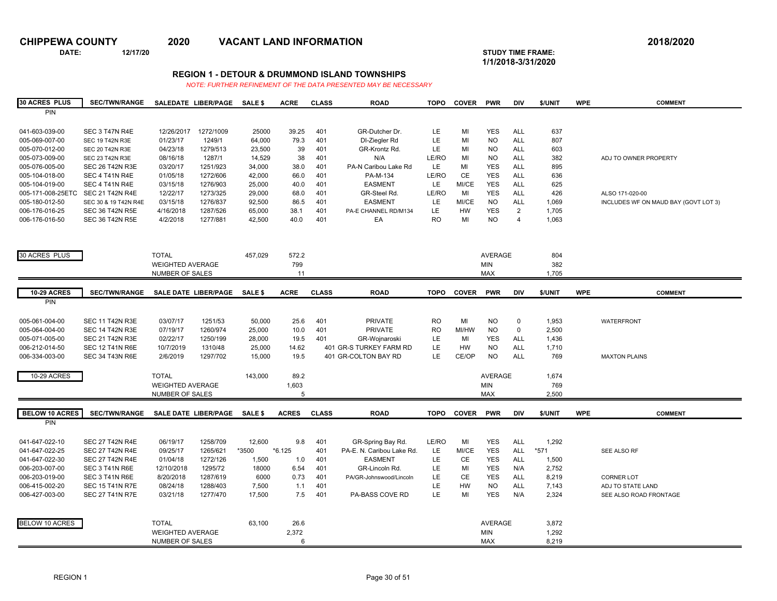**DATE: 12/17/20 STUDY TIME FRAME:**

**1/1/2018-3/31/2020** 

### **REGION 1 - DETOUR & DRUMMOND ISLAND TOWNSHIPS**

| <b>30 ACRES PLUS</b>  | <b>SEC/TWN/RANGE</b>   | SALEDATE LIBER/PAGE          |           | <b>SALE \$</b>   | <b>ACRE</b>  | <b>CLASS</b> | <b>ROAD</b>               | <b>TOPO</b> | <b>COVER</b> | <b>PWR</b>              | <b>DIV</b>     | \$/UNIT | <b>WPE</b> | <b>COMMENT</b>                       |
|-----------------------|------------------------|------------------------------|-----------|------------------|--------------|--------------|---------------------------|-------------|--------------|-------------------------|----------------|---------|------------|--------------------------------------|
| PIN                   |                        |                              |           |                  |              |              |                           |             |              |                         |                |         |            |                                      |
|                       |                        |                              |           |                  |              |              |                           |             |              |                         |                |         |            |                                      |
| 041-603-039-00        | SEC 3 T47N R4E         | 12/26/2017                   | 1272/1009 | 25000            | 39.25        | 401          | GR-Dutcher Dr.            | LE.         | MI           | <b>YES</b>              | ALL            | 637     |            |                                      |
| 005-069-007-00        | SEC 19 T42N R3E        | 01/23/17                     | 1249/1    | 64,000           | 79.3         | 401          | DI-Ziegler Rd             | LE          | MI           | <b>NO</b>               | <b>ALL</b>     | 807     |            |                                      |
| 005-070-012-00        | <b>SEC 20 T42N R3E</b> | 04/23/18                     | 1279/513  | 23,500           | 39           | 401          | GR-Krontz Rd.             | LE.         | MI           | <b>NO</b>               | <b>ALL</b>     | 603     |            |                                      |
| 005-073-009-00        | SEC 23 T42N R3E        | 08/16/18                     | 1287/1    | 14,529           | 38           | 401          | N/A                       | LE/RO       | MI           | <b>NO</b>               | <b>ALL</b>     | 382     |            | ADJ TO OWNER PROPERTY                |
| 005-076-005-00        | <b>SEC 26 T42N R3E</b> | 03/20/17                     | 1251/923  | 34,000           | 38.0         | 401          | PA-N Caribou Lake Rd      | LE.         | MI           | <b>YES</b>              | <b>ALL</b>     | 895     |            |                                      |
| 005-104-018-00        | SEC 4 T41N R4E         | 01/05/18                     | 1272/606  | 42,000           | 66.0         | 401          | PA-M-134                  | LE/RO       | <b>CE</b>    | <b>YES</b>              | <b>ALL</b>     | 636     |            |                                      |
| 005-104-019-00        | SEC 4 T41N R4E         | 03/15/18                     | 1276/903  |                  | 40.0         | 401          | <b>EASMENT</b>            | LE.         | MI/CE        | <b>YES</b>              | <b>ALL</b>     | 625     |            |                                      |
| 005-171-008-25ETC     | <b>SEC 21 T42N R4E</b> | 12/22/17                     | 1273/325  | 25,000<br>29,000 | 68.0         | 401          | GR-Steel Rd.              | LE/RO       | MI           | <b>YES</b>              | <b>ALL</b>     | 426     |            |                                      |
|                       |                        | 03/15/18                     |           |                  |              | 401          | <b>EASMENT</b>            | LE.         | MI/CE        |                         | <b>ALL</b>     |         |            | ALSO 171-020-00                      |
| 005-180-012-50        | SEC 30 & 19 T42N R4E   |                              | 1276/837  | 92,500           | 86.5         |              |                           |             |              | <b>NO</b><br><b>YES</b> |                | 1,069   |            | INCLUDES WF ON MAUD BAY (GOVT LOT 3) |
| 006-176-016-25        | <b>SEC 36 T42N R5E</b> | 4/16/2018                    | 1287/526  | 65,000           | 38.1         | 401          | PA-E CHANNEL RD/M134      | <b>LE</b>   | <b>HW</b>    |                         | $\overline{2}$ | 1,705   |            |                                      |
| 006-176-016-50        | SEC 36 T42N R5E        | 4/2/2018                     | 1277/881  | 42,500           | 40.0         | 401          | EA                        | <b>RO</b>   | MI           | <b>NO</b>               | 4              | 1,063   |            |                                      |
|                       |                        |                              |           |                  |              |              |                           |             |              |                         |                |         |            |                                      |
|                       |                        |                              |           |                  |              |              |                           |             |              |                         |                |         |            |                                      |
|                       |                        |                              |           |                  |              |              |                           |             |              |                         |                |         |            |                                      |
| 30 ACRES PLUS         |                        | <b>TOTAL</b>                 |           | 457,029          | 572.2        |              |                           |             |              | <b>AVERAGE</b>          |                | 804     |            |                                      |
|                       |                        | <b>WEIGHTED AVERAGE</b>      |           |                  | 799          |              |                           |             |              | <b>MIN</b>              |                | 382     |            |                                      |
|                       |                        | NUMBER OF SALES              |           |                  | 11           |              |                           |             |              | <b>MAX</b>              |                | 1,705   |            |                                      |
|                       |                        |                              |           |                  |              |              |                           |             |              |                         |                |         |            |                                      |
| <b>10-29 ACRES</b>    | <b>SEC/TWN/RANGE</b>   | SALE DATE LIBER/PAGE SALE \$ |           |                  | <b>ACRE</b>  | <b>CLASS</b> | <b>ROAD</b>               | <b>TOPO</b> | <b>COVER</b> | <b>PWR</b>              | <b>DIV</b>     | \$/UNIT | <b>WPE</b> | <b>COMMENT</b>                       |
| PIN                   |                        |                              |           |                  |              |              |                           |             |              |                         |                |         |            |                                      |
|                       |                        |                              |           |                  |              |              |                           |             |              |                         |                |         |            |                                      |
| 005-061-004-00        | <b>SEC 11 T42N R3E</b> | 03/07/17                     | 1251/53   | 50,000           | 25.6         | 401          | <b>PRIVATE</b>            | <b>RO</b>   | MI           | <b>NO</b>               | $\mathbf 0$    | 1,953   |            | <b>WATERFRONT</b>                    |
| 005-064-004-00        | <b>SEC 14 T42N R3E</b> | 07/19/17                     | 1260/974  | 25,000           | 10.0         | 401          | <b>PRIVATE</b>            | <b>RO</b>   | MI/HW        | <b>NO</b>               | $\mathsf 0$    | 2,500   |            |                                      |
| 005-071-005-00        | <b>SEC 21 T42N R3E</b> | 02/22/17                     | 1250/199  | 28,000           | 19.5         | 401          | GR-Wojnaroski             | <b>LE</b>   | MI           | <b>YES</b>              | <b>ALL</b>     | 1,436   |            |                                      |
| 006-212-014-50        | <b>SEC 12 T41N R6E</b> | 10/7/2019                    | 1310/48   | 25,000           | 14.62        |              | 401 GR-S TURKEY FARM RD   | LE          | HW           | <b>NO</b>               | <b>ALL</b>     | 1,710   |            |                                      |
| 006-334-003-00        | <b>SEC 34 T43N R6E</b> | 2/6/2019                     | 1297/702  | 15,000           | 19.5         |              | 401 GR-COLTON BAY RD      | LE.         | CE/OP        | <b>NO</b>               | <b>ALL</b>     | 769     |            | <b>MAXTON PLAINS</b>                 |
|                       |                        |                              |           |                  |              |              |                           |             |              |                         |                |         |            |                                      |
|                       |                        | <b>TOTAL</b>                 |           | 143,000          | 89.2         |              |                           |             |              | <b>AVERAGE</b>          |                | 1,674   |            |                                      |
| 10-29 ACRES           |                        |                              |           |                  |              |              |                           |             |              |                         |                |         |            |                                      |
|                       |                        | <b>WEIGHTED AVERAGE</b>      |           |                  | 1,603        |              |                           |             |              | <b>MIN</b>              |                | 769     |            |                                      |
|                       |                        | NUMBER OF SALES              |           |                  | 5            |              |                           |             |              | <b>MAX</b>              |                | 2.500   |            |                                      |
|                       |                        |                              |           |                  |              |              |                           |             |              |                         |                |         |            |                                      |
| <b>BELOW 10 ACRES</b> | <b>SEC/TWN/RANGE</b>   | SALE DATE LIBER/PAGE         |           | <b>SALE \$</b>   | <b>ACRES</b> | <b>CLASS</b> | <b>ROAD</b>               | <b>TOPO</b> | <b>COVER</b> | <b>PWR</b>              | <b>DIV</b>     | \$/UNIT | <b>WPE</b> | <b>COMMENT</b>                       |
| PIN                   |                        |                              |           |                  |              |              |                           |             |              |                         |                |         |            |                                      |
|                       |                        |                              |           |                  |              |              |                           |             |              |                         |                |         |            |                                      |
| 041-647-022-10        | <b>SEC 27 T42N R4E</b> | 06/19/17                     | 1258/709  | 12,600           | 9.8          | 401          | GR-Spring Bay Rd.         | LE/RO       | MI           | <b>YES</b>              | <b>ALL</b>     | 1,292   |            |                                      |
| 041-647-022-25        | <b>SEC 27 T42N R4E</b> | 09/25/17                     | 1265/621  | *3500            | $*6.125$     | 401          | PA-E. N. Caribou Lake Rd. | LE.         | MI/CE        | <b>YES</b>              | <b>ALL</b>     | *571    |            | SEE ALSO RF                          |
| 041-647-022-30        | <b>SEC 27 T42N R4E</b> | 01/04/18                     | 1272/126  | 1,500            | 1.0          | 401          | <b>EASMENT</b>            | LE.         | CE           | <b>YES</b>              | <b>ALL</b>     | 1,500   |            |                                      |
| 006-203-007-00        | SEC 3 T41N R6E         | 12/10/2018                   | 1295/72   | 18000            | 6.54         | 401          | GR-Lincoln Rd.            | LE          | MI           | <b>YES</b>              | N/A            | 2,752   |            |                                      |
| 006-203-019-00        | SEC 3 T41N R6E         | 8/20/2018                    | 1287/619  | 6000             | 0.73         | 401          | PA/GR-Johnswood/Lincoln   | LE.         | <b>CE</b>    | <b>YES</b>              | <b>ALL</b>     | 8,219   |            | <b>CORNER LOT</b>                    |
| 006-415-002-20        | <b>SEC 15 T41N R7E</b> | 08/24/18                     | 1288/403  | 7,500            | 1.1          | 401          |                           | LE          | HW           | <b>NO</b>               | <b>ALL</b>     | 7,143   |            | ADJ TO STATE LAND                    |
| 006-427-003-00        | <b>SEC 27 T41N R7E</b> | 03/21/18                     | 1277/470  | 17,500           | 7.5          | 401          | <b>PA-BASS COVE RD</b>    | LE.         | MI           | <b>YES</b>              | N/A            | 2,324   |            | SEE ALSO ROAD FRONTAGE               |
|                       |                        |                              |           |                  |              |              |                           |             |              |                         |                |         |            |                                      |
|                       |                        |                              |           |                  |              |              |                           |             |              |                         |                |         |            |                                      |
| <b>BELOW 10 ACRES</b> |                        | <b>TOTAL</b>                 |           | 63,100           | 26.6         |              |                           |             |              | <b>AVERAGE</b>          |                | 3,872   |            |                                      |
|                       |                        | <b>WEIGHTED AVERAGE</b>      |           |                  | 2,372        |              |                           |             |              | <b>MIN</b>              |                | 1,292   |            |                                      |
|                       |                        | NUMBER OF SALES              |           |                  | 6            |              |                           |             |              | <b>MAX</b>              |                | 8,219   |            |                                      |
|                       |                        |                              |           |                  |              |              |                           |             |              |                         |                |         |            |                                      |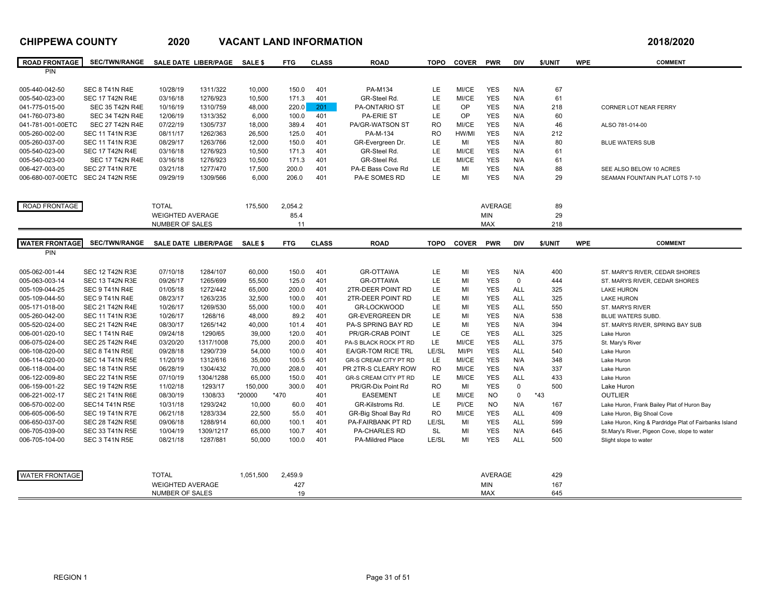| <b>ROAD FRONTAGE</b>              | <b>SEC/TWN/RANGE</b>                            |                         | SALE DATE LIBER/PAGE | <b>SALE \$</b>   | <b>FTG</b>     | <b>CLASS</b> | <b>ROAD</b>               | <b>TOPO</b> | <b>COVER</b>   | <b>PWR</b>               | <b>DIV</b>  | \$/UNIT  | <b>WPE</b> | <b>COMMENT</b>                                        |
|-----------------------------------|-------------------------------------------------|-------------------------|----------------------|------------------|----------------|--------------|---------------------------|-------------|----------------|--------------------------|-------------|----------|------------|-------------------------------------------------------|
| <b>PIN</b>                        |                                                 |                         |                      |                  |                |              |                           |             |                |                          |             |          |            |                                                       |
|                                   |                                                 |                         |                      |                  |                |              |                           |             |                |                          |             |          |            |                                                       |
| 005-440-042-50                    | <b>SEC 8 T41N R4E</b><br><b>SEC 17 T42N R4E</b> | 10/28/19<br>03/16/18    | 1311/322<br>1276/923 | 10,000           | 150.0<br>171.3 | 401<br>401   | PA-M134<br>GR-Steel Rd.   | LE<br>LE    | MI/CE<br>MI/CE | <b>YES</b><br><b>YES</b> | N/A<br>N/A  | 67<br>61 |            |                                                       |
| 005-540-023-00<br>041-775-015-00  | <b>SEC 35 T42N R4E</b>                          | 10/16/19                | 1310/759             | 10,500<br>48,000 | 220.0          | 201          | <b>PA-ONTARIO ST</b>      | LE          | OP             | <b>YES</b>               | N/A         | 218      |            | CORNER LOT NEAR FERRY                                 |
| 041-760-073-80                    | <b>SEC 34 T42N R4E</b>                          | 12/06/19                | 1313/352             | 6,000            | 100.0          | 401          | PA-ERIE ST                | LE          | OP             | <b>YES</b>               | N/A         | 60       |            |                                                       |
| 041-781-001-00ETC                 | <b>SEC 27 T42N R4E</b>                          | 07/22/19                | 1305/737             | 18,000           | 389.4          | 401          | PA/GR-WATSON ST           | <b>RO</b>   | MI/CE          | <b>YES</b>               | N/A         | 46       |            | ALSO 781-014-00                                       |
| 005-260-002-00                    | <b>SEC 11 T41N R3E</b>                          | 08/11/17                | 1262/363             | 26,500           | 125.0          | 401          | PA-M-134                  | <b>RO</b>   | HW/MI          | <b>YES</b>               | N/A         | 212      |            |                                                       |
| 005-260-037-00                    | <b>SEC 11 T41N R3E</b>                          | 08/29/17                | 1263/766             | 12,000           | 150.0          | 401          | GR-Evergreen Dr.          | LE.         | MI             | <b>YES</b>               | N/A         | 80       |            | <b>BLUE WATERS SUB</b>                                |
| 005-540-023-00                    | <b>SEC 17 T42N R4E</b>                          | 03/16/18                | 1276/923             | 10,500           | 171.3          | 401          | GR-Steel Rd.              | LE          | MI/CE          | <b>YES</b>               | N/A         | 61       |            |                                                       |
| 005-540-023-00                    | <b>SEC 17 T42N R4E</b>                          | 03/16/18                | 1276/923             | 10.500           | 171.3          | 401          | GR-Steel Rd.              | LE          | MI/CE          | <b>YES</b>               | N/A         | 61       |            |                                                       |
| 006-427-003-00                    | <b>SEC 27 T41N R7E</b>                          | 03/21/18                | 1277/470             | 17,500           | 200.0          | 401          | PA-E Bass Cove Rd         | LE          | MI             | <b>YES</b>               | N/A         | 88       |            | SEE ALSO BELOW 10 ACRES                               |
| 006-680-007-00ETC SEC 24 T42N R5E |                                                 | 09/29/19                | 1309/566             | 6.000            | 206.0          | 401          | <b>PA-E SOMES RD</b>      | LE.         | MI             | <b>YES</b>               | N/A         | 29       |            | SEAMAN FOUNTAIN PLAT LOTS 7-10                        |
|                                   |                                                 |                         |                      |                  |                |              |                           |             |                |                          |             |          |            |                                                       |
|                                   |                                                 |                         |                      |                  |                |              |                           |             |                |                          |             |          |            |                                                       |
| ROAD FRONTAGE                     |                                                 | <b>TOTAL</b>            |                      | 175,500          | 2,054.2        |              |                           |             |                | <b>AVERAGE</b>           |             | 89       |            |                                                       |
|                                   |                                                 | <b>WEIGHTED AVERAGE</b> |                      |                  | 85.4           |              |                           |             |                | <b>MIN</b>               |             | 29       |            |                                                       |
|                                   |                                                 | NUMBER OF SALES         |                      |                  | 11             |              |                           |             |                | <b>MAX</b>               |             | 218      |            |                                                       |
| <b>WATER FRONTAGE</b>             | <b>SEC/TWN/RANGE</b>                            |                         | SALE DATE LIBER/PAGE | <b>SALE \$</b>   | <b>FTG</b>     | <b>CLASS</b> | <b>ROAD</b>               | <b>TOPO</b> | <b>COVER</b>   | <b>PWR</b>               | <b>DIV</b>  | \$/UNIT  | <b>WPE</b> | <b>COMMENT</b>                                        |
| <b>PIN</b>                        |                                                 |                         |                      |                  |                |              |                           |             |                |                          |             |          |            |                                                       |
|                                   |                                                 |                         |                      |                  |                |              |                           |             |                |                          |             |          |            |                                                       |
| 005-062-001-44                    | <b>SEC 12 T42N R3E</b>                          | 07/10/18                | 1284/107             | 60,000           | 150.0          | 401          | <b>GR-OTTAWA</b>          | LE.         | MI             | <b>YES</b>               | N/A         | 400      |            | ST. MARY'S RIVER, CEDAR SHORES                        |
| 005-063-003-14                    | <b>SEC 13 T42N R3E</b>                          | 09/26/17                | 1265/699             | 55,500           | 125.0          | 401          | <b>GR-OTTAWA</b>          | LE          | MI             | <b>YES</b>               | $\mathbf 0$ | 444      |            | ST. MARYS RIVER, CEDAR SHORES                         |
| 005-109-044-25                    | SEC 9 T41N R4E                                  | 01/05/18                | 1272/442             | 65,000           | 200.0          | 401          | 2TR-DEER POINT RD         | LE          | MI             | <b>YES</b>               | <b>ALL</b>  | 325      |            | <b>LAKE HURON</b>                                     |
| 005-109-044-50                    | SEC 9 T41N R4E                                  | 08/23/17                | 1263/235             | 32,500           | 100.0          | 401          | 2TR-DEER POINT RD         | LE          | MI             | <b>YES</b>               | <b>ALL</b>  | 325      |            | <b>LAKE HURON</b>                                     |
| 005-171-018-00                    | <b>SEC 21 T42N R4E</b>                          | 10/26/17                | 1269/530             | 55,000           | 100.0          | 401          | GR-LOCKWOOD               | LE          | MI             | <b>YES</b>               | ALL         | 550      |            | ST. MARYS RIVER                                       |
| 005-260-042-00                    | <b>SEC 11 T41N R3E</b>                          | 10/26/17                | 1268/16              | 48,000           | 89.2           | 401          | <b>GR-EVERGREEN DR</b>    | LE          | MI             | <b>YES</b>               | N/A         | 538      |            | <b>BLUE WATERS SUBD.</b>                              |
| 005-520-024-00                    | <b>SEC 21 T42N R4E</b>                          | 08/30/17                | 1265/142             | 40,000           | 101.4          | 401          | PA-S SPRING BAY RD        | LE          | MI             | <b>YES</b>               | N/A         | 394      |            | ST. MARYS RIVER, SPRING BAY SUB                       |
| 006-001-020-10                    | SEC 1 T41N R4E                                  | 09/24/18                | 1290/65              | 39,000           | 120.0          | 401          | PR/GR-CRAB POINT          | LE          | <b>CE</b>      | <b>YES</b>               | <b>ALL</b>  | 325      |            | Lake Huron                                            |
| 006-075-024-00                    | <b>SEC 25 T42N R4E</b>                          | 03/20/20                | 1317/1008            | 75,000           | 200.0          | 401          | PA-S BLACK ROCK PT RD     | LE          | MI/CE          | <b>YES</b>               | ALL         | 375      |            | St. Mary's River                                      |
| 006-108-020-00                    | <b>SEC 8 T41N R5E</b>                           | 09/28/18                | 1290/739             | 54,000           | 100.0          | 401          | <b>EA/GR-TOM RICE TRL</b> | LE/SL       | MI/PI          | <b>YES</b>               | <b>ALL</b>  | 540      |            | Lake Huron                                            |
| 006-114-020-00                    | <b>SEC 14 T41N R5E</b>                          | 11/20/19                | 1312/616             | 35,000           | 100.5          | 401          | GR-S CREAM CITY PT RD     | LE          | MI/CE          | <b>YES</b>               | N/A         | 348      |            | Lake Huron                                            |
| 006-118-004-00                    | <b>SEC 18 T41N R5E</b>                          | 06/28/19                | 1304/432             | 70,000           | 208.0          | 401          | PR 2TR-S CLEARY ROW       | <b>RO</b>   | MI/CE          | <b>YES</b>               | N/A         | 337      |            | Lake Huron                                            |
| 006-122-009-80                    | <b>SEC 22 T41N R5E</b>                          | 07/10/19                | 1304/1288            | 65,000           | 150.0          | 401          | GR-S CREAM CITY PT RD     | LE          | MI/CE          | <b>YES</b>               | <b>ALL</b>  | 433      |            | Lake Huron                                            |
| 006-159-001-22                    | <b>SEC 19 T42N R5E</b>                          | 11/02/18                | 1293/17              | 150,000          | 300.0          | 401          | PR/GR-Dix Point Rd        | <b>RO</b>   | MI             | <b>YES</b>               | $\mathbf 0$ | 500      |            | Lake Huron                                            |
| 006-221-002-17                    | <b>SEC 21 T41N R6E</b>                          | 08/30/19                | 1308/33              | *20000           | *470           | 401          | <b>EASEMENT</b>           | LE          | MI/CE          | <b>NO</b>                | $\mathbf 0$ | $*43$    |            | <b>OUTLIER</b>                                        |
| 006-570-002-00                    | <b>SEC14 T41N R5E</b>                           | 10/31/18                | 1293/242             | 10,000           | 60.0           | 401          | GR-Kilstroms Rd.          | LE          | PI/CE          | <b>NO</b>                | N/A         | 167      |            | Lake Huron, Frank Bailey Plat of Huron Bay            |
| 006-605-006-50                    | <b>SEC 19 T41N R7E</b>                          | 06/21/18                | 1283/334             | 22,500           | 55.0           | 401          | GR-Big Shoal Bay Rd       | <b>RO</b>   | MI/CE          | <b>YES</b>               | <b>ALL</b>  | 409      |            | Lake Huron, Big Shoal Cove                            |
| 006-650-037-00                    | <b>SEC 28 T42N R5E</b>                          | 09/06/18                | 1288/914             | 60,000           | 100.1          | 401          | <b>PA-FAIRBANK PT RD</b>  | LE/SL       | MI             | <b>YES</b>               | <b>ALL</b>  | 599      |            | Lake Huron, King & Pardridge Plat of Fairbanks Island |
| 006-705-039-00                    | <b>SEC 33 T41N R5E</b>                          | 10/04/19                | 1309/1217            | 65,000           | 100.7          | 401          | PA-CHARLES RD             | <b>SL</b>   | MI             | <b>YES</b>               | N/A         | 645      |            | St.Mary's River, Pigeon Cove, slope to water          |
| 006-705-104-00                    | <b>SEC 3 T41N R5E</b>                           | 08/21/18                | 1287/881             | 50,000           | 100.0          | 401          | <b>PA-Mildred Place</b>   | LE/SL       | MI             | <b>YES</b>               | <b>ALL</b>  | 500      |            | Slight slope to water                                 |
|                                   |                                                 |                         |                      |                  |                |              |                           |             |                |                          |             |          |            |                                                       |
|                                   |                                                 |                         |                      |                  |                |              |                           |             |                |                          |             |          |            |                                                       |
| <b>WATER FRONTAGE</b>             |                                                 | <b>TOTAL</b>            |                      | 1.051.500        | 2.459.9        |              |                           |             |                | <b>AVERAGE</b>           |             | 429      |            |                                                       |
|                                   |                                                 | <b>WEIGHTED AVERAGE</b> |                      |                  | 427            |              |                           |             |                | <b>MIN</b>               |             | 167      |            |                                                       |
|                                   |                                                 | NUMBER OF SALES         |                      |                  | 19             |              |                           |             |                | <b>MAX</b>               |             | 645      |            |                                                       |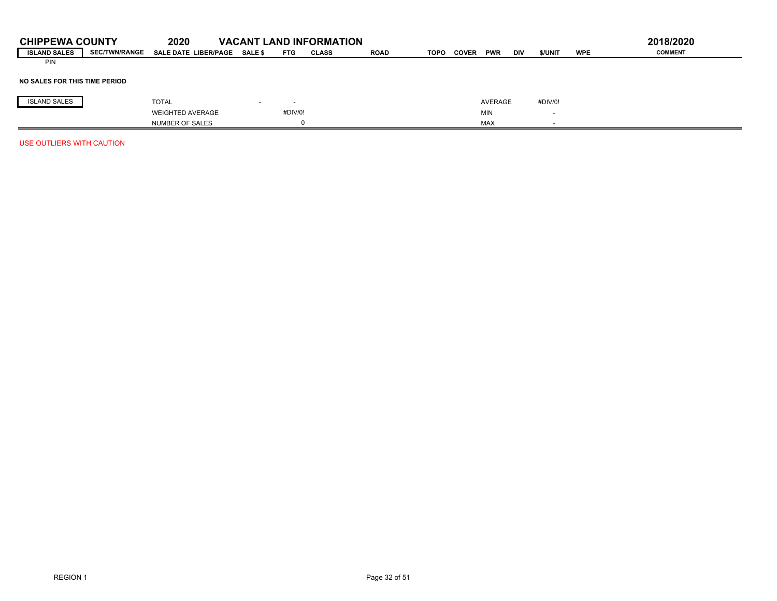| <b>CHIPPEWA COUNTY</b><br><b>ISLAND SALES</b> | <b>SEC/TWN/RANGE</b> | 2020<br><b>SALE DATE LIBER/PAGE</b> | <b>SALE \$</b>           | <b>VACANT LAND INFORMATION</b><br>FTG | CLASS | <b>ROAD</b> | TOPO | <b>COVER</b> | <b>PWR</b> | <b>DIV</b> | \$/UNIT | <b>WPE</b> | 2018/2020<br><b>COMMENT</b> |
|-----------------------------------------------|----------------------|-------------------------------------|--------------------------|---------------------------------------|-------|-------------|------|--------------|------------|------------|---------|------------|-----------------------------|
| <b>PIN</b>                                    |                      |                                     |                          |                                       |       |             |      |              |            |            |         |            |                             |
| NO SALES FOR THIS TIME PERIOD                 |                      |                                     |                          |                                       |       |             |      |              |            |            |         |            |                             |
| <b>ISLAND SALES</b>                           |                      | <b>TOTAL</b>                        | $\overline{\phantom{a}}$ |                                       |       |             |      |              | AVERAGE    |            | #DIV/0! |            |                             |
|                                               |                      | <b>WEIGHTED AVERAGE</b>             |                          | #DIV/0!                               |       |             |      |              | <b>MIN</b> |            |         |            |                             |
|                                               |                      | <b>NUMBER OF SALES</b>              |                          |                                       |       |             |      |              | <b>MAX</b> |            |         |            |                             |
| USE OUTLIERS WITH CAUTION                     |                      |                                     |                          |                                       |       |             |      |              |            |            |         |            |                             |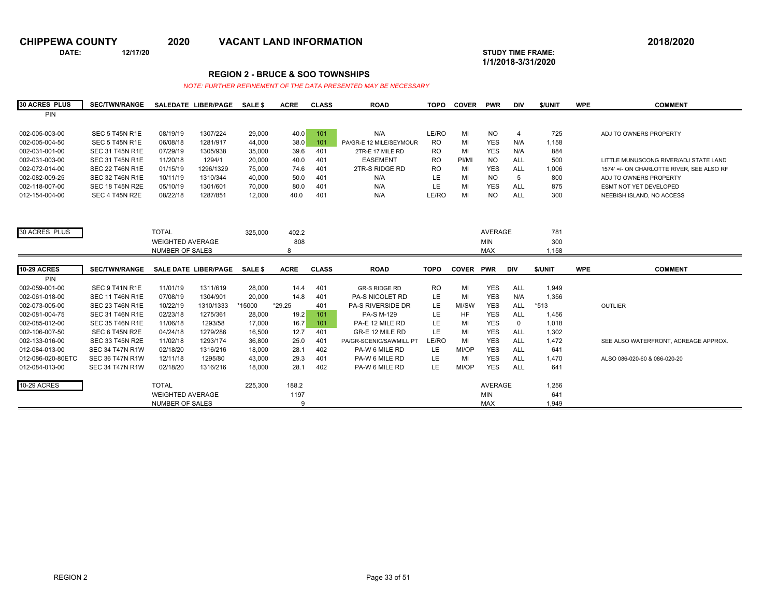**DATE: 12/17/20 STUDY TIME FRAME:**

**1/1/2018-3/31/2020** 

### **REGION 2 - BRUCE & SOO TOWNSHIPS**

| <b>30 ACRES PLUS</b> | <b>SEC/TWN/RANGE</b>   |                         | SALEDATE LIBER/PAGE  | <b>SALE \$</b> | <b>ACRE</b> | <b>CLASS</b> | <b>ROAD</b>              | <b>TOPO</b> | <b>COVER</b>     | <b>PWR</b> | <b>DIV</b>     | \$/UNIT | <b>WPE</b> | <b>COMMENT</b>                            |
|----------------------|------------------------|-------------------------|----------------------|----------------|-------------|--------------|--------------------------|-------------|------------------|------------|----------------|---------|------------|-------------------------------------------|
| <b>PIN</b>           |                        |                         |                      |                |             |              |                          |             |                  |            |                |         |            |                                           |
|                      |                        |                         |                      |                |             |              |                          |             |                  |            |                |         |            |                                           |
| 002-005-003-00       | SEC 5 T45N R1E         | 08/19/19                | 1307/224             | 29,000         | 40.0        | 101          | N/A                      | LE/RO       | MI               | <b>NO</b>  | $\overline{4}$ | 725     |            | ADJ TO OWNERS PROPERTY                    |
| 002-005-004-50       | SEC 5 T45N R1E         | 06/08/18                | 1281/917             | 44,000         | 38.0        | 101          | PA/GR-E 12 MILE/SEYMOUR  | <b>RO</b>   | MI               | <b>YES</b> | N/A            | 1,158   |            |                                           |
| 002-031-001-00       | <b>SEC 31 T45N R1E</b> | 07/29/19                | 1305/938             | 35,000         | 39.6        | 401          | 2TR-E 17 MILE RD         | <b>RO</b>   | MI               | <b>YES</b> | N/A            | 884     |            |                                           |
| 002-031-003-00       | <b>SEC 31 T45N R1E</b> | 11/20/18                | 1294/1               | 20,000         | 40.0        | 401          | <b>EASEMENT</b>          | <b>RO</b>   | PI/MI            | <b>NO</b>  | ALL            | 500     |            | LITTLE MUNUSCONG RIVER/ADJ STATE LAND     |
| 002-072-014-00       | <b>SEC 22 T46N R1E</b> | 01/15/19                | 1296/1329            | 75,000         | 74.6        | 401          | 2TR-S RIDGE RD           | <b>RO</b>   | MI               | <b>YES</b> | ALL            | 1,006   |            | 1574' =/- ON CHARLOTTE RIVER, SEE ALSO RF |
| 002-082-009-25       | <b>SEC 32 T46N R1E</b> | 10/11/19                | 1310/344             | 40,000         | 50.0        | 401          | N/A                      | LE          | MI               | <b>NO</b>  | 5              | 800     |            | ADJ TO OWNERS PROPERTY                    |
| 002-118-007-00       | <b>SEC 18 T45N R2E</b> | 05/10/19                | 1301/601             | 70.000         | 80.0        | 401          | N/A                      | LE          | MI               | <b>YES</b> | <b>ALL</b>     | 875     |            | ESMT NOT YET DEVELOPED                    |
| 012-154-004-00       | SEC 4 T45N R2E         | 08/22/18                | 1287/851             | 12,000         | 40.0        | 401          | N/A                      | LE/RO       | MI               | <b>NO</b>  | <b>ALL</b>     | 300     |            | NEEBISH ISLAND, NO ACCESS                 |
|                      |                        |                         |                      |                |             |              |                          |             |                  |            |                |         |            |                                           |
|                      |                        |                         |                      |                |             |              |                          |             |                  |            |                |         |            |                                           |
|                      |                        |                         |                      |                |             |              |                          |             |                  |            |                |         |            |                                           |
| 30 ACRES PLUS        |                        | <b>TOTAL</b>            |                      | 325,000        | 402.2       |              |                          |             |                  | AVERAGE    |                | 781     |            |                                           |
|                      |                        | <b>WEIGHTED AVERAGE</b> |                      |                | 808         |              |                          |             |                  | <b>MIN</b> |                | 300     |            |                                           |
|                      |                        | <b>NUMBER OF SALES</b>  |                      |                | 8           |              |                          |             |                  | <b>MAX</b> |                | 1,158   |            |                                           |
|                      |                        |                         |                      |                |             |              |                          |             |                  |            |                |         |            |                                           |
|                      |                        |                         |                      |                |             |              |                          |             |                  |            |                |         |            |                                           |
| <b>10-29 ACRES</b>   | <b>SEC/TWN/RANGE</b>   |                         | SALE DATE LIBER/PAGE | <b>SALE \$</b> | <b>ACRE</b> | <b>CLASS</b> | <b>ROAD</b>              | <b>TOPO</b> | <b>COVER PWR</b> |            | <b>DIV</b>     | \$/UNIT | <b>WPE</b> | <b>COMMENT</b>                            |
| PIN                  |                        |                         |                      |                |             |              |                          |             |                  |            |                |         |            |                                           |
| 002-059-001-00       | SEC 9 T41N R1E         | 11/01/19                | 1311/619             | 28,000         | 14.4        | 401          | <b>GR-S RIDGE RD</b>     | <b>RO</b>   | MI               | <b>YES</b> | ALL            | 1,949   |            |                                           |
| 002-061-018-00       | <b>SEC 11 T46N R1E</b> | 07/08/19                | 1304/901             | 20,000         | 14.8        | 401          | PA-S NICOLET RD          | LE.         | MI               | <b>YES</b> | N/A            | 1,356   |            |                                           |
| 002-073-005-00       | <b>SEC 23 T46N R1E</b> | 10/22/19                | 1310/1333            | *15000         | *29.25      | 401          | <b>PA-S RIVERSIDE DR</b> | LE          | MI/SW            | <b>YES</b> | <b>ALL</b>     | $*513$  |            | OUTLIER                                   |
| 002-081-004-75       | <b>SEC 31 T46N R1E</b> | 02/23/18                | 1275/361             | 28,000         | 19.2        | 101          | PA-S M-129               | LE          | HF               | <b>YES</b> | <b>ALL</b>     | 1,456   |            |                                           |
| 002-085-012-00       | <b>SEC 35 T46N R1E</b> | 11/06/18                | 1293/58              | 17,000         | 16.7        | 101          | PA-E 12 MILE RD          | LE          | MI               | <b>YES</b> | $\mathbf 0$    | 1,018   |            |                                           |
| 002-106-007-50       | SEC 6 T45N R2E         | 04/24/18                | 1279/286             | 16,500         | 12.7        | 401          | GR-E 12 MILE RD          | LE.         | MI               | <b>YES</b> | ALL            | 1,302   |            |                                           |
| 002-133-016-00       | <b>SEC 33 T45N R2E</b> | 11/02/18                | 1293/174             | 36,800         | 25.0        | 401          | PA/GR-SCENIC/SAWMILL PT  | LE/RO       | MI               | <b>YES</b> | ALL            | 1,472   |            | SEE ALSO WATERFRONT, ACREAGE APPROX.      |
| 012-084-013-00       | <b>SEC 34 T47N R1W</b> | 02/18/20                | 1316/216             | 18,000         | 28.1        | 402          | PA-W 6 MILE RD           | LE          | MI/OP            | <b>YES</b> | <b>ALL</b>     | 641     |            |                                           |
| 012-086-020-80ETC    | <b>SEC 36 T47N R1W</b> | 12/11/18                | 1295/80              | 43,000         | 29.3        | 401          | PA-W 6 MILE RD           | LE          | MI               | <b>YES</b> | <b>ALL</b>     | 1,470   |            | ALSO 086-020-60 & 086-020-20              |
| 012-084-013-00       | <b>SEC 34 T47N R1W</b> | 02/18/20                | 1316/216             | 18,000         | 28.1        | 402          | PA-W 6 MILE RD           | LE          | MI/OP            | <b>YES</b> | <b>ALL</b>     | 641     |            |                                           |
|                      |                        |                         |                      |                |             |              |                          |             |                  |            |                |         |            |                                           |
| <b>10-29 ACRES</b>   |                        | <b>TOTAL</b>            |                      | 225,300        | 188.2       |              |                          |             |                  | AVERAGE    |                | 1,256   |            |                                           |
|                      |                        | <b>WEIGHTED AVERAGE</b> |                      |                | 1197        |              |                          |             |                  | <b>MIN</b> |                | 641     |            |                                           |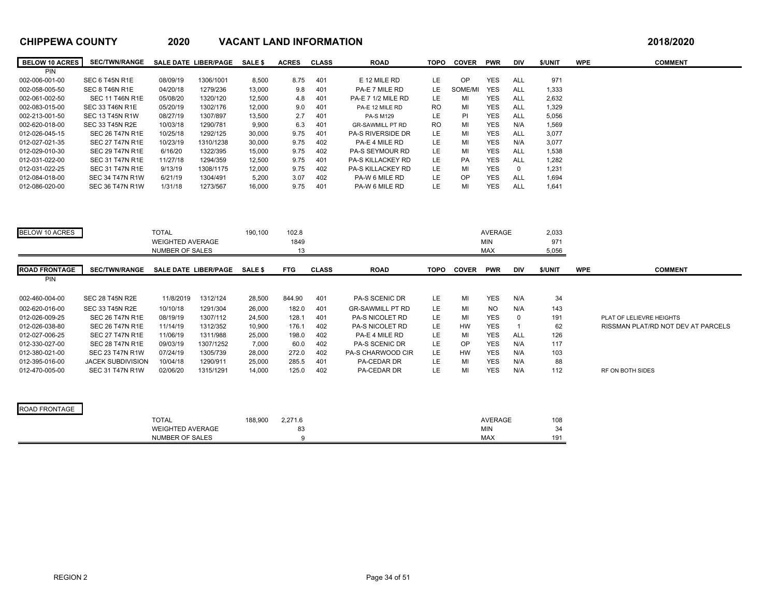| <b>BELOW 10 ACRES</b> | <b>SEC/TWN/RANGE</b>     |                                            | SALE DATE LIBER/PAGE        | <b>SALE \$</b> | <b>ACRES</b> | <b>CLASS</b> | <b>ROAD</b>               | <b>TOPO</b> | <b>COVER</b> | <b>PWR</b>               | <b>DIV</b>     | \$/UNIT      | <b>WPE</b> | <b>COMMENT</b>                     |
|-----------------------|--------------------------|--------------------------------------------|-----------------------------|----------------|--------------|--------------|---------------------------|-------------|--------------|--------------------------|----------------|--------------|------------|------------------------------------|
| PIN                   |                          |                                            |                             |                |              |              |                           |             |              |                          |                |              |            |                                    |
| 002-006-001-00        | SEC 6 T45N R1E           | 08/09/19                                   | 1306/1001                   | 8,500          | 8.75         | 401          | E 12 MILE RD              | LE.         | OP           | <b>YES</b>               | ALL            | 971          |            |                                    |
| 002-058-005-50        | SEC 8 T46N R1E           | 04/20/18                                   | 1279/236                    | 13,000         | 9.8          | 401          | PA-E 7 MILE RD            | LE.         | SOME/MI      | <b>YES</b>               | ALL            | 1,333        |            |                                    |
| 002-061-002-50        | <b>SEC 11 T46N R1E</b>   | 05/08/20                                   | 1320/120                    | 12,500         | 4.8          | 401          | <b>PA-E 7 1/2 MILE RD</b> | LE          | MI           | <b>YES</b>               | <b>ALL</b>     | 2,632        |            |                                    |
| 002-083-015-00        | <b>SEC 33 T46N R1E</b>   | 05/20/19                                   | 1302/176                    | 12,000         | 9.0          | 401          | PA-E 12 MILE RD           | <b>RO</b>   | MI           | <b>YES</b>               | <b>ALL</b>     | 1,329        |            |                                    |
| 002-213-001-50        | <b>SEC 13 T45N R1W</b>   | 08/27/19                                   | 1307/897                    | 13,500         | 2.7          | 401          | <b>PA-S M129</b>          | LE          | PI           | <b>YES</b>               | <b>ALL</b>     | 5,056        |            |                                    |
| 002-620-018-00        | <b>SEC 33 T45N R2E</b>   | 10/03/18                                   | 1290/781                    | 9,900          | 6.3          | 401          | <b>GR-SAWMILL PT RD</b>   | RO          | MI           | <b>YES</b>               | N/A            | 1,569        |            |                                    |
| 012-026-045-15        | <b>SEC 26 T47N R1E</b>   | 10/25/18                                   | 1292/125                    | 30,000         | 9.75         | 401          | <b>PA-S RIVERSIDE DR</b>  | LE.         | MI           | <b>YES</b>               | <b>ALL</b>     | 3,077        |            |                                    |
| 012-027-021-35        | <b>SEC 27 T47N R1E</b>   | 10/23/19                                   | 1310/1238                   | 30,000         | 9.75         | 402          | PA-E 4 MILE RD            | LE          | MI           | <b>YES</b>               | N/A            | 3,077        |            |                                    |
| 012-029-010-30        | <b>SEC 29 T47N R1E</b>   | 6/16/20                                    | 1322/395                    | 15,000         | 9.75         | 402          | <b>PA-S SEYMOUR RD</b>    | LE.         | MI           | <b>YES</b>               | <b>ALL</b>     | 1,538        |            |                                    |
| 012-031-022-00        | <b>SEC 31 T47N R1E</b>   | 11/27/18                                   | 1294/359                    | 12,500         | 9.75         | 401          | PA-S KILLACKEY RD         | LE          | PA           | <b>YES</b>               | ALL            | 1,282        |            |                                    |
| 012-031-022-25        | <b>SEC 31 T47N R1E</b>   | 9/13/19                                    | 1308/1175                   | 12,000         | 9.75         | 402          | <b>PA-S KILLACKEY RD</b>  | <b>LE</b>   | MI           | <b>YES</b>               | $\mathbf 0$    | 1,231        |            |                                    |
| 012-084-018-00        | <b>SEC 34 T47N R1W</b>   | 6/21/19                                    | 1304/491                    | 5,200          | 3.07         | 402          | PA-W 6 MILE RD            | LE          | OP           | <b>YES</b>               | <b>ALL</b>     | 1,694        |            |                                    |
| 012-086-020-00        | <b>SEC 36 T47N R1W</b>   | 1/31/18                                    | 1273/567                    | 16,000         | 9.75         | 401          | PA-W 6 MILE RD            | LE.         | MI           | <b>YES</b>               | <b>ALL</b>     | 1,641        |            |                                    |
|                       |                          |                                            |                             |                |              |              |                           |             |              |                          |                |              |            |                                    |
| <b>BELOW 10 ACRES</b> |                          | <b>TOTAL</b>                               |                             | 190,100        | 102.8        |              |                           |             |              | <b>AVERAGE</b>           |                | 2,033        |            |                                    |
|                       |                          |                                            |                             |                |              |              |                           |             |              |                          |                |              |            |                                    |
|                       |                          | <b>WEIGHTED AVERAGE</b><br>NUMBER OF SALES |                             |                | 1849<br>13   |              |                           |             |              | <b>MIN</b><br><b>MAX</b> |                | 971<br>5,056 |            |                                    |
|                       |                          |                                            |                             |                |              |              |                           |             |              |                          |                |              |            |                                    |
|                       |                          |                                            |                             |                |              |              |                           |             |              |                          |                |              |            |                                    |
| <b>ROAD FRONTAGE</b>  | <b>SEC/TWN/RANGE</b>     |                                            | <b>SALE DATE LIBER/PAGE</b> | SALE \$        | <b>FTG</b>   | <b>CLASS</b> | <b>ROAD</b>               | <b>TOPO</b> | <b>COVER</b> | <b>PWR</b>               | <b>DIV</b>     | \$/UNIT      | <b>WPE</b> | <b>COMMENT</b>                     |
| PIN                   |                          |                                            |                             |                |              |              |                           |             |              |                          |                |              |            |                                    |
|                       |                          |                                            |                             |                |              |              |                           |             |              |                          |                |              |            |                                    |
| 002-460-004-00        | <b>SEC 28 T45N R2E</b>   | 11/8/2019                                  | 1312/124                    | 28,500         | 844.90       | 401          | PA-S SCENIC DR            | LE.         | MI           | <b>YES</b>               | N/A            | 34           |            |                                    |
| 002-620-016-00        | <b>SEC 33 T45N R2E</b>   | 10/10/18                                   | 1291/304                    | 26,000         | 182.0        | 401          | <b>GR-SAWMILL PT RD</b>   | LE          | MI           | <b>NO</b>                | N/A            | 143          |            |                                    |
| 012-026-009-25        | <b>SEC 26 T47N R1E</b>   | 08/19/19                                   | 1307/112                    | 24,500         | 128.1        | 401          | PA-S NICOLET RD           | LE.         | MI           | <b>YES</b>               | $\mathbf 0$    | 191          |            | PLAT OF LELIEVRE HEIGHTS           |
| 012-026-038-80        | <b>SEC 26 T47N R1E</b>   | 11/14/19                                   | 1312/352                    | 10,900         | 176.1        | 402          | PA-S NICOLET RD           | LE          | HW           | YES                      | $\overline{1}$ | 62           |            | RISSMAN PLAT/RD NOT DEV AT PARCELS |
| 012-027-006-25        | <b>SEC 27 T47N R1E</b>   | 11/06/19                                   | 1311/988                    | 25,000         | 198.0        | 402          | PA-E 4 MILE RD            | LE          | MI           | <b>YES</b>               | <b>ALL</b>     | 126          |            |                                    |
| 012-330-027-00        | <b>SEC 28 T47N R1E</b>   | 09/03/19                                   | 1307/1252                   | 7,000          | 60.0         | 402          | PA-S SCENIC DR            | LE.         | <b>OP</b>    | <b>YES</b>               | N/A            | 117          |            |                                    |
| 012-380-021-00        | <b>SEC 23 T47N R1W</b>   | 07/24/19                                   | 1305/739                    | 28,000         | 272.0        | 402          | PA-S CHARWOOD CIR         | LE          | HW           | YES                      | N/A            | 103          |            |                                    |
| 012-395-016-00        | <b>JACEK SUBDIVISION</b> | 10/04/18                                   | 1290/911                    | 25,000         | 285.5        | 401          | PA-CEDAR DR               | LE          | MI           | <b>YES</b>               | N/A            | 88           |            |                                    |
| 012-470-005-00        | <b>SEC 31 T47N R1W</b>   | 02/06/20                                   | 1315/1291                   | 14,000         | 125.0        | 402          | PA-CEDAR DR               | LE          | MI           | <b>YES</b>               | N/A            | 112          |            | RF ON BOTH SIDES                   |
|                       |                          |                                            |                             |                |              |              |                           |             |              |                          |                |              |            |                                    |
| ROAD FRONTAGE         |                          |                                            |                             |                |              |              |                           |             |              |                          |                |              |            |                                    |
|                       |                          |                                            |                             |                |              |              |                           |             |              |                          |                |              |            |                                    |
|                       |                          | <b>TOTAL</b>                               |                             | 188,900        | 2,271.6      |              |                           |             |              | <b>AVERAGE</b>           |                | 108          |            |                                    |
|                       |                          | <b>WEIGHTED AVERAGE</b>                    |                             |                | 83<br>9      |              |                           |             |              | <b>MIN</b>               |                | 34           |            |                                    |
|                       |                          | NUMBER OF SALES                            |                             |                |              |              |                           |             |              | <b>MAX</b>               |                | 191          |            |                                    |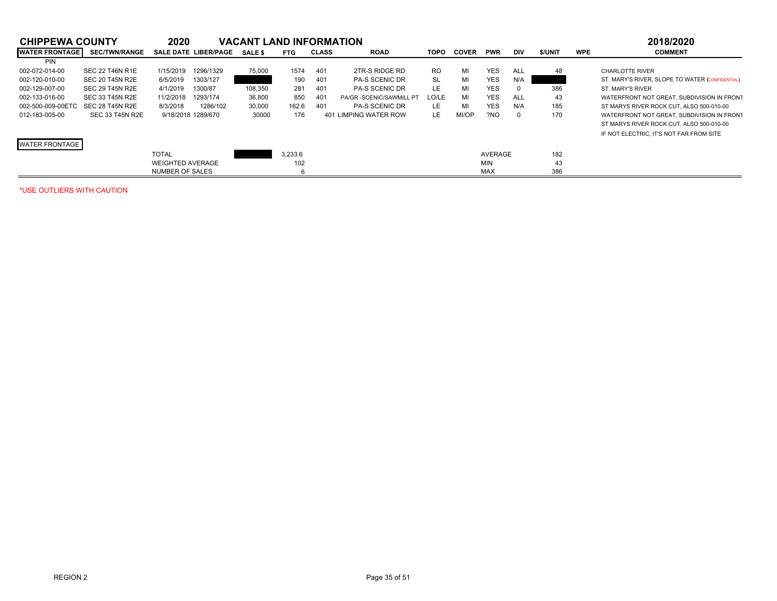| <b>CHIPPEWA COUNTY</b> |                        | 2020                    |                             | <b>VACANT LAND INFORMATION</b> |            |              |                         |           |              |            |            |               |            | 2018/2020                                       |
|------------------------|------------------------|-------------------------|-----------------------------|--------------------------------|------------|--------------|-------------------------|-----------|--------------|------------|------------|---------------|------------|-------------------------------------------------|
| <b>WATER FRONTAGE</b>  | <b>SEC/TWN/RANGE</b>   |                         | <b>SALE DATE LIBER/PAGE</b> | <b>SALE \$</b>                 | <b>FTG</b> | <b>CLASS</b> | <b>ROAD</b>             | TOPO      | <b>COVER</b> | <b>PWR</b> | <b>DIV</b> | <b>S/UNIT</b> | <b>WPE</b> | <b>COMMENT</b>                                  |
| <b>PIN</b>             |                        |                         |                             |                                |            |              |                         |           |              |            |            |               |            |                                                 |
| 002-072-014-00         | <b>SEC 22 T46N R1E</b> | 1/15/2019               | 1296/1329                   | 75,000                         | 1574       | 401          | 2TR-S RIDGE RD          | <b>RO</b> | MI           | <b>YES</b> | ALL        | 48            |            | <b>CHARLOTTE RIVER</b>                          |
| 002-120-010-00         | <b>SEC 20 T45N R2E</b> | 6/5/2019                | 1303/127                    |                                | 190        | 401          | <b>PA-S SCENIC DR</b>   | <b>SL</b> | MI           | <b>YES</b> | N/A        |               |            | ST. MARY'S RIVER, SLOPE TO WATER (CONFIDENTIAL) |
| 002-129-007-00         | SEC 29 T45N R2E        | 4/1/2019                | 1300/87                     | 108,350                        | 281        | 401          | <b>PA-S SCENIC DR</b>   | LE.       | MI           | <b>YES</b> | 0          | 386           |            | ST. MARY'S RIVER                                |
| 002-133-016-00         | SEC 33 T45N R2E        | 11/2/2018               | 1293/174                    | 36,800                         | 850        | 401          | PA/GR-SCENIC/SAWMILL PT | LO/LE     | MI           | <b>YES</b> | ALL        | 43            |            | WATERFRONT NOT GREAT. SUBDIVISION IN FRONT      |
| 002-500-009-00ETC      | SEC 28 T45N R2E        | 8/3/2018                | 1286/102                    | 30,000                         | 162.6      | 401          | <b>PA-S SCENIC DR</b>   | LE.       | MI           | <b>YES</b> | N/A        | 185           |            | ST MARYS RIVER ROCK CUT. ALSO 500-010-00        |
| 012-183-005-00         | SEC 33 T45N R2E        | 9/18/2018 1289/670      |                             | 30000                          | 176        |              | 401 LIMPING WATER ROW   | LE.       | MI/OP        | ?NO        | $\Omega$   | 170           |            | WATERFRONT NOT GREAT, SUBDIVISION IN FRONT      |
|                        |                        |                         |                             |                                |            |              |                         |           |              |            |            |               |            | ST MARYS RIVER ROCK CUT. ALSO 500-010-00        |
|                        |                        |                         |                             |                                |            |              |                         |           |              |            |            |               |            | IF NOT ELECTRIC. IT'S NOT FAR FROM SITE         |
| <b>WATER FRONTAGE</b>  |                        |                         |                             |                                |            |              |                         |           |              |            |            |               |            |                                                 |
|                        |                        | <b>TOTAL</b>            |                             |                                | 3.233.6    |              |                         |           |              | AVERAGE    |            | 182           |            |                                                 |
|                        |                        | <b>WEIGHTED AVERAGE</b> |                             |                                | 102        |              |                         |           |              | <b>MIN</b> |            | 43            |            |                                                 |
|                        |                        | NUMBER OF SALES         |                             |                                |            |              |                         |           |              | <b>MAX</b> |            | 386           |            |                                                 |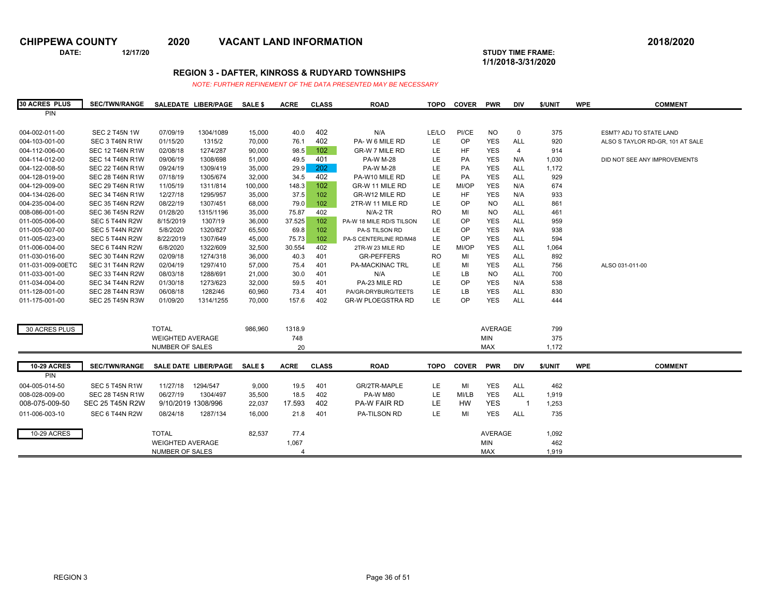**DATE: 12/17/20 STUDY TIME FRAME:**

**1/1/2018-3/31/2020** 

## **REGION 3 - DAFTER, KINROSS & RUDYARD TOWNSHIPS**

| <b>30 ACRES PLUS</b> | <b>SEC/TWN/RANGE</b>   |                         | SALEDATE LIBER/PAGE  | <b>SALE \$</b> | <b>ACRE</b> | <b>CLASS</b> | <b>ROAD</b>              | <b>TOPO</b> | <b>COVER</b> | <b>PWR</b>     | DIV                      | \$/UNIT | <b>WPE</b> | <b>COMMENT</b>                   |
|----------------------|------------------------|-------------------------|----------------------|----------------|-------------|--------------|--------------------------|-------------|--------------|----------------|--------------------------|---------|------------|----------------------------------|
| PIN                  |                        |                         |                      |                |             |              |                          |             |              |                |                          |         |            |                                  |
|                      |                        |                         |                      |                |             |              |                          |             |              |                |                          |         |            |                                  |
| 004-002-011-00       | <b>SEC 2 T45N 1W</b>   | 07/09/19                | 1304/1089            | 15,000         | 40.0        | 402          | N/A                      | LE/LO       | PI/CE        | <b>NO</b>      | 0                        | 375     |            | <b>ESMT? ADJ TO STATE LAND</b>   |
| 004-103-001-00       | SEC 3 T46N R1W         | 01/15/20                | 1315/2               | 70,000         | 76.1        | 402          | PA-W 6 MILE RD           | LE          | OP           | <b>YES</b>     | <b>ALL</b>               | 920     |            | ALSO S TAYLOR RD-GR, 101 AT SALE |
| 004-112-006-00       | <b>SEC 12 T46N R1W</b> | 02/08/18                | 1274/287             | 90,000         | 98.5        | 102          | <b>GR-W 7 MILE RD</b>    | LE          | HF           | <b>YES</b>     | $\overline{4}$           | 914     |            |                                  |
| 004-114-012-00       | <b>SEC 14 T46N R1W</b> | 09/06/19                | 1308/698             | 51,000         | 49.5        | 401          | <b>PA-W M-28</b>         | LE          | PA           | <b>YES</b>     | N/A                      | 1,030   |            | DID NOT SEE ANY IMPROVEMENTS     |
| 004-122-008-50       | <b>SEC 22 T46N R1W</b> | 09/24/19                | 1309/419             | 35,000         | 29.9        | 202          | <b>PA-W M-28</b>         | LE          | PA           | <b>YES</b>     | <b>ALL</b>               | 1,172   |            |                                  |
| 004-128-019-00       | <b>SEC 28 T46N R1W</b> | 07/18/19                | 1305/674             | 32,000         | 34.5        | 402          | PA-W10 MILE RD           | LE          | PA           | <b>YES</b>     | ALL                      | 929     |            |                                  |
| 004-129-009-00       | <b>SEC 29 T46N R1W</b> | 11/05/19                | 1311/814             | 100,000        | 148.3       | 102          | GR-W 11 MILE RD          | LE          | MI/OP        | <b>YES</b>     | N/A                      | 674     |            |                                  |
| 004-134-026-00       | <b>SEC 34 T46N R1W</b> | 12/27/18                | 1295/957             | 35,000         | 37.5        | 102          | GR-W12 MILE RD           | LE          | HF           | <b>YES</b>     | N/A                      | 933     |            |                                  |
| 004-235-004-00       | <b>SEC 35 T46N R2W</b> | 08/22/19                | 1307/451             | 68,000         | 79.0        | 102          | 2TR-W 11 MILE RD         | LE          | OP           | <b>NO</b>      | <b>ALL</b>               | 861     |            |                                  |
| 008-086-001-00       | <b>SEC 36 T45N R2W</b> | 01/28/20                | 1315/1196            | 35,000         | 75.87       | 402          | $N/A-2$ TR               | <b>RO</b>   | MI           | <b>NO</b>      | <b>ALL</b>               | 461     |            |                                  |
| 011-005-006-00       | SEC 5 T44N R2W         | 8/15/2019               | 1307/19              | 36,000         | 37.525      | 102          | PA-W 18 MILE RD/S TILSON | LE          | OP           | <b>YES</b>     | <b>ALL</b>               | 959     |            |                                  |
| 011-005-007-00       | SEC 5 T44N R2W         | 5/8/2020                | 1320/827             | 65,500         | 69.8        | 102          | PA-S TILSON RD           | LE          | OP           | <b>YES</b>     | N/A                      | 938     |            |                                  |
| 011-005-023-00       | SEC 5 T44N R2W         | 8/22/2019               | 1307/649             | 45,000         | 75.73       | 102          | PA-S CENTERLINE RD/M48   | LE          | OP           | <b>YES</b>     | <b>ALL</b>               | 594     |            |                                  |
| 011-006-004-00       | SEC 6 T44N R2W         | 6/8/2020                | 1322/609             | 32,500         | 30.554      | 402          | 2TR-W 23 MILE RD         | LE          | MI/OP        | <b>YES</b>     | <b>ALL</b>               | 1,064   |            |                                  |
| 011-030-016-00       | <b>SEC 30 T44N R2W</b> | 02/09/18                | 1274/318             | 36,000         | 40.3        | 401          | <b>GR-PEFFERS</b>        | <b>RO</b>   | MI           | <b>YES</b>     | <b>ALL</b>               | 892     |            |                                  |
| 011-031-009-00ETC    | <b>SEC 31 T44N R2W</b> | 02/04/19                | 1297/410             | 57,000         | 75.4        | 401          | <b>PA-MACKINAC TRL</b>   | LE          | MI           | <b>YES</b>     | ALL                      | 756     |            | ALSO 031-011-00                  |
| 011-033-001-00       | <b>SEC 33 T44N R2W</b> | 08/03/18                | 1288/691             | 21,000         | 30.0        | 401          | N/A                      | LE          | LB           | <b>NO</b>      | ALL                      | 700     |            |                                  |
| 011-034-004-00       | <b>SEC 34 T44N R2W</b> | 01/30/18                | 1273/623             | 32,000         | 59.5        | 401          | PA-23 MILE RD            | LE          | OP           | <b>YES</b>     | N/A                      | 538     |            |                                  |
| 011-128-001-00       | <b>SEC 28 T44N R3W</b> | 06/08/18                | 1282/46              | 60,960         | 73.4        | 401          | PA/GR-DRYBURG/TEETS      | LE          | LB           | <b>YES</b>     | ALL                      | 830     |            |                                  |
| 011-175-001-00       | <b>SEC 25 T45N R3W</b> | 01/09/20                | 1314/1255            | 70,000         | 157.6       | 402          | <b>GR-W PLOEGSTRA RD</b> | LE          | OP           | <b>YES</b>     | <b>ALL</b>               | 444     |            |                                  |
|                      |                        |                         |                      |                |             |              |                          |             |              |                |                          |         |            |                                  |
| 30 ACRES PLUS        |                        | <b>TOTAL</b>            |                      | 986,960        | 1318.9      |              |                          |             |              | <b>AVERAGE</b> |                          | 799     |            |                                  |
|                      |                        | <b>WEIGHTED AVERAGE</b> |                      |                | 748         |              |                          |             |              | MIN            |                          | 375     |            |                                  |
|                      |                        | NUMBER OF SALES         |                      |                | 20          |              |                          |             |              | <b>MAX</b>     |                          | 1,172   |            |                                  |
|                      |                        |                         |                      |                |             |              |                          |             |              |                |                          |         |            |                                  |
| <b>10-29 ACRES</b>   | <b>SEC/TWN/RANGE</b>   |                         | SALE DATE LIBER/PAGE | <b>SALE \$</b> | <b>ACRE</b> | <b>CLASS</b> | <b>ROAD</b>              | <b>TOPO</b> | <b>COVER</b> | <b>PWR</b>     | <b>DIV</b>               | \$/UNIT | <b>WPE</b> | <b>COMMENT</b>                   |
| PIN                  |                        |                         |                      |                |             |              |                          |             |              |                |                          |         |            |                                  |
| 004-005-014-50       | SEC 5 T45N R1W         | 11/27/18                | 1294/547             | 9,000          | 19.5        | 401          | GR/2TR-MAPLE             | LE          | MI           | <b>YES</b>     | <b>ALL</b>               | 462     |            |                                  |
| 008-028-009-00       | <b>SEC 28 T45N R1W</b> | 06/27/19                | 1304/497             | 35,500         | 18.5        | 402          | <b>PA-W M80</b>          | LE.         | MI/LB        | <b>YES</b>     | ALL                      | 1,919   |            |                                  |
| 008-075-009-50       | <b>SEC 25 T45N R2W</b> |                         | 9/10/2019 1308/996   | 22,037         | 17.593      | 402          | PA-W FAIR RD             | LE          | <b>HW</b>    | <b>YES</b>     | $\overline{\phantom{a}}$ | 1,253   |            |                                  |
| 011-006-003-10       | SEC 6 T44N R2W         | 08/24/18                | 1287/134             | 16,000         | 21.8        | 401          | PA-TILSON RD             | <b>LE</b>   | MI           | <b>YES</b>     | ALL                      | 735     |            |                                  |
|                      |                        |                         |                      |                |             |              |                          |             |              |                |                          |         |            |                                  |
| <b>10-29 ACRES</b>   |                        | <b>TOTAL</b>            |                      | 82,537         | 77.4        |              |                          |             |              | AVERAGE        |                          | 1,092   |            |                                  |
|                      |                        | <b>WEIGHTED AVERAGE</b> |                      |                | 1,067       |              |                          |             |              | <b>MIN</b>     |                          | 462     |            |                                  |
|                      |                        | NUMBER OF SALES         |                      |                | Δ           |              |                          |             |              | <b>MAX</b>     |                          | 1,919   |            |                                  |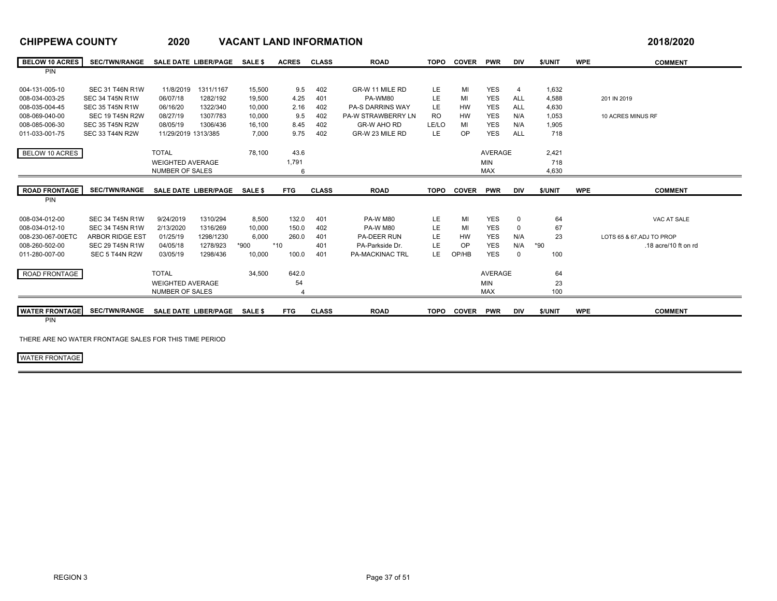| <b>BELOW 10 ACRES</b> | <b>SEC/TWN/RANGE</b>   | <b>SALE DATE LIBER/PAGE</b> |           | <b>SALE \$</b> | <b>ACRES</b> | <b>CLASS</b> | <b>ROAD</b>             | <b>TOPO</b> | <b>COVER</b> | <b>PWR</b>     | <b>DIV</b>        | \$/UNIT | <b>WPE</b> | <b>COMMENT</b>            |
|-----------------------|------------------------|-----------------------------|-----------|----------------|--------------|--------------|-------------------------|-------------|--------------|----------------|-------------------|---------|------------|---------------------------|
| <b>PIN</b>            |                        |                             |           |                |              |              |                         |             |              |                |                   |         |            |                           |
| 004-131-005-10        | <b>SEC 31 T46N R1W</b> | 11/8/2019                   | 1311/1167 | 15,500         | 9.5          | 402          | GR-W 11 MILE RD         | LE          | MI           | <b>YES</b>     | $\overline{4}$    | 1,632   |            |                           |
| 008-034-003-25        | <b>SEC 34 T45N R1W</b> | 06/07/18                    | 1282/192  | 19,500         | 4.25         | 401          | PA-WM80                 | LE.         | MI           | <b>YES</b>     | <b>ALL</b>        | 4,588   |            | 201 IN 2019               |
| 008-035-004-45        | <b>SEC 35 T45N R1W</b> | 06/16/20                    | 1322/340  | 10.000         | 2.16         | 402          | <b>PA-S DARRINS WAY</b> | <b>LE</b>   | <b>HW</b>    | <b>YES</b>     | <b>ALL</b>        | 4,630   |            |                           |
| 008-069-040-00        | <b>SEC 19 T45N R2W</b> | 08/27/19                    | 1307/783  | 10.000         | 9.5          | 402          | PA-W STRAWBERRY LN      | <b>RO</b>   | <b>HW</b>    | <b>YES</b>     | N/A               | 1,053   |            | 10 ACRES MINUS RF         |
|                       |                        |                             |           |                |              |              | <b>GR-W AHO RD</b>      | LE/LO       |              |                |                   |         |            |                           |
| 008-085-006-30        | <b>SEC 35 T45N R2W</b> | 08/05/19                    | 1306/436  | 16,100         | 8.45         | 402          |                         |             | MI           | <b>YES</b>     | N/A<br><b>ALL</b> | 1,905   |            |                           |
| 011-033-001-75        | <b>SEC 33 T44N R2W</b> | 11/29/2019 1313/385         |           | 7,000          | 9.75         | 402          | GR-W 23 MILE RD         | <b>LE</b>   | <b>OP</b>    | <b>YES</b>     |                   | 718     |            |                           |
| BELOW 10 ACRES        |                        | <b>TOTAL</b>                |           | 78.100         | 43.6         |              |                         |             |              | <b>AVERAGE</b> |                   | 2,421   |            |                           |
|                       |                        | <b>WEIGHTED AVERAGE</b>     |           |                | 1,791        |              |                         |             |              | <b>MIN</b>     |                   | 718     |            |                           |
|                       |                        | <b>NUMBER OF SALES</b>      |           |                | 6            |              |                         |             |              | <b>MAX</b>     |                   | 4,630   |            |                           |
|                       |                        |                             |           |                |              |              |                         |             |              |                |                   |         |            |                           |
| <b>ROAD FRONTAGE</b>  | <b>SEC/TWN/RANGE</b>   | <b>SALE DATE LIBER/PAGE</b> |           | SALE \$        | <b>FTG</b>   | <b>CLASS</b> | <b>ROAD</b>             | <b>TOPO</b> | <b>COVER</b> | <b>PWR</b>     | <b>DIV</b>        | \$/UNIT | <b>WPE</b> | <b>COMMENT</b>            |
| PIN                   |                        |                             |           |                |              |              |                         |             |              |                |                   |         |            |                           |
|                       |                        |                             |           |                |              |              |                         |             |              |                |                   |         |            |                           |
| 008-034-012-00        | <b>SEC 34 T45N R1W</b> | 9/24/2019                   | 1310/294  | 8,500          | 132.0        | 401          | <b>PA-W M80</b>         | LE          | MI           | <b>YES</b>     | $\mathbf 0$       | 64      |            | VAC AT SALE               |
| 008-034-012-10        | <b>SEC 34 T45N R1W</b> | 2/13/2020                   | 1316/269  | 10,000         | 150.0        | 402          | <b>PA-W M80</b>         | LE          | MI           | <b>YES</b>     | $\mathbf 0$       | 67      |            |                           |
| 008-230-067-00ETC     | <b>ARBOR RIDGE EST</b> | 01/25/19                    | 1298/1230 | 6,000          | 260.0        | 401          | <b>PA-DEER RUN</b>      | LE.         | HW           | YES            | N/A               | 23      |            | LOTS 65 & 67, ADJ TO PROP |
| 008-260-502-00        | <b>SEC 29 T45N R1W</b> | 04/05/18                    | 1278/923  | *900           | $*10$        | 401          | PA-Parkside Dr.         | <b>LE</b>   | <b>OP</b>    | <b>YES</b>     | N/A               | $*90$   |            | .18 acre/10 ft on rd      |
| 011-280-007-00        | SEC 5 T44N R2W         | 03/05/19                    | 1298/436  | 10,000         | 100.0        | 401          | <b>PA-MACKINAC TRL</b>  | LE.         | OP/HB        | <b>YES</b>     | $\Omega$          | 100     |            |                           |
|                       |                        |                             |           |                |              |              |                         |             |              |                |                   |         |            |                           |
| ROAD FRONTAGE         |                        | <b>TOTAL</b>                |           | 34,500         | 642.0        |              |                         |             |              | <b>AVERAGE</b> |                   | 64      |            |                           |
|                       |                        | <b>WEIGHTED AVERAGE</b>     |           |                | 54           |              |                         |             |              | <b>MIN</b>     |                   | 23      |            |                           |
|                       |                        | <b>NUMBER OF SALES</b>      |           |                |              |              |                         |             |              | <b>MAX</b>     |                   | 100     |            |                           |
|                       |                        |                             |           |                |              |              |                         |             |              |                |                   |         |            |                           |
| <b>WATER FRONTAGE</b> | <b>SEC/TWN/RANGE</b>   | <b>SALE DATE LIBER/PAGE</b> |           | <b>SALE \$</b> | <b>FTG</b>   | <b>CLASS</b> | <b>ROAD</b>             | <b>TOPO</b> | <b>COVER</b> | <b>PWR</b>     | <b>DIV</b>        | \$/UNIT | <b>WPE</b> | <b>COMMENT</b>            |
| PIN                   |                        |                             |           |                |              |              |                         |             |              |                |                   |         |            |                           |

THERE ARE NO WATER FRONTAGE SALES FOR THIS TIME PERIOD

WATER FRONTAGE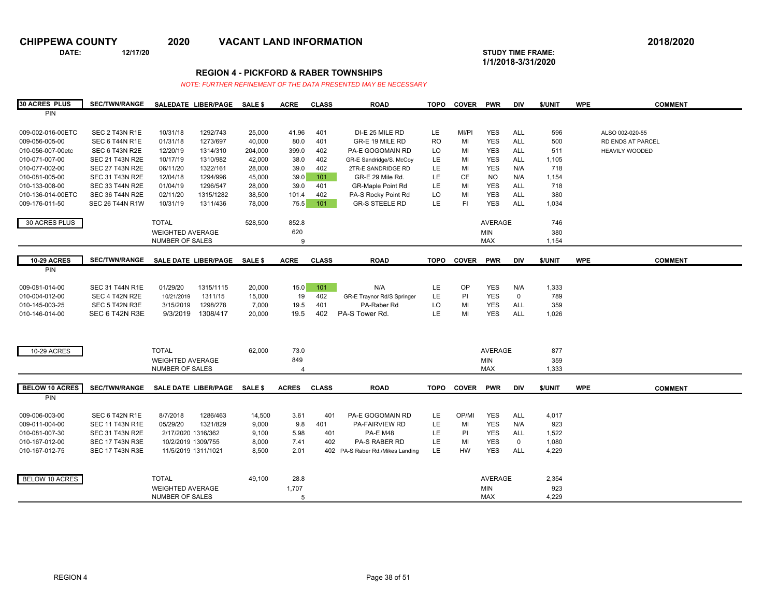**DATE: 12/17/20 STUDY TIME FRAME:**

**1/1/2018-3/31/2020** 

### **REGION 4 - PICKFORD & RABER TOWNSHIPS**

| <b>30 ACRES PLUS</b>  | <b>SEC/TWN/RANGE</b>   |                         | SALEDATE LIBER/PAGE         | SALE \$        | <b>ACRE</b>    | <b>CLASS</b> | <b>ROAD</b>                      | <b>TOPO</b> | <b>COVER</b> | <b>PWR</b>     | DIV         | \$/UNIT | <b>WPE</b> | <b>COMMENT</b>        |
|-----------------------|------------------------|-------------------------|-----------------------------|----------------|----------------|--------------|----------------------------------|-------------|--------------|----------------|-------------|---------|------------|-----------------------|
| PIN                   |                        |                         |                             |                |                |              |                                  |             |              |                |             |         |            |                       |
|                       |                        |                         |                             |                |                |              |                                  |             |              |                |             |         |            |                       |
| 009-002-016-00ETC     | SEC 2 T43N R1E         | 10/31/18                | 1292/743                    | 25,000         | 41.96          | 401          | DI-E 25 MILE RD                  | LE.         | MI/PI        | <b>YES</b>     | <b>ALL</b>  | 596     |            | ALSO 002-020-55       |
| 009-056-005-00        | SEC 6 T44N R1E         | 01/31/18                | 1273/697                    | 40,000         | 80.0           | 401          | GR-E 19 MILE RD                  | <b>RO</b>   | MI           | <b>YES</b>     | <b>ALL</b>  | 500     |            | RD ENDS AT PARCEL     |
| 010-056-007-00etc     | SEC 6 T43N R2E         | 12/20/19                | 1314/310                    | 204,000        | 399.0          | 402          | PA-E GOGOMAIN RD                 | LO.         | MI           | <b>YES</b>     | <b>ALL</b>  | 511     |            | <b>HEAVILY WOODED</b> |
| 010-071-007-00        | <b>SEC 21 T43N R2E</b> | 10/17/19                | 1310/982                    | 42,000         | 38.0           | 402          |                                  | LE          | MI           | <b>YES</b>     | <b>ALL</b>  |         |            |                       |
|                       |                        |                         |                             |                |                |              | GR-E Sandridge/S. McCoy          |             |              |                |             | 1,105   |            |                       |
| 010-077-002-00        | <b>SEC 27 T43N R2E</b> | 06/11/20                | 1322/161                    | 28,000         | 39.0           | 402          | 2TR-E SANDRIDGE RD               | LE          | MI           | <b>YES</b>     | N/A         | 718     |            |                       |
| 010-081-005-00        | <b>SEC 31 T43N R2E</b> | 12/04/18                | 1294/996                    | 45,000         | 39.0           | 101          | GR-E 29 Mile Rd.                 | LE.         | CE           | NO.            | N/A         | 1,154   |            |                       |
| 010-133-008-00        | <b>SEC 33 T44N R2E</b> | 01/04/19                | 1296/547                    | 28,000         | 39.0           | 401          | <b>GR-Maple Point Rd</b>         | LE          | MI           | <b>YES</b>     | <b>ALL</b>  | 718     |            |                       |
| 010-136-014-00ETC     | <b>SEC 36 T44N R2E</b> | 02/11/20                | 1315/1282                   | 38,500         | 101.4          | 402          | PA-S Rocky Point Rd              | LO          | MI           | <b>YES</b>     | <b>ALL</b>  | 380     |            |                       |
| 009-176-011-50        | <b>SEC 26 T44N R1W</b> | 10/31/19                | 1311/436                    | 78,000         | 75.5           | 101          | <b>GR-S STEELE RD</b>            | LE.         | F1           | <b>YES</b>     | <b>ALL</b>  | 1,034   |            |                       |
|                       |                        |                         |                             |                |                |              |                                  |             |              |                |             |         |            |                       |
| 30 ACRES PLUS         |                        | <b>TOTAL</b>            |                             | 528,500        | 852.8          |              |                                  |             |              | <b>AVERAGE</b> |             | 746     |            |                       |
|                       |                        | <b>WEIGHTED AVERAGE</b> |                             |                | 620            |              |                                  |             |              | <b>MIN</b>     |             | 380     |            |                       |
|                       |                        | NUMBER OF SALES         |                             |                | 9              |              |                                  |             |              | <b>MAX</b>     |             | 1,154   |            |                       |
|                       |                        |                         |                             |                |                |              |                                  |             |              |                |             |         |            |                       |
| <b>10-29 ACRES</b>    | <b>SEC/TWN/RANGE</b>   |                         | SALE DATE LIBER/PAGE        | <b>SALE \$</b> | <b>ACRE</b>    | <b>CLASS</b> | <b>ROAD</b>                      | <b>TOPO</b> | <b>COVER</b> | <b>PWR</b>     | <b>DIV</b>  | \$/UNIT | <b>WPE</b> | <b>COMMENT</b>        |
| PIN                   |                        |                         |                             |                |                |              |                                  |             |              |                |             |         |            |                       |
|                       |                        |                         |                             |                |                |              |                                  |             |              |                |             |         |            |                       |
|                       |                        |                         |                             |                |                |              |                                  | LE          |              |                |             |         |            |                       |
| 009-081-014-00        | <b>SEC 31 T44N R1E</b> | 01/29/20                | 1315/1115                   | 20,000         | 15.0           | 101          | N/A                              |             | OP           | <b>YES</b>     | N/A         | 1,333   |            |                       |
| 010-004-012-00        | SEC 4 T42N R2E         | 10/21/2019              | 1311/15                     | 15,000         | 19             | 402          | GR-E Traynor Rd/S Springer       | LE.         | PI           | <b>YES</b>     | $\mathbf 0$ | 789     |            |                       |
| 010-145-003-25        | SEC 5 T42N R3E         | 3/15/2019               | 1298/278                    | 7,000          | 19.5           | 401          | PA-Raber Rd                      | LO          | MI           | <b>YES</b>     | ALL         | 359     |            |                       |
| 010-146-014-00        | SEC 6 T42N R3E         | 9/3/2019                | 1308/417                    | 20,000         | 19.5           | 402          | PA-S Tower Rd.                   | LE.         | MI           | <b>YES</b>     | <b>ALL</b>  | 1,026   |            |                       |
|                       |                        |                         |                             |                |                |              |                                  |             |              |                |             |         |            |                       |
|                       |                        |                         |                             |                |                |              |                                  |             |              |                |             |         |            |                       |
|                       |                        |                         |                             |                |                |              |                                  |             |              |                |             |         |            |                       |
| 10-29 ACRES           |                        | <b>TOTAL</b>            |                             | 62,000         | 73.0           |              |                                  |             |              | <b>AVERAGE</b> |             | 877     |            |                       |
|                       |                        | <b>WEIGHTED AVERAGE</b> |                             |                | 849            |              |                                  |             |              | MIN            |             | 359     |            |                       |
|                       |                        | NUMBER OF SALES         |                             |                | $\overline{4}$ |              |                                  |             |              | <b>MAX</b>     |             | 1,333   |            |                       |
|                       |                        |                         |                             |                |                |              |                                  |             |              |                |             |         |            |                       |
| <b>BELOW 10 ACRES</b> | <b>SEC/TWN/RANGE</b>   |                         | <b>SALE DATE LIBER/PAGE</b> | <b>SALE \$</b> | <b>ACRES</b>   | <b>CLASS</b> | <b>ROAD</b>                      | <b>TOPO</b> | <b>COVER</b> | <b>PWR</b>     | <b>DIV</b>  | \$/UNIT | <b>WPE</b> | <b>COMMENT</b>        |
| PIN                   |                        |                         |                             |                |                |              |                                  |             |              |                |             |         |            |                       |
|                       |                        |                         |                             |                |                |              |                                  |             |              |                |             |         |            |                       |
|                       |                        |                         |                             |                |                |              |                                  |             | OP/MI        | <b>YES</b>     |             |         |            |                       |
| 009-006-003-00        | SEC 6 T42N R1E         | 8/7/2018                | 1286/463                    | 14,500         | 3.61           | 401          | PA-E GOGOMAIN RD                 | LE.         |              |                | <b>ALL</b>  | 4,017   |            |                       |
| 009-011-004-00        | <b>SEC 11 T43N R1E</b> | 05/29/20                | 1321/829                    | 9,000          | 9.8            | 401          | PA-FAIRVIEW RD                   | LE          | MI           | <b>YES</b>     | N/A         | 923     |            |                       |
| 010-081-007-30        | <b>SEC 31 T43N R2E</b> | 2/17/2020 1316/362      |                             | 9,100          | 5.98           | 401          | <b>PA-E M48</b>                  | LE.         | PI           | <b>YES</b>     | <b>ALL</b>  | 1,522   |            |                       |
| 010-167-012-00        | <b>SEC 17 T43N R3E</b> | 10/2/2019 1309/755      |                             | 8,000          | 7.41           | 402          | <b>PA-S RABER RD</b>             | LE          | MI           | <b>YES</b>     | $\mathbf 0$ | 1,080   |            |                       |
| 010-167-012-75        | <b>SEC 17 T43N R3E</b> | 11/5/2019 1311/1021     |                             | 8,500          | 2.01           |              | 402 PA-S Raber Rd./Mikes Landing | LE.         | HW           | <b>YES</b>     | <b>ALL</b>  | 4,229   |            |                       |
|                       |                        |                         |                             |                |                |              |                                  |             |              |                |             |         |            |                       |
|                       |                        |                         |                             |                |                |              |                                  |             |              |                |             |         |            |                       |
| BELOW 10 ACRES        |                        | <b>TOTAL</b>            |                             | 49,100         | 28.8           |              |                                  |             |              | <b>AVERAGE</b> |             | 2,354   |            |                       |
|                       |                        | <b>WEIGHTED AVERAGE</b> |                             |                | 1,707          |              |                                  |             |              | <b>MIN</b>     |             | 923     |            |                       |
|                       |                        | <b>NUMBER OF SALES</b>  |                             |                | 5              |              |                                  |             |              | <b>MAX</b>     |             | 4,229   |            |                       |
|                       |                        |                         |                             |                |                |              |                                  |             |              |                |             |         |            |                       |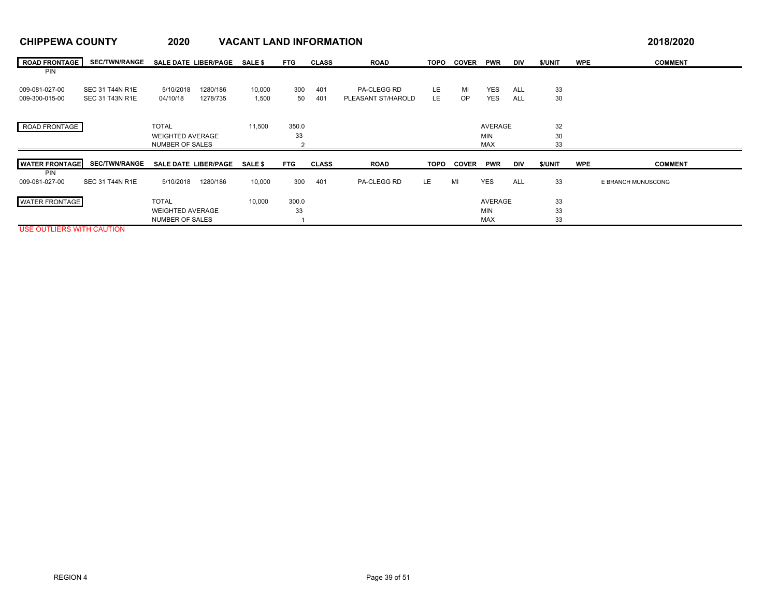| <b>ROAD FRONTAGE</b>  | <b>SEC/TWN/RANGE</b>   | SALE DATE LIBER/PAGE        |          | <b>SALE \$</b> | <b>FTG</b> | <b>CLASS</b> | <b>ROAD</b>        | TOPO | <b>COVER</b> | <b>PWR</b>     | <b>DIV</b> | \$/UNIT | <b>WPE</b> | <b>COMMENT</b>     |
|-----------------------|------------------------|-----------------------------|----------|----------------|------------|--------------|--------------------|------|--------------|----------------|------------|---------|------------|--------------------|
| <b>PIN</b>            |                        |                             |          |                |            |              |                    |      |              |                |            |         |            |                    |
| 009-081-027-00        | SEC 31 T44N R1E        | 5/10/2018                   | 1280/186 | 10,000         | 300        | 401          | PA-CLEGG RD        | LE.  | MI           | <b>YES</b>     | ALL        | 33      |            |                    |
| 009-300-015-00        | <b>SEC 31 T43N R1E</b> | 04/10/18                    | 1278/735 | 1,500          | 50         | 401          | PLEASANT ST/HAROLD | LE   | OP.          | <b>YES</b>     | ALL        | 30      |            |                    |
|                       |                        |                             |          |                |            |              |                    |      |              |                |            |         |            |                    |
| ROAD FRONTAGE         |                        | <b>TOTAL</b>                |          | 11,500         | 350.0      |              |                    |      |              | AVERAGE        |            | 32      |            |                    |
|                       |                        | <b>WEIGHTED AVERAGE</b>     |          |                | 33         |              |                    |      |              | <b>MIN</b>     |            | 30      |            |                    |
|                       |                        | <b>NUMBER OF SALES</b>      |          |                |            |              |                    |      |              | <b>MAX</b>     |            | 33      |            |                    |
| <b>WATER FRONTAGE</b> | <b>SEC/TWN/RANGE</b>   | <b>SALE DATE LIBER/PAGE</b> |          | <b>SALE \$</b> | <b>FTG</b> | <b>CLASS</b> | <b>ROAD</b>        | TOPO | <b>COVER</b> | <b>PWR</b>     | <b>DIV</b> | \$/UNIT | <b>WPE</b> | <b>COMMENT</b>     |
| <b>PIN</b>            |                        |                             |          |                |            |              |                    |      |              |                |            |         |            |                    |
| 009-081-027-00        | <b>SEC 31 T44N R1E</b> | 5/10/2018                   | 1280/186 | 10,000         | 300        | 401          | PA-CLEGG RD        | LE.  | MI           | <b>YES</b>     | ALL        | 33      |            | E BRANCH MUNUSCONG |
| <b>WATER FRONTAGE</b> |                        | <b>TOTAL</b>                |          | 10.000         | 300.0      |              |                    |      |              | <b>AVERAGE</b> |            | 33      |            |                    |
|                       |                        | <b>WEIGHTED AVERAGE</b>     |          |                | 33         |              |                    |      |              | <b>MIN</b>     |            | 33      |            |                    |
|                       |                        | <b>NUMBER OF SALES</b>      |          |                |            |              |                    |      |              | <b>MAX</b>     |            | 33      |            |                    |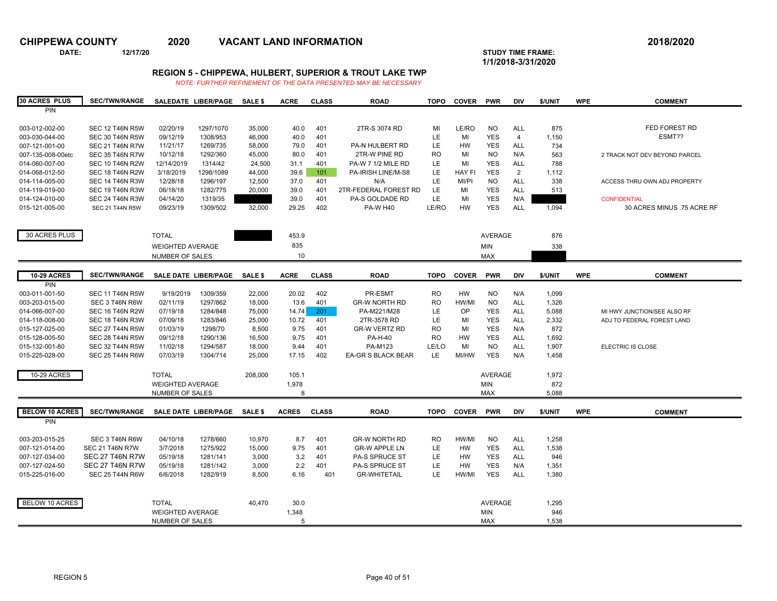**DATE: 12/17/20 STUDY TIME FRAME:**

**1/1/2018-3/31/2020** 

## **REGION 5 - CHIPPEWA, HULBERT, SUPERIOR & TROUT LAKE TWP**

| <b>30 ACRES PLUS</b>             | <b>SEC/TWN/RANGE</b>                             |                         | SALEDATE LIBER/PAGE         | <b>SALE \$</b>   | <b>ACRE</b>  | <b>CLASS</b> | <b>ROAD</b>               | <b>TOPO</b> | <b>COVER</b>           | <b>PWR</b>               | <b>DIV</b>                   | \$/UNIT      | <b>WPE</b> | <b>COMMENT</b>                |
|----------------------------------|--------------------------------------------------|-------------------------|-----------------------------|------------------|--------------|--------------|---------------------------|-------------|------------------------|--------------------------|------------------------------|--------------|------------|-------------------------------|
| PIN                              |                                                  |                         |                             |                  |              |              |                           |             |                        |                          |                              |              |            |                               |
|                                  |                                                  |                         |                             |                  |              |              |                           |             |                        |                          |                              |              |            |                               |
| 003-012-002-00                   | <b>SEC 12 T46N R5W</b>                           | 02/20/19                | 1297/1070                   | 35,000           | 40.0         | 401          | 2TR-S 3074 RD             | MI          | LE/RO                  | <b>NO</b>                | <b>ALL</b>                   | 875          |            | FED FOREST RD                 |
| 003-030-044-00                   | <b>SEC 30 T46N R5W</b>                           | 09/12/19                | 1308/953                    | 46.000           | 40.0         | 401          |                           | LE.         | MI                     | <b>YES</b>               | $\overline{4}$               | 1,150        |            | ESMT??                        |
| 007-121-001-00                   | <b>SEC 21 T46N R7W</b>                           | 11/21/17                | 1269/735                    | 58.000           | 79.0         | 401          | <b>PA-N HULBERT RD</b>    | LE.         | <b>HW</b>              | <b>YES</b>               | <b>ALL</b>                   | 734          |            |                               |
| 007-135-008-00etc                | <b>SEC 35 T46N R7W</b>                           | 10/12/18                | 1292/360                    | 45,000           | 80.0         | 401          | 2TR-W PINE RD             | <b>RO</b>   | MI                     | <b>NO</b>                | N/A                          | 563          |            | 2 TRACK NOT DEV BEYOND PARCEL |
| 014-060-007-00                   | <b>SEC 10 T46N R2W</b>                           | 12/14/2019              | 1314/42                     | 24,500           | 31.1         | 401          | PA-W 7 1/2 MILE RD        | LE.         | MI                     | <b>YES</b><br><b>YES</b> | <b>ALL</b><br>$\overline{2}$ | 788          |            |                               |
| 014-068-012-50<br>014-114-005-00 | <b>SEC 18 T46N R2W</b><br><b>SEC 14 T46N R3W</b> | 3/18/2019<br>12/28/18   | 1298/1089<br>1296/197       | 44,000<br>12,500 | 39.6<br>37.0 | 101<br>401   | PA-IRISH LINE/M-S8<br>N/A | LE.<br>LE.  | <b>HAY FI</b><br>MI/PI | <b>NO</b>                | <b>ALL</b>                   | 1,112<br>338 |            | ACCESS THRU OWN ADJ PROPERTY  |
| 014-119-019-00                   | <b>SEC 19 T46N R3W</b>                           | 06/18/18                | 1282/775                    | 20,000           | 39.0         | 401          | 2TR-FEDERAL FOREST RD     | LE.         | MI                     | <b>YES</b>               | <b>ALL</b>                   | 513          |            |                               |
| 014-124-010-00                   | <b>SEC 24 T46N R3W</b>                           | 04/14/20                | 1319/35                     |                  | 39.0         | 401          | PA-S GOLDADE RD           | LE.         | MI                     | <b>YES</b>               | N/A                          |              |            | <b>CONFIDENTIAL</b>           |
| 015-121-005-00                   | <b>SEC 21 T44N R5W</b>                           | 09/23/19                | 1309/502                    | 32,000           | 29.25        | 402          | <b>PA-W H40</b>           | LE/RO       | HW                     | <b>YES</b>               | ALL                          | 1,094        |            | 30 ACRES MINUS .75 ACRE RF    |
|                                  |                                                  |                         |                             |                  |              |              |                           |             |                        |                          |                              |              |            |                               |
|                                  |                                                  |                         |                             |                  |              |              |                           |             |                        |                          |                              |              |            |                               |
| 30 ACRES PLUS                    |                                                  | <b>TOTAL</b>            |                             |                  | 453.9        |              |                           |             |                        | <b>AVERAGE</b>           |                              | 876          |            |                               |
|                                  |                                                  | <b>WEIGHTED AVERAGE</b> |                             |                  | 835          |              |                           |             |                        | <b>MIN</b>               |                              | 338          |            |                               |
|                                  |                                                  | NUMBER OF SALES         |                             |                  | 10           |              |                           |             |                        | <b>MAX</b>               |                              |              |            |                               |
|                                  |                                                  |                         |                             |                  |              |              |                           |             |                        |                          |                              |              |            |                               |
| <b>10-29 ACRES</b>               | <b>SEC/TWN/RANGE</b>                             |                         | <b>SALE DATE LIBER/PAGE</b> | <b>SALES</b>     | <b>ACRE</b>  | <b>CLASS</b> | <b>ROAD</b>               | <b>TOPO</b> | <b>COVER</b>           | <b>PWR</b>               | <b>DIV</b>                   | \$/UNIT      | <b>WPE</b> | <b>COMMENT</b>                |
| PIN                              |                                                  |                         |                             |                  |              |              |                           |             |                        |                          |                              |              |            |                               |
| 003-011-001-50                   | <b>SEC 11 T46N R5W</b>                           | 9/19/2019               | 1309/359                    | 22,000           | 20.02        | 402          | PR-ESMT                   | <b>RO</b>   | <b>HW</b>              | <b>NO</b>                | N/A                          | 1,099        |            |                               |
| 003-203-015-00                   | SEC 3 T46N R6W                                   | 02/11/19                | 1297/862                    | 18,000           | 13.6         | 401          | <b>GR-W NORTH RD</b>      | <b>RO</b>   | HW/MI                  | <b>NO</b>                | <b>ALL</b>                   | 1,326        |            |                               |
| 014-066-007-00                   | <b>SEC 16 T46N R2W</b>                           | 07/19/18                | 1284/848                    | 75,000           | 14.74        | 201          | PA-M221/M28               | LE.         | <b>OP</b>              | <b>YES</b>               | <b>ALL</b>                   | 5,088        |            | MI HWY JUNCTION/SEE ALSO RF   |
| 014-118-008-00                   | <b>SEC 18 T46N R3W</b>                           | 07/09/18                | 1283/846                    | 25,000           | 10.72        | 401          | 2TR-3578 RD               | LE.         | MI                     | <b>YES</b>               | <b>ALL</b>                   | 2,332        |            | ADJ TO FEDERAL FOREST LAND    |
| 015-127-025-00                   | <b>SEC 27 T44N R5W</b>                           | 01/03/19                | 1298/70                     | 8,500            | 9.75         | 401          | <b>GR-W VERTZ RD</b>      | <b>RO</b>   | MI                     | <b>YES</b>               | N/A                          | 872          |            |                               |
| 015-128-005-50                   | <b>SEC 28 T44N R5W</b>                           | 09/12/18                | 1290/136                    | 16,500           | 9.75         | 401          | <b>PA-H-40</b>            | <b>RO</b>   | <b>HW</b>              | <b>YES</b>               | <b>ALL</b>                   | 1,692        |            |                               |
| 015-132-001-80                   | <b>SEC 32 T44N R5W</b>                           | 11/02/18                | 1294/587                    | 18,000           | 9.44         | 401          | PA-M123                   | LE/LO       | MI                     | <b>NO</b>                | <b>ALL</b>                   | 1,907        |            | ELECTRIC IS CLOSE             |
| 015-225-028-00                   | <b>SEC 25 T44N R6W</b>                           | 07/03/19                | 1304/714                    | 25,000           | 17.15        | 402          | EA-GR S BLACK BEAR        | LE.         | MI/HW                  | <b>YES</b>               | N/A                          | 1,458        |            |                               |
|                                  |                                                  |                         |                             |                  |              |              |                           |             |                        |                          |                              |              |            |                               |
| 10-29 ACRES                      |                                                  | <b>TOTAL</b>            |                             | 208,000          | 105.1        |              |                           |             |                        | AVERAGE                  |                              | 1,972        |            |                               |
|                                  |                                                  | <b>WEIGHTED AVERAGE</b> |                             |                  | 1,978        |              |                           |             |                        | <b>MIN</b>               |                              | 872          |            |                               |
|                                  |                                                  | <b>NUMBER OF SALES</b>  |                             |                  | 8            |              |                           |             |                        | <b>MAX</b>               |                              | 5.088        |            |                               |
| <b>BELOW 10 ACRES</b>            | <b>SEC/TWN/RANGE</b>                             |                         | <b>SALE DATE LIBER/PAGE</b> | <b>SALE \$</b>   | <b>ACRES</b> | <b>CLASS</b> | <b>ROAD</b>               | <b>TOPO</b> | <b>COVER</b>           | <b>PWR</b>               | <b>DIV</b>                   | \$/UNIT      | <b>WPE</b> | <b>COMMENT</b>                |
| PIN                              |                                                  |                         |                             |                  |              |              |                           |             |                        |                          |                              |              |            |                               |
|                                  |                                                  |                         |                             |                  |              |              |                           |             |                        |                          |                              |              |            |                               |
| 003-203-015-25                   | SEC 3 T46N R6W                                   | 04/10/18                | 1278/660                    | 10,970           | 8.7          | 401          | <b>GR-W NORTH RD</b>      | <b>RO</b>   | HW/MI                  | <b>NO</b>                | <b>ALL</b>                   | 1,258        |            |                               |
| 007-121-014-00                   | <b>SEC 21 T46N R7W</b>                           | 3/7/2018                | 1275/922                    | 15.000           | 9.75         | 401          | <b>GR-W APPLE LN</b>      | LE.         | <b>HW</b>              | <b>YES</b>               | <b>ALL</b>                   | 1,538        |            |                               |
| 007-127-034-00                   | <b>SEC 27 T46N R7W</b>                           | 05/19/18                | 1281/141                    | 3,000            | 3.2          | 401          | <b>PA-S SPRUCE ST</b>     | <b>LE</b>   | <b>HW</b>              | <b>YES</b>               | <b>ALL</b>                   | 946          |            |                               |
| 007-127-024-50                   | <b>SEC 27 T46N R7W</b>                           | 05/19/18                | 1281/142                    | 3,000            | 2.2          | 401          | <b>PA-S SPRUCE ST</b>     | LE.         | <b>HW</b>              | <b>YES</b>               | N/A                          | 1,351        |            |                               |
| 015-225-016-00                   | <b>SEC 25 T44N R6W</b>                           | 6/6/2018                | 1282/919                    | 8,500            | 6.16         | 401          | <b>GR-WHITETAIL</b>       | <b>LE</b>   | HW/MI                  | <b>YES</b>               | <b>ALL</b>                   | 1,380        |            |                               |
|                                  |                                                  |                         |                             |                  |              |              |                           |             |                        |                          |                              |              |            |                               |
|                                  |                                                  |                         |                             |                  |              |              |                           |             |                        |                          |                              |              |            |                               |
| BELOW 10 ACRES                   |                                                  | <b>TOTAL</b>            |                             | 40,470           | 30.0         |              |                           |             |                        | <b>AVERAGE</b>           |                              | 1,295        |            |                               |
|                                  |                                                  | <b>WEIGHTED AVERAGE</b> |                             |                  | 1,348        |              |                           |             |                        | <b>MIN</b>               |                              | 946          |            |                               |
|                                  |                                                  | NUMBER OF SALES         |                             |                  | 5            |              |                           |             |                        | <b>MAX</b>               |                              | 1,538        |            |                               |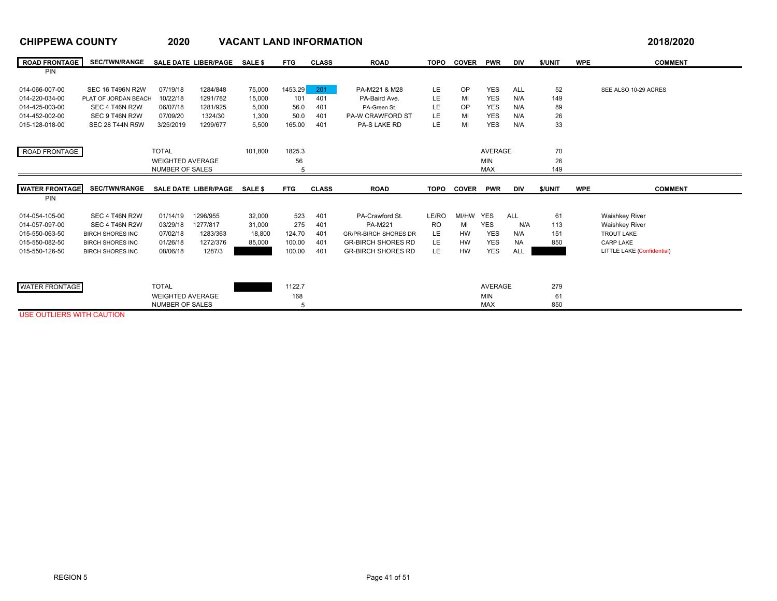### **CHIPPEWA COUNTY 2020 VACANT LAND INFORMATION 2018/2020 ROAD FRONTAGE**SEC/TWN/RANGE SALEDATE\_LIBER/PAGE SALE\$ FTG CLASS ROAD TOPO COVER PWR DIV \$/UNIT WPE COMMENT PIN 014-066-007-00 SEC 16 T496N R2W 07/19/18 1284/848 75,000 1453.29 **201 PA-M221 & M28 LE OP YES ALL 52** SEE ALSO 10-29 ACRES 014-220-034-00PLAT OF JORDAN BEACH 10/22/18 1291/782 15,000 101 401 PA-Baird Ave. LE MI YES N/A 149 014-425-003-00 SEC 4 T46N R2W 06/07/18 1281/925 5,000 56.0 401 PA-Green St. LE OP YES N/A 89 014-452-002-00 SEC 9 T46N R2W 07/09/20 1324/30 1,300 50.0 401 PA-W CRAWFORD ST LE MI YES N/A 26 015-128-018-00 SEC 28 T44N R5W 3/25/2019 1299/677 5,500 165.00 401 PA-S LAKE RD LE MI YES N/A 33 ROAD FRONTAGE TOTAL 101,800 1825.3 AVERAGE 70 WEIGHTED AVERAGE 56 MIN 26 NUMBER OF SALES 5 $5$  MAX 149 **WATER FRONTAGE**SEC/TWN/RANGE SALEDATE\_LIBER/PAGE SALE\$ FTG CLASS ROAD TOPO COVER PWR DIV \$/UNIT WPE COMMENT PIN014-054-105-00 SEC 4 T46N R2W 01/14/19 1296/955 32,000 523 401 PA-Crawford St. LE/RO MI/HW YES ALL 61 Waishkey River 014-057-097-00 SEC 4 T46N R2W 03/29/18 1277/817 31,000 275 401 PA-M221 RO MI YES N/A 113 Waishkey River 015-550-063-50 BIRCH SHORES INC 07/02/18 1283/363 18,800 124.70 401 GR/PR-BIRCH SHORES DR LE HW YES N/A 151 TROUT LAKE 015-550-082-50BIRCH SHORES INC 01/26/18 1272/376 85,000 100.00 401 GR-BIRCH SHORES RD LE HW YES NA 850 CARP LAKE 015-550-126-50BIRCH SHORES INC 08/06/18 1287/3 100.00 1000 401 GR-BIRCH SHORES RD LE HW YES ALL 2000 LITTLE LAKE (Confidential) WATER FRONTAGETOTAL 188,800 1122.7 AVERAGE 279

168 MIN 61

 $5<sub>5</sub>$  850

USE OUTLIERS WITH CAUTION

WEIGHTED AVERAGE

5

NUMBER OF SALES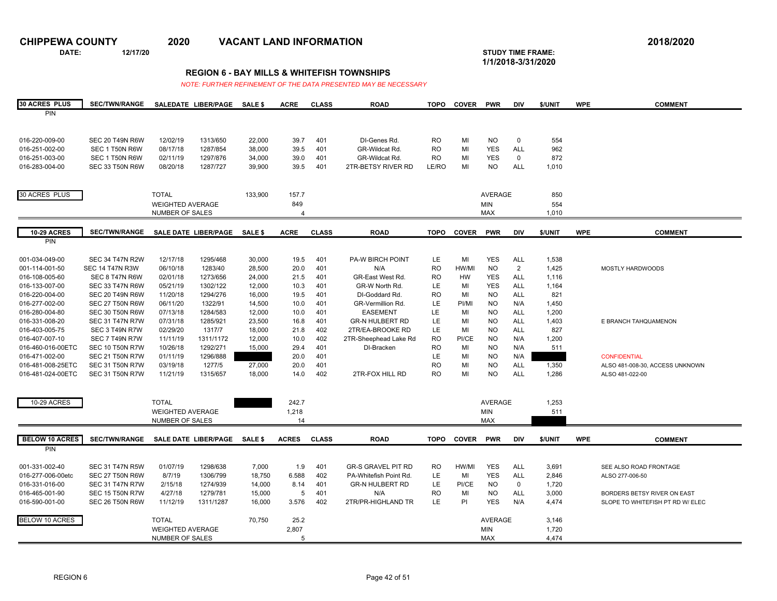**DATE: 12/17/20 STUDY TIME FRAME:**

**1/1/2018-3/31/2020** 

### **REGION 6 - BAY MILLS & WHITEFISH TOWNSHIPS**

| <b>30 ACRES PLUS</b>  | <b>SEC/TWN/RANGE</b>   |                         | SALEDATE LIBER/PAGE          | <b>SALE \$</b> | <b>ACRE</b>      | <b>CLASS</b> | <b>ROAD</b>               | <b>TOPO</b> | <b>COVER</b> | <b>PWR</b>     | <b>DIV</b>  | \$/UNIT | <b>WPE</b> | <b>COMMENT</b>                   |
|-----------------------|------------------------|-------------------------|------------------------------|----------------|------------------|--------------|---------------------------|-------------|--------------|----------------|-------------|---------|------------|----------------------------------|
| PIN                   |                        |                         |                              |                |                  |              |                           |             |              |                |             |         |            |                                  |
|                       |                        |                         |                              |                |                  |              |                           |             |              |                |             |         |            |                                  |
| 016-220-009-00        | <b>SEC 20 T49N R6W</b> | 12/02/19                | 1313/650                     | 22,000         | 39.7             | 401          | DI-Genes Rd.              | <b>RO</b>   | MI           | <b>NO</b>      | $\mathbf 0$ | 554     |            |                                  |
| 016-251-002-00        | SEC 1 T50N R6W         | 08/17/18                | 1287/854                     | 38,000         | 39.5             | 401          | GR-Wildcat Rd.            | <b>RO</b>   | MI           | <b>YES</b>     | <b>ALL</b>  | 962     |            |                                  |
| 016-251-003-00        | SEC 1 T50N R6W         | 02/11/19                | 1297/876                     | 34,000         | 39.0             | 401          | GR-Wildcat Rd.            | <b>RO</b>   | MI           | <b>YES</b>     | $\mathbf 0$ | 872     |            |                                  |
| 016-283-004-00        | SEC 33 T50N R6W        | 08/20/18                | 1287/727                     | 39,900         | 39.5             | 401          | 2TR-BETSY RIVER RD        | LE/RO       | MI           | <b>NO</b>      | <b>ALL</b>  | 1,010   |            |                                  |
|                       |                        |                         |                              |                |                  |              |                           |             |              |                |             |         |            |                                  |
|                       |                        |                         |                              |                |                  |              |                           |             |              |                |             |         |            |                                  |
| 30 ACRES PLUS         |                        | <b>TOTAL</b>            |                              | 133,900        | 157.7            |              |                           |             |              | AVERAGE        |             | 850     |            |                                  |
|                       |                        | <b>WEIGHTED AVERAGE</b> |                              |                | 849              |              |                           |             |              | <b>MIN</b>     |             | 554     |            |                                  |
|                       |                        | NUMBER OF SALES         |                              |                | $\boldsymbol{4}$ |              |                           |             |              | <b>MAX</b>     |             | 1,010   |            |                                  |
|                       |                        |                         |                              |                |                  |              |                           |             |              |                |             |         |            |                                  |
| <b>10-29 ACRES</b>    | <b>SEC/TWN/RANGE</b>   |                         | SALE DATE LIBER/PAGE SALE \$ |                | <b>ACRE</b>      | <b>CLASS</b> | <b>ROAD</b>               | <b>TOPO</b> | <b>COVER</b> | <b>PWR</b>     | <b>DIV</b>  | \$/UNIT | <b>WPE</b> | <b>COMMENT</b>                   |
| PIN                   |                        |                         |                              |                |                  |              |                           |             |              |                |             |         |            |                                  |
| 001-034-049-00        | <b>SEC 34 T47N R2W</b> | 12/17/18                | 1295/468                     | 30,000         | 19.5             | 401          | <b>PA-W BIRCH POINT</b>   | LE          | MI           | <b>YES</b>     | <b>ALL</b>  | 1,538   |            |                                  |
| 001-114-001-50        | <b>SEC 14 T47N R3W</b> | 06/10/18                | 1283/40                      | 28,500         | 20.0             | 401          | N/A                       | <b>RO</b>   | HW/MI        | <b>NO</b>      | 2           | 1,425   |            | <b>MOSTLY HARDWOODS</b>          |
| 016-108-005-60        | SEC 8 T47N R6W         | 02/01/18                | 1273/656                     | 24,000         | 21.5             | 401          | GR-East West Rd           | <b>RO</b>   | HW           | <b>YES</b>     | <b>ALL</b>  | 1,116   |            |                                  |
| 016-133-007-00        | SEC 33 T47N R6W        | 05/21/19                | 1302/122                     | 12,000         | 10.3             | 401          | GR-W North Rd.            | LE.         | MI           | <b>YES</b>     | <b>ALL</b>  | 1,164   |            |                                  |
| 016-220-004-00        | SEC 20 T49N R6W        | 11/20/18                | 1294/276                     | 16,000         | 19.5             | 401          | DI-Goddard Rd.            | RO          | MI           | <b>NO</b>      | <b>ALL</b>  | 821     |            |                                  |
| 016-277-002-00        | SEC 27 T50N R6W        | 06/11/20                | 1322/91                      | 14,500         | 10.0             | 401          | GR-Vermillion Rd.         | LE          | PI/MI        | <b>NO</b>      | N/A         | 1,450   |            |                                  |
| 016-280-004-80        | SEC 30 T50N R6W        | 07/13/18                | 1284/583                     | 12,000         | 10.0             | 401          | <b>EASEMENT</b>           | LE          | MI           | <b>NO</b>      | <b>ALL</b>  | 1,200   |            |                                  |
| 016-331-008-20        | <b>SEC 31 T47N R7W</b> | 07/31/18                | 1285/921                     | 23,500         | 16.8             | 401          | <b>GR-N HULBERT RD</b>    | LE          | MI           | <b>NO</b>      | <b>ALL</b>  | 1,403   |            | E BRANCH TAHQUAMENON             |
| 016-403-005-75        | SEC 3 T49N R7W         | 02/29/20                | 1317/7                       | 18,000         | 21.8             | 402          | 2TR/EA-BROOKE RD          | LE          | MI           | NO.            | <b>ALL</b>  | 827     |            |                                  |
| 016-407-007-10        | SEC 7 T49N R7W         | 11/11/19                | 1311/1172                    | 12,000         | 10.0             | 402          | 2TR-Sheephead Lake Rd     | <b>RO</b>   | PI/CE        | <b>NO</b>      | N/A         | 1,200   |            |                                  |
| 016-460-016-00ETC     | SEC 10 T50N R7W        | 10/26/18                | 1292/271                     | 15,000         | 29.4             | 401          | DI-Bracken                | <b>RO</b>   | MI           | <b>NO</b>      | N/A         | 511     |            |                                  |
| 016-471-002-00        | <b>SEC 21 T50N R7W</b> | 01/11/19                | 1296/888                     |                | 20.0             | 401          |                           | LE          | MI           | <b>NO</b>      | N/A         |         |            | <b>CONFIDENTIAL</b>              |
| 016-481-008-25ETC     | <b>SEC 31 T50N R7W</b> | 03/19/18                | 1277/5                       | 27,000         | 20.0             | 401          |                           | <b>RO</b>   | MI           | <b>NO</b>      | <b>ALL</b>  | 1,350   |            | ALSO 481-008-30, ACCESS UNKNOWN  |
| 016-481-024-00ETC     | SEC 31 T50N R7W        | 11/21/19                | 1315/657                     | 18,000         | 14.0             | 402          | 2TR-FOX HILL RD           | RO          | MI           | <b>NO</b>      | <b>ALL</b>  | 1,286   |            | ALSO 481-022-00                  |
|                       |                        |                         |                              |                |                  |              |                           |             |              |                |             |         |            |                                  |
| 10-29 ACRES           |                        | <b>TOTAL</b>            |                              |                | 242.7            |              |                           |             |              | AVERAGE        |             | 1,253   |            |                                  |
|                       |                        | <b>WEIGHTED AVERAGE</b> |                              |                | 1,218            |              |                           |             |              | <b>MIN</b>     |             | 511     |            |                                  |
|                       |                        | NUMBER OF SALES         |                              |                | 14               |              |                           |             |              | <b>MAX</b>     |             |         |            |                                  |
|                       |                        |                         |                              |                |                  |              |                           |             |              |                |             |         |            |                                  |
| <b>BELOW 10 ACRES</b> | <b>SEC/TWN/RANGE</b>   |                         | SALE DATE LIBER/PAGE         | <b>SALE \$</b> | <b>ACRES</b>     | <b>CLASS</b> | <b>ROAD</b>               | <b>TOPO</b> | <b>COVER</b> | <b>PWR</b>     | <b>DIV</b>  | \$/UNIT | <b>WPE</b> | <b>COMMENT</b>                   |
| PIN                   |                        |                         |                              |                |                  |              |                           |             |              |                |             |         |            |                                  |
| 001-331-002-40        | <b>SEC 31 T47N R5W</b> | 01/07/19                | 1298/638                     | 7,000          | 1.9              | 401          | <b>GR-S GRAVEL PIT RD</b> | <b>RO</b>   | HW/MI        | <b>YES</b>     | <b>ALL</b>  | 3,691   |            | SEE ALSO ROAD FRONTAGE           |
| 016-277-006-00etc     | <b>SEC 27 T50N R6W</b> | 8/7/19                  | 1306/799                     | 18,750         | 6.588            | 402          | PA-Whitefish Point Rd.    | LE          | MI           | <b>YES</b>     | ALL         | 2,846   |            | ALSO 277-006-50                  |
| 016-331-016-00        | <b>SEC 31 T47N R7W</b> | 2/15/18                 | 1274/939                     | 14,000         | 8.14             | 401          | <b>GR-N HULBERT RD</b>    | <b>LE</b>   | PI/CE        | <b>NO</b>      | $\mathbf 0$ | 1,720   |            |                                  |
| 016-465-001-90        | <b>SEC 15 T50N R7W</b> | 4/27/18                 | 1279/781                     | 15,000         | 5                | 401          | N/A                       | RO          | MI           | <b>NO</b>      | ALL         | 3,000   |            | BORDERS BETSY RIVER ON EAST      |
| 016-590-001-00        | SEC 26 T50N R6W        | 11/12/19                | 1311/1287                    | 16,000         | 3.576            | 402          | 2TR/PR-HIGHLAND TR        | LE          | PI           | <b>YES</b>     | N/A         | 4,474   |            | SLOPE TO WHITEFISH PT RD W/ ELEC |
|                       |                        |                         |                              |                |                  |              |                           |             |              |                |             |         |            |                                  |
| <b>BELOW 10 ACRES</b> |                        | <b>TOTAL</b>            |                              | 70,750         | 25.2             |              |                           |             |              | <b>AVERAGE</b> |             | 3,146   |            |                                  |
|                       |                        | <b>WEIGHTED AVERAGE</b> |                              |                | 2,807            |              |                           |             |              | <b>MIN</b>     |             | 1,720   |            |                                  |
|                       |                        | NUMBER OF SALES         |                              |                | 5                |              |                           | <b>MAX</b>  |              |                |             | 4,474   |            |                                  |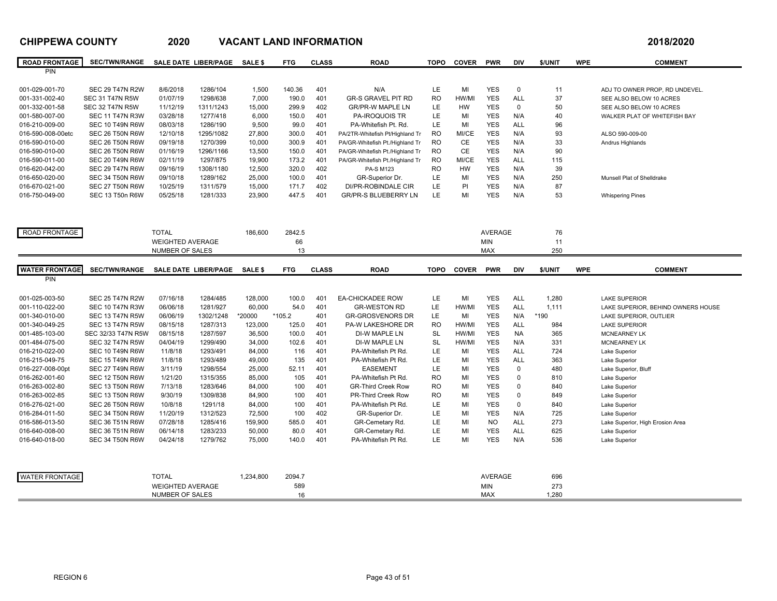### **CHIPPEWA COUNTY 2020 VACANT LAND INFORMATION 2018/2020 ROAD FRONTAGE**SEC/TWN/RANGE SALEDATE\_LIBER/PAGE SALE\$ FTG CLASS ROAD TOPO COVER PWR DIV S/UNIT WPE COMMENT PIN001-029-001-70 SEC 29 T47N R2W 8/6/2018 1286/104 1,500 140.36 401 N/A LE MI YES 0 11 ADJ TO OWNER PROP, RD UNDEVEL 001-331-002-40 SEC 31 T47N R5W 01/07/19 1298/638 7,000 190.0 401 GR-S GRAVEL PIT RD RO HW/MI YES ALL 37 SEE ALSO BELOW 10 ACRES 001-332-001-58 SEC 32 T47N R5W 11/12/19 1311/1243 15,000 299.9 402 GR/PR-W MAPLE LN LE HW YES 0 50 SEE ALSO BELOW 10 ACRES 001-580-007-00 SEC 11 T47N R3W 03/28/18 1277/418 6,000 150.0 401 PA-IROQUOIS TR LE MI YES N/A 40 WALKER PLAT OF WHITEFISH BAY 016-210-009-00 SEC 10 T49N R6W 08/03/18 1286/190 9,500 99.0 401 PA-Whitefish Pt. Rd. LE MI YES ALL 96 016-590-008-00etc SEC 26 T50N R6W 12/10/18 1295/1082 27,800 300.0 401 PA/2TR-Whitefish Pt/Highland Tr RO MI/CE YES N/A 93 ALSO 590-009-00 016-590-010-00 SEC 26 T50N R6W 09/19/18 1270/399 10,000 300.9 401 PA/GR-Whitefish Pt./Highland Tr RO CE YES N/A 33 Andrus Highlands 016-590-010-00 SEC 26 T50N R6W 01/16/19 1296/1166 13,500 150.0 401 PA/GR-Whitefish Pt./Highland Tr RO CE YES N/A 90 016-590-011-00 SEC 20 T49N R6W 02/11/19 1297/875 19,900 173.2 401 PA/GR-Whitefish Pt./Highland Tr RO MI/CE YES ALL 115 016-620-042-00 SEC 29 T47N R6W 09/16/19 1308/1180 12,500 320.0 402 PA-S M123 RO HW YES N/A 39 016-650-020-00 SEC 34 T50N R6W 09/10/18 1289/162 25,000 100.0 401 GR-Superior Dr. LE MI YES N/A 250 Munsell Plat of Shelldrake 016-670-021-00 SEC 27 T50N R6W 10/25/19 1311/579 15,000 171.7 402 DI/PR-ROBINDALE CIR LE PI YES N/A 87 016-750-049-00 SEC 13 T50n R6W 05/25/18 1281/333 23,900 447.5 401 GR/PR-S BLUEBERRY LN LE MI YES N/A 53 Whispering Pines ROAD FRONTAGE TOTAL 186,600 2842.5 AVERAGE 76 WEIGHTED AVERAGEE 66 MIN 11 NUMBER OF SALESS 13  $3$  MAX 250 **WATER FRONTAGE**SEC/TWN/RANGE SALEDATE\_LIBER/PAGE SALE\$ FTG CLASS ROAD TOPO COVER PWR DIV \$/UNIT WPE COMMENT PIN 001-025-003-50 SEC 25 T47N R2W 07/16/18 1284/485 128,000 100.0 401 EA-CHICKADEE ROW LE MI YES ALL 1,280 LAKE SUPERIOR 001-110-022-00 SEC 10 T47N R3W 06/06/18 1281/927 60,000 54.0 401 GR-WESTON RD LE HW/MI YES ALL 1,111 LAKE SUPERIOR, BEHIND OWNERS HOUSE 001-340-010-00 SEC 13 T47N R5W 06/06/19 1302/1248 \*20000 \*105.2 401 GR-GROSVENORS DR LE MI YES N/A \*190 LAKE SUPERIOR, OUTLIER 001-340-049-25 SEC 13 T47N R5W 08/15/18 1287/313 123,000 125.0 401 PA-W LAKESHORE DR RO HW/MI YES ALL 984 LAKE SUPERIOR 001-485-103-00 SEC 32/33 T47N R5W 08/15/18 1287/597 36,500 100.0 401 DI-W MAPLE LN SL HW/MI YES NA 365 MCNEARNEY LK 001-484-075-00 SEC 32 T47N R5W 04/04/19 1299/490 34,000 102.6 401 DI-W MAPLE LN SL HW/MI YES N/A 331 MCNEARNEY LK 016-210-022-00 SEC 10 T49N R6W 11/8/18 1293/491 84,000 116 401 PA-Whitefish Pt Rd. LE MI YES ALL 724 Lake Superior 016-215-049-75 SEC 15 T49N R6W 11/8/18 1293/489 49,000 135 401 PA-Whitefish Pt Rd. LE MI YES ALL 363 Lake Superior 016-227-008-00pt SEC 27 T49N R6W 3/11/19 1298/554 25,000 52.11 401 EASEMENT LE MI YES 0 480 Lake Superior, Bluff 016-262-001-60 SEC 12 T50N R6W 1/21/20 1315/355 85,000 105 401 PA-Whitefish Pt Rd. RO MI YES 0 810 Lake Superior 016-263-002-80 SEC 13 T50N R6W 7/13/18 1283/646 84,000 100 401 GR-Third Creek Row RO MI YES 0 840 Lake Superior 016-263-002-85 SEC 13 T50N R6W 9/30/19 1309/838 84,900 100 401 PR-Third Creek Row RO MI YES 0 849 Lake Superior 016-276-021-00 SEC 26 T50N R6W 10/8/18 1291/18 84,000 100 401 PA-Whitefish Pt Rd. LE MI YES 0 840 Lake Superior 016-284-011-50 SEC 34 T50N R6W 11/20/19 1312/523 72,500 100 402 GR-Superior Dr. LE MI YES N/A 725 Lake Superior 016-586-013-50 SEC 36 T51N R6W 07/28/18 1285/416 159,900 585.0 401 GR-Cemetary Rd. LE MI NO ALL 273 Lake Superior, High Erosion Area 016-640-008-00 SEC 36 T51N R6W 06/14/18 1283/233 50,000 80.0 401 GR-Cemetary Rd. LE MI YES ALL 625 Lake Superior 016-640-018-00 SEC 34 T50N R6W 04/24/18 1279/762 75,000 140.0 401 PA-Whitefish Pt Rd. LE MI YES N/A 536 Lake Superior WATER FRONTAGEE TOTAL 1,234,800 2094.7 AVERAGE 696 WEIGHTED AVERAGE 589 MIN 273 NUMBER OF SALESS 16 MAX 1,280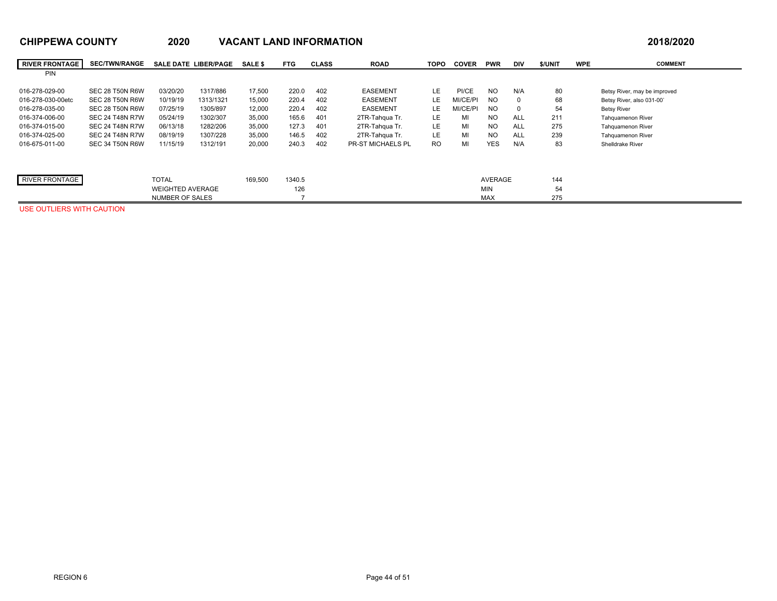## **CHIPPEWA COUNTY 2020 VACANT LAND INFORMATION 2018/2020**

7

WEIGHTED AVERAGE

NUMBER OF SALES

| <u> SIII I LIIA SSOIII I</u> |                        | ∼∽∽          |                             | $\overline{1}$ |            |              |                          |      |              |            |            |         |            | $-0.00000$                   |
|------------------------------|------------------------|--------------|-----------------------------|----------------|------------|--------------|--------------------------|------|--------------|------------|------------|---------|------------|------------------------------|
| <b>RIVER FRONTAGE</b>        | <b>SEC/TWN/RANGE</b>   |              | <b>SALE DATE LIBER/PAGE</b> | <b>SALE \$</b> | <b>FTG</b> | <b>CLASS</b> | <b>ROAD</b>              | торо | <b>COVER</b> | <b>PWR</b> | DIV        | \$/UNIT | <b>WPE</b> | <b>COMMENT</b>               |
| <b>PIN</b>                   |                        |              |                             |                |            |              |                          |      |              |            |            |         |            |                              |
| 016-278-029-00               | SEC 28 T50N R6W        | 03/20/20     | 1317/886                    | 17,500         | 220.0      | 402          | <b>EASEMENT</b>          | LE.  | PI/CE        | <b>NO</b>  | N/A        | 80      |            | Betsy River, may be improved |
| 016-278-030-00etc            | SEC 28 T50N R6W        | 10/19/19     | 1313/1321                   | 15,000         | 220.4      | 402          | <b>EASEMENT</b>          | LE   | MI/CE/PI     | NO.        |            | 68      |            | Betsy River, also 031-00'    |
| 016-278-035-00               | SEC 28 T50N R6W        | 07/25/19     | 1305/897                    | 12,000         | 220.4      | 402          | <b>EASEMENT</b>          | LE   | MI/CE/PI     | NO.        |            | 54      |            | <b>Betsy River</b>           |
| 016-374-006-00               | <b>SEC 24 T48N R7W</b> | 05/24/19     | 1302/307                    | 35,000         | 165.6      | 401          | 2TR-Tahqua Tr.           | LE.  | MI           | <b>NO</b>  | <b>ALL</b> | 211     |            | Tahquamenon River            |
| 016-374-015-00               | <b>SEC 24 T48N R7W</b> | 06/13/18     | 1282/206                    | 35,000         | 127.3      | 401          | 2TR-Tahqua Tr.           | LE.  | MI           | NO.        | <b>ALL</b> | 275     |            | <b>Tahquamenon River</b>     |
| 016-374-025-00               | <b>SEC 24 T48N R7W</b> | 08/19/19     | 1307/228                    | 35,000         | 146.5      | 402          | 2TR-Tahqua Tr.           | LE.  | MI           | <b>NO</b>  | <b>ALL</b> | 239     |            | <b>Tahquamenon River</b>     |
| 016-675-011-00               | SEC 34 T50N R6W        | 11/15/19     | 1312/191                    | 20,000         | 240.3      | 402          | <b>PR-ST MICHAELS PL</b> | RO.  | MI           | <b>YES</b> | N/A        | 83      |            | <b>Shelldrake River</b>      |
|                              |                        |              |                             |                |            |              |                          |      |              |            |            |         |            |                              |
|                              |                        |              |                             |                |            |              |                          |      |              |            |            |         |            |                              |
| RIVER FRONTAGE               |                        | <b>TOTAL</b> |                             | 169,500        | 1340.5     |              |                          |      |              | AVERAGE    |            | 144     |            |                              |

MAX 275

126 MIN 54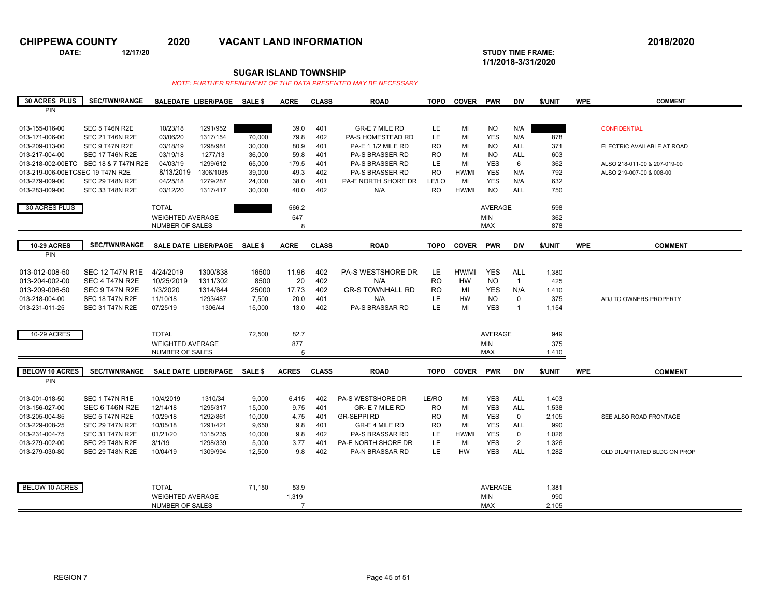$\overline{a}$ 

**CHIPPEWA COUNTY 2020 VACANT LAND INFORMATION 2018/2020**

**DATE: 12/17/20 STUDY TIME FRAME:**

**1/1/2018-3/31/2020** 

### **SUGAR ISLAND TOWNSHIP**

| <b>30 ACRES PLUS</b>             | <b>SEC/TWN/RANGE</b>                  |                             | SALEDATE LIBER/PAGE SALE \$ |                | <b>ACRE</b>    | <b>CLASS</b> | <b>ROAD</b>                           | <b>TOPO</b> | <b>COVER PWR</b> |                | <b>DIV</b>     | \$/UNIT | <b>WPE</b> | <b>COMMENT</b>               |
|----------------------------------|---------------------------------------|-----------------------------|-----------------------------|----------------|----------------|--------------|---------------------------------------|-------------|------------------|----------------|----------------|---------|------------|------------------------------|
| PIN                              |                                       |                             |                             |                |                |              |                                       |             |                  |                |                |         |            |                              |
|                                  |                                       |                             |                             |                |                |              |                                       |             |                  |                |                |         |            |                              |
| 013-155-016-00                   | SEC 5 T46N R2E                        | 10/23/18                    | 1291/952                    |                | 39.0           | 401          | <b>GR-E 7 MILE RD</b>                 | LE.         | MI               | <b>NO</b>      | N/A            |         |            | <b>CONFIDENTIAL</b>          |
| 013-171-006-00                   | <b>SEC 21 T46N R2E</b>                | 03/06/20                    | 1317/154                    | 70,000         | 79.8           | 402          | PA-S HOMESTEAD RD                     | LE          | MI               | <b>YES</b>     | N/A            | 878     |            |                              |
| 013-209-013-00                   | SEC 9 T47N R2E                        | 03/18/19                    | 1298/981                    | 30,000         | 80.9           | 401          | PA-E 1 1/2 MILE RD                    | <b>RO</b>   | MI               | <b>NO</b>      | ALL            | 371     |            | ELECTRIC AVAILABLE AT ROAD   |
| 013-217-004-00                   | <b>SEC 17 T46N R2E</b>                | 03/19/18                    | 1277/13                     | 36,000         | 59.8           | 401          | <b>PA-S BRASSER RD</b>                | <b>RO</b>   | MI               | <b>NO</b>      | <b>ALL</b>     | 603     |            |                              |
|                                  | 013-218-002-00ETC SEC 18 & 7 T47N R2E | 04/03/19                    | 1299/612                    | 65,000         | 179.5          | 401          | PA-S BRASSER RD                       | LE          | MI               | <b>YES</b>     | 6              | 362     |            | ALSO 218-011-00 & 207-019-00 |
| 013-219-006-00ETCSEC 19 T47N R2E |                                       | 8/13/2019                   | 1306/1035                   | 39,000         | 49.3           | 402          | <b>PA-S BRASSER RD</b>                | <b>RO</b>   | HW/MI            | <b>YES</b>     | N/A            | 792     |            | ALSO 219-007-00 & 008-00     |
| 013-279-009-00                   | <b>SEC 29 T48N R2E</b>                | 04/25/18                    | 1279/287                    | 24,000         | 38.0           | 401          | PA-E NORTH SHORE DR                   | LE/LO       | MI               | <b>YES</b>     | N/A            | 632     |            |                              |
| 013-283-009-00                   | <b>SEC 33 T48N R2E</b>                | 03/12/20                    | 1317/417                    | 30,000         | 40.0           | 402          | N/A                                   | RO.         | HW/MI            | <b>NO</b>      | <b>ALL</b>     | 750     |            |                              |
|                                  |                                       |                             |                             |                |                |              |                                       |             |                  |                |                |         |            |                              |
| 30 ACRES PLUS                    |                                       | <b>TOTAL</b>                |                             |                | 566.2          |              |                                       |             |                  | <b>AVERAGE</b> |                | 598     |            |                              |
|                                  |                                       | <b>WEIGHTED AVERAGE</b>     |                             |                | 547            |              |                                       |             |                  | <b>MIN</b>     |                | 362     |            |                              |
|                                  |                                       | NUMBER OF SALES             |                             |                | 8              |              |                                       |             |                  | <b>MAX</b>     |                | 878     |            |                              |
|                                  |                                       |                             |                             |                |                |              |                                       |             |                  |                |                |         |            |                              |
| <b>10-29 ACRES</b>               | <b>SEC/TWN/RANGE</b>                  | <b>SALE DATE LIBER/PAGE</b> |                             | <b>SALE \$</b> | <b>ACRE</b>    | <b>CLASS</b> | <b>ROAD</b>                           | <b>TOPO</b> | <b>COVER</b>     | <b>PWR</b>     | <b>DIV</b>     | \$/UNIT | <b>WPE</b> | <b>COMMENT</b>               |
| PIN                              |                                       |                             |                             |                |                |              |                                       |             |                  |                |                |         |            |                              |
|                                  |                                       |                             |                             |                |                |              |                                       |             |                  |                |                |         |            |                              |
| 013-012-008-50                   | <b>SEC 12 T47N R1E</b>                | 4/24/2019                   | 1300/838                    | 16500          | 11.96          | 402          | <b>PA-S WESTSHORE DR</b>              | LE.         | HW/MI            | <b>YES</b>     | <b>ALL</b>     | 1,380   |            |                              |
| 013-204-002-00                   | SEC 4 T47N R2E                        | 10/25/2019                  | 1311/302                    | 8500           | 20             | 402          | N/A                                   | RO          | HW               | <b>NO</b>      | $\overline{1}$ | 425     |            |                              |
| 013-209-006-50                   | SEC 9 T47N R2E                        | 1/3/2020                    | 1314/644                    | 25000          | 17.73          | 402          | <b>GR-S TOWNHALL RD</b>               | <b>RO</b>   | MI               | <b>YES</b>     | N/A            | 1,410   |            |                              |
| 013-218-004-00                   | <b>SEC 18 T47N R2E</b>                | 11/10/18                    | 1293/487                    | 7.500          | 20.0           | 401          | N/A                                   | LE          | <b>HW</b>        | <b>NO</b>      | $\mathbf 0$    | 375     |            | ADJ TO OWNERS PROPERTY       |
| 013-231-011-25                   | <b>SEC 31 T47N R2E</b>                | 07/25/19                    | 1306/44                     | 15,000         | 13.0           | 402          | <b>PA-S BRASSAR RD</b>                | LE          | MI               | <b>YES</b>     | $\mathbf{1}$   | 1,154   |            |                              |
|                                  |                                       |                             |                             |                |                |              |                                       |             |                  |                |                |         |            |                              |
|                                  |                                       |                             |                             |                |                |              |                                       |             |                  |                |                |         |            |                              |
| 10-29 ACRES                      |                                       | <b>TOTAL</b>                |                             | 72,500         | 82.7           |              |                                       |             |                  | <b>AVERAGE</b> |                | 949     |            |                              |
|                                  |                                       | <b>WEIGHTED AVERAGE</b>     |                             |                | 877            |              |                                       |             |                  | <b>MIN</b>     |                | 375     |            |                              |
|                                  |                                       | <b>NUMBER OF SALES</b>      |                             |                | 5              |              |                                       |             |                  | <b>MAX</b>     |                | 1,410   |            |                              |
|                                  |                                       |                             |                             |                |                |              |                                       |             |                  |                |                |         |            |                              |
| <b>BELOW 10 ACRES</b>            | <b>SEC/TWN/RANGE</b>                  |                             | <b>SALE DATE LIBER/PAGE</b> | <b>SALE \$</b> | <b>ACRES</b>   | <b>CLASS</b> | <b>ROAD</b>                           | <b>TOPO</b> | <b>COVER</b>     | <b>PWR</b>     | <b>DIV</b>     | \$/UNIT | <b>WPE</b> | <b>COMMENT</b>               |
| PIN                              |                                       |                             |                             |                |                |              |                                       |             |                  |                |                |         |            |                              |
| 013-001-018-50                   | SEC 1 T47N R1E                        | 10/4/2019                   | 1310/34                     | 9,000          | 6.415          | 402          | PA-S WESTSHORE DR                     | LE/RO       | MI               | <b>YES</b>     | <b>ALL</b>     | 1,403   |            |                              |
|                                  | SEC 6 T46N R2E                        |                             |                             |                |                | 401          |                                       | <b>RO</b>   | MI               | <b>YES</b>     | <b>ALL</b>     |         |            |                              |
| 013-156-027-00                   | SEC 5 T47N R2E                        | 12/14/18<br>10/29/18        | 1295/317<br>1292/861        | 15,000         | 9.75<br>4.75   | 401          | GR- E 7 MILE RD<br><b>GR-SEPPI RD</b> | <b>RO</b>   | MI               | <b>YES</b>     | $\mathbf 0$    | 1,538   |            |                              |
| 013-205-004-85                   |                                       |                             |                             | 10,000         |                |              |                                       |             |                  |                |                | 2,105   |            | SEE ALSO ROAD FRONTAGE       |
| 013-229-008-25                   | <b>SEC 29 T47N R2E</b>                | 10/05/18                    | 1291/421                    | 9,650          | 9.8            | 401          | GR-E 4 MILE RD                        | <b>RO</b>   | MI               | <b>YES</b>     | <b>ALL</b>     | 990     |            |                              |
| 013-231-004-75                   | <b>SEC 31 T47N R2E</b>                | 01/21/20                    | 1315/235                    | 10,000         | 9.8            | 402          | <b>PA-S BRASSAR RD</b>                | LE          | HW/MI            | <b>YES</b>     | $\mathbf 0$    | 1,026   |            |                              |
| 013-279-002-00                   | <b>SEC 29 T48N R2E</b>                | 3/1/19                      | 1298/339                    | 5,000          | 3.77           | 401          | PA-E NORTH SHORE DR                   | LE          | MI               | <b>YES</b>     | 2              | 1,326   |            |                              |
| 013-279-030-80                   | <b>SEC 29 T48N R2E</b>                | 10/04/19                    | 1309/994                    | 12,500         | 9.8            | 402          | <b>PA-N BRASSAR RD</b>                | LE          | HW               | <b>YES</b>     | <b>ALL</b>     | 1,282   |            | OLD DILAPITATED BLDG ON PROP |
|                                  |                                       |                             |                             |                |                |              |                                       |             |                  |                |                |         |            |                              |
|                                  |                                       |                             |                             |                |                |              |                                       |             |                  |                |                |         |            |                              |
| BELOW 10 ACRES                   |                                       | <b>TOTAL</b>                |                             | 71,150         | 53.9           |              |                                       |             |                  | <b>AVERAGE</b> |                | 1,381   |            |                              |
|                                  |                                       | <b>WEIGHTED AVERAGE</b>     |                             |                | 1,319          |              |                                       |             |                  | <b>MIN</b>     |                | 990     |            |                              |
|                                  |                                       | NUMBER OF SALES             |                             |                | $\overline{7}$ |              |                                       |             |                  | <b>MAX</b>     |                | 2,105   |            |                              |
|                                  |                                       |                             |                             |                |                |              |                                       |             |                  |                |                |         |            |                              |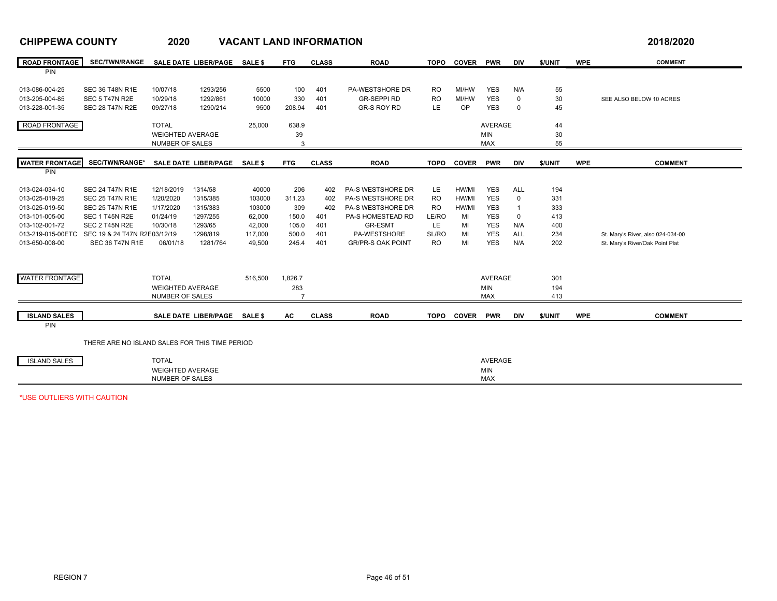| <b>ROAD FRONTAGE</b>  | SEC/TWN/RANGE SALE DATE LIBER/PAGE SALE \$     |                         |                              |                | <b>FTG</b>     | <b>CLASS</b> | <b>ROAD</b>              | TOPO        | <b>COVER</b> | <b>PWR</b>     | <b>DIV</b>     | \$/UNIT | <b>WPE</b> | <b>COMMENT</b>                    |
|-----------------------|------------------------------------------------|-------------------------|------------------------------|----------------|----------------|--------------|--------------------------|-------------|--------------|----------------|----------------|---------|------------|-----------------------------------|
| PIN                   |                                                |                         |                              |                |                |              |                          |             |              |                |                |         |            |                                   |
| 013-086-004-25        | <b>SEC 36 T48N R1E</b>                         | 10/07/18                | 1293/256                     | 5500           | 100            | 401          | PA-WESTSHORE DR          | <b>RO</b>   | MI/HW        | <b>YES</b>     | N/A            | 55      |            |                                   |
| 013-205-004-85        | SEC 5 T47N R2E                                 | 10/29/18                | 1292/861                     | 10000          | 330            | 401          | <b>GR-SEPPI RD</b>       | <b>RO</b>   | MI/HW        | <b>YES</b>     | $\mathbf 0$    | 30      |            | SEE ALSO BELOW 10 ACRES           |
| 013-228-001-35        | <b>SEC 28 T47N R2E</b>                         | 09/27/18                | 1290/214                     | 9500           | 208.94         | 401          | <b>GR-S ROY RD</b>       | <b>LE</b>   | OP           | <b>YES</b>     | $\mathbf 0$    | 45      |            |                                   |
|                       |                                                |                         |                              |                |                |              |                          |             |              |                |                |         |            |                                   |
| ROAD FRONTAGE         |                                                | <b>TOTAL</b>            |                              | 25,000         | 638.9          |              |                          |             |              | <b>AVERAGE</b> |                | 44      |            |                                   |
|                       |                                                | <b>WEIGHTED AVERAGE</b> |                              |                | 39             |              |                          |             |              | <b>MIN</b>     |                | 30      |            |                                   |
|                       |                                                | NUMBER OF SALES         |                              |                | 3              |              |                          |             |              | <b>MAX</b>     |                | 55      |            |                                   |
| <b>WATER FRONTAGE</b> | SEC/TWN/RANGE*                                 |                         | SALE DATE LIBER/PAGE         | <b>SALE \$</b> | <b>FTG</b>     | <b>CLASS</b> | <b>ROAD</b>              | <b>TOPO</b> | <b>COVER</b> | <b>PWR</b>     | <b>DIV</b>     | \$/UNIT | <b>WPE</b> | <b>COMMENT</b>                    |
| PIN                   |                                                |                         |                              |                |                |              |                          |             |              |                |                |         |            |                                   |
|                       |                                                |                         |                              |                |                |              |                          |             |              |                |                |         |            |                                   |
| 013-024-034-10        | <b>SEC 24 T47N R1E</b>                         | 12/18/2019              | 1314/58                      | 40000          | 206            | 402          | PA-S WESTSHORE DR        | LE.         | HW/MI        | <b>YES</b>     | <b>ALL</b>     | 194     |            |                                   |
| 013-025-019-25        | <b>SEC 25 T47N R1E</b>                         | 1/20/2020               | 1315/385                     | 103000         | 311.23         | 402          | PA-S WESTSHORE DR        | <b>RO</b>   | HW/MI        | <b>YES</b>     | $\Omega$       | 331     |            |                                   |
| 013-025-019-50        | <b>SEC 25 T47N R1E</b>                         | 1/17/2020               | 1315/383                     | 103000         | 309            | 402          | <b>PA-S WESTSHORE DR</b> | <b>RO</b>   | HW/MI        | <b>YES</b>     | $\overline{1}$ | 333     |            |                                   |
| 013-101-005-00        | SEC 1 T45N R2E                                 | 01/24/19                | 1297/255                     | 62,000         | 150.0          | 401          | PA-S HOMESTEAD RD        | LE/RO       | MI           | <b>YES</b>     | $\mathbf 0$    | 413     |            |                                   |
| 013-102-001-72        | SEC 2 T45N R2E                                 | 10/30/18                | 1293/65                      | 42,000         | 105.0          | 401          | <b>GR-ESMT</b>           | LE.         | MI           | <b>YES</b>     | N/A            | 400     |            |                                   |
| 013-219-015-00ETC     | SEC 19 & 24 T47N R2E 03/12/19                  |                         | 1298/819                     | 117,000        | 500.0          | 401          | PA-WESTSHORE             | SL/RO       | MI           | <b>YES</b>     | ALL            | 234     |            | St. Mary's River, also 024-034-00 |
| 013-650-008-00        | <b>SEC 36 T47N R1E</b>                         | 06/01/18                | 1281/764                     | 49,500         | 245.4          | 401          | <b>GR/PR-S OAK POINT</b> | <b>RO</b>   | MI           | <b>YES</b>     | N/A            | 202     |            | St. Mary's River/Oak Point Plat   |
|                       |                                                |                         |                              |                |                |              |                          |             |              |                |                |         |            |                                   |
|                       |                                                |                         |                              |                |                |              |                          |             |              |                |                |         |            |                                   |
| <b>WATER FRONTAGE</b> |                                                | <b>TOTAL</b>            |                              | 516,500        | 1,826.7        |              |                          |             |              | AVERAGE        |                | 301     |            |                                   |
|                       |                                                | <b>WEIGHTED AVERAGE</b> |                              |                | 283            |              |                          |             |              | <b>MIN</b>     |                | 194     |            |                                   |
|                       |                                                | NUMBER OF SALES         |                              |                | $\overline{7}$ |              |                          |             |              | <b>MAX</b>     |                | 413     |            |                                   |
| <b>ISLAND SALES</b>   |                                                |                         |                              |                | <b>AC</b>      | <b>CLASS</b> | <b>ROAD</b>              | <b>TOPO</b> |              |                | <b>DIV</b>     |         | <b>WPE</b> | <b>COMMENT</b>                    |
| PIN                   |                                                |                         | SALE DATE LIBER/PAGE SALE \$ |                |                |              |                          |             | <b>COVER</b> | <b>PWR</b>     |                | \$/UNIT |            |                                   |
|                       |                                                |                         |                              |                |                |              |                          |             |              |                |                |         |            |                                   |
|                       | THERE ARE NO ISLAND SALES FOR THIS TIME PERIOD |                         |                              |                |                |              |                          |             |              |                |                |         |            |                                   |
| <b>ISLAND SALES</b>   |                                                | <b>TOTAL</b>            |                              |                |                |              |                          |             |              | <b>AVERAGE</b> |                |         |            |                                   |
|                       |                                                | <b>WEIGHTED AVERAGE</b> |                              |                |                |              |                          |             |              | <b>MIN</b>     |                |         |            |                                   |
|                       |                                                | NUMBER OF SALES         |                              |                |                |              |                          |             |              | <b>MAX</b>     |                |         |            |                                   |
|                       |                                                |                         |                              |                |                |              |                          |             |              |                |                |         |            |                                   |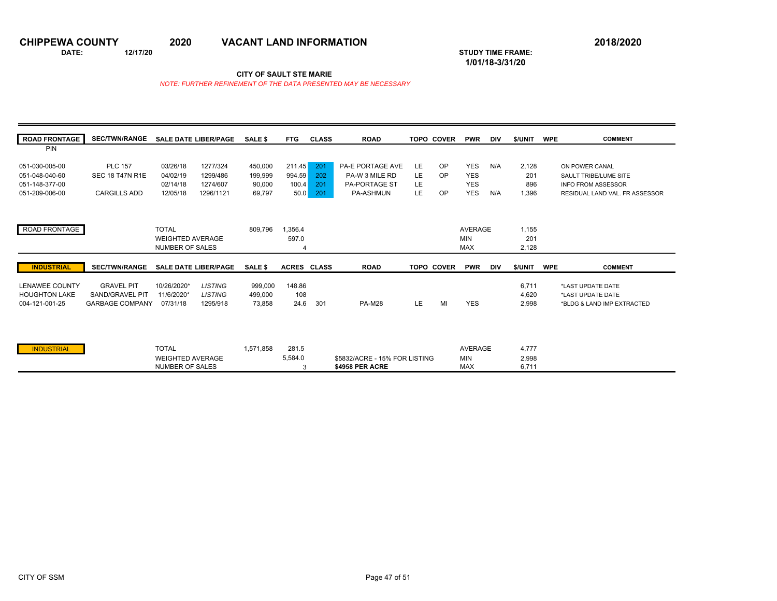**1/01/18-3/31/20** 

**DATE: 12/17/20 STUDY TIME FRAME:**

**CITY OF SAULT STE MARIE** 

| <b>PIN</b><br>OP<br><b>YES</b><br><b>PLC 157</b><br>03/26/18<br>1277/324<br>450,000<br>211.45<br>201<br>PA-E PORTAGE AVE<br>LE<br>N/A<br>2,128<br>051-030-005-00<br>ON POWER CANAL<br><b>YES</b><br>994.59<br>202<br><b>LE</b><br>OP<br>051-048-040-60<br><b>SEC 18 T47N R1E</b><br>04/02/19<br>1299/486<br>PA-W 3 MILE RD<br>201<br>199.999<br>SAULT TRIBE/LUME SITE<br><b>YES</b><br><b>LE</b><br>1274/607<br>100.4<br>201<br><b>PA-PORTAGE ST</b><br>051-148-377-00<br>02/14/18<br>90,000<br>896<br><b>INFO FROM ASSESSOR</b><br>LE<br><b>YES</b><br>OP<br>N/A<br><b>CARGILLS ADD</b><br>12/05/18<br>1296/1121<br>69,797<br>50.0<br>201<br><b>PA-ASHMUN</b><br>1,396<br>051-209-006-00<br>ROAD FRONTAGE<br><b>TOTAL</b><br><b>AVERAGE</b><br>809.796<br>.356.4<br>1.155<br>597.0<br><b>MIN</b><br>201<br><b>WEIGHTED AVERAGE</b><br><b>MAX</b><br><b>NUMBER OF SALES</b><br>2,128<br>Δ<br><b>INDUSTRIAL</b><br><b>SEC/TWN/RANGE</b><br>\$/UNIT<br><b>SALE DATE LIBER/PAGE</b><br>SALE \$<br><b>ACRES CLASS</b><br><b>ROAD</b><br><b>TOPO COVER</b><br><b>PWR</b><br><b>WPE</b><br><b>COMMENT</b><br><b>DIV</b><br><b>LISTING</b><br>148.86<br><b>LENAWEE COUNTY</b><br><b>GRAVEL PIT</b><br>10/26/2020*<br>999,000<br>6,711<br>*LAST UPDATE DATE<br><b>HOUGHTON LAKE</b><br>SAND/GRAVEL PIT<br>11/6/2020*<br><b>LISTING</b><br>108<br>4,620<br>499,000<br>*LAST UPDATE DATE<br>LE<br>MI<br><b>YES</b><br><b>GARBAGE COMPANY</b><br>1295/918<br>24.6<br>301<br><b>PA-M28</b><br>2.998<br>004-121-001-25<br>07/31/18<br>73.858 | <b>ROAD FRONTAGE</b> | <b>SEC/TWN/RANGE</b> | <b>SALE DATE LIBER/PAGE</b> | <b>SALE \$</b> | <b>FTG</b> | <b>CLASS</b> | <b>ROAD</b> | <b>TOPO COVER</b> | <b>PWR</b> | DIV | \$/UNIT | <b>COMMENT</b><br><b>WPE</b>   |
|---------------------------------------------------------------------------------------------------------------------------------------------------------------------------------------------------------------------------------------------------------------------------------------------------------------------------------------------------------------------------------------------------------------------------------------------------------------------------------------------------------------------------------------------------------------------------------------------------------------------------------------------------------------------------------------------------------------------------------------------------------------------------------------------------------------------------------------------------------------------------------------------------------------------------------------------------------------------------------------------------------------------------------------------------------------------------------------------------------------------------------------------------------------------------------------------------------------------------------------------------------------------------------------------------------------------------------------------------------------------------------------------------------------------------------------------------------------------------------------------------------------------------------|----------------------|----------------------|-----------------------------|----------------|------------|--------------|-------------|-------------------|------------|-----|---------|--------------------------------|
|                                                                                                                                                                                                                                                                                                                                                                                                                                                                                                                                                                                                                                                                                                                                                                                                                                                                                                                                                                                                                                                                                                                                                                                                                                                                                                                                                                                                                                                                                                                                 |                      |                      |                             |                |            |              |             |                   |            |     |         |                                |
|                                                                                                                                                                                                                                                                                                                                                                                                                                                                                                                                                                                                                                                                                                                                                                                                                                                                                                                                                                                                                                                                                                                                                                                                                                                                                                                                                                                                                                                                                                                                 |                      |                      |                             |                |            |              |             |                   |            |     |         |                                |
|                                                                                                                                                                                                                                                                                                                                                                                                                                                                                                                                                                                                                                                                                                                                                                                                                                                                                                                                                                                                                                                                                                                                                                                                                                                                                                                                                                                                                                                                                                                                 |                      |                      |                             |                |            |              |             |                   |            |     |         |                                |
|                                                                                                                                                                                                                                                                                                                                                                                                                                                                                                                                                                                                                                                                                                                                                                                                                                                                                                                                                                                                                                                                                                                                                                                                                                                                                                                                                                                                                                                                                                                                 |                      |                      |                             |                |            |              |             |                   |            |     |         |                                |
|                                                                                                                                                                                                                                                                                                                                                                                                                                                                                                                                                                                                                                                                                                                                                                                                                                                                                                                                                                                                                                                                                                                                                                                                                                                                                                                                                                                                                                                                                                                                 |                      |                      |                             |                |            |              |             |                   |            |     |         | RESIDUAL LAND VAL. FR ASSESSOR |
|                                                                                                                                                                                                                                                                                                                                                                                                                                                                                                                                                                                                                                                                                                                                                                                                                                                                                                                                                                                                                                                                                                                                                                                                                                                                                                                                                                                                                                                                                                                                 |                      |                      |                             |                |            |              |             |                   |            |     |         |                                |
|                                                                                                                                                                                                                                                                                                                                                                                                                                                                                                                                                                                                                                                                                                                                                                                                                                                                                                                                                                                                                                                                                                                                                                                                                                                                                                                                                                                                                                                                                                                                 |                      |                      |                             |                |            |              |             |                   |            |     |         |                                |
|                                                                                                                                                                                                                                                                                                                                                                                                                                                                                                                                                                                                                                                                                                                                                                                                                                                                                                                                                                                                                                                                                                                                                                                                                                                                                                                                                                                                                                                                                                                                 |                      |                      |                             |                |            |              |             |                   |            |     |         |                                |
|                                                                                                                                                                                                                                                                                                                                                                                                                                                                                                                                                                                                                                                                                                                                                                                                                                                                                                                                                                                                                                                                                                                                                                                                                                                                                                                                                                                                                                                                                                                                 |                      |                      |                             |                |            |              |             |                   |            |     |         |                                |
|                                                                                                                                                                                                                                                                                                                                                                                                                                                                                                                                                                                                                                                                                                                                                                                                                                                                                                                                                                                                                                                                                                                                                                                                                                                                                                                                                                                                                                                                                                                                 |                      |                      |                             |                |            |              |             |                   |            |     |         |                                |
|                                                                                                                                                                                                                                                                                                                                                                                                                                                                                                                                                                                                                                                                                                                                                                                                                                                                                                                                                                                                                                                                                                                                                                                                                                                                                                                                                                                                                                                                                                                                 |                      |                      |                             |                |            |              |             |                   |            |     |         |                                |
|                                                                                                                                                                                                                                                                                                                                                                                                                                                                                                                                                                                                                                                                                                                                                                                                                                                                                                                                                                                                                                                                                                                                                                                                                                                                                                                                                                                                                                                                                                                                 |                      |                      |                             |                |            |              |             |                   |            |     |         |                                |
|                                                                                                                                                                                                                                                                                                                                                                                                                                                                                                                                                                                                                                                                                                                                                                                                                                                                                                                                                                                                                                                                                                                                                                                                                                                                                                                                                                                                                                                                                                                                 |                      |                      |                             |                |            |              |             |                   |            |     |         |                                |
|                                                                                                                                                                                                                                                                                                                                                                                                                                                                                                                                                                                                                                                                                                                                                                                                                                                                                                                                                                                                                                                                                                                                                                                                                                                                                                                                                                                                                                                                                                                                 |                      |                      |                             |                |            |              |             |                   |            |     |         |                                |
|                                                                                                                                                                                                                                                                                                                                                                                                                                                                                                                                                                                                                                                                                                                                                                                                                                                                                                                                                                                                                                                                                                                                                                                                                                                                                                                                                                                                                                                                                                                                 |                      |                      |                             |                |            |              |             |                   |            |     |         |                                |
|                                                                                                                                                                                                                                                                                                                                                                                                                                                                                                                                                                                                                                                                                                                                                                                                                                                                                                                                                                                                                                                                                                                                                                                                                                                                                                                                                                                                                                                                                                                                 |                      |                      |                             |                |            |              |             |                   |            |     |         | *BLDG & LAND IMP EXTRACTED     |
|                                                                                                                                                                                                                                                                                                                                                                                                                                                                                                                                                                                                                                                                                                                                                                                                                                                                                                                                                                                                                                                                                                                                                                                                                                                                                                                                                                                                                                                                                                                                 |                      |                      |                             |                |            |              |             |                   |            |     |         |                                |
|                                                                                                                                                                                                                                                                                                                                                                                                                                                                                                                                                                                                                                                                                                                                                                                                                                                                                                                                                                                                                                                                                                                                                                                                                                                                                                                                                                                                                                                                                                                                 |                      |                      |                             |                |            |              |             |                   |            |     |         |                                |
| <b>MIN</b><br><b>WEIGHTED AVERAGE</b><br>5,584.0<br>\$5832/ACRE - 15% FOR LISTING<br>2,998                                                                                                                                                                                                                                                                                                                                                                                                                                                                                                                                                                                                                                                                                                                                                                                                                                                                                                                                                                                                                                                                                                                                                                                                                                                                                                                                                                                                                                      | <b>INDUSTRIAL</b>    |                      | <b>TOTAL</b>                | 1.571.858      | 281.5      |              |             |                   | AVERAGE    |     | 4.777   |                                |
| <b>NUMBER OF SALES</b><br><b>\$4958 PER ACRE</b><br>6,711<br><b>MAX</b><br>3                                                                                                                                                                                                                                                                                                                                                                                                                                                                                                                                                                                                                                                                                                                                                                                                                                                                                                                                                                                                                                                                                                                                                                                                                                                                                                                                                                                                                                                    |                      |                      |                             |                |            |              |             |                   |            |     |         |                                |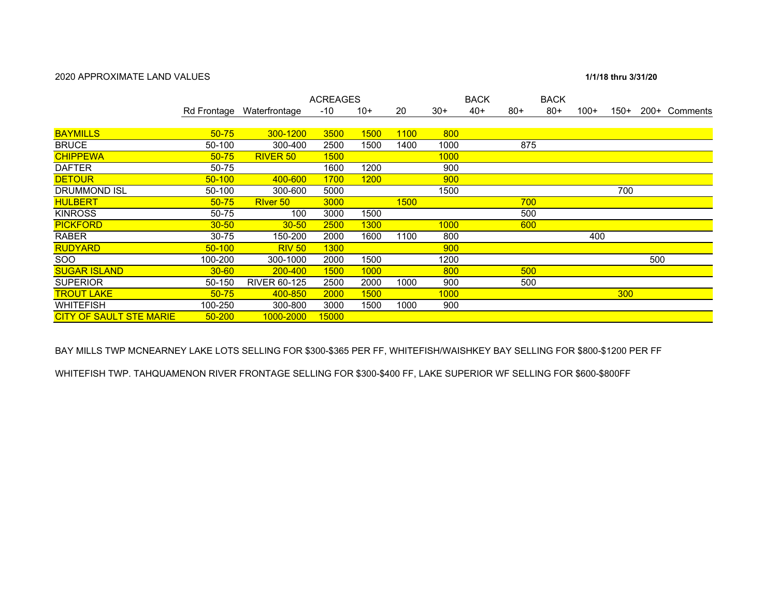### 2020 APPROXIMATE LAND VALUES

### 1/1/18 thru 3/31/20

|                                |            |                           | <b>ACREAGES</b> |             |             |             | <b>BACK</b> |       | <b>BACK</b> |        |        |     |               |
|--------------------------------|------------|---------------------------|-----------------|-------------|-------------|-------------|-------------|-------|-------------|--------|--------|-----|---------------|
|                                |            | Rd Frontage Waterfrontage | -10             | $10+$       | 20          | $30+$       | $40+$       | $80+$ | $80+$       | $100+$ | $150+$ |     | 200+ Comments |
|                                |            |                           |                 |             |             |             |             |       |             |        |        |     |               |
| <b>BAYMILLS</b>                | $50 - 75$  | 300-1200                  | 3500            | 1500        | <b>1100</b> | 800         |             |       |             |        |        |     |               |
| <b>BRUCE</b>                   | 50-100     | 300-400                   | 2500            | 1500        | 1400        | 1000        |             | 875   |             |        |        |     |               |
| <b>CHIPPEWA</b>                | $50 - 75$  | RIVER <sub>50</sub>       | <b>1500</b>     |             |             | <b>1000</b> |             |       |             |        |        |     |               |
| <b>DAFTER</b>                  | 50-75      |                           | 1600            | 1200        |             | 900         |             |       |             |        |        |     |               |
| <b>DETOUR</b>                  | $50 - 100$ | 400-600                   | 1700            | <b>1200</b> |             | 900         |             |       |             |        |        |     |               |
| <b>DRUMMOND ISL</b>            | 50-100     | 300-600                   | 5000            |             |             | 1500        |             |       |             |        | 700    |     |               |
| <b>HULBERT</b>                 | $50 - 75$  | River 50                  | 3000            |             | 1500        |             |             | 700   |             |        |        |     |               |
| <b>KINROSS</b>                 | 50-75      | 100                       | 3000            | 1500        |             |             |             | 500   |             |        |        |     |               |
| <b>PICKFORD</b>                | $30 - 50$  | $30 - 50$                 | 2500            | <b>1300</b> |             | 1000        |             | 600   |             |        |        |     |               |
| <b>RABER</b>                   | 30-75      | 150-200                   | 2000            | 1600        | 1100        | 800         |             |       |             | 400    |        |     |               |
| <b>RUDYARD</b>                 | $50 - 100$ | <b>RIV 50</b>             | <b>1300</b>     |             |             | 900         |             |       |             |        |        |     |               |
| SOO                            | 100-200    | 300-1000                  | 2000            | 1500        |             | 1200        |             |       |             |        |        | 500 |               |
| <b>SUGAR ISLAND</b>            | $30 - 60$  | 200-400                   | 1500            | 1000        |             | 800         |             | 500   |             |        |        |     |               |
| <b>SUPERIOR</b>                | 50-150     | <b>RIVER 60-125</b>       | 2500            | 2000        | 1000        | 900         |             | 500   |             |        |        |     |               |
| <b>TROUT LAKE</b>              | $50 - 75$  | 400-850                   | 2000            | <b>1500</b> |             | 1000        |             |       |             |        | 300    |     |               |
| <b>WHITEFISH</b>               | 100-250    | 300-800                   | 3000            | 1500        | 1000        | 900         |             |       |             |        |        |     |               |
| <b>CITY OF SAULT STE MARIE</b> | $50 - 200$ | 1000-2000                 | 15000           |             |             |             |             |       |             |        |        |     |               |

BAY MILLS TWP MCNEARNEY LAKE LOTS SELLING FOR \$300-\$365 PER FF, WHITEFISH/WAISHKEY BAY SELLING FOR \$800-\$1200 PER FF

WHITEFISH TWP. TAHQUAMENON RIVER FRONTAGE SELLING FOR \$300-\$400 FF, LAKE SUPERIOR WF SELLING FOR \$600-\$800FF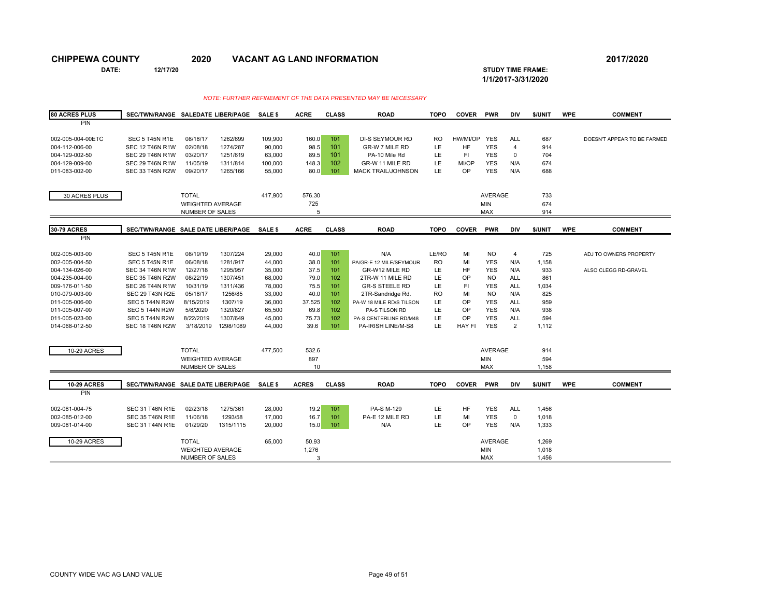**DATE: 12/17/20 STUDY TIME FRAME: 1/1/2017-3/31/2020** 

| <b>80 ACRES PLUS</b>             | SEC/TWN/RANGE SALEDATE LIBER/PAGE                |                         |                     | SALE \$          | <b>ACRE</b>  | <b>CLASS</b> | <b>ROAD</b>                   | <b>TOPO</b> | <b>COVER</b>  | <b>PWR</b>               | <b>DIV</b>                | \$/UNIT        | <b>WPE</b> | <b>COMMENT</b>              |
|----------------------------------|--------------------------------------------------|-------------------------|---------------------|------------------|--------------|--------------|-------------------------------|-------------|---------------|--------------------------|---------------------------|----------------|------------|-----------------------------|
| PIN                              |                                                  |                         |                     |                  |              |              |                               |             |               |                          |                           |                |            |                             |
| 002-005-004-00ETC                | SEC 5 T45N R1E                                   | 08/18/17                | 1262/699            | 109,900          | 160.0        | 101          | <b>DI-S SEYMOUR RD</b>        | <b>RO</b>   | HW/MI/OP      | <b>YES</b>               | ALL                       | 687            |            | DOESN'T APPEAR TO BE FARMED |
| 004-112-006-00                   | <b>SEC 12 T46N R1W</b>                           | 02/08/18                | 1274/287            | 90.000           | 98.5         | 101          | GR-W 7 MILE RD                | LE          | <b>HF</b>     | <b>YES</b>               | $\overline{4}$            | 914            |            |                             |
| 004-129-002-50                   | <b>SEC 29 T46N R1W</b>                           | 03/20/17                | 1251/619            | 63,000           | 89.5         | 101          | PA-10 Mile Rd                 | LE          | F1            | <b>YES</b>               | $\mathbf 0$               | 704            |            |                             |
| 004-129-009-00                   | <b>SEC 29 T46N R1W</b>                           | 11/05/19                | 1311/814            | 100,000          | 148.3        | 102          | GR-W 11 MILE RD               | LE          | MI/OP         | <b>YES</b>               | N/A                       | 674            |            |                             |
| 011-083-002-00                   | <b>SEC 33 T45N R2W</b>                           | 09/20/17                | 1265/166            | 55,000           | 80.0         | 101          | <b>MACK TRAIL/JOHNSON</b>     | LE          | OP            | <b>YES</b>               | N/A                       | 688            |            |                             |
|                                  |                                                  |                         |                     |                  |              |              |                               |             |               |                          |                           |                |            |                             |
| 30 ACRES PLUS                    |                                                  | <b>TOTAL</b>            |                     | 417,900          | 576.30       |              |                               |             |               | <b>AVERAGE</b>           |                           | 733            |            |                             |
|                                  |                                                  | <b>WEIGHTED AVERAGE</b> |                     |                  | 725          |              |                               |             |               | <b>MIN</b>               |                           | 674            |            |                             |
|                                  |                                                  | NUMBER OF SALES         |                     |                  | 5            |              |                               |             |               | <b>MAX</b>               |                           | 914            |            |                             |
| <b>30-79 ACRES</b>               |                                                  |                         |                     |                  |              |              |                               |             |               |                          |                           |                |            |                             |
| <b>PIN</b>                       | SEC/TWN/RANGE SALE DATE LIBER/PAGE               |                         |                     | <b>SALE \$</b>   | <b>ACRE</b>  | <b>CLASS</b> | <b>ROAD</b>                   | <b>TOPO</b> | <b>COVER</b>  | <b>PWR</b>               | DIV                       | \$/UNIT        | <b>WPE</b> | <b>COMMENT</b>              |
|                                  |                                                  |                         |                     |                  |              |              |                               |             |               |                          |                           |                |            |                             |
| 002-005-003-00                   | SEC 5 T45N R1E                                   | 08/19/19                | 1307/224            | 29,000           | 40.0         | 101          | N/A                           | LE/RO       | MI            | <b>NO</b>                | $\overline{4}$            | 725            |            | ADJ TO OWNERS PROPERTY      |
| 002-005-004-50                   | SEC 5 T45N R1E                                   | 06/08/18                | 1281/917            | 44,000           | 38.0         | 101          | PA/GR-E 12 MILE/SEYMOUR       | RO          | MI            | <b>YES</b>               | N/A                       | 1,158          |            |                             |
| 004-134-026-00                   | <b>SEC 34 T46N R1W</b>                           | 12/27/18                | 1295/957            | 35,000           | 37.5         | 101          | GR-W12 MILE RD                | LE          | <b>HF</b>     | <b>YES</b>               | N/A                       | 933            |            | ALSO CLEGG RD-GRAVEL        |
| 004-235-004-00                   | <b>SEC 35 T46N R2W</b>                           | 08/22/19                | 1307/451            | 68,000           | 79.0         | 102          | 2TR-W 11 MILE RD              | LE          | OP            | N <sub>O</sub>           | ALL                       | 861            |            |                             |
| 009-176-011-50                   | <b>SEC 26 T44N R1W</b>                           | 10/31/19                | 1311/436            | 78,000           | 75.5         | 101          | <b>GR-S STEELE RD</b>         | LE          | <b>FI</b>     | <b>YES</b>               | <b>ALL</b>                | 1,034          |            |                             |
| 010-079-003-00                   | <b>SEC 29 T43N R2E</b>                           | 05/18/17                | 1256/85             | 33,000           | 40.0         | 101          | 2TR-Sandridge Rd.             | <b>RO</b>   | MI            | <b>NO</b>                | N/A                       | 825            |            |                             |
| 011-005-006-00                   | SEC 5 T44N R2W                                   | 8/15/2019               | 1307/19             | 36,000           | 37.525       | 102          | PA-W 18 MILE RD/S TILSON      | LE          | OP            | <b>YES</b>               | <b>ALL</b>                | 959            |            |                             |
| 011-005-007-00                   | SEC 5 T44N R2W                                   | 5/8/2020                | 1320/827            | 65,500           | 69.8         | 102          | PA-S TILSON RD                | LE          | OP            | <b>YES</b>               | N/A                       | 938            |            |                             |
| 011-005-023-00                   | SEC 5 T44N R2W                                   | 8/22/2019               | 1307/649            | 45,000           | 75.73        | 102          | PA-S CENTERLINE RD/M48        | LE          | OP            | <b>YES</b>               | <b>ALL</b>                | 594            |            |                             |
| 014-068-012-50                   | <b>SEC 18 T46N R2W</b>                           | 3/18/2019               | 1298/1089           | 44,000           | 39.6         | 101          | PA-IRISH LINE/M-S8            | LE          | <b>HAY FI</b> | <b>YES</b>               | $\overline{2}$            | 1,112          |            |                             |
|                                  |                                                  |                         |                     |                  |              |              |                               |             |               |                          |                           |                |            |                             |
| 10-29 ACRES                      |                                                  | <b>TOTAL</b>            |                     | 477,500          | 532.6        |              |                               |             |               | <b>AVERAGE</b>           |                           | 914            |            |                             |
|                                  |                                                  | <b>WEIGHTED AVERAGE</b> |                     |                  | 897          |              |                               |             |               | <b>MIN</b>               |                           | 594            |            |                             |
|                                  |                                                  | NUMBER OF SALES         |                     |                  | 10           |              |                               |             |               | <b>MAX</b>               |                           | 1,158          |            |                             |
| <b>10-29 ACRES</b>               | SEC/TWN/RANGE SALE DATE LIBER/PAGE               |                         |                     | SALE \$          | <b>ACRES</b> | <b>CLASS</b> | <b>ROAD</b>                   | <b>TOPO</b> | <b>COVER</b>  | <b>PWR</b>               | <b>DIV</b>                | \$/UNIT        | <b>WPE</b> | <b>COMMENT</b>              |
| PIN                              |                                                  |                         |                     |                  |              |              |                               |             |               |                          |                           |                |            |                             |
|                                  |                                                  |                         |                     |                  |              |              |                               |             |               |                          |                           |                |            |                             |
| 002-081-004-75<br>002-085-012-00 | <b>SEC 31 T46N R1E</b><br><b>SEC 35 T46N R1E</b> | 02/23/18<br>11/06/18    | 1275/361<br>1293/58 | 28,000           | 19.2         | 101          | PA-S M-129<br>PA-E 12 MILE RD | LE<br>LE    | HF<br>MI      | <b>YES</b><br><b>YES</b> | <b>ALL</b><br>$\mathbf 0$ | 1,456          |            |                             |
| 009-081-014-00                   | <b>SEC 31 T44N R1E</b>                           | 01/29/20                | 1315/1115           | 17,000<br>20,000 | 16.7<br>15.0 | 101<br>101   | N/A                           | LE          | OP            | <b>YES</b>               | N/A                       | 1,018<br>1,333 |            |                             |
|                                  |                                                  |                         |                     |                  |              |              |                               |             |               |                          |                           |                |            |                             |
| 10-29 ACRES                      |                                                  | <b>TOTAL</b>            |                     | 65,000           | 50.93        |              |                               |             |               | <b>AVERAGE</b>           |                           | 1,269          |            |                             |
|                                  |                                                  | <b>WEIGHTED AVERAGE</b> |                     |                  | 1,276        |              |                               |             |               | MIN                      |                           | 1,018          |            |                             |
|                                  |                                                  | <b>NUMBER OF SALES</b>  |                     |                  | 3            |              |                               |             |               | <b>MAX</b>               |                           | 1,456          |            |                             |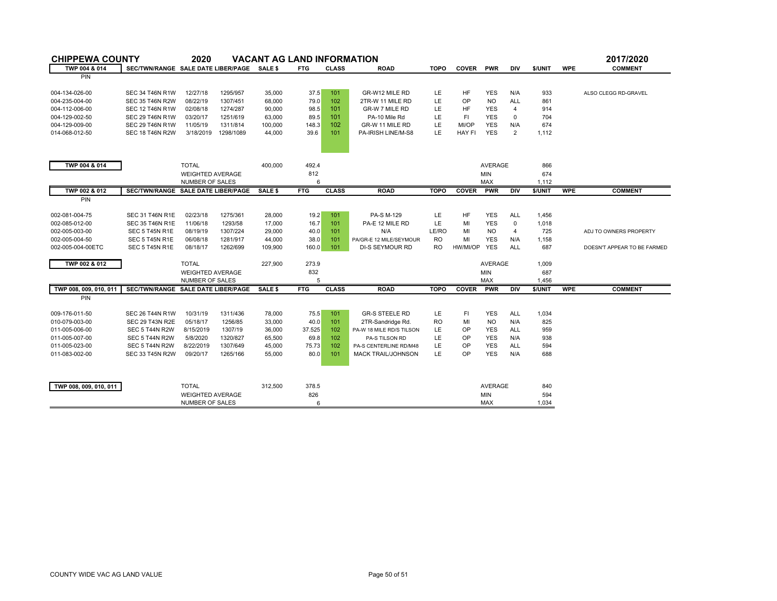| <b>CHIPPEWA COUNTY</b> |                                            | 2020                    |           | <b>VACANT AG LAND INFORMATION</b> |            |              |                           |             |               |                       |                |                  |            | 2017/2020                   |
|------------------------|--------------------------------------------|-------------------------|-----------|-----------------------------------|------------|--------------|---------------------------|-------------|---------------|-----------------------|----------------|------------------|------------|-----------------------------|
| TWP 004 & 014          | SEC/TWN/RANGE SALE DATE LIBER/PAGE SALE \$ |                         |           |                                   | <b>FTG</b> | <b>CLASS</b> | <b>ROAD</b>               | <b>TOPO</b> | <b>COVER</b>  | PWR                   | DIV            | \$/UNIT          | <b>WPE</b> | <b>COMMENT</b>              |
| <b>PIN</b>             |                                            |                         |           |                                   |            |              |                           |             |               |                       |                |                  |            |                             |
| 004-134-026-00         | <b>SEC 34 T46N R1W</b>                     | 12/27/18                | 1295/957  | 35,000                            | 37.5       | 101          | GR-W12 MILE RD            | LE          | <b>HF</b>     | <b>YES</b>            | N/A            | 933              |            | ALSO CLEGG RD-GRAVEL        |
| 004-235-004-00         | <b>SEC 35 T46N R2W</b>                     | 08/22/19                | 1307/451  | 68,000                            | 79.0       | 102          | 2TR-W 11 MILE RD          | LE          | OP            | <b>NO</b>             | <b>ALL</b>     | 861              |            |                             |
| 004-112-006-00         | <b>SEC 12 T46N R1W</b>                     | 02/08/18                | 1274/287  | 90,000                            | 98.5       | 101          | GR-W 7 MILE RD            | LE          | HF            | <b>YES</b>            | 4              | 914              |            |                             |
| 004-129-002-50         | <b>SEC 29 T46N R1W</b>                     | 03/20/17                | 1251/619  | 63,000                            | 89.5       | 101          | PA-10 Mile Rd             | LE          | F1            | <b>YES</b>            | $\Omega$       | 704              |            |                             |
| 004-129-009-00         | <b>SEC 29 T46N R1W</b>                     | 11/05/19                | 1311/814  | 100,000                           | 148.3      | 102          | GR-W 11 MILE RD           | LE          | MI/OP         | <b>YES</b>            | N/A            | 674              |            |                             |
| 014-068-012-50         | <b>SEC 18 T46N R2W</b>                     | 3/18/2019               | 1298/1089 | 44,000                            | 39.6       | 101          | PA-IRISH LINE/M-S8        | LE          | <b>HAY FI</b> | <b>YES</b>            | $\overline{2}$ | 1,112            |            |                             |
|                        |                                            |                         |           |                                   |            |              |                           |             |               |                       |                |                  |            |                             |
| TWP 004 & 014          |                                            | <b>TOTAL</b>            |           | 400,000                           | 492.4      |              |                           |             |               | <b>AVERAGE</b>        |                | 866              |            |                             |
|                        |                                            | <b>WEIGHTED AVERAGE</b> |           |                                   | 812        |              |                           |             |               | <b>MIN</b>            |                | 674              |            |                             |
|                        |                                            | NUMBER OF SALES         |           |                                   | 6          |              |                           |             |               | <b>MAX</b>            |                | 1,112            |            |                             |
| TWP 002 & 012          | SEC/TWN/RANGE SALE DATE LIBER/PAGE         |                         |           | SALE \$                           | <b>FTG</b> | <b>CLASS</b> | <b>ROAD</b>               | <b>TOPO</b> | <b>COVER</b>  | <b>PWR</b>            | <b>DIV</b>     | \$/UNIT          | <b>WPE</b> | <b>COMMENT</b>              |
| <b>PIN</b>             |                                            |                         |           |                                   |            |              |                           |             |               |                       |                |                  |            |                             |
|                        |                                            |                         |           |                                   |            |              |                           |             |               |                       |                |                  |            |                             |
| 002-081-004-75         | <b>SEC 31 T46N R1E</b>                     | 02/23/18                | 1275/361  | 28,000                            | 19.2       | 101          | PA-S M-129                | LE          | HF            | <b>YES</b>            | <b>ALL</b>     | 1,456            |            |                             |
| 002-085-012-00         | <b>SEC 35 T46N R1E</b>                     | 11/06/18                | 1293/58   | 17,000                            | 16.7       | 101          | PA-E 12 MILE RD           | LE          | MI            | <b>YES</b>            | $\mathbf 0$    | 1,018            |            |                             |
| 002-005-003-00         | SEC 5 T45N R1E                             | 08/19/19                | 1307/224  | 29,000                            | 40.0       | 101          | N/A                       | LE/RO       | MI            | N <sub>O</sub>        | $\overline{4}$ | 725              |            | ADJ TO OWNERS PROPERTY      |
| 002-005-004-50         | SEC 5 T45N R1E                             | 06/08/18                | 1281/917  | 44,000                            | 38.0       | 101          | PA/GR-E 12 MILE/SEYMOUR   | RO          | MI            | <b>YES</b>            | N/A            | 1,158            |            |                             |
| 002-005-004-00ETC      | SEC 5 T45N R1E                             | 08/18/17                | 1262/699  | 109,900                           | 160.0      | 101          | DI-S SEYMOUR RD           | RO.         | HW/MI/OP      | <b>YES</b>            | <b>ALL</b>     | 687              |            | DOESN'T APPEAR TO BE FARMED |
|                        |                                            | <b>TOTAL</b>            |           |                                   | 273.9      |              |                           |             |               |                       |                |                  |            |                             |
| TWP 002 & 012          |                                            | <b>WEIGHTED AVERAGE</b> |           | 227,900                           |            |              |                           |             |               | AVERAGE<br><b>MIN</b> |                | 1,009            |            |                             |
|                        |                                            |                         |           |                                   | 832<br>5   |              |                           |             |               | MAX                   |                | 687              |            |                             |
| TWP 008, 009, 010, 011 | SEC/TWN/RANGE SALE DATE LIBER/PAGE         | NUMBER OF SALES         |           |                                   |            | <b>CLASS</b> |                           | <b>TOPO</b> | <b>COVER</b>  | <b>PWR</b>            | <b>DIV</b>     | 1,456<br>\$/UNIT | <b>WPE</b> | <b>COMMENT</b>              |
| <b>PIN</b>             |                                            |                         |           | SALE \$                           | <b>FTG</b> |              | <b>ROAD</b>               |             |               |                       |                |                  |            |                             |
|                        |                                            |                         |           |                                   |            |              |                           |             |               |                       |                |                  |            |                             |
| 009-176-011-50         | <b>SEC 26 T44N R1W</b>                     | 10/31/19                | 1311/436  | 78,000                            | 75.5       | 101          | <b>GR-S STEELE RD</b>     | LE          | FI.           | <b>YES</b>            | <b>ALL</b>     | 1,034            |            |                             |
| 010-079-003-00         | <b>SEC 29 T43N R2E</b>                     | 05/18/17                | 1256/85   | 33,000                            | 40.0       | 101          | 2TR-Sandridge Rd.         | <b>RO</b>   | MI            | <b>NO</b>             | N/A            | 825              |            |                             |
| 011-005-006-00         | SEC 5 T44N R2W                             | 8/15/2019               | 1307/19   | 36,000                            | 37.525     | 102          | PA-W 18 MILE RD/S TILSON  | LE          | OP            | <b>YES</b>            | <b>ALL</b>     | 959              |            |                             |
| 011-005-007-00         | SEC 5 T44N R2W                             | 5/8/2020                | 1320/827  | 65,500                            | 69.8       | 102          | PA-S TILSON RD            | LE          | <b>OP</b>     | <b>YES</b>            | N/A            | 938              |            |                             |
| 011-005-023-00         | SEC 5 T44N R2W                             | 8/22/2019               | 1307/649  | 45,000                            | 75.73      | 102          | PA-S CENTERLINE RD/M48    | LE          | OP            | <b>YES</b>            | <b>ALL</b>     | 594              |            |                             |
| 011-083-002-00         | <b>SEC 33 T45N R2W</b>                     | 09/20/17                | 1265/166  | 55,000                            | 80.0       | 101          | <b>MACK TRAIL/JOHNSON</b> | LE          | OP            | <b>YES</b>            | N/A            | 688              |            |                             |
|                        |                                            |                         |           |                                   |            |              |                           |             |               |                       |                |                  |            |                             |
| TWP 008, 009, 010, 011 |                                            | <b>TOTAL</b>            |           | 312,500                           | 378.5      |              |                           |             |               | <b>AVERAGE</b>        |                | 840              |            |                             |
|                        |                                            | <b>WEIGHTED AVERAGE</b> |           |                                   | 826        |              |                           |             |               | <b>MIN</b>            |                | 594              |            |                             |
|                        |                                            | <b>NUMBER OF SALES</b>  |           |                                   | 6          |              |                           |             |               | <b>MAX</b>            |                | 1.034            |            |                             |